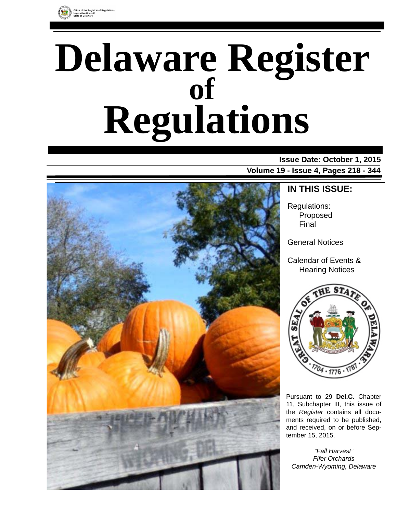

# **Delaware Register Regulations of**

### **Issue Date: October 1, 2015 Volume 19 - Issue 4, Pages 218 - 344**



### **IN THIS ISSUE:**

Regulations: Proposed Final

General Notices

Calendar of Events & Hearing Notices



Pursuant to 29 **Del.C.** Chapter 11, Subchapter III, this issue of the *Register* contains all documents required to be published, and received, on or before September 15, 2015.

*"Fall Harvest" Fifer Orchards Camden-Wyoming, Delaware*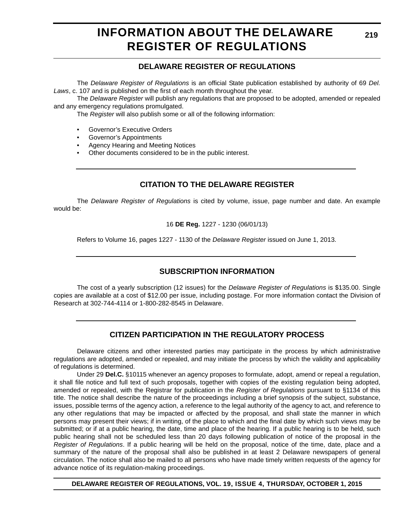# **INFORMATION ABOUT THE DELAWARE REGISTER OF REGULATIONS**

### **DELAWARE REGISTER OF REGULATIONS**

The *Delaware Register of Regulations* is an official State publication established by authority of 69 *Del. Laws*, c. 107 and is published on the first of each month throughout the year.

The *Delaware Register* will publish any regulations that are proposed to be adopted, amended or repealed and any emergency regulations promulgated.

The *Register* will also publish some or all of the following information:

- Governor's Executive Orders
- Governor's Appointments
- Agency Hearing and Meeting Notices
- Other documents considered to be in the public interest.

### **CITATION TO THE DELAWARE REGISTER**

The *Delaware Register of Regulations* is cited by volume, issue, page number and date. An example would be:

16 **DE Reg.** 1227 - 1230 (06/01/13)

Refers to Volume 16, pages 1227 - 1130 of the *Delaware Register* issued on June 1, 2013.

### **SUBSCRIPTION INFORMATION**

The cost of a yearly subscription (12 issues) for the *Delaware Register of Regulations* is \$135.00. Single copies are available at a cost of \$12.00 per issue, including postage. For more information contact the Division of Research at 302-744-4114 or 1-800-282-8545 in Delaware.

### **CITIZEN PARTICIPATION IN THE REGULATORY PROCESS**

Delaware citizens and other interested parties may participate in the process by which administrative regulations are adopted, amended or repealed, and may initiate the process by which the validity and applicability of regulations is determined.

Under 29 **Del.C.** §10115 whenever an agency proposes to formulate, adopt, amend or repeal a regulation, it shall file notice and full text of such proposals, together with copies of the existing regulation being adopted, amended or repealed, with the Registrar for publication in the *Register of Regulations* pursuant to §1134 of this title. The notice shall describe the nature of the proceedings including a brief synopsis of the subject, substance, issues, possible terms of the agency action, a reference to the legal authority of the agency to act, and reference to any other regulations that may be impacted or affected by the proposal, and shall state the manner in which persons may present their views; if in writing, of the place to which and the final date by which such views may be submitted; or if at a public hearing, the date, time and place of the hearing. If a public hearing is to be held, such public hearing shall not be scheduled less than 20 days following publication of notice of the proposal in the *Register of Regulations*. If a public hearing will be held on the proposal, notice of the time, date, place and a summary of the nature of the proposal shall also be published in at least 2 Delaware newspapers of general circulation. The notice shall also be mailed to all persons who have made timely written requests of the agency for advance notice of its regulation-making proceedings.

**DELAWARE REGISTER OF REGULATIONS, VOL. 19, ISSUE 4, THURSDAY, OCTOBER 1, 2015**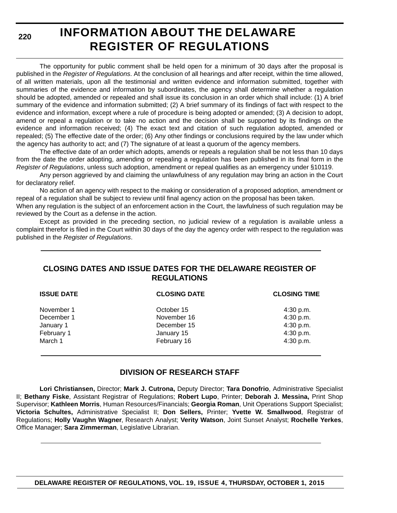**220**

# **INFORMATION ABOUT THE DELAWARE REGISTER OF REGULATIONS**

The opportunity for public comment shall be held open for a minimum of 30 days after the proposal is published in the *Register of Regulations*. At the conclusion of all hearings and after receipt, within the time allowed, of all written materials, upon all the testimonial and written evidence and information submitted, together with summaries of the evidence and information by subordinates, the agency shall determine whether a regulation should be adopted, amended or repealed and shall issue its conclusion in an order which shall include: (1) A brief summary of the evidence and information submitted; (2) A brief summary of its findings of fact with respect to the evidence and information, except where a rule of procedure is being adopted or amended; (3) A decision to adopt, amend or repeal a regulation or to take no action and the decision shall be supported by its findings on the evidence and information received; (4) The exact text and citation of such regulation adopted, amended or repealed; (5) The effective date of the order; (6) Any other findings or conclusions required by the law under which the agency has authority to act; and (7) The signature of at least a quorum of the agency members.

The effective date of an order which adopts, amends or repeals a regulation shall be not less than 10 days from the date the order adopting, amending or repealing a regulation has been published in its final form in the *Register of Regulations*, unless such adoption, amendment or repeal qualifies as an emergency under §10119.

Any person aggrieved by and claiming the unlawfulness of any regulation may bring an action in the Court for declaratory relief.

No action of an agency with respect to the making or consideration of a proposed adoption, amendment or repeal of a regulation shall be subject to review until final agency action on the proposal has been taken.

When any regulation is the subject of an enforcement action in the Court, the lawfulness of such regulation may be reviewed by the Court as a defense in the action.

Except as provided in the preceding section, no judicial review of a regulation is available unless a complaint therefor is filed in the Court within 30 days of the day the agency order with respect to the regulation was published in the *Register of Regulations*.

### **CLOSING DATES AND ISSUE DATES FOR THE DELAWARE REGISTER OF REGULATIONS**

| <b>CLOSING DATE</b> | <b>CLOSING TIME</b> |
|---------------------|---------------------|
| October 15          | 4:30 p.m.           |
| November 16         | 4:30 p.m.           |
| December 15         | 4:30 p.m.           |
| January 15          | 4:30 p.m.           |
| February 16         | 4:30 p.m.           |
|                     |                     |

### **DIVISION OF RESEARCH STAFF**

**Lori Christiansen,** Director; **Mark J. Cutrona,** Deputy Director; **Tara Donofrio**, Administrative Specialist II; **Bethany Fiske**, Assistant Registrar of Regulations; **Robert Lupo**, Printer; **Deborah J. Messina,** Print Shop Supervisor; **Kathleen Morris**, Human Resources/Financials; **Georgia Roman**, Unit Operations Support Specialist; **Victoria Schultes,** Administrative Specialist II; **Don Sellers,** Printer; **Yvette W. Smallwood**, Registrar of Regulations; **Holly Vaughn Wagner**, Research Analyst; **Verity Watson**, Joint Sunset Analyst; **Rochelle Yerkes**, Office Manager; **Sara Zimmerman**, Legislative Librarian.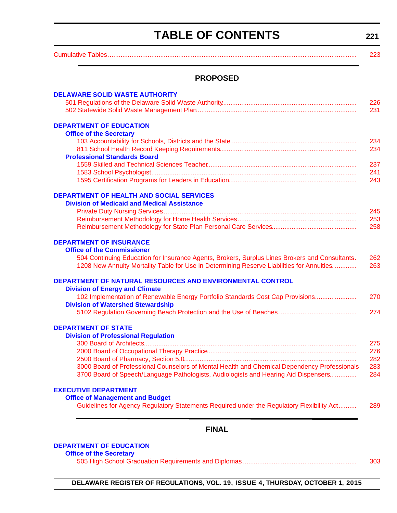# **TABLE OF CONTENTS**

<span id="page-3-0"></span>

| <b>TABLE OF CONTENTS</b>                                                                                                                                                                                                                                           | 221        |
|--------------------------------------------------------------------------------------------------------------------------------------------------------------------------------------------------------------------------------------------------------------------|------------|
|                                                                                                                                                                                                                                                                    | 223        |
| <b>PROPOSED</b>                                                                                                                                                                                                                                                    |            |
| <b>DELAWARE SOLID WASTE AUTHORITY</b>                                                                                                                                                                                                                              |            |
|                                                                                                                                                                                                                                                                    | 226<br>231 |
|                                                                                                                                                                                                                                                                    |            |
| <b>DEPARTMENT OF EDUCATION</b>                                                                                                                                                                                                                                     |            |
| <b>Office of the Secretary</b>                                                                                                                                                                                                                                     | 234        |
|                                                                                                                                                                                                                                                                    | 234        |
| <b>Professional Standards Board</b>                                                                                                                                                                                                                                |            |
|                                                                                                                                                                                                                                                                    | 237        |
|                                                                                                                                                                                                                                                                    | 241        |
|                                                                                                                                                                                                                                                                    | 243        |
| <b>DEPARTMENT OF HEALTH AND SOCIAL SERVICES</b>                                                                                                                                                                                                                    |            |
| <b>Division of Medicaid and Medical Assistance</b>                                                                                                                                                                                                                 |            |
|                                                                                                                                                                                                                                                                    | 245        |
|                                                                                                                                                                                                                                                                    | 253<br>258 |
| <b>DEPARTMENT OF INSURANCE</b><br><b>Office of the Commissioner</b><br>504 Continuing Education for Insurance Agents, Brokers, Surplus Lines Brokers and Consultants.<br>1208 New Annuity Mortality Table for Use in Determining Reserve Liabilities for Annuities | 262<br>263 |
| DEPARTMENT OF NATURAL RESOURCES AND ENVIRONMENTAL CONTROL<br><b>Division of Energy and Climate</b>                                                                                                                                                                 |            |
| 102 Implementation of Renewable Energy Portfolio Standards Cost Cap Provisions<br><b>Division of Watershed Stewardship</b>                                                                                                                                         | 270        |
|                                                                                                                                                                                                                                                                    | 274        |
| <b>DEPARTMENT OF STATE</b>                                                                                                                                                                                                                                         |            |
| <b>Division of Professional Regulation</b>                                                                                                                                                                                                                         |            |
|                                                                                                                                                                                                                                                                    | 275        |
|                                                                                                                                                                                                                                                                    | 276        |
| 3000 Board of Professional Counselors of Mental Health and Chemical Dependency Professionals                                                                                                                                                                       | 282<br>283 |
| 3700 Board of Speech/Language Pathologists, Audiologists and Hearing Aid Dispensers                                                                                                                                                                                | 284        |
| <b>EXECUTIVE DEPARTMENT</b>                                                                                                                                                                                                                                        |            |
| <b>Office of Management and Budget</b><br>Guidelines for Agency Regulatory Statements Required under the Regulatory Flexibility Act                                                                                                                                | 289        |
|                                                                                                                                                                                                                                                                    |            |
| <b>FINAL</b>                                                                                                                                                                                                                                                       |            |
| <b>DEPARTMENT OF EDUCATION</b>                                                                                                                                                                                                                                     |            |
| <b>Office of the Secretary</b>                                                                                                                                                                                                                                     |            |
|                                                                                                                                                                                                                                                                    | 303        |

**DELAWARE REGISTER OF REGULATIONS, VOL. 19, ISSUE 4, THURSDAY, OCTOBER 1, 2015**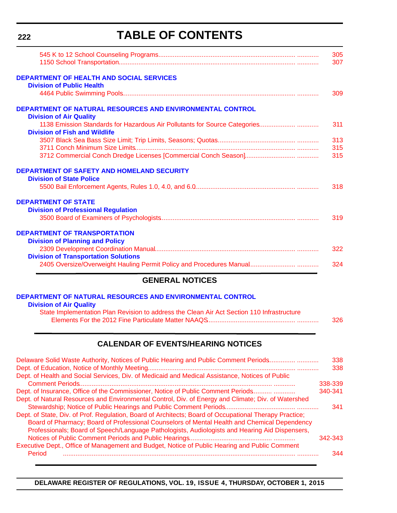# **TABLE OF CONTENTS**

|                                                                                                    | 305<br>307 |
|----------------------------------------------------------------------------------------------------|------------|
| <b>DEPARTMENT OF HEALTH AND SOCIAL SERVICES</b><br><b>Division of Public Health</b>                |            |
|                                                                                                    | 309        |
| <b>DEPARTMENT OF NATURAL RESOURCES AND ENVIRONMENTAL CONTROL</b><br><b>Division of Air Quality</b> |            |
| <b>Division of Fish and Wildlife</b>                                                               | 311        |
|                                                                                                    | 313        |
|                                                                                                    | 315        |
|                                                                                                    | 315        |
| <b>DEPARTMENT OF SAFETY AND HOMELAND SECURITY</b>                                                  |            |
| <b>Division of State Police</b>                                                                    |            |
|                                                                                                    | 318        |
| <b>DEPARTMENT OF STATE</b>                                                                         |            |
| <b>Division of Professional Regulation</b>                                                         |            |
|                                                                                                    | 319        |
| <b>DEPARTMENT OF TRANSPORTATION</b>                                                                |            |
| <b>Division of Planning and Policy</b>                                                             |            |
| <b>Division of Transportation Solutions</b>                                                        | 322        |
|                                                                                                    | 324        |

### **GENERAL NOTICES**

#### **[DEPARTMENT OF NATURAL RESOURCES AND ENVIRONMENTAL CONTROL](http://www.dnrec.delaware.gov/Air/Pages/Air-Quality.aspx) Division of Air Quality**

| State Implementation Plan Revision to address the Clean Air Act Section 110 Infrastructure |     |
|--------------------------------------------------------------------------------------------|-----|
|                                                                                            | 326 |

### **CALENDAR OF EVENTS/HEARING NOTICES**

| Delaware Solid Waste Authority, Notices of Public Hearing and Public Comment Periods                   | 338     |
|--------------------------------------------------------------------------------------------------------|---------|
|                                                                                                        | 338     |
| Dept. of Health and Social Services, Div. of Medicaid and Medical Assistance, Notices of Public        |         |
|                                                                                                        | 338-339 |
| Dept. of Insurance, Office of the Commissioner, Notice of Public Comment Periods                       | 340-341 |
| Dept. of Natural Resources and Environmental Control, Div. of Energy and Climate; Div. of Watershed    |         |
|                                                                                                        | 341     |
| Dept. of State, Div. of Prof. Regulation, Board of Architects; Board of Occupational Therapy Practice; |         |
| Board of Pharmacy; Board of Professional Counselors of Mental Health and Chemical Dependency           |         |
| Professionals; Board of Speech/Language Pathologists, Audiologists and Hearing Aid Dispensers,         |         |
|                                                                                                        | 342-343 |
| Executive Dept., Office of Management and Budget, Notice of Public Hearing and Public Comment          |         |
| Period                                                                                                 | 344     |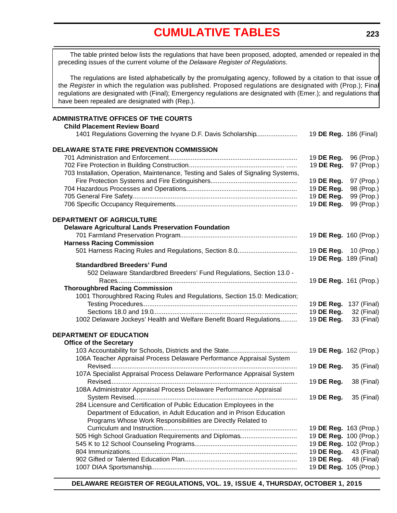# **[CUMULATIVE TABLES](#page-3-0)**

<span id="page-5-0"></span>The table printed below lists the regulations that have been proposed, adopted, amended or repealed in the preceding issues of the current volume of the *Delaware Register of Regulations*.

The regulations are listed alphabetically by the promulgating agency, followed by a citation to that issue of the *Register* in which the regulation was published. Proposed regulations are designated with (Prop.); Final regulations are designated with (Final); Emergency regulations are designated with (Emer.); and regulations that have been repealed are designated with (Rep.).

#### **ADMINISTRATIVE OFFICES OF THE COURTS Child Placement Review Board** 1401 Regulations Governing the Ivyane D.F. Davis Scholarship....................... 19 **DE Reg.** 186 (Final) **DELAWARE STATE FIRE PREVENTION COMMISSION** 701 Administration and Enforcement ....................................................................... 19 **DE Reg.** 96 (Prop.) 702 Fire Protection in Building Construction...................................................... ...... 19 **DE Reg.** 97 (Prop.) 703 Installation, Operation, Maintenance, Testing and Sales of Signaling Systems, Fire Protection Systems and Fire Extinguishers................................................ 19 **DE Reg.** 97 (Prop.) 704 Hazardous Processes and Operations.............................................................. 19 **DE Reg.** 98 (Prop.) 705 General Fire Safety............................................................................................ 19 **DE Reg.** 99 (Prop.) 706 Specific Occupancy Requirements.................................................................... 19 **DE Reg.** 99 (Prop.) **DEPARTMENT OF AGRICULTURE Delaware Agricultural Lands Preservation Foundation** 701 Farmland Preservation Program................................................................. 19 **DE Reg.** 160 (Prop.) **Harness Racing Commission** 501 Harness Racing Rules and Regulations, Section 8.0.................................. 19 **DE Reg.** 10 (Prop.) 19 **DE Reg.** 189 (Final) **Standardbred Breeders' Fund** 502 Delaware Standardbred Breeders' Fund Regulations, Section 13.0 - Races.................................................................................................... 19 **DE Reg.** 161 (Prop.) **Thoroughbred Racing Commission** 1001 Thoroughbred Racing Rules and Regulations, Section 15.0: Medication; Testing Procedures...................................................................................... 19 **DE Reg.** 137 (Final) Sections 18.0 and 19.0................................................................................ 19 **DE Reg.** 32 (Final) 1002 Delaware Jockeys' Health and Welfare Benefit Board Regulations.......... 19 **DE Reg.** 33 (Final) **DEPARTMENT OF EDUCATION Office of the Secretary** 103 Accountability for Schools, Districts and the State...................................... 19 **DE Reg.** 162 (Prop.) 106A Teacher Appraisal Process Delaware Performance Appraisal System Revised........................................................................................................ 19 **DE Reg.** 35 (Final) 107A Specialist Appraisal Process Delaware Performance Appraisal System Revised........................................................................................................ 19 **DE Reg.** 38 (Final) 108A Administrator Appraisal Process Delaware Performance Appraisal System Revised........................................................................................... 19 **DE Reg.** 35 (Final) 284 Licensure and Certification of Public Education Employees in the Department of Education, in Adult Education and in Prison Education Programs Whose Work Responsibilities are Directly Related to Curriculum and Instruction........................................................................... 19 **DE Reg.** 163 (Prop.) 505 High School Graduation Requirements and Diplomas................................ 19 **DE Reg.** 100 (Prop.) 545 K to 12 School Counseling Programs......................................................... 19 **DE Reg.** 102 (Prop.) 804 Immunizations............................................................................................. 19 **DE Reg.** 43 (Final) 902 Gifted or Talented Education Plan............................................................... 19 **DE Reg.** 48 (Final) 1007 DIAA Sportsmanship................................................................................. 19 **DE Reg.** 105 (Prop.)

**DELAWARE REGISTER OF REGULATIONS, VOL. 19, ISSUE 4, THURSDAY, OCTOBER 1, 2015**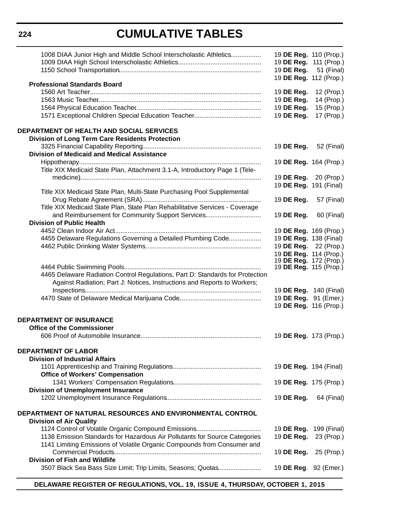### **224**

# **CUMULATIVE TABLES**

| 1008 DIAA Junior High and Middle School Interscholastic Athletics<br><b>Professional Standards Board</b>                                                  | 19 DE Reg. 110 (Prop.)<br>19 DE Reg. 111 (Prop.)<br>19 DE Reg. 51 (Final)<br>19 DE Reg. 112 (Prop.) |             |
|-----------------------------------------------------------------------------------------------------------------------------------------------------------|-----------------------------------------------------------------------------------------------------|-------------|
|                                                                                                                                                           |                                                                                                     |             |
|                                                                                                                                                           | 19 DE Reg.                                                                                          | 12 (Prop.)  |
|                                                                                                                                                           | 19 DE Reg.                                                                                          | 14 (Prop.)  |
|                                                                                                                                                           | 19 DE Reg.                                                                                          | 15 (Prop.)  |
|                                                                                                                                                           | 19 DE Reg.                                                                                          | 17 (Prop.)  |
| DEPARTMENT OF HEALTH AND SOCIAL SERVICES                                                                                                                  |                                                                                                     |             |
| <b>Division of Long Term Care Residents Protection</b>                                                                                                    |                                                                                                     |             |
|                                                                                                                                                           | 19 DE Reg.                                                                                          | 52 (Final)  |
| <b>Division of Medicaid and Medical Assistance</b>                                                                                                        |                                                                                                     |             |
|                                                                                                                                                           | 19 DE Reg. 164 (Prop.)                                                                              |             |
| Title XIX Medicaid State Plan, Attachment 3.1-A, Introductory Page 1 (Tele-                                                                               |                                                                                                     |             |
|                                                                                                                                                           | 19 <b>DE Reg.</b> 20 (Prop.)                                                                        |             |
|                                                                                                                                                           |                                                                                                     |             |
| Title XIX Medicaid State Plan, Multi-State Purchasing Pool Supplemental                                                                                   | 19 DE Reg. 191 (Final)                                                                              |             |
|                                                                                                                                                           |                                                                                                     |             |
|                                                                                                                                                           | 19 DE Reg.                                                                                          | 57 (Final)  |
| Title XIX Medicaid State Plan, State Plan Rehabilitative Services - Coverage                                                                              |                                                                                                     |             |
| and Reimbursement for Community Support Services                                                                                                          | 19 DE Reg.                                                                                          | 60 (Final)  |
| <b>Division of Public Health</b>                                                                                                                          |                                                                                                     |             |
|                                                                                                                                                           | 19 DE Reg. 169 (Prop.)                                                                              |             |
| 4455 Delaware Regulations Governing a Detailed Plumbing Code                                                                                              | 19 DE Reg. 138 (Final)                                                                              |             |
|                                                                                                                                                           | 19 DE Reg. 22 (Prop.)                                                                               |             |
|                                                                                                                                                           | 19 DE Reg. 114 (Prop.)                                                                              |             |
|                                                                                                                                                           | 19 <b>DE Reg.</b> 172 (Prop.)                                                                       |             |
|                                                                                                                                                           | 19 <b>DE Reg.</b> 115 (Prop.)                                                                       |             |
| 4465 Delaware Radiation Control Regulations, Part D: Standards for Protection<br>Against Radiation; Part J: Notices, Instructions and Reports to Workers; |                                                                                                     |             |
|                                                                                                                                                           | 19 <b>DE Reg.</b> 140 (Final)                                                                       |             |
|                                                                                                                                                           | 19 DE Reg. 91 (Emer.)                                                                               |             |
|                                                                                                                                                           | 19 DE Reg. 116 (Prop.)                                                                              |             |
|                                                                                                                                                           |                                                                                                     |             |
| <b>DEPARTMENT OF INSURANCE</b><br><b>Office of the Commissioner</b>                                                                                       |                                                                                                     |             |
|                                                                                                                                                           | 19 DE Reg. 173 (Prop.)                                                                              |             |
|                                                                                                                                                           |                                                                                                     |             |
| <b>DEPARTMENT OF LABOR</b><br><b>Division of Industrial Affairs</b>                                                                                       |                                                                                                     |             |
|                                                                                                                                                           | 19 DE Reg. 194 (Final)                                                                              |             |
| <b>Office of Workers' Compensation</b>                                                                                                                    |                                                                                                     |             |
|                                                                                                                                                           | 19 DE Reg. 175 (Prop.)                                                                              |             |
|                                                                                                                                                           |                                                                                                     |             |
| <b>Division of Unemployment Insurance</b>                                                                                                                 |                                                                                                     |             |
|                                                                                                                                                           | 19 DE Reg.                                                                                          | 64 (Final)  |
| DEPARTMENT OF NATURAL RESOURCES AND ENVIRONMENTAL CONTROL<br><b>Division of Air Quality</b>                                                               |                                                                                                     |             |
|                                                                                                                                                           | 19 DE Reg.                                                                                          | 199 (Final) |
| 1138 Emission Standards for Hazardous Air Pollutants for Source Categories                                                                                | 19 DE Reg.                                                                                          | 23 (Prop.)  |
| 1141 Limiting Emissions of Volatile Organic Compounds from Consumer and                                                                                   |                                                                                                     |             |
|                                                                                                                                                           |                                                                                                     |             |
|                                                                                                                                                           | 19 DE Reg.                                                                                          | 25 (Prop.)  |
| Division of Fish and Wildlife                                                                                                                             |                                                                                                     |             |
| 3507 Black Sea Bass Size Limit; Trip Limits, Seasons; Quotas                                                                                              | 19 DE Reg. 92 (Emer.)                                                                               |             |

**DELAWARE REGISTER OF REGULATIONS, VOL. 19, ISSUE 4, THURSDAY, OCTOBER 1, 2015**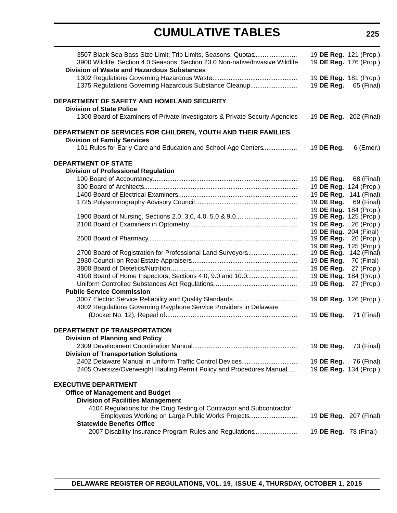# **CUMULATIVE TABLES**

| 3507 Black Sea Bass Size Limit; Trip Limits, Seasons; Quotas<br>3900 Wildlife: Section 4.0 Seasons; Section 23.0 Non-native/Invasive Wildlife<br><b>Division of Waste and Hazardous Substances</b> | 19 DE Reg. 121 (Prop.)<br>19 DE Reg. 176 (Prop.) |             |
|----------------------------------------------------------------------------------------------------------------------------------------------------------------------------------------------------|--------------------------------------------------|-------------|
|                                                                                                                                                                                                    | 19 DE Reg. 181 (Prop.)                           |             |
| 1375 Regulations Governing Hazardous Substance Cleanup                                                                                                                                             | 19 DE Reg.                                       | 65 (Final)  |
| DEPARTMENT OF SAFETY AND HOMELAND SECURITY                                                                                                                                                         |                                                  |             |
| <b>Division of State Police</b>                                                                                                                                                                    |                                                  |             |
| 1300 Board of Examiners of Private Investigators & Private Securiy Agencies                                                                                                                        | 19 DE Reg. 202 (Final)                           |             |
| DEPARTMENT OF SERVICES FOR CHILDREN, YOUTH AND THEIR FAMILIES                                                                                                                                      |                                                  |             |
| <b>Division of Family Services</b><br>101 Rules for Early Care and Education and School-Age Centers                                                                                                | 19 DE Reg.                                       | 6 (Emer.)   |
|                                                                                                                                                                                                    |                                                  |             |
| <b>DEPARTMENT OF STATE</b>                                                                                                                                                                         |                                                  |             |
| <b>Division of Professional Regulation</b>                                                                                                                                                         |                                                  |             |
|                                                                                                                                                                                                    | 19 DE Reg.                                       | 68 (Final)  |
|                                                                                                                                                                                                    | 19 DE Reg. 124 (Prop.)                           |             |
|                                                                                                                                                                                                    | 19 DE Reg.                                       | 141 (Final) |
|                                                                                                                                                                                                    | 19 DE Reg.                                       | 69 (Final)  |
|                                                                                                                                                                                                    | 19 DE Reg. 184 (Prop.)<br>19 DE Reg. 125 (Prop.) |             |
|                                                                                                                                                                                                    | 19 DE Reg.                                       | 26 (Prop.)  |
|                                                                                                                                                                                                    | 19 DE Reg. 204 (Final)                           |             |
|                                                                                                                                                                                                    | 19 DE Reg.                                       | 26 (Prop.)  |
|                                                                                                                                                                                                    | 19 DE Reg. 125 (Prop.)                           |             |
| 2700 Board of Registration for Professional Land Surveyors                                                                                                                                         | 19 DE Reg.                                       | 142 (Final) |
|                                                                                                                                                                                                    | 19 DE Reg.                                       | 70 (Final)  |
|                                                                                                                                                                                                    | 19 DE Reg.                                       | 27 (Prop.)  |
| 4100 Board of Home Inspectors, Sections 4.0, 9.0 and 10.0                                                                                                                                          | 19 DE Reg. 184 (Prop.)                           |             |
|                                                                                                                                                                                                    | 19 DE Reg.                                       | 27 (Prop.)  |
| <b>Public Service Commission</b>                                                                                                                                                                   |                                                  |             |
|                                                                                                                                                                                                    | 19 DE Reg. 126 (Prop.)                           |             |
| 4002 Regulations Governing Payphone Service Providers in Delaware                                                                                                                                  |                                                  |             |
|                                                                                                                                                                                                    | 19 DE Reg.                                       | 71 (Final)  |
| <b>DEPARTMENT OF TRANSPORTATION</b>                                                                                                                                                                |                                                  |             |
| <b>Division of Planning and Policy</b>                                                                                                                                                             |                                                  |             |
|                                                                                                                                                                                                    | 19 DE Reg.                                       | 73 (Final)  |
| <b>Division of Transportation Solutions</b>                                                                                                                                                        |                                                  |             |
| 2402 Delaware Manual in Uniform Traffic Control Devices                                                                                                                                            | 19 DE Reg.                                       | 76 (Final)  |
| 2405 Oversize/Overweight Hauling Permit Policy and Procedures Manual                                                                                                                               | 19 DE Reg. 134 (Prop.)                           |             |
| <b>EXECUTIVE DEPARTMENT</b>                                                                                                                                                                        |                                                  |             |
| <b>Office of Management and Budget</b>                                                                                                                                                             |                                                  |             |
| <b>Division of Facilities Management</b>                                                                                                                                                           |                                                  |             |
| 4104 Regulations for the Drug Testing of Contractor and Subcontractor                                                                                                                              |                                                  |             |
| Employees Working on Large Public Works Projects                                                                                                                                                   | 19 DE Reg. 207 (Final)                           |             |
| <b>Statewide Benefits Office</b>                                                                                                                                                                   |                                                  |             |
| 2007 Disability Insurance Program Rules and Regulations                                                                                                                                            | 19 <b>DE Reg.</b> 78 (Final)                     |             |
|                                                                                                                                                                                                    |                                                  |             |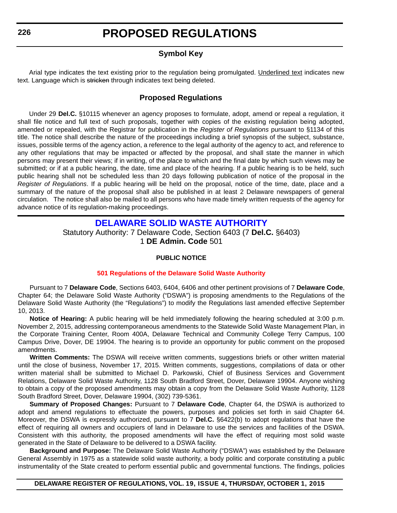### **Symbol Key**

<span id="page-8-0"></span>Arial type indicates the text existing prior to the regulation being promulgated. Underlined text indicates new text. Language which is stricken through indicates text being deleted.

### **Proposed Regulations**

Under 29 **Del.C.** §10115 whenever an agency proposes to formulate, adopt, amend or repeal a regulation, it shall file notice and full text of such proposals, together with copies of the existing regulation being adopted, amended or repealed, with the Registrar for publication in the *Register of Regulations* pursuant to §1134 of this title. The notice shall describe the nature of the proceedings including a brief synopsis of the subject, substance, issues, possible terms of the agency action, a reference to the legal authority of the agency to act, and reference to any other regulations that may be impacted or affected by the proposal, and shall state the manner in which persons may present their views; if in writing, of the place to which and the final date by which such views may be submitted; or if at a public hearing, the date, time and place of the hearing. If a public hearing is to be held, such public hearing shall not be scheduled less than 20 days following publication of notice of the proposal in the *Register of Regulations*. If a public hearing will be held on the proposal, notice of the time, date, place and a summary of the nature of the proposal shall also be published in at least 2 Delaware newspapers of general circulation. The notice shall also be mailed to all persons who have made timely written requests of the agency for advance notice of its regulation-making proceedings.

### **[DELAWARE SOLID WASTE AUTHORITY](http://dswa.com/)**

Statutory Authority: 7 Delaware Code, Section 6403 (7 **Del.C.** §6403) 1 **DE Admin. Code** 501

#### **PUBLIC NOTICE**

#### **[501 Regulations of the Delaware Solid Waste Authority](#page-3-0)**

Pursuant to 7 **Delaware Code**, Sections 6403, 6404, 6406 and other pertinent provisions of 7 **Delaware Code**, Chapter 64; the Delaware Solid Waste Authority ("DSWA") is proposing amendments to the Regulations of the Delaware Solid Waste Authority (the "Regulations") to modify the Regulations last amended effective September 10, 2013.

**Notice of Hearing:** A public hearing will be held immediately following the hearing scheduled at 3:00 p.m. November 2, 2015, addressing contemporaneous amendments to the Statewide Solid Waste Management Plan, in the Corporate Training Center, Room 400A, Delaware Technical and Community College Terry Campus, 100 Campus Drive, Dover, DE 19904. The hearing is to provide an opportunity for public comment on the proposed amendments.

**Written Comments:** The DSWA will receive written comments, suggestions briefs or other written material until the close of business, November 17, 2015. Written comments, suggestions, compilations of data or other written material shall be submitted to Michael D. Parkowski, Chief of Business Services and Government Relations, Delaware Solid Waste Authority, 1128 South Bradford Street, Dover, Delaware 19904. Anyone wishing to obtain a copy of the proposed amendments may obtain a copy from the Delaware Solid Waste Authority, 1128 South Bradford Street, Dover, Delaware 19904, (302) 739-5361.

**Summary of Proposed Changes:** Pursuant to 7 **Delaware Code**, Chapter 64, the DSWA is authorized to adopt and amend regulations to effectuate the powers, purposes and policies set forth in said Chapter 64. Moreover, the DSWA is expressly authorized, pursuant to 7 **Del.C.** §6422(b) to adopt regulations that have the effect of requiring all owners and occupiers of land in Delaware to use the services and facilities of the DSWA. Consistent with this authority, the proposed amendments will have the effect of requiring most solid waste generated in the State of Delaware to be delivered to a DSWA facility.

**Background and Purpose:** The Delaware Solid Waste Authority ("DSWA") was established by the Delaware General Assembly in 1975 as a statewide solid waste authority, a body politic and corporate constituting a public instrumentality of the State created to perform essential public and governmental functions. The findings, policies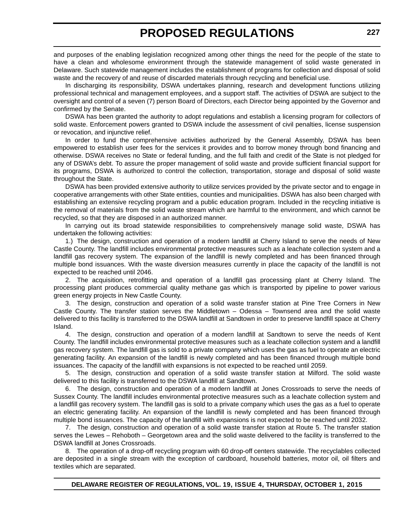and purposes of the enabling legislation recognized among other things the need for the people of the state to have a clean and wholesome environment through the statewide management of solid waste generated in Delaware. Such statewide management includes the establishment of programs for collection and disposal of solid waste and the recovery of and reuse of discarded materials through recycling and beneficial use.

In discharging its responsibility, DSWA undertakes planning, research and development functions utilizing professional technical and management employees, and a support staff. The activities of DSWA are subject to the oversight and control of a seven (7) person Board of Directors, each Director being appointed by the Governor and confirmed by the Senate.

DSWA has been granted the authority to adopt regulations and establish a licensing program for collectors of solid waste. Enforcement powers granted to DSWA include the assessment of civil penalties, license suspension or revocation, and injunctive relief.

In order to fund the comprehensive activities authorized by the General Assembly, DSWA has been empowered to establish user fees for the services it provides and to borrow money through bond financing and otherwise. DSWA receives no State or federal funding, and the full faith and credit of the State is not pledged for any of DSWA's debt. To assure the proper management of solid waste and provide sufficient financial support for its programs, DSWA is authorized to control the collection, transportation, storage and disposal of solid waste throughout the State.

DSWA has been provided extensive authority to utilize services provided by the private sector and to engage in cooperative arrangements with other State entities, counties and municipalities. DSWA has also been charged with establishing an extensive recycling program and a public education program. Included in the recycling initiative is the removal of materials from the solid waste stream which are harmful to the environment, and which cannot be recycled, so that they are disposed in an authorized manner.

In carrying out its broad statewide responsibilities to comprehensively manage solid waste, DSWA has undertaken the following activities:

1.) The design, construction and operation of a modern landfill at Cherry Island to serve the needs of New Castle County. The landfill includes environmental protective measures such as a leachate collection system and a landfill gas recovery system. The expansion of the landfill is newly completed and has been financed through multiple bond issuances. With the waste diversion measures currently in place the capacity of the landfill is not expected to be reached until 2046.

2. The acquisition, retrofitting and operation of a landfill gas processing plant at Cherry Island. The processing plant produces commercial quality methane gas which is transported by pipeline to power various green energy projects in New Castle County.

3. The design, construction and operation of a solid waste transfer station at Pine Tree Corners in New Castle County. The transfer station serves the Middletown – Odessa – Townsend area and the solid waste delivered to this facility is transferred to the DSWA landfill at Sandtown in order to preserve landfill space at Cherry Island.

4. The design, construction and operation of a modern landfill at Sandtown to serve the needs of Kent County. The landfill includes environmental protective measures such as a leachate collection system and a landfill gas recovery system. The landfill gas is sold to a private company which uses the gas as fuel to operate an electric generating facility. An expansion of the landfill is newly completed and has been financed through multiple bond issuances. The capacity of the landfill with expansions is not expected to be reached until 2059.

5. The design, construction and operation of a solid waste transfer station at Milford. The solid waste delivered to this facility is transferred to the DSWA landfill at Sandtown.

6. The design, construction and operation of a modern landfill at Jones Crossroads to serve the needs of Sussex County. The landfill includes environmental protective measures such as a leachate collection system and a landfill gas recovery system. The landfill gas is sold to a private company which uses the gas as a fuel to operate an electric generating facility. An expansion of the landfill is newly completed and has been financed through multiple bond issuances. The capacity of the landfill with expansions is not expected to be reached until 2032.

7. The design, construction and operation of a solid waste transfer station at Route 5. The transfer station serves the Lewes – Rehoboth – Georgetown area and the solid waste delivered to the facility is transferred to the DSWA landfill at Jones Crossroads.

8. The operation of a drop-off recycling program with 60 drop-off centers statewide. The recyclables collected are deposited in a single stream with the exception of cardboard, household batteries, motor oil, oil filters and textiles which are separated.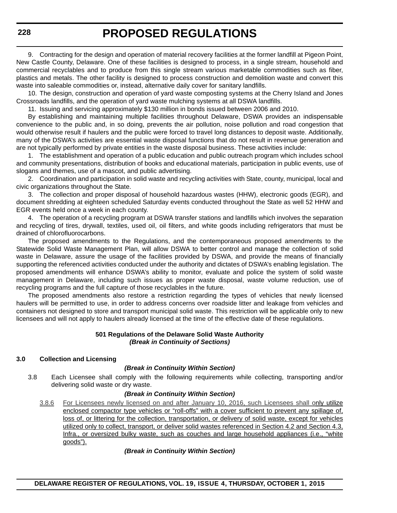9. Contracting for the design and operation of material recovery facilities at the former landfill at Pigeon Point, New Castle County, Delaware. One of these facilities is designed to process, in a single stream, household and commercial recyclables and to produce from this single stream various marketable commodities such as fiber, plastics and metals. The other facility is designed to process construction and demolition waste and convert this waste into saleable commodities or, instead, alternative daily cover for sanitary landfills.

10. The design, construction and operation of yard waste composting systems at the Cherry Island and Jones Crossroads landfills, and the operation of yard waste mulching systems at all DSWA landfills.

11. Issuing and servicing approximately \$130 million in bonds issued between 2006 and 2010.

By establishing and maintaining multiple facilities throughout Delaware, DSWA provides an indispensable convenience to the public and, in so doing, prevents the air pollution, noise pollution and road congestion that would otherwise result if haulers and the public were forced to travel long distances to deposit waste. Additionally, many of the DSWA's activities are essential waste disposal functions that do not result in revenue generation and are not typically performed by private entities in the waste disposal business. These activities include:

1. The establishment and operation of a public education and public outreach program which includes school and community presentations, distribution of books and educational materials, participation in public events, use of slogans and themes, use of a mascot, and public advertising.

2. Coordination and participation in solid waste and recycling activities with State, county, municipal, local and civic organizations throughout the State.

3. The collection and proper disposal of household hazardous wastes (HHW), electronic goods (EGR), and document shredding at eighteen scheduled Saturday events conducted throughout the State as well 52 HHW and EGR events held once a week in each county.

4. The operation of a recycling program at DSWA transfer stations and landfills which involves the separation and recycling of tires, drywall, textiles, used oil, oil filters, and white goods including refrigerators that must be drained of chlorofluorocarbons.

The proposed amendments to the Regulations, and the contemporaneous proposed amendments to the Statewide Solid Waste Management Plan, will allow DSWA to better control and manage the collection of solid waste in Delaware, assure the usage of the facilities provided by DSWA, and provide the means of financially supporting the referenced activities conducted under the authority and dictates of DSWA's enabling legislation. The proposed amendments will enhance DSWA's ability to monitor, evaluate and police the system of solid waste management in Delaware, including such issues as proper waste disposal, waste volume reduction, use of recycling programs and the full capture of those recyclables in the future.

The proposed amendments also restore a restriction regarding the types of vehicles that newly licensed haulers will be permitted to use, in order to address concerns over roadside litter and leakage from vehicles and containers not designed to store and transport municipal solid waste. This restriction will be applicable only to new licensees and will not apply to haulers already licensed at the time of the effective date of these regulations.

#### **501 Regulations of the Delaware Solid Waste Authority** *(Break in Continuity of Sections)*

#### **3.0 Collection and Licensing**

#### *(Break in Continuity Within Section)*

3.8 Each Licensee shall comply with the following requirements while collecting, transporting and/or delivering solid waste or dry waste.

#### *(Break in Continuity Within Section)*

3.8.6 For Licensees newly licensed on and after January 10, 2016, such Licensees shall only utilize enclosed compactor type vehicles or "roll-offs" with a cover sufficient to prevent any spillage of, loss of, or littering for the collection, transportation, or delivery of solid waste, except for vehicles utilized only to collect, transport, or deliver solid wastes referenced in Section 4.2 and Section 4.3, Infra., or oversized bulky waste, such as couches and large household appliances (i.e., "white goods").

#### *(Break in Continuity Within Section)*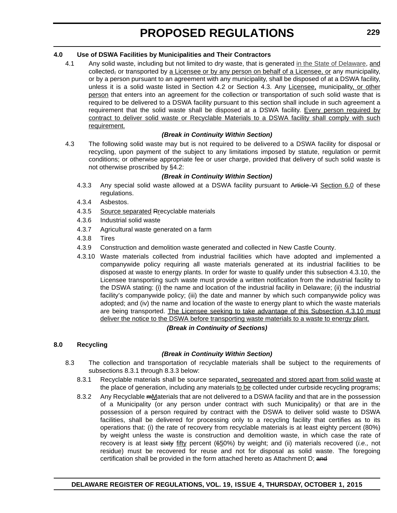#### **4.0 Use of DSWA Facilities by Municipalities and Their Contractors**

4.1 Any solid waste, including but not limited to dry waste, that is generated in the State of Delaware, and collected, or transported by a Licensee or by any person on behalf of a Licensee, or any municipality, or by a person pursuant to an agreement with any municipality, shall be disposed of at a DSWA facility, unless it is a solid waste listed in Section 4.2 or Section 4.3. Any Licensee, municipality, or other person that enters into an agreement for the collection or transportation of such solid waste that is required to be delivered to a DSWA facility pursuant to this section shall include in such agreement a requirement that the solid waste shall be disposed at a DSWA facility. Every person required by contract to deliver solid waste or Recyclable Materials to a DSWA facility shall comply with such requirement.

#### *(Break in Continuity Within Section)*

4.3 The following solid waste may but is not required to be delivered to a DSWA facility for disposal or recycling, upon payment of the subject to any limitations imposed by statute, regulation or permit conditions; or otherwise appropriate fee or user charge, provided that delivery of such solid waste is not otherwise proscribed by §4.2:

#### *(Break in Continuity Within Section)*

- 4.3.3 Any special solid waste allowed at a DSWA facility pursuant to Article VI Section 6.0 of these regulations.
- 4.3.4 Asbestos.
- 4.3.5 Source separated Rrecyclable materials
- 4.3.6 Industrial solid waste
- 4.3.7 Agricultural waste generated on a farm
- 4.3.8 Tires
- 4.3.9 Construction and demolition waste generated and collected in New Castle County.
- 4.3.10 Waste materials collected from industrial facilities which have adopted and implemented a companywide policy requiring all waste materials generated at its industrial facilities to be disposed at waste to energy plants. In order for waste to qualify under this subsection 4.3.10, the Licensee transporting such waste must provide a written notification from the industrial facility to the DSWA stating: (i) the name and location of the industrial facility in Delaware; (ii) the industrial facility's companywide policy; (iii) the date and manner by which such companywide policy was adopted; and (iv) the name and location of the waste to energy plant to which the waste materials are being transported. The Licensee seeking to take advantage of this Subsection 4.3.10 must deliver the notice to the DSWA before transporting waste materials to a waste to energy plant.

#### *(Break in Continuity of Sections)*

#### **8.0 Recycling**

#### *(Break in Continuity Within Section)*

- 8.3 The collection and transportation of recyclable materials shall be subject to the requirements of subsections 8.3.1 through 8.3.3 below:
	- 8.3.1 Recyclable materials shall be source separated, segregated and stored apart from solid waste at the place of generation, including any materials to be collected under curbside recycling programs;
	- 8.3.2 Any Recyclable mMaterials that are not delivered to a DSWA facility and that are in the possession of a Municipality (or any person under contract with such Municipality) or that are in the possession of a person required by contract with the DSWA to deliver solid waste to DSWA facilities, shall be delivered for processing only to a recycling facility that certifies as to its operations that: (i) the rate of recovery from recyclable materials is at least eighty percent (80%) by weight unless the waste is construction and demolition waste, in which case the rate of recovery is at least sixty fifty percent (650%) by weight; and (ii) materials recovered (*i.e.,* not residue) must be recovered for reuse and not for disposal as solid waste. The foregoing certification shall be provided in the form attached hereto as Attachment D; and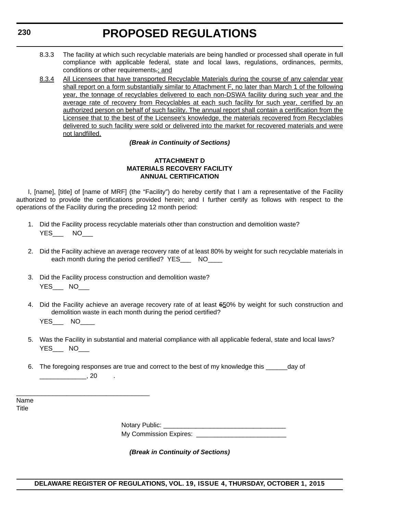- 8.3.3 The facility at which such recyclable materials are being handled or processed shall operate in full compliance with applicable federal, state and local laws, regulations, ordinances, permits, conditions or other requirements.; and
- 8.3.4 All Licensees that have transported Recyclable Materials during the course of any calendar year shall report on a form substantially similar to Attachment F, no later than March 1 of the following year, the tonnage of recyclables delivered to each non-DSWA facility during such year and the average rate of recovery from Recyclables at each such facility for such year, certified by an authorized person on behalf of such facility. The annual report shall contain a certification from the Licensee that to the best of the Licensee's knowledge, the materials recovered from Recyclables delivered to such facility were sold or delivered into the market for recovered materials and were not landfilled.

#### *(Break in Continuity of Sections)*

#### **ATTACHMENT D MATERIALS RECOVERY FACILITY ANNUAL CERTIFICATION**

I, [name], [title] of [name of MRF] (the "Facility") do hereby certify that I am a representative of the Facility authorized to provide the certifications provided herein; and I further certify as follows with respect to the operations of the Facility during the preceding 12 month period:

- 1. Did the Facility process recyclable materials other than construction and demolition waste? YES NO
- 2. Did the Facility achieve an average recovery rate of at least 80% by weight for such recyclable materials in each month during the period certified? YES\_\_\_ NO\_\_\_\_
- 3. Did the Facility process construction and demolition waste? YES\_\_\_ NO\_\_\_

\_\_\_\_\_\_\_\_\_\_\_\_\_\_\_\_\_\_\_\_\_\_\_\_\_\_\_\_\_\_\_\_\_\_\_\_\_

- 4. Did the Facility achieve an average recovery rate of at least 650% by weight for such construction and demolition waste in each month during the period certified? YES NO
- 5. Was the Facility in substantial and material compliance with all applicable federal, state and local laws? YES NO
- 6. The foregoing responses are true and correct to the best of my knowledge this \_\_\_\_\_\_day of  $, 20$

Name **Title** 

| <b>Notary Public:</b> |  |
|-----------------------|--|
|                       |  |

My Commission Expires: **Expires**:

*(Break in Continuity of Sections)*

#### **DELAWARE REGISTER OF REGULATIONS, VOL. 19, ISSUE 4, THURSDAY, OCTOBER 1, 2015**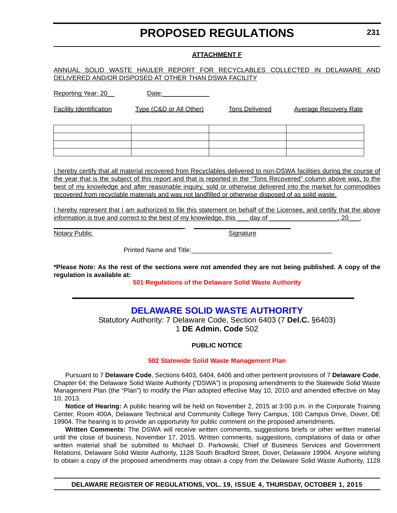#### **ATTACHMENT F**

#### <span id="page-13-0"></span>ANNUAL SOLID WASTE HAULER REPORT FOR RECYCLABLES COLLECTED IN DELAWARE AND DELIVERED AND/OR DISPOSED AT OTHER THAN DSWA FACILITY

|  | Reporting Year: 20 | Date: |
|--|--------------------|-------|
|  |                    |       |

Facility Identification Type (C&D or All Other) Tons Delivered Average Recovery Rate

|                     | $\mathbf{r}$ and $\mathbf{r}$ are the set of $\mathbf{r}$ and $\mathbf{r}$ are the set of $\mathbf{r}$ and $\mathbf{r}$ are the set of $\mathbf{r}$ |                                                                                                 | the contract of the contract of the contract of the contract of the contract of                                                                                                                                                      |
|---------------------|-----------------------------------------------------------------------------------------------------------------------------------------------------|-------------------------------------------------------------------------------------------------|--------------------------------------------------------------------------------------------------------------------------------------------------------------------------------------------------------------------------------------|
|                     |                                                                                                                                                     |                                                                                                 | <u> La Carlo de la Carlo de la Carlo de la Carlo de la Carlo de la Carlo de la Carlo de la Carlo de la Carlo de la Carlo de la Carlo de la Carlo de la Carlo de la Carlo de la Carlo de la Carlo de la Carlo de la Carlo de la C</u> |
| ———— <del>———</del> |                                                                                                                                                     |                                                                                                 | the control of the control of the control of                                                                                                                                                                                         |
|                     |                                                                                                                                                     | the contract of the contract of the contract of the contract of the contract of the contract of |                                                                                                                                                                                                                                      |

I hereby certify that all material recovered from Recyclables delivered to non-DSWA facilities during the course of the year that is the subject of this report and that is reported in the "Tons Recovered" column above was, to the best of my knowledge and after reasonable inquiry, sold or otherwise delivered into the market for commodities recovered from recyclable materials and was not landfilled or otherwise disposed of as solid waste.

I hereby represent that I am authorized to file this statement on behalf of the Licensee, and certify that the above information is true and correct to the best of my knowledge, this day of  $\qquad \qquad$ , 20.

Notary Public Signature Signature

Printed Name and Title: **Willer** 

\_\_\_\_\_\_\_\_\_\_\_\_\_\_\_\_\_\_\_\_\_\_\_\_\_\_\_\_\_\_\_\_\_\_\_\_ \_\_\_\_\_\_\_\_\_\_\_\_\_\_\_\_\_\_\_\_\_\_\_\_\_\_\_

**\*Please Note: As the rest of the sections were not amended they are not being published. A copy of the regulation is available at:**

**[501 Regulations of the Delaware Solid Waste Authority](http://regulations.delaware.gov/register/october2015/proposed/19 DE Reg 226 10-01-15.htm)**

### **[DELAWARE SOLID WASTE AUTHORITY](http://dswa.com/)**

Statutory Authority: 7 Delaware Code, Section 6403 (7 **Del.C.** §6403) 1 **DE Admin. Code** 502

#### **PUBLIC NOTICE**

#### **502 Statewide [Solid Waste Management Plan](#page-3-0)**

Pursuant to 7 **Delaware Code**, Sections 6403, 6404, 6406 and other pertinent provisions of 7 **Delaware Code**, Chapter 64; the Delaware Solid Waste Authority ("DSWA") is proposing amendments to the Statewide Solid Waste Management Plan (the "Plan") to modify the Plan adopted effective May 10, 2010 and amended effective on May 10, 2013.

**Notice of Hearing:** A public hearing will be held on November 2, 2015 at 3:00 p.m. in the Corporate Training Center, Room 400A, Delaware Technical and Community College Terry Campus, 100 Campus Drive, Dover, DE 19904. The hearing is to provide an opportunity for public comment on the proposed amendments.

**Written Comments:** The DSWA will receive written comments, suggestions briefs or other written material until the close of business, November 17, 2015. Written comments, suggestions, compilations of data or other written material shall be submitted to Michael D. Parkowski, Chief of Business Services and Government Relations, Delaware Solid Waste Authority, 1128 South Bradford Street, Dover, Delaware 19904. Anyone wishing to obtain a copy of the proposed amendments may obtain a copy from the Delaware Solid Waste Authority, 1128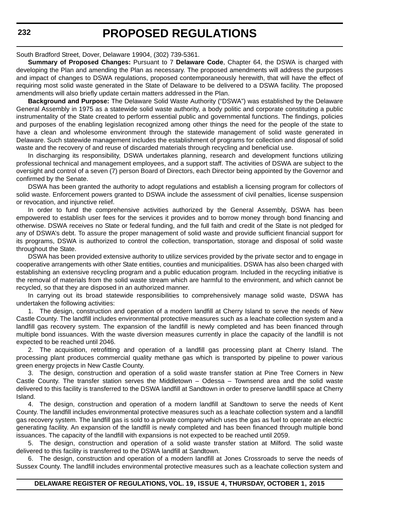South Bradford Street, Dover, Delaware 19904, (302) 739-5361.

**Summary of Proposed Changes:** Pursuant to 7 **Delaware Code**, Chapter 64, the DSWA is charged with developing the Plan and amending the Plan as necessary. The proposed amendments will address the purposes and impact of changes to DSWA regulations, proposed contemporaneously herewith, that will have the effect of requiring most solid waste generated in the State of Delaware to be delivered to a DSWA facility. The proposed amendments will also briefly update certain matters addressed in the Plan.

**Background and Purpose:** The Delaware Solid Waste Authority ("DSWA") was established by the Delaware General Assembly in 1975 as a statewide solid waste authority, a body politic and corporate constituting a public instrumentality of the State created to perform essential public and governmental functions. The findings, policies and purposes of the enabling legislation recognized among other things the need for the people of the state to have a clean and wholesome environment through the statewide management of solid waste generated in Delaware. Such statewide management includes the establishment of programs for collection and disposal of solid waste and the recovery of and reuse of discarded materials through recycling and beneficial use.

In discharging its responsibility, DSWA undertakes planning, research and development functions utilizing professional technical and management employees, and a support staff. The activities of DSWA are subject to the oversight and control of a seven (7) person Board of Directors, each Director being appointed by the Governor and confirmed by the Senate.

DSWA has been granted the authority to adopt regulations and establish a licensing program for collectors of solid waste. Enforcement powers granted to DSWA include the assessment of civil penalties, license suspension or revocation, and injunctive relief.

In order to fund the comprehensive activities authorized by the General Assembly, DSWA has been empowered to establish user fees for the services it provides and to borrow money through bond financing and otherwise. DSWA receives no State or federal funding, and the full faith and credit of the State is not pledged for any of DSWA's debt. To assure the proper management of solid waste and provide sufficient financial support for its programs, DSWA is authorized to control the collection, transportation, storage and disposal of solid waste throughout the State.

DSWA has been provided extensive authority to utilize services provided by the private sector and to engage in cooperative arrangements with other State entities, counties and municipalities. DSWA has also been charged with establishing an extensive recycling program and a public education program. Included in the recycling initiative is the removal of materials from the solid waste stream which are harmful to the environment, and which cannot be recycled, so that they are disposed in an authorized manner.

In carrying out its broad statewide responsibilities to comprehensively manage solid waste, DSWA has undertaken the following activities:

1. The design, construction and operation of a modern landfill at Cherry Island to serve the needs of New Castle County. The landfill includes environmental protective measures such as a leachate collection system and a landfill gas recovery system. The expansion of the landfill is newly completed and has been financed through multiple bond issuances. With the waste diversion measures currently in place the capacity of the landfill is not expected to be reached until 2046.

2. The acquisition, retrofitting and operation of a landfill gas processing plant at Cherry Island. The processing plant produces commercial quality methane gas which is transported by pipeline to power various green energy projects in New Castle County.

3. The design, construction and operation of a solid waste transfer station at Pine Tree Corners in New Castle County. The transfer station serves the Middletown – Odessa – Townsend area and the solid waste delivered to this facility is transferred to the DSWA landfill at Sandtown in order to preserve landfill space at Cherry Island.

4. The design, construction and operation of a modern landfill at Sandtown to serve the needs of Kent County. The landfill includes environmental protective measures such as a leachate collection system and a landfill gas recovery system. The landfill gas is sold to a private company which uses the gas as fuel to operate an electric generating facility. An expansion of the landfill is newly completed and has been financed through multiple bond issuances. The capacity of the landfill with expansions is not expected to be reached until 2059.

5. The design, construction and operation of a solid waste transfer station at Milford. The solid waste delivered to this facility is transferred to the DSWA landfill at Sandtown.

6. The design, construction and operation of a modern landfill at Jones Crossroads to serve the needs of Sussex County. The landfill includes environmental protective measures such as a leachate collection system and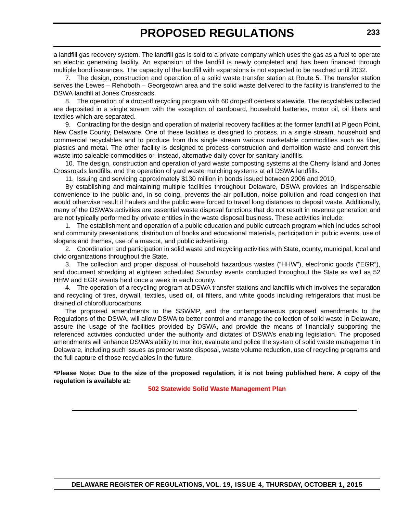a landfill gas recovery system. The landfill gas is sold to a private company which uses the gas as a fuel to operate an electric generating facility. An expansion of the landfill is newly completed and has been financed through multiple bond issuances. The capacity of the landfill with expansions is not expected to be reached until 2032.

7. The design, construction and operation of a solid waste transfer station at Route 5. The transfer station serves the Lewes – Rehoboth – Georgetown area and the solid waste delivered to the facility is transferred to the DSWA landfill at Jones Crossroads.

8. The operation of a drop-off recycling program with 60 drop-off centers statewide. The recyclables collected are deposited in a single stream with the exception of cardboard, household batteries, motor oil, oil filters and textiles which are separated.

9. Contracting for the design and operation of material recovery facilities at the former landfill at Pigeon Point, New Castle County, Delaware. One of these facilities is designed to process, in a single stream, household and commercial recyclables and to produce from this single stream various marketable commodities such as fiber, plastics and metal. The other facility is designed to process construction and demolition waste and convert this waste into saleable commodities or, instead, alternative daily cover for sanitary landfills.

10. The design, construction and operation of yard waste composting systems at the Cherry Island and Jones Crossroads landfills, and the operation of yard waste mulching systems at all DSWA landfills.

11. Issuing and servicing approximately \$130 million in bonds issued between 2006 and 2010.

By establishing and maintaining multiple facilities throughout Delaware, DSWA provides an indispensable convenience to the public and, in so doing, prevents the air pollution, noise pollution and road congestion that would otherwise result if haulers and the public were forced to travel long distances to deposit waste. Additionally, many of the DSWA's activities are essential waste disposal functions that do not result in revenue generation and are not typically performed by private entities in the waste disposal business. These activities include:

1. The establishment and operation of a public education and public outreach program which includes school and community presentations, distribution of books and educational materials, participation in public events, use of slogans and themes, use of a mascot, and public advertising.

2. Coordination and participation in solid waste and recycling activities with State, county, municipal, local and civic organizations throughout the State.

3. The collection and proper disposal of household hazardous wastes ("HHW"), electronic goods ("EGR"), and document shredding at eighteen scheduled Saturday events conducted throughout the State as well as 52 HHW and EGR events held once a week in each county.

4. The operation of a recycling program at DSWA transfer stations and landfills which involves the separation and recycling of tires, drywall, textiles, used oil, oil filters, and white goods including refrigerators that must be drained of chlorofluorocarbons.

The proposed amendments to the SSWMP, and the contemporaneous proposed amendments to the Regulations of the DSWA, will allow DSWA to better control and manage the collection of solid waste in Delaware, assure the usage of the facilities provided by DSWA, and provide the means of financially supporting the referenced activities conducted under the authority and dictates of DSWA's enabling legislation. The proposed amendments will enhance DSWA's ability to monitor, evaluate and police the system of solid waste management in Delaware, including such issues as proper waste disposal, waste volume reduction, use of recycling programs and the full capture of those recyclables in the future.

**\*Please Note: Due to the size of the proposed regulation, it is not being published here. A copy of the regulation is available at:**

**502 Statewide [Solid Waste Management Plan](http://regulations.delaware.gov/register/october2015/proposed/19 DE Reg 231 10-01-15.htm)**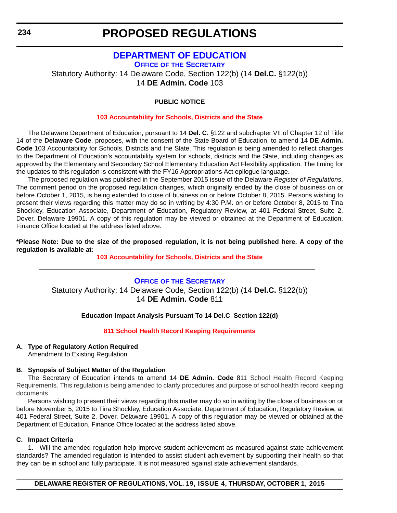### **[DEPARTMENT OF EDUCATION](https://pubapps.doe.k12.de.us/EducationalDirectoryPublic/default.aspx)**

<span id="page-16-0"></span>**OFFICE OF THE SECRETARY** Statutory Authority: 14 Delaware Code, Section 122(b) (14 **Del.C.** §122(b)) 14 **DE Admin. Code** 103

#### **PUBLIC NOTICE**

#### **[103 Accountability for Schools, Districts and the State](#page-3-0)**

The Delaware Department of Education, pursuant to 14 **Del. C.** §122 and subchapter VII of Chapter 12 of Title 14 of the **Delaware Code**, proposes, with the consent of the State Board of Education, to amend 14 **DE Admin. Code** 103 Accountability for Schools, Districts and the State. This regulation is being amended to reflect changes to the Department of Education's accountability system for schools, districts and the State, including changes as approved by the Elementary and Secondary School Elementary Education Act Flexibility application. The timing for the updates to this regulation is consistent with the FY16 Appropriations Act epilogue language.

The proposed regulation was published in the September 2015 issue of the Delaware *Register of Regulations*. The comment period on the proposed regulation changes, which originally ended by the close of business on or before October 1, 2015, is being extended to close of business on or before October 8, 2015. Persons wishing to present their views regarding this matter may do so in writing by 4:30 P.M. on or before October 8, 2015 to Tina Shockley, Education Associate, Department of Education, Regulatory Review, at 401 Federal Street, Suite 2, Dover, Delaware 19901. A copy of this regulation may be viewed or obtained at the Department of Education, Finance Office located at the address listed above.

**\*Please Note: Due to the size of the proposed regulation, it is not being published here. A copy of the regulation is available at:**

#### **[103 Accountability for Schools, Districts and the State](http://regulations.delaware.gov/register/october2015/proposed/19 DE Reg 234 10-01-15.htm)**

### **OFFICE OF [THE SECRETARY](https://pubapps.doe.k12.de.us/EducationalDirectoryPublic/default.aspx)** Statutory Authority: 14 Delaware Code, Section 122(b) (14 **Del.C.** §122(b)) 14 **DE Admin. Code** 811

#### **Education Impact Analysis Pursuant To 14 Del.C**. **Section 122(d)**

#### **[811 School Health Record Keeping Requirements](#page-3-0)**

#### **A. Type of Regulatory Action Required**

Amendment to Existing Regulation

#### **B. Synopsis of Subject Matter of the Regulation**

The Secretary of Education intends to amend 14 **DE Admin. Code** 811 School Health Record Keeping Requirements. This regulation is being amended to clarify procedures and purpose of school health record keeping documents.

Persons wishing to present their views regarding this matter may do so in writing by the close of business on or before November 5, 2015 to Tina Shockley, Education Associate, Department of Education, Regulatory Review, at 401 Federal Street, Suite 2, Dover, Delaware 19901. A copy of this regulation may be viewed or obtained at the Department of Education, Finance Office located at the address listed above.

#### **C. Impact Criteria**

1. Will the amended regulation help improve student achievement as measured against state achievement standards? The amended regulation is intended to assist student achievement by supporting their health so that they can be in school and fully participate. It is not measured against state achievement standards.

**DELAWARE REGISTER OF REGULATIONS, VOL. 19, ISSUE 4, THURSDAY, OCTOBER 1, 2015**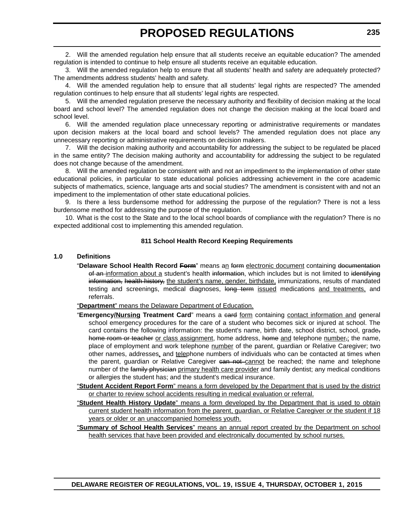2. Will the amended regulation help ensure that all students receive an equitable education? The amended regulation is intended to continue to help ensure all students receive an equitable education.

3. Will the amended regulation help to ensure that all students' health and safety are adequately protected? The amendments address students' health and safety.

4. Will the amended regulation help to ensure that all students' legal rights are respected? The amended regulation continues to help ensure that all students' legal rights are respected.

5. Will the amended regulation preserve the necessary authority and flexibility of decision making at the local board and school level? The amended regulation does not change the decision making at the local board and school level.

6. Will the amended regulation place unnecessary reporting or administrative requirements or mandates upon decision makers at the local board and school levels? The amended regulation does not place any unnecessary reporting or administrative requirements on decision makers.

7. Will the decision making authority and accountability for addressing the subject to be regulated be placed in the same entity? The decision making authority and accountability for addressing the subject to be regulated does not change because of the amendment.

8. Will the amended regulation be consistent with and not an impediment to the implementation of other state educational policies, in particular to state educational policies addressing achievement in the core academic subjects of mathematics, science, language arts and social studies? The amendment is consistent with and not an impediment to the implementation of other state educational policies.

9. Is there a less burdensome method for addressing the purpose of the regulation? There is not a less burdensome method for addressing the purpose of the regulation.

10. What is the cost to the State and to the local school boards of compliance with the regulation? There is no expected additional cost to implementing this amended regulation.

#### **811 School Health Record Keeping Requirements**

#### **1.0 Definitions**

"Delaware School Health Record Form" means an form electronic document containing documentation of an information about a student's health information, which includes but is not limited to identifying information, health history, the student's name, gender, birthdate, immunizations, results of mandated testing and screenings, medical diagnoses, long term issued medications and treatments, and referrals.

"**Department**" means the Delaware Department of Education.

- "Emergency/Nursing Treatment Card" means a eard form containing contact information and general school emergency procedures for the care of a student who becomes sick or injured at school. The card contains the following information: the student's name, birth date, school district, school, gradehome room or teacher or class assignment, home address, home and telephone number,; the name, place of employment and work telephone number of the parent, guardian or Relative Caregiver; two other names, addresses, and telephone numbers of individuals who can be contacted at times when the parent, guardian or Relative Caregiver can not cannot be reached; the name and telephone number of the family physician primary health care provider and family dentist; any medical conditions or allergies the student has; and the student's medical insurance.
- "**Student Accident Report Form**" means a form developed by the Department that is used by the district or charter to review school accidents resulting in medical evaluation or referral.
- "**Student Health History Update**" means a form developed by the Department that is used to obtain current student health information from the parent, guardian, or Relative Caregiver or the student if 18 years or older or an unaccompanied homeless youth.

"**Summary of School Health Services**" means an annual report created by the Department on school health services that have been provided and electronically documented by school nurses.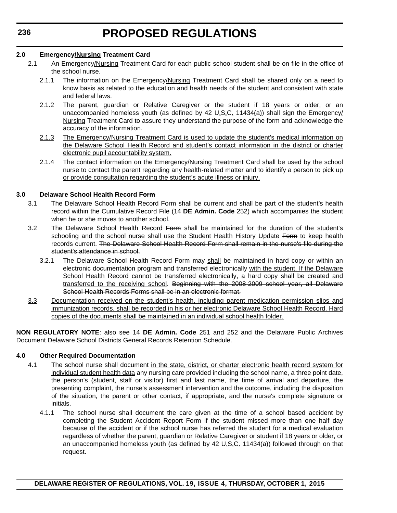#### **2.0 Emergency/Nursing Treatment Card**

- 2.1 An Emergency/Nursing Treatment Card for each public school student shall be on file in the office of the school nurse.
	- 2.1.1 The information on the Emergency/Nursing Treatment Card shall be shared only on a need to know basis as related to the education and health needs of the student and consistent with state and federal laws.
	- 2.1.2 The parent, guardian or Relative Caregiver or the student if 18 years or older, or an unaccompanied homeless youth (as defined by 42 U.S.C. 11434(a)) shall sign the Emergency/ Nursing Treatment Card to assure they understand the purpose of the form and acknowledge the accuracy of the information.
	- 2.1.3 The Emergency/Nursing Treatment Card is used to update the student's medical information on the Delaware School Health Record and student's contact information in the district or charter electronic pupil accountability system.
	- 2.1.4 The contact information on the Emergency/Nursing Treatment Card shall be used by the school nurse to contact the parent regarding any health-related matter and to identify a person to pick up or provide consultation regarding the student's acute illness or injury.

#### **3.0 Delaware School Health Record Form**

- 3.1 The Delaware School Health Record Form shall be current and shall be part of the student's health record within the Cumulative Record File (14 **DE Admin. Code** 252) which accompanies the student when he or she moves to another school.
- 3.2 The Delaware School Health Record Form shall be maintained for the duration of the student's schooling and the school nurse shall use the Student Health History Update Form to keep health records current. The Delaware School Health Record Form shall remain in the nurse's file during the student's attendance in school.
	- 3.2.1 The Delaware School Health Record Form may shall be maintained in hard copy or within an electronic documentation program and transferred electronically with the student. If the Delaware School Health Record cannot be transferred electronically, a hard copy shall be created and transferred to the receiving school. Beginning with the 2008-2009 school year, all Delaware School Health Records Forms shall be in an electronic format.
- 3.3 Documentation received on the student's health, including parent medication permission slips and immunization records, shall be recorded in his or her electronic Delaware School Health Record. Hard copies of the documents shall be maintained in an individual school health folder.

**NON REGULATORY NOTE**: also see 14 **DE Admin. Code** 251 and 252 and the Delaware Public Archives Document Delaware School Districts General Records Retention Schedule.

#### **4.0 Other Required Documentation**

- 4.1 The school nurse shall document in the state, district, or charter electronic health record system for individual student health data any nursing care provided including the school name, a three point date, the person's (student, staff or visitor) first and last name, the time of arrival and departure, the presenting complaint, the nurse's assessment intervention and the outcome, including the disposition of the situation, the parent or other contact, if appropriate, and the nurse's complete signature or initials.
	- 4.1.1 The school nurse shall document the care given at the time of a school based accident by completing the Student Accident Report Form if the student missed more than one half day because of the accident or if the school nurse has referred the student for a medical evaluation regardless of whether the parent, guardian or Relative Caregiver or student if 18 years or older, or an unaccompanied homeless youth (as defined by  $42 \text{ U.S.C. } 11434(a)$ ) followed through on that request.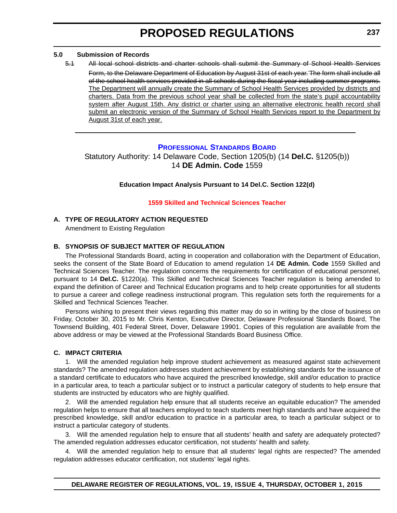#### <span id="page-19-0"></span>**5.0 Submission of Records**

5.1 All local school districts and charter schools shall submit the Summary of School Health Services Form, to the Delaware Department of Education by August 31st of each year. The form shall include all of the school health services provided in all schools during the fiscal year including summer programs. The Department will annually create the Summary of School Health Services provided by districts and charters. Data from the previous school year shall be collected from the state's pupil accountability system after August 15th. Any district or charter using an alternative electronic health record shall submit an electronic version of the Summary of School Health Services report to the Department by August 31st of each year.

#### **[PROFESSIONAL STANDARDS BOARD](http://www.doe.k12.de.us/domain/172)**

Statutory Authority: 14 Delaware Code, Section 1205(b) (14 **Del.C.** §1205(b)) 14 **DE Admin. Code** 1559

#### **Education Impact Analysis Pursuant to 14 Del.C. Section 122(d)**

#### **[1559 Skilled and Technical Sciences Teacher](#page-3-0)**

#### **A. TYPE OF REGULATORY ACTION REQUESTED**

Amendment to Existing Regulation

#### **B. SYNOPSIS OF SUBJECT MATTER OF REGULATION**

The Professional Standards Board, acting in cooperation and collaboration with the Department of Education, seeks the consent of the State Board of Education to amend regulation 14 **DE Admin. Code** 1559 Skilled and Technical Sciences Teacher. The regulation concerns the requirements for certification of educational personnel, pursuant to 14 **Del.C.** §1220(a). This Skilled and Technical Sciences Teacher regulation is being amended to expand the definition of Career and Technical Education programs and to help create opportunities for all students to pursue a career and college readiness instructional program. This regulation sets forth the requirements for a Skilled and Technical Sciences Teacher.

Persons wishing to present their views regarding this matter may do so in writing by the close of business on Friday, October 30, 2015 to Mr. Chris Kenton, Executive Director, Delaware Professional Standards Board, The Townsend Building, 401 Federal Street, Dover, Delaware 19901. Copies of this regulation are available from the above address or may be viewed at the Professional Standards Board Business Office.

#### **C. IMPACT CRITERIA**

1. Will the amended regulation help improve student achievement as measured against state achievement standards? The amended regulation addresses student achievement by establishing standards for the issuance of a standard certificate to educators who have acquired the prescribed knowledge, skill and/or education to practice in a particular area, to teach a particular subject or to instruct a particular category of students to help ensure that students are instructed by educators who are highly qualified.

2. Will the amended regulation help ensure that all students receive an equitable education? The amended regulation helps to ensure that all teachers employed to teach students meet high standards and have acquired the prescribed knowledge, skill and/or education to practice in a particular area, to teach a particular subject or to instruct a particular category of students.

3. Will the amended regulation help to ensure that all students' health and safety are adequately protected? The amended regulation addresses educator certification, not students' health and safety.

4. Will the amended regulation help to ensure that all students' legal rights are respected? The amended regulation addresses educator certification, not students' legal rights.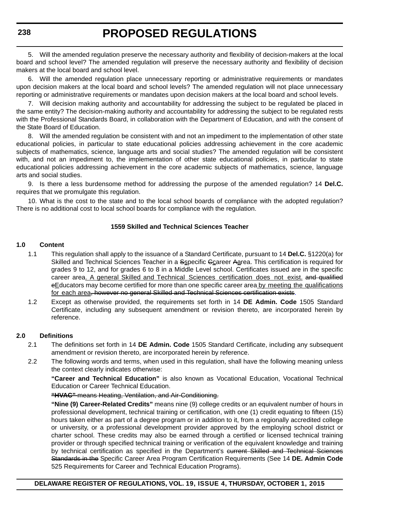5. Will the amended regulation preserve the necessary authority and flexibility of decision-makers at the local board and school level? The amended regulation will preserve the necessary authority and flexibility of decision makers at the local board and school level.

6. Will the amended regulation place unnecessary reporting or administrative requirements or mandates upon decision makers at the local board and school levels? The amended regulation will not place unnecessary reporting or administrative requirements or mandates upon decision makers at the local board and school levels.

7. Will decision making authority and accountability for addressing the subject to be regulated be placed in the same entity? The decision-making authority and accountability for addressing the subject to be regulated rests with the Professional Standards Board, in collaboration with the Department of Education, and with the consent of the State Board of Education.

8. Will the amended regulation be consistent with and not an impediment to the implementation of other state educational policies, in particular to state educational policies addressing achievement in the core academic subjects of mathematics, science, language arts and social studies? The amended regulation will be consistent with, and not an impediment to, the implementation of other state educational policies, in particular to state educational policies addressing achievement in the core academic subjects of mathematics, science, language arts and social studies.

9. Is there a less burdensome method for addressing the purpose of the amended regulation? 14 **Del.C.** requires that we promulgate this regulation.

10. What is the cost to the state and to the local school boards of compliance with the adopted regulation? There is no additional cost to local school boards for compliance with the regulation.

#### **1559 Skilled and Technical Sciences Teacher**

#### **1.0 Content**

- 1.1 This regulation shall apply to the issuance of a Standard Certificate, pursuant to 14 **Del.C.** §1220(a) for Skilled and Technical Sciences Teacher in a Sspecific Gcareer Aarea. This certification is required for grades 9 to 12, and for grades 6 to 8 in a Middle Level school. Certificates issued are in the specific career area. A general Skilled and Technical Sciences certification does not exist. and qualified eEducators may become certified for more than one specific career area by meeting the qualifications for each area, however no general Skilled and Technical Sciences certification exists.
- 1.2 Except as otherwise provided, the requirements set forth in 14 **DE Admin. Code** 1505 Standard Certificate, including any subsequent amendment or revision thereto, are incorporated herein by reference.

#### **2.0 Definitions**

- 2.1 The definitions set forth in 14 **DE Admin. Code** 1505 Standard Certificate, including any subsequent amendment or revision thereto, are incorporated herein by reference.
- 2.2 The following words and terms, when used in this regulation, shall have the following meaning unless the context clearly indicates otherwise:

**"Career and Technical Education"** is also known as Vocational Education, Vocational Technical Education or Career Technical Education.

**"HVAC"** means Heating, Ventilation, and Air-Conditioning.

**"Nine (9) Career-Related Credits"** means nine (9) college credits or an equivalent number of hours in professional development, technical training or certification, with one (1) credit equating to fifteen (15) hours taken either as part of a degree program or in addition to it, from a regionally accredited college or university, or a professional development provider approved by the employing school district or charter school. These credits may also be earned through a certified or licensed technical training provider or through specified technical training or verification of the equivalent knowledge and training by technical certification as specified in the Department's current Skilled and Technical Sciences Standards in the Specific Career Area Program Certification Requirements (See 14 **DE. Admin Code** 525 Requirements for Career and Technical Education Programs).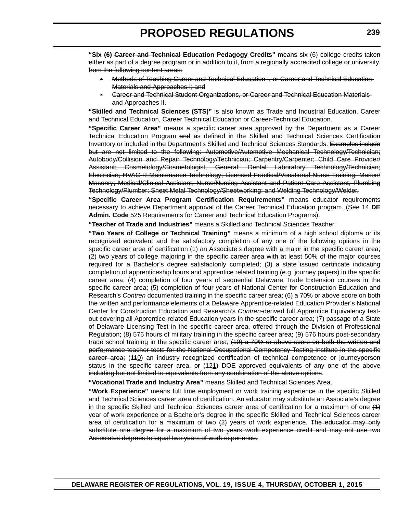**"Six (6) Career and Technical Education Pedagogy Credits"** means six (6) college credits taken either as part of a degree program or in addition to it, from a regionally accredited college or university. from the following content areas:

- Methods of Teaching Career and Technical Education I, or Career and Technical Education Materials and Approaches I; and
- Career and Technical Student Organizations, or Career and Technical Education Materials and Approaches II.

**"Skilled and Technical Sciences (STS)"** is also known as Trade and Industrial Education, Career and Technical Education, Career Technical Education or Career-Technical Education.

**"Specific Career Area"** means a specific career area approved by the Department as a Career Technical Education Program and as defined in the Skilled and Technical Sciences Certification Inventory or included in the Department's Skilled and Technical Sciences Standards. Examples include but are not limited to the following: Automotive/Automotive Mechanical Technology/Technician; Autobody/Collision and Repair Technology/Technician; Carpentry/Carpenter; Child Care Provider/ Assistant; Cosmetology/Cosmetologist, General; Dental Laboratory Technology/Technician; Electrician; HVAC-R Maintenance Technology; Licensed Practical/Vocational Nurse Training; Mason/ Masonry; Medical/Clinical Assistant; Nurse/Nursing Assistant and Patient Care Assistant; Plumbing Technology/Plumber; Sheet Metal Technology/Sheetworking; and Welding Technology/Welder.

**"Specific Career Area Program Certification Requirements"** means educator requirements necessary to achieve Department approval of the Career Technical Education program. (See 14 **DE Admin. Code** 525 Requirements for Career and Technical Education Programs).

**"Teacher of Trade and Industries"** means a Skilled and Technical Sciences Teacher.

**"Two Years of College or Technical Training"** means a minimum of a high school diploma or its recognized equivalent and the satisfactory completion of any one of the following options in the specific career area of certification (1) an Associate's degree with a major in the specific career area; (2) two years of college majoring in the specific career area with at least 50% of the major courses required for a Bachelor's degree satisfactorily completed; (3) a state issued certificate indicating completion of apprenticeship hours and apprentice related training (e.g. journey papers) in the specific career area; (4) completion of four years of sequential Delaware Trade Extension courses in the specific career area; (5) completion of four years of National Center for Construction Education and Research's *Contren* documented training in the specific career area; (6) a 70% or above score on both the written and performance elements of a Delaware Apprentice-related Education Provider's National Center for Construction Education and Research's *Contren*-derived full Apprentice Equivalency testout covering all Apprentice-related Education years in the specific career area; (7) passage of a State of Delaware Licensing Test in the specific career area, offered through the Division of Professional Regulation; (8) 576 hours of military training in the specific career area; (9) 576 hours post-secondary trade school training in the specific career area; (10) a 70% or above score on both the written and performance teacher tests for the National Occupational Competency Testing Institute in the specific career area; (110) an industry recognized certification of technical competence or journeyperson status in the specific career area, or (121) DOE approved equivalents of any one of the above including but not limited to equivalents from any combination of the above options.

**"Vocational Trade and Industry Area"** means Skilled and Technical Sciences Area.

**"Work Experience"** means full time employment or work training experience in the specific Skilled and Technical Sciences career area of certification. An educator may substitute an Associate's degree in the specific Skilled and Technical Sciences career area of certification for a maximum of one  $(1)$ year of work experience or a Bachelor's degree in the specific Skilled and Technical Sciences career area of certification for a maximum of two  $(2)$  years of work experience. The educator may only substitute one degree for a maximum of two years work experience credit and may not use two Associates degrees to equal two years of work experience.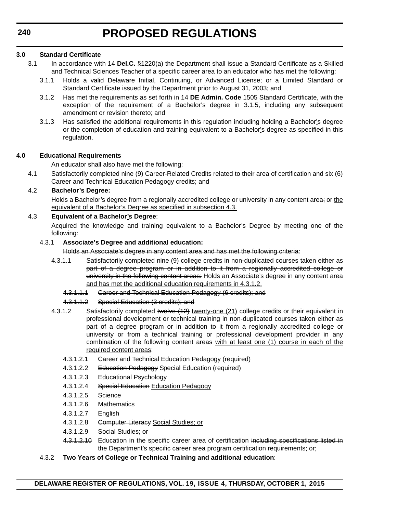#### **3.0 Standard Certificate**

- 3.1 In accordance with 14 **Del.C.** §1220(a) the Department shall issue a Standard Certificate as a Skilled and Technical Sciences Teacher of a specific career area to an educator who has met the following:
	- 3.1.1 Holds a valid Delaware Initial, Continuing, or Advanced License; or a Limited Standard or Standard Certificate issued by the Department prior to August 31, 2003; and
	- 3.1.2 Has met the requirements as set forth in 14 **DE Admin. Code** 1505 Standard Certificate, with the exception of the requirement of a Bachelor's degree in 3.1.5, including any subsequent amendment or revision thereto; and
	- 3.1.3 Has satisfied the additional requirements in this regulation including holding a Bachelor's degree or the completion of education and training equivalent to a Bachelor's degree as specified in this regulation.

#### **4.0 Educational Requirements**

An educator shall also have met the following:

4.1 Satisfactorily completed nine (9) Career-Related Credits related to their area of certification and six (6) Career and Technical Education Pedagogy credits; and

#### 4.2 **Bachelor's Degree:**

Holds a Bachelor's degree from a regionally accredited college or university in any content area; or the equivalent of a Bachelor's Degree as specified in subsection 4.3.

#### 4.3 **Equivalent of a Bachelor's Degree**:

Acquired the knowledge and training equivalent to a Bachelor's Degree by meeting one of the following:

#### 4.3.1 **Associate's Degree and additional education:**

Holds an Associate's degree in any content area and has met the following criteria:

- 4.3.1.1 Satisfactorily completed nine (9) college credits in non-duplicated courses taken either as part of a degree program or in addition to it from a regionally accredited college or university in the following content areas: Holds an Associate's degree in any content area and has met the additional education requirements in 4.3.1.2.
	- 4.3.1.1.1 Gareer and Technical Education Pedagogy (6 credits); and
	- 4.3.1.1.2 Special Education (3 credits); and
- 4.3.1.2 Satisfactorily completed twelve  $(12)$  twenty-one (21) college credits or their equivalent in professional development or technical training in non-duplicated courses taken either as part of a degree program or in addition to it from a regionally accredited college or university or from a technical training or professional development provider in any combination of the following content areas with at least one (1) course in each of the required content areas:
	- 4.3.1.2.1 Career and Technical Education Pedagogy (required)
	- 4.3.1.2.2 Education Pedagogy Special Education (required)
	- 4.3.1.2.3 Educational Psychology
	- 4.3.1.2.4 Special Education Education Pedagogy
	- 4.3.1.2.5 Science
	- 4.3.1.2.6 Mathematics
	- 4.3.1.2.7 English
	- 4.3.1.2.8 Computer Literacy Social Studies; or
	- 4.3.1.2.9 Social Studies; or
	- 4.3.1.2.10 Education in the specific career area of certification including specifications listed in the Department's specific career area program certification requirements; or;
- 4.3.2 **Two Years of College or Technical Training and additional education**: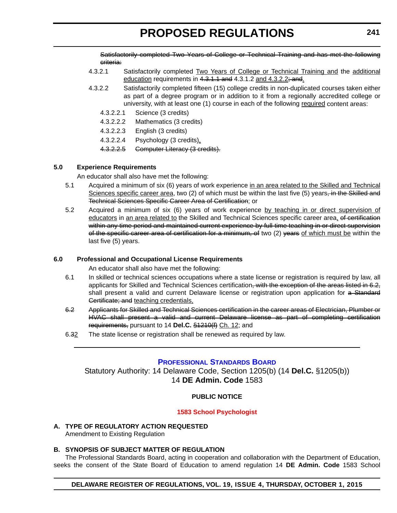<span id="page-23-0"></span>Satisfactorily completed Two Years of College or Technical Training and has met the following criteria:

- 4.3.2.1 Satisfactorily completed Two Years of College or Technical Training and the additional education requirements in 4.3.1.1 and 4.3.1.2 and 4.3.2.2; and.
- 4.3.2.2 Satisfactorily completed fifteen (15) college credits in non-duplicated courses taken either as part of a degree program or in addition to it from a regionally accredited college or university, with at least one (1) course in each of the following required content areas:
	- 4.3.2.2.1 Science (3 credits)
	- 4.3.2.2.2 Mathematics (3 credits)
	- 4.3.2.2.3 English (3 credits)
	- 4.3.2.2.4 Psychology (3 credits).
	- 4.3.2.2.5 Computer Literacy (3 credits).

#### **5.0 Experience Requirements**

An educator shall also have met the following:

- 5.1 Acquired a minimum of six (6) years of work experience in an area related to the Skilled and Technical Sciences specific career area, two (2) of which must be within the last five (5) years<del>, in the Skilled and</del> Technical Sciences Specific Career Area of Certification; or
- 5.2 Acquired a minimum of six (6) years of work experience by teaching in or direct supervision of educators in an area related to the Skilled and Technical Sciences specific career area, of certification within any time period and maintained current experience by full-time teaching in or direct supervision of the specific career area of certification for a minimum, of two (2) years of which must be within the last five (5) years.

#### **6.0 Professional and Occupational License Requirements**

An educator shall also have met the following:

- 6.1 In skilled or technical sciences occupations where a state license or registration is required by law, all applicants for Skilled and Technical Sciences certification, with the exception of the areas listed in 6.2, shall present a valid and current Delaware license or registration upon application for a Standard Certificate; and teaching credentials,
- 6.2 Applicants for Skilled and Technical Sciences certification in the career areas of Electrician, Plumber or HVAC shall present a valid and current Delaware license as part of completing certification requirements, pursuant to 14 **Del.C.** §1210(f) Ch. 12; and
- 6.32 The state license or registration shall be renewed as required by law.

#### **[P](http://www.doe.k12.de.us/domain/172)[ROFESSIONAL](https://pubapps.doe.k12.de.us/EducationalDirectoryPublic/default.aspx) [S](http://www.doe.k12.de.us/domain/172)[TANDARDS](https://pubapps.doe.k12.de.us/EducationalDirectoryPublic/default.aspx) [B](http://www.doe.k12.de.us/domain/172)[OARD](https://pubapps.doe.k12.de.us/EducationalDirectoryPublic/default.aspx)**

Statutory Authority: 14 Delaware Code, Section 1205(b) (14 **Del.C.** §1205(b)) 14 **DE Admin. Code** 1583

#### **PUBLIC NOTICE**

#### **[1583 School Psychologist](#page-3-0)**

**A. TYPE OF REGULATORY ACTION REQUESTED** Amendment to Existing Regulation

### **B. SYNOPSIS OF SUBJECT MATTER OF REGULATION**

The Professional Standards Board, acting in cooperation and collaboration with the Department of Education, seeks the consent of the State Board of Education to amend regulation 14 **DE Admin. Code** 1583 School

#### **DELAWARE REGISTER OF REGULATIONS, VOL. 19, ISSUE 4, THURSDAY, OCTOBER 1, 2015**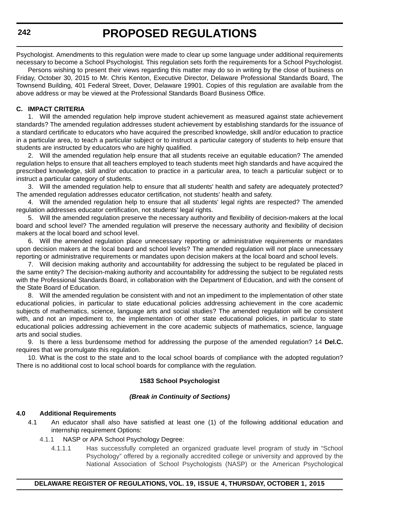Psychologist. Amendments to this regulation were made to clear up some language under additional requirements necessary to become a School Psychologist. This regulation sets forth the requirements for a School Psychologist.

Persons wishing to present their views regarding this matter may do so in writing by the close of business on Friday, October 30, 2015 to Mr. Chris Kenton, Executive Director, Delaware Professional Standards Board, The Townsend Building, 401 Federal Street, Dover, Delaware 19901. Copies of this regulation are available from the above address or may be viewed at the Professional Standards Board Business Office.

#### **C. IMPACT CRITERIA**

1. Will the amended regulation help improve student achievement as measured against state achievement standards? The amended regulation addresses student achievement by establishing standards for the issuance of a standard certificate to educators who have acquired the prescribed knowledge, skill and/or education to practice in a particular area, to teach a particular subject or to instruct a particular category of students to help ensure that students are instructed by educators who are highly qualified.

2. Will the amended regulation help ensure that all students receive an equitable education? The amended regulation helps to ensure that all teachers employed to teach students meet high standards and have acquired the prescribed knowledge, skill and/or education to practice in a particular area, to teach a particular subject or to instruct a particular category of students.

3. Will the amended regulation help to ensure that all students' health and safety are adequately protected? The amended regulation addresses educator certification, not students' health and safety.

4. Will the amended regulation help to ensure that all students' legal rights are respected? The amended regulation addresses educator certification, not students' legal rights.

5. Will the amended regulation preserve the necessary authority and flexibility of decision-makers at the local board and school level? The amended regulation will preserve the necessary authority and flexibility of decision makers at the local board and school level.

6. Will the amended regulation place unnecessary reporting or administrative requirements or mandates upon decision makers at the local board and school levels? The amended regulation will not place unnecessary reporting or administrative requirements or mandates upon decision makers at the local board and school levels.

7. Will decision making authority and accountability for addressing the subject to be regulated be placed in the same entity? The decision-making authority and accountability for addressing the subject to be regulated rests with the Professional Standards Board, in collaboration with the Department of Education, and with the consent of the State Board of Education.

8. Will the amended regulation be consistent with and not an impediment to the implementation of other state educational policies, in particular to state educational policies addressing achievement in the core academic subjects of mathematics, science, language arts and social studies? The amended regulation will be consistent with, and not an impediment to, the implementation of other state educational policies, in particular to state educational policies addressing achievement in the core academic subjects of mathematics, science, language arts and social studies.

9. Is there a less burdensome method for addressing the purpose of the amended regulation? 14 **Del.C.** requires that we promulgate this regulation.

10. What is the cost to the state and to the local school boards of compliance with the adopted regulation? There is no additional cost to local school boards for compliance with the regulation.

#### **1583 School Psychologist**

#### *(Break in Continuity of Sections)*

#### **4.0 Additional Requirements**

- 4.1 An educator shall also have satisfied at least one (1) of the following additional education and internship requirement Options:
	- 4.1.1 NASP or APA School Psychology Degree:
		- 4.1.1.1 Has successfully completed an organized graduate level program of study in "School Psychology" offered by a regionally accredited college or university and approved by the National Association of School Psychologists (NASP) or the American Psychological

#### **DELAWARE REGISTER OF REGULATIONS, VOL. 19, ISSUE 4, THURSDAY, OCTOBER 1, 2015**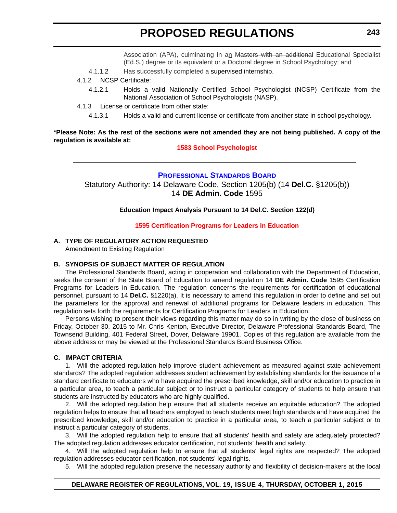Association (APA), culminating in an Masters with an additional Educational Specialist (Ed.S.) degree or its equivalent or a Doctoral degree in School Psychology; and

- <span id="page-25-0"></span>4.1.1.2 Has successfully completed a supervised internship.
- 4.1.2 NCSP Certificate:
	- 4.1.2.1 Holds a valid Nationally Certified School Psychologist (NCSP) Certificate from the National Association of School Psychologists (NASP).
- 4.1.3 License or certificate from other state:
	- 4.1.3.1 Holds a valid and current license or certificate from another state in school psychology.

#### **\*Please Note: As the rest of the sections were not amended they are not being published. A copy of the regulation is available at:**

#### **[1583 School Psychologist](http://regulations.delaware.gov/register/october2015/proposed/19 DE Reg 241 10-01-15.htm)**

#### **[P](http://www.doe.k12.de.us/domain/172)[ROFESSIONAL](https://pubapps.doe.k12.de.us/EducationalDirectoryPublic/default.aspx) [S](http://www.doe.k12.de.us/domain/172)[TANDARDS](https://pubapps.doe.k12.de.us/EducationalDirectoryPublic/default.aspx) [B](http://www.doe.k12.de.us/domain/172)[OARD](https://pubapps.doe.k12.de.us/EducationalDirectoryPublic/default.aspx)**

Statutory Authority: 14 Delaware Code, Section 1205(b) (14 **Del.C.** §1205(b)) 14 **DE Admin. Code** 1595

**Education Impact Analysis Pursuant to 14 Del.C. Section 122(d)**

#### **[1595 Certification Programs for Leaders in Education](#page-3-0)**

#### **A. TYPE OF REGULATORY ACTION REQUESTED**

Amendment to Existing Regulation

#### **B. SYNOPSIS OF SUBJECT MATTER OF REGULATION**

The Professional Standards Board, acting in cooperation and collaboration with the Department of Education, seeks the consent of the State Board of Education to amend regulation 14 **DE Admin. Code** 1595 Certification Programs for Leaders in Education. The regulation concerns the requirements for certification of educational personnel, pursuant to 14 **Del.C.** §1220(a). It is necessary to amend this regulation in order to define and set out the parameters for the approval and renewal of additional programs for Delaware leaders in education. This regulation sets forth the requirements for Certification Programs for Leaders in Education.

Persons wishing to present their views regarding this matter may do so in writing by the close of business on Friday, October 30, 2015 to Mr. Chris Kenton, Executive Director, Delaware Professional Standards Board, The Townsend Building, 401 Federal Street, Dover, Delaware 19901. Copies of this regulation are available from the above address or may be viewed at the Professional Standards Board Business Office.

#### **C. IMPACT CRITERIA**

1. Will the adopted regulation help improve student achievement as measured against state achievement standards? The adopted regulation addresses student achievement by establishing standards for the issuance of a standard certificate to educators who have acquired the prescribed knowledge, skill and/or education to practice in a particular area, to teach a particular subject or to instruct a particular category of students to help ensure that students are instructed by educators who are highly qualified.

2. Will the adopted regulation help ensure that all students receive an equitable education? The adopted regulation helps to ensure that all teachers employed to teach students meet high standards and have acquired the prescribed knowledge, skill and/or education to practice in a particular area, to teach a particular subject or to instruct a particular category of students.

3. Will the adopted regulation help to ensure that all students' health and safety are adequately protected? The adopted regulation addresses educator certification, not students' health and safety.

4. Will the adopted regulation help to ensure that all students' legal rights are respected? The adopted regulation addresses educator certification, not students' legal rights.

5. Will the adopted regulation preserve the necessary authority and flexibility of decision-makers at the local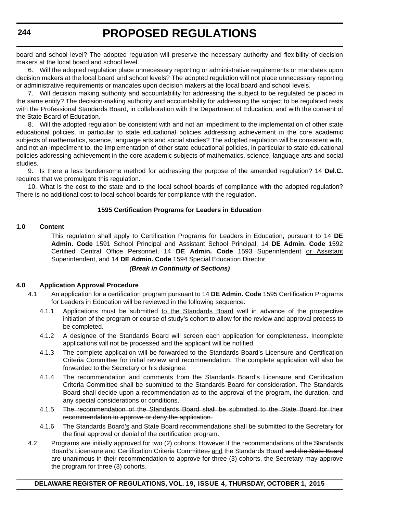board and school level? The adopted regulation will preserve the necessary authority and flexibility of decision makers at the local board and school level.

6. Will the adopted regulation place unnecessary reporting or administrative requirements or mandates upon decision makers at the local board and school levels? The adopted regulation will not place unnecessary reporting or administrative requirements or mandates upon decision makers at the local board and school levels.

7. Will decision making authority and accountability for addressing the subject to be regulated be placed in the same entity? The decision-making authority and accountability for addressing the subject to be regulated rests with the Professional Standards Board, in collaboration with the Department of Education, and with the consent of the State Board of Education.

8. Will the adopted regulation be consistent with and not an impediment to the implementation of other state educational policies, in particular to state educational policies addressing achievement in the core academic subjects of mathematics, science, language arts and social studies? The adopted regulation will be consistent with, and not an impediment to, the implementation of other state educational policies, in particular to state educational policies addressing achievement in the core academic subjects of mathematics, science, language arts and social studies.

9. Is there a less burdensome method for addressing the purpose of the amended regulation? 14 **Del.C.** requires that we promulgate this regulation.

10. What is the cost to the state and to the local school boards of compliance with the adopted regulation? There is no additional cost to local school boards for compliance with the regulation.

#### **1595 Certification Programs for Leaders in Education**

#### **1.0 Content**

This regulation shall apply to Certification Programs for Leaders in Education, pursuant to 14 **DE Admin. Code** 1591 School Principal and Assistant School Principal, 14 **DE Admin. Code** 1592 Certified Central Office Personnel, 14 **DE Admin. Code** 1593 Superintendent or Assistant Superintendent, and 14 **DE Admin. Code** 1594 Special Education Director.

#### *(Break in Continuity of Sections)*

#### **4.0 Application Approval Procedure**

- 4.1 An application for a certification program pursuant to 14 **DE Admin. Code** 1595 Certification Programs for Leaders in Education will be reviewed in the following sequence:
	- 4.1.1 Applications must be submitted to the Standards Board well in advance of the prospective initiation of the program or course of study's cohort to allow for the review and approval process to be completed.
	- 4.1.2 A designee of the Standards Board will screen each application for completeness. Incomplete applications will not be processed and the applicant will be notified.
	- 4.1.3 The complete application will be forwarded to the Standards Board's Licensure and Certification Criteria Committee for initial review and recommendation. The complete application will also be forwarded to the Secretary or his designee.
	- 4.1.4 The recommendation and comments from the Standards Board's Licensure and Certification Criteria Committee shall be submitted to the Standards Board for consideration. The Standards Board shall decide upon a recommendation as to the approval of the program, the duration, and any special considerations or conditions.
	- 4.1.5 The recommendation of the Standards Board shall be submitted to the State Board for their recommendation to approve or deny the application.
	- 4.1.6 The Standards Board's and State Board recommendations shall be submitted to the Secretary for the final approval or denial of the certification program.
- 4.2 Programs are initially approved for two (2) cohorts. However if the recommendations of the Standards Board's Licensure and Certification Criteria Committee, and the Standards Board and the State Board are unanimous in their recommendation to approve for three (3) cohorts, the Secretary may approve the program for three (3) cohorts.

### **DELAWARE REGISTER OF REGULATIONS, VOL. 19, ISSUE 4, THURSDAY, OCTOBER 1, 2015**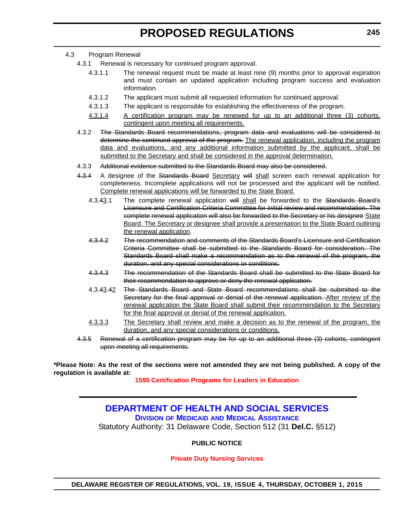#### <span id="page-27-0"></span>4.3 Program Renewal

- 4.3.1 Renewal is necessary for continued program approval.
	- 4.3.1.1 The renewal request must be made at least nine (9) months prior to approval expiration and must contain an updated application including program success and evaluation information.
	- 4.3.1.2 The applicant must submit all requested information for continued approval.
	- 4.3.1.3 The applicant is responsible for establishing the effectiveness of the program.
	- 4.3.1.4 A certification program may be renewed for up to an additional three (3) cohorts, contingent upon meeting all requirements.
- 4.3.2 The Standards Board recommendations, program data and evaluations will be considered to determine the continued approval of the program. The renewal application, including the program data and evaluations, and any additional information submitted by the applicant, shall be submitted to the Secretary and shall be considered in the approval determination.
- 4.3.3 Additional evidence submitted to the Standards Board may also be considered.
- 4.3.4 A designee of the Standards Board Secretary will shall screen each renewal application for completeness. Incomplete applications will not be processed and the applicant will be notified. Complete renewal applications will be forwarded to the State Board.
	- 4.3.43.1 The complete renewal application will shall be forwarded to the Standards Board's Licensure and Certification Criteria Committee for initial review and recommendation. The complete renewal application will also be forwarded to the Secretary or his designee State Board. The Secretary or designee shall provide a presentation to the State Board outlining the renewal application.
	- 4.3.4.2 The recommendation and comments of the Standards Board's Licensure and Certification Criteria Committee shall be submitted to the Standards Board for consideration. The Standards Board shall make a recommendation as to the renewal of the program, the duration, and any special considerations or conditions.
	- 4.3.4.3 The recommendation of the Standards Board shall be submitted to the State Board for their recommendation to approve or deny the renewal application.
	- 4.3.43.42 The Standards Board and State Board recommendations shall be submitted to the Secretary for the final approval or denial of the renewal application. After review of the renewal application the State Board shall submit their recommendation to the Secretary for the final approval or denial of the renewal application.
	- 4.3.3.3 The Secretary shall review and make a decision as to the renewal of the program, the duration, and any special considerations or conditions.
- 4.3.5 Renewal of a certification program may be for up to an additional three (3) cohorts, contingent upon meeting all requirements.

**\*Please Note: As the rest of the sections were not amended they are not being published. A copy of the regulation is available at:**

**[1595 Certification Programs for Leaders in Education](http://regulations.delaware.gov/register/october2015/proposed/19 DE Reg 243 10-01-15.htm)**

## **[DEPARTMENT OF HEALTH AND SOCIAL SERVICES](http://www.dhss.delaware.gov/dhss/dmma/)**

**DIVISION OF MEDICAID AND MEDICAL ASSISTANCE**

Statutory Authority: 31 Delaware Code, Section 512 (31 **Del.C.** §512)

### **PUBLIC NOTICE**

#### **[Private Duty Nursing Services](#page-3-0)**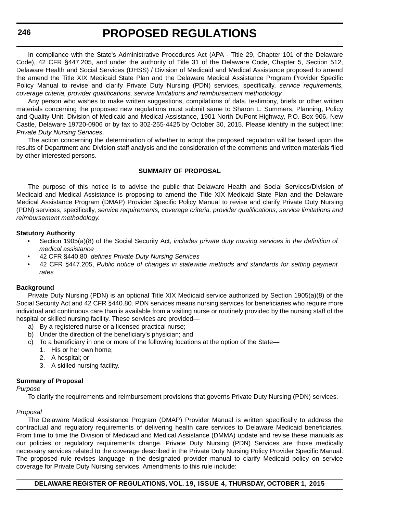In compliance with the State's Administrative Procedures Act (APA - Title 29, Chapter 101 of the Delaware Code), 42 CFR §447.205, and under the authority of Title 31 of the Delaware Code, Chapter 5, Section 512, Delaware Health and Social Services (DHSS) / Division of Medicaid and Medical Assistance proposed to amend the amend the Title XIX Medicaid State Plan and the Delaware Medical Assistance Program Provider Specific Policy Manual to revise and clarify Private Duty Nursing (PDN) services, specifically, *service requirements, coverage criteria, provider qualifications, service limitations and reimbursement methodology*.

Any person who wishes to make written suggestions, compilations of data, testimony, briefs or other written materials concerning the proposed new regulations must submit same to Sharon L. Summers, Planning, Policy and Quality Unit, Division of Medicaid and Medical Assistance, 1901 North DuPont Highway, P.O. Box 906, New Castle, Delaware 19720-0906 or by fax to 302-255-4425 by October 30, 2015. Please identify in the subject line: *Private Duty Nursing Services*.

The action concerning the determination of whether to adopt the proposed regulation will be based upon the results of Department and Division staff analysis and the consideration of the comments and written materials filed by other interested persons.

#### **SUMMARY OF PROPOSAL**

The purpose of this notice is to advise the public that Delaware Health and Social Services/Division of Medicaid and Medical Assistance is proposing to amend the Title XIX Medicaid State Plan and the Delaware Medical Assistance Program (DMAP) Provider Specific Policy Manual to revise and clarify Private Duty Nursing (PDN) services, specifically, *service requirements, coverage criteria, provider qualifications, service limitations and reimbursement methodology*.

#### **Statutory Authority**

- Section 1905(a)(8) of the Social Security Act, *includes private duty nursing services in the definition of medical assistance*
- 42 CFR §440.80, *defines Private Duty Nursing Services*
- 42 CFR §447.205, *Public notice of changes in statewide methods and standards for setting payment rates*

#### **Background**

Private Duty Nursing (PDN) is an optional Title XIX Medicaid service authorized by Section 1905(a)(8) of the Social Security Act and 42 CFR §440.80. PDN services means nursing services for beneficiaries who require more individual and continuous care than is available from a visiting nurse or routinely provided by the nursing staff of the hospital or skilled nursing facility. These services are provided—

- a) By a registered nurse or a licensed practical nurse;
- b) Under the direction of the beneficiary's physician; and
- c) To a beneficiary in one or more of the following locations at the option of the State—
	- 1. His or her own home;
	- 2. A hospital; or
	- 3. A skilled nursing facility.

#### **Summary of Proposal**

#### *Purpose*

To clarify the requirements and reimbursement provisions that governs Private Duty Nursing (PDN) services.

#### *Proposal*

The Delaware Medical Assistance Program (DMAP) Provider Manual is written specifically to address the contractual and regulatory requirements of delivering health care services to Delaware Medicaid beneficiaries. From time to time the Division of Medicaid and Medical Assistance (DMMA) update and revise these manuals as our policies or regulatory requirements change. Private Duty Nursing (PDN) Services are those medically necessary services related to the coverage described in the Private Duty Nursing Policy Provider Specific Manual. The proposed rule revises language in the designated provider manual to clarify Medicaid policy on service coverage for Private Duty Nursing services. Amendments to this rule include: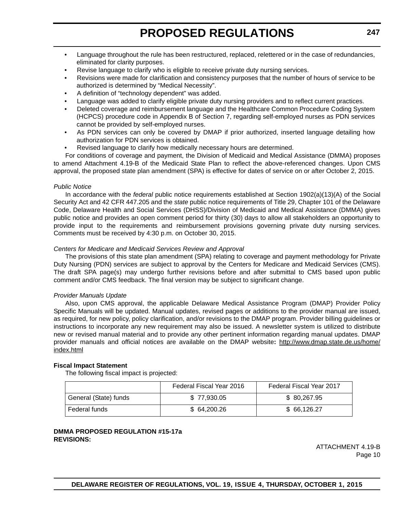- Language throughout the rule has been restructured, replaced, relettered or in the case of redundancies, eliminated for clarity purposes.
- Revise language to clarify who is eligible to receive private duty nursing services.
- Revisions were made for clarification and consistency purposes that the number of hours of service to be authorized is determined by "Medical Necessity".
- A definition of "technology dependent" was added.
- Language was added to clarify eligible private duty nursing providers and to reflect current practices.
- Deleted coverage and reimbursement language and the Healthcare Common Procedure Coding System (HCPCS) procedure code in Appendix B of Section 7, regarding self-employed nurses as PDN services cannot be provided by self-employed nurses.
- As PDN services can only be covered by DMAP if prior authorized, inserted language detailing how authorization for PDN services is obtained.
- Revised language to clarify how medically necessary hours are determined.

For conditions of coverage and payment, the Division of Medicaid and Medical Assistance (DMMA) proposes to amend Attachment 4.19-B of the Medicaid State Plan to reflect the above-referenced changes. Upon CMS approval, the proposed state plan amendment (SPA) is effective for dates of service on or after October 2, 2015.

#### *Public Notice*

In accordance with the *federal* public notice requirements established at Section 1902(a)(13)(A) of the Social Security Act and 42 CFR 447.205 and the *state* public notice requirements of Title 29, Chapter 101 of the Delaware Code, Delaware Health and Social Services (DHSS)/Division of Medicaid and Medical Assistance (DMMA) gives public notice and provides an open comment period for thirty (30) days to allow all stakeholders an opportunity to provide input to the requirements and reimbursement provisions governing private duty nursing services. Comments must be received by 4:30 p.m. on October 30, 2015.

#### *Centers for Medicare and Medicaid Services Review and Approval*

The provisions of this state plan amendment (SPA) relating to coverage and payment methodology for Private Duty Nursing (PDN) services are subject to approval by the Centers for Medicare and Medicaid Services (CMS). The draft SPA page(s) may undergo further revisions before and after submittal to CMS based upon public comment and/or CMS feedback. The final version may be subject to significant change.

#### *Provider Manuals Update*

Also, upon CMS approval, the applicable Delaware Medical Assistance Program (DMAP) Provider Policy Specific Manuals will be updated. Manual updates, revised pages or additions to the provider manual are issued, as required, for new policy, policy clarification, and/or revisions to the DMAP program. Provider billing guidelines or instructions to incorporate any new requirement may also be issued. A newsletter system is utilized to distribute new or revised manual material and to provide any other pertinent information regarding manual updates. DMAP provider manuals and official notices are available on the DMAP website**:** http://www.dmap.state.de.us/home/ index.html

#### **Fiscal Impact Statement**

The following fiscal impact is projected:

|                       | Federal Fiscal Year 2016 | <b>Federal Fiscal Year 2017</b> |
|-----------------------|--------------------------|---------------------------------|
| General (State) funds | \$77.930.05              | \$ 80,267.95                    |
| Federal funds         | \$64,200,26              | \$66,126,27                     |

#### **DMMA PROPOSED REGULATION #15-17a REVISIONS:**

ATTACHMENT 4.19-B Page 10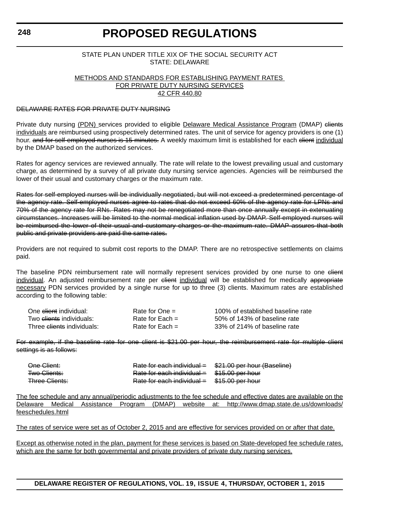#### STATE PLAN UNDER TITLE XIX OF THE SOCIAL SECURITY ACT STATE: DELAWARE

#### METHODS AND STANDARDS FOR ESTABLISHING PAYMENT RATES FOR PRIVATE DUTY NURSING SERVICES 42 CFR 440.80

#### DELAWARE RATES FOR PRIVATE DUTY NURSING

Private duty nursing (PDN) services provided to eligible Delaware Medical Assistance Program (DMAP) elients individuals are reimbursed using prospectively determined rates. The unit of service for agency providers is one (1) hour. and for self-employed nurses is 15 minutes. A weekly maximum limit is established for each client individual by the DMAP based on the authorized services.

Rates for agency services are reviewed annually. The rate will relate to the lowest prevailing usual and customary charge, as determined by a survey of all private duty nursing service agencies. Agencies will be reimbursed the lower of their usual and customary charges or the maximum rate.

Rates for self-employed nurses will be individually negotiated, but will not exceed a predetermined percentage of the agency rate. Self-employed nurses agree to rates that do not exceed 60% of the agency rate for LPNs and 70% of the agency rate for RNs. Rates may not be renegotiated more than once annually except in extenuating circumstances. Increases will be limited to the normal medical inflation used by DMAP. Self-employed nurses will be reimbursed the lower of their usual and customary charges or the maximum rate. DMAP assures that both public and private providers are paid the same rates.

Providers are not required to submit cost reports to the DMAP. There are no retrospective settlements on claims paid.

The baseline PDN reimbursement rate will normally represent services provided by one nurse to one elient individual. An adjusted reimbursement rate per client individual will be established for medically appropriate necessary PDN services provided by a single nurse for up to three (3) clients. Maximum rates are established according to the following table:

| One <del>client</del> individual:     | Rate for $One =$  | 100% of established baseline rate |
|---------------------------------------|-------------------|-----------------------------------|
| Two <del>clients</del> individuals:   | Rate for Each $=$ | 50% of 143% of baseline rate      |
| Three <del>clients</del> individuals: | Rate for Each $=$ | 33% of 214% of baseline rate      |

For example, if the baseline rate for one client is \$21.00 per hour, the reimbursement rate for multiple client settings is as follows:

| One Client:           | Rate for each individual $=$ | \$21.00 per hour (Baseline) |
|-----------------------|------------------------------|-----------------------------|
| <b>Two Clients:</b>   | Rate for each individual $=$ | <del>\$15.00 per hour</del> |
| <b>Three Clients:</b> | Rate for each individual =   | \$15.00 per hour            |

[The fee schedule and any annual/periodic adjustments to the fee schedule and effective dates are available on the](http://www.dmap.state.de.us/downloads/feeschedules.html) Delaware Medical Assistance Program (DMAP) website at: http://www.dmap.state.de.us/downloads/ feeschedules.html

The rates of service were set as of October 2, 2015 and are effective for services provided on or after that date.

Except as otherwise noted in the plan, payment for these services is based on State-developed fee schedule rates, which are the same for both governmental and private providers of private duty nursing services.

**DELAWARE REGISTER OF REGULATIONS, VOL. 19, ISSUE 4, THURSDAY, OCTOBER 1, 2015**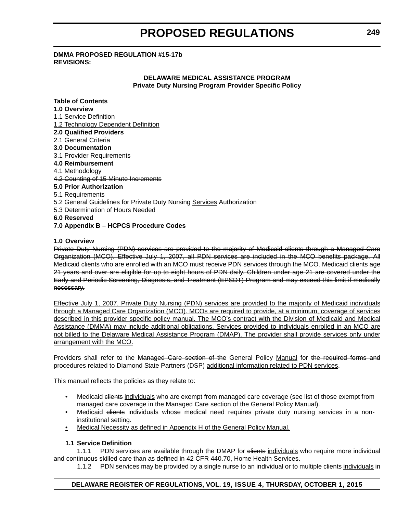#### **DMMA PROPOSED REGULATION #15-17b REVISIONS:**

#### **DELAWARE MEDICAL ASSISTANCE PROGRAM Private Duty Nursing Program Provider Specific Policy**

#### **Table of Contents**

#### **1.0 Overview**

- 1.1 Service Definition
- 1.2 Technology Dependent Definition
- **2.0 Qualified Providers**
- 2.1 General Criteria
- **3.0 Documentation**
- 3.1 Provider Requirements
- **4.0 Reimbursement**
- 4.1 Methodology
- 4.2 Counting of 15 Minute Increments

#### **5.0 Prior Authorization**

- 5.1 Requirements
- 5.2 General Guidelines for Private Duty Nursing Services Authorization
- 5.3 Determination of Hours Needed
- **6.0 Reserved**

#### **7.0 Appendix B – HCPCS Procedure Codes**

#### **1.0 Overview**

Private Duty Nursing (PDN) services are provided to the majority of Medicaid clients through a Managed Care Organization (MCO). Effective July 1, 2007, all PDN services are included in the MCO benefits package. All Medicaid clients who are enrolled with an MCO must receive PDN services through the MCO. Medicaid clients age 21 years and over are eligible for up to eight hours of PDN daily. Children under age 21 are covered under the Early and Periodic Screening, Diagnosis, and Treatment (EPSDT) Program and may exceed this limit if medically necessary.

Effective July 1, 2007, Private Duty Nursing (PDN) services are provided to the majority of Medicaid individuals through a Managed Care Organization (MCO). MCOs are required to provide, at a minimum, coverage of services described in this provider specific policy manual. The MCO's contract with the Division of Medicaid and Medical Assistance (DMMA) may include additional obligations. Services provided to individuals enrolled in an MCO are not billed to the Delaware Medical Assistance Program (DMAP). The provider shall provide services only under arrangement with the MCO.

Providers shall refer to the Managed Care section of the General Policy Manual for the required forms and procedures related to Diamond State Partners (DSP) additional information related to PDN services.

This manual reflects the policies as they relate to:

- Medicaid clients individuals who are exempt from managed care coverage (see list of those exempt from managed care coverage in the Managed Care section of the General Policy Manual).
- Medicaid clients individuals whose medical need requires private duty nursing services in a noninstitutional setting.
- Medical Necessity as defined in Appendix H of the General Policy Manual.

#### **1.1 Service Definition**

1.1.1 PDN services are available through the DMAP for elients individuals who require more individual and continuous skilled care than as defined in 42 CFR 440.70, Home Health Services.

1.1.2 PDN services may be provided by a single nurse to an individual or to multiple elients individuals in

#### **DELAWARE REGISTER OF REGULATIONS, VOL. 19, ISSUE 4, THURSDAY, OCTOBER 1, 2015**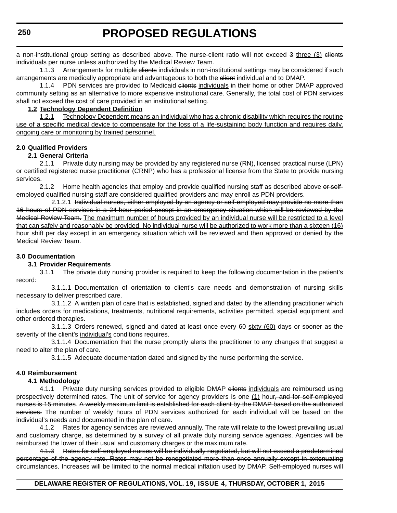a non-institutional group setting as described above. The nurse-client ratio will not exceed 3 three (3) eliente individuals per nurse unless authorized by the Medical Review Team.

1.1.3 Arrangements for multiple elients individuals in non-institutional settings may be considered if such arrangements are medically appropriate and advantageous to both the elient individual and to DMAP.

1.1.4 PDN services are provided to Medicaid elients individuals in their home or other DMAP approved community setting as an alternative to more expensive institutional care. Generally, the total cost of PDN services shall not exceed the cost of care provided in an institutional setting.

#### **1.2 Technology Dependent Definition**

1.2.1 Technology Dependent means an individual who has a chronic disability which requires the routine use of a specific medical device to compensate for the loss of a life-sustaining body function and requires daily, ongoing care or monitoring by trained personnel.

#### **2.0 Qualified Providers**

#### **2.1 General Criteria**

2.1.1 Private duty nursing may be provided by any registered nurse (RN), licensed practical nurse (LPN) or certified registered nurse practitioner (CRNP) who has a professional license from the State to provide nursing services.

2.1.2 Home health agencies that employ and provide qualified nursing staff as described above or selfemployed qualified nursing staff are considered qualified providers and may enroll as PDN providers.

2.1.2.1 Individual nurses, either employed by an agency or self-employed may provide no more than 16 hours of PDN services in a 24-hour period except in an emergency situation which will be reviewed by the Medical Review Team. The maximum number of hours provided by an individual nurse will be restricted to a level that can safely and reasonably be provided. No individual nurse will be authorized to work more than a sixteen (16) hour shift per day except in an emergency situation which will be reviewed and then approved or denied by the Medical Review Team.

#### **3.0 Documentation**

#### **3.1 Provider Requirements**

3.1.1 The private duty nursing provider is required to keep the following documentation in the patient's record:

3.1.1.1 Documentation of orientation to client's care needs and demonstration of nursing skills necessary to deliver prescribed care.

3.1.1.2 A written plan of care that is established, signed and dated by the attending practitioner which includes orders for medications, treatments, nutritional requirements, activities permitted, special equipment and other ordered therapies.

3.1.1.3 Orders renewed, signed and dated at least once every  $60$  sixty (60) days or sooner as the severity of the client's individual's conditions requires.

3.1.1.4 Documentation that the nurse promptly alerts the practitioner to any changes that suggest a need to alter the plan of care.

3.1.1.5 Adequate documentation dated and signed by the nurse performing the service.

#### **4.0 Reimbursement**

#### **4.1 Methodology**

4.1.1 Private duty nursing services provided to eligible DMAP clients individuals are reimbursed using prospectively determined rates. The unit of service for agency providers is one (1) hour<del>, and for self-employed</del> nurses is 15 minutes. A weekly maximum limit is established for each client by the DMAP based on the authorized services. The number of weekly hours of PDN services authorized for each individual will be based on the individual's needs and documented in the plan of care.

4.1.2 Rates for agency services are reviewed annually. The rate will relate to the lowest prevailing usual and customary charge, as determined by a survey of all private duty nursing service agencies. Agencies will be reimbursed the lower of their usual and customary charges or the maximum rate.

4.1.3 Rates for self-employed nurses will be individually negotiated, but will not exceed a predetermined percentage of the agency rate. Rates may not be renegotiated more than once annually except in extenuating circumstances. Increases will be limited to the normal medical inflation used by DMAP. Self-employed nurses will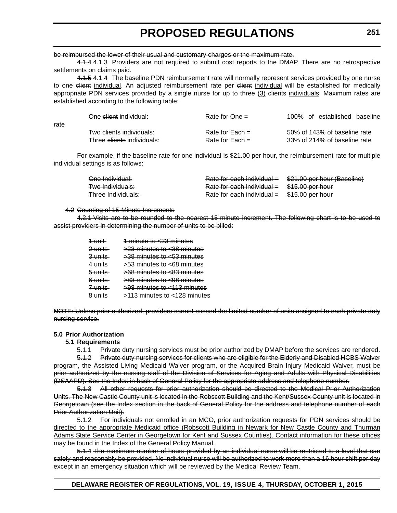#### be reimbursed the lower of their usual and customary charges or the maximum rate.

4.1.4 4.1.3 Providers are not required to submit cost reports to the DMAP. There are no retrospective settlements on claims paid.

4.1.5 4.1.4 The baseline PDN reimbursement rate will normally represent services provided by one nurse to one elient individual. An adjusted reimbursement rate per elient individual will be established for medically appropriate PDN services provided by a single nurse for up to three (3) elients individuals. Maximum rates are established according to the following table:

| rate | One <del>client</del> individual:   | Rate for One $=$  | 100% of established baseline |
|------|-------------------------------------|-------------------|------------------------------|
|      | Two <del>clients</del> individuals: | Rate for Each $=$ | 50% of 143% of baseline rate |
|      | Three clients individuals:          | Rate for Each $=$ | 33% of 214% of baseline rate |

For example, if the baseline rate for one individual is \$21.00 per hour, the reimbursement rate for multiple individual settings is as follows:

| One Individual:    | Rate for each individual =                    | \$21.00 per hour (Baseline) |
|--------------------|-----------------------------------------------|-----------------------------|
| Two Individuals:   | Rate for each individual $=$ \$15.00 per hour |                             |
| Three Individuals: | Rate for each individual =                    | <del>\$15.00 per hour</del> |

#### 4.2 Counting of 15-Minute Increments

4.2.1 Visits are to be rounded to the nearest 15-minute increment. The following chart is to be used to assist providers in determining the number of units to be billed:

> 1 unit 1 minute to <23 minutes 2 units  $\rightarrow 23$  minutes to  $\leq 38$  minutes 3 units >38 minutes to <53 minutes 4 units >53 minutes to <68 minutes  $5 \text{ units}$   $>68 \text{ minutes}$  to  $< 83 \text{ minutes}$ 6 units >83 minutes to <98 minutes 7 units >98 minutes to <113 minutes 8 units >113 minutes to <128 minutes

NOTE: Unless prior authorized, providers cannot exceed the limited number of units assigned to each private duty nursing service.

#### **5.0 Prior Authorization**

#### **5.1 Requirements**

5.1.1 Private duty nursing services must be prior authorized by DMAP before the services are rendered.

5.1.2 Private duty nursing services for clients who are eligible for the Elderly and Disabled HCBS Waiver program, the Assisted Living Medicaid Waiver program, or the Acquired Brain Injury Medicaid Waiver, must be prior authorized by the nursing staff of the Division of Services for Aging and Adults with Physical Disabilities (DSAAPD). See the Index in back of General Policy for the appropriate address and telephone number.

5.1.3 All other requests for prior authorization should be directed to the Medical Prior Authorization Units. The New Castle County unit is located in the Robscott Building and the Kent/Sussex County unit is located in Georgetown (see the Index section in the back of General Policy for the address and telephone number of each Prior Authorization Unit).

5.1.2 For individuals not enrolled in an MCO, prior authorization requests for PDN services should be directed to the appropriate Medicaid office (Robscott Building in Newark for New Castle County and Thurman Adams State Service Center in Georgetown for Kent and Sussex Counties). Contact information for these offices may be found in the Index of the General Policy Manual.

5.1.4 The maximum number of hours provided by an individual nurse will be restricted to a level that can safely and reasonably be provided. No individual nurse will be authorized to work more than a 16 hour shift per day except in an emergency situation which will be reviewed by the Medical Review Team.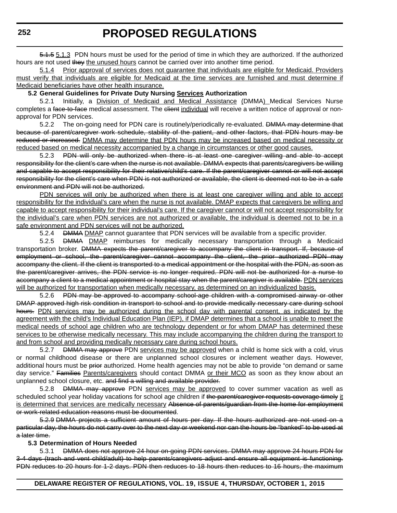5.1.5 5.1.3 PDN hours must be used for the period of time in which they are authorized. If the authorized hours are not used they the unused hours cannot be carried over into another time period.

5.1.4 Prior approval of services does not guarantee that individuals are eligible for Medicaid. Providers must verify that individuals are eligible for Medicaid at the time services are furnished and must determine if Medicaid beneficiaries have other health insurance.

#### **5.2 General Guidelines for Private Duty Nursing Services Authorization**

5.2.1 Initially, a Division of Medicaid and Medical Assistance (DMMA) Medical Services Nurse completes a face-to-face medical assessment. The client individual will receive a written notice of approval or nonapproval for PDN services.

5.2.2 The on-going need for PDN care is routinely/periodically re-evaluated. DMMA may determine that because of parent/caregiver work schedule, stability of the patient, and other factors, that PDN hours may be reduced or increased. DMMA may determine that PDN hours may be increased based on medical necessity or reduced based on medical necessity accompanied by a change in circumstances or other good causes.

5.2.3 PDN will only be authorized when there is at least one caregiver willing and able to accept responsibility for the client's care when the nurse is not available. DMMA expects that parents/caregivers be willing and capable to accept responsibility for their relative/child's care. If the parent/caregiver cannot or will not accept responsibility for the client's care when PDN is not authorized or available, the client is deemed not to be in a safe environment and PDN will not be authorized.

PDN services will only be authorized when there is at least one caregiver willing and able to accept responsibility for the individual's care when the nurse is not available. DMAP expects that caregivers be willing and capable to accept responsibility for their individual's care. If the caregiver cannot or will not accept responsibility for the individual's care when PDN services are not authorized or available, the individual is deemed not to be in a safe environment and PDN services will not be authorized.

5.2.4 **DMMA** DMAP cannot quarantee that PDN services will be available from a specific provider.

5.2.5 **DMMA DMAP** reimburses for medically necessary transportation through a Medicaid transportation broker. DMMA expects the parent/caregiver to accompany the client in transport. If, because of employment or school, the parent/caregiver cannot accompany the client, the prior authorized PDN may accompany the client. If the client is transported to a medical appointment or the hospital with the PDN, as soon as the parent/caregiver arrives, the PDN service is no longer required. PDN will not be authorized for a nurse to accompany a client to a medical appointment or hospital stay when the parent/caregiver is available. PDN services will be authorized for transportation when medically necessary, as determined on an individualized basis.

5.2.6 PDN may be approved to accompany school-age children with a compromised airway or other DMAP approved high risk condition in transport to school and to provide medically necessary care during school hours. PDN services may be authorized during the school day with parental consent, as indicated by the agreement with the child's Individual Education Plan (IEP), if DMAP determines that a school is unable to meet the medical needs of school age children who are technology dependent or for whom DMAP has determined these services to be otherwise medically necessary. This may include accompanying the children during the transport to and from school and providing medically necessary care during school hours.

5.2.7 DMMA may approve PDN services may be approved when a child is home sick with a cold, virus or normal childhood disease or there are unplanned school closures or inclement weather days. However, additional hours must be prior authorized. Home health agencies may not be able to provide "on demand or same day service." Families Parents/caregivers should contact DMMA or their MCO as soon as they know about an unplanned school closure, etc. and find a willing and available provider.

5.2.8 <del>DMMA may approve</del> PDN services may be approved to cover summer vacation as well as scheduled school year holiday vacations for school age children if the parent/caregiver requests coverage timely it is determined that services are medically necessary Absence of parents/guardian from the home for employment or work-related education reasons must be documented.

5.2.9 DMMA projects a sufficient amount of hours per day. If the hours authorized are not used on a particular day, the hours do not carry over to the next day or weekend nor can the hours be "banked" to be used at a later time.

#### **5.3 Determination of Hours Needed**

5.3.1 DMMA does not approve 24 hour on-going PDN services. DMMA may approve 24 hours PDN for 3-4 days (trach and vent child/adult) to help parents/caregivers adjust and ensure all equipment is functioning. PDN reduces to 20 hours for 1-2 days. PDN then reduces to 18 hours then reduces to 16 hours, the maximum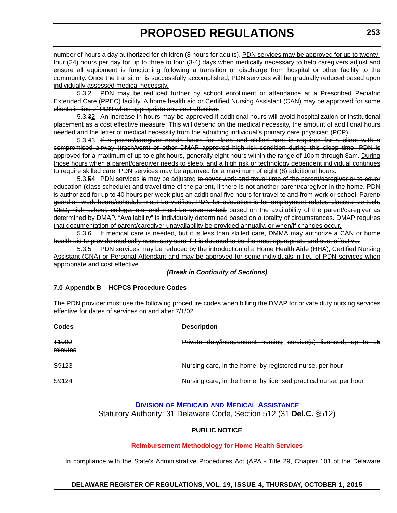<span id="page-35-0"></span>number of hours a day authorized for children (8 hours for adults). PDN services may be approved for up to twentyfour (24) hours per day for up to three to four (3-4) days when medically necessary to help caregivers adjust and ensure all equipment is functioning following a transition or discharge from hospital or other facility to the community. Once the transition is successfully accomplished, PDN services will be gradually reduced based upon individually assessed medical necessity.

5.3.2 PDN may be reduced further by school enrollment or attendance at a Prescribed Pediatric Extended Care (PPEC) facility. A home health aid or Certified Nursing Assistant (CAN) may be approved for some clients in lieu of PDN when appropriate and cost effective.

5.3.32 An increase in hours may be approved if additional hours will avoid hospitalization or institutional placement as a cost effective measure. This will depend on the medical necessity, the amount of additional hours needed and the letter of medical necessity from the admitting individual's primary care physician (PCP).

5.3.43 If a parent/caregiver needs hours for sleep and skilled care is required for a client with a compromised airway (trach/vent) or other DMAP approved high-risk condition during this sleep time, PDN is approved for a maximum of up to eight hours, generally eight hours within the range of 10pm through 8am. During those hours when a parent/caregiver needs to sleep, and a high risk or technology dependent individual continues to require skilled care, PDN services may be approved for a maximum of eight (8) additional hours.

5.3.54 PDN services is may be adjusted to cover work and travel time of the parent/caregiver or to cover education (class schedule) and travel time of the parent, if there is not another parent/caregiver in the home. PDN is authorized for up to 40 hours per week plus an additional five hours for travel to and from work or school. Parent/ guardian work hours/schedule must be verified. PDN for education is for employment related classes, vo-tech, GED, high school, college, etc. and must be documented, based on the availability of the parent/caregiver as determined by DMAP. "Availability" is individually determined based on a totality of circumstances. DMAP requires that documentation of parent/caregiver unavailability be provided annually, or when/if changes occur.

5.3.6 If medical care is needed, but it is less than skilled care, DMMA may authorize a CAN or home health aid to provide medically necessary care if it is deemed to be the most appropriate and cost effective.

5.3.5 PDN services may be reduced by the introduction of a Home Health Aide (HHA), Certified Nursing Assistant (CNA) or Personal Attendant and may be approved for some individuals in lieu of PDN services when appropriate and cost effective.

*(Break in Continuity of Sections)*

#### **7.0 Appendix B – HCPCS Procedure Codes**

The PDN provider must use the following procedure codes when billing the DMAP for private duty nursing services effective for dates of services on and after 7/1/02.

| <b>Codes</b>                | <b>Description</b>                                               |
|-----------------------------|------------------------------------------------------------------|
| <del>T1000</del><br>minutes | Private duty/independent nursing service(s) licensed, up to 15   |
| S9123                       | Nursing care, in the home, by registered nurse, per hour         |
| S9124                       | Nursing care, in the home, by licensed practical nurse, per hour |

#### **DIVISION OF MEDICAID [AND MEDICAL ASSISTANCE](http://www.dhss.delaware.gov/dhss/dmma/)**

Statutory Authority: 31 Delaware Code, Section 512 (31 **Del.C.** §512)

#### **PUBLIC NOTICE**

#### **[Reimbursement Methodology for Home Health Services](#page-3-0)**

In compliance with the State's Administrative Procedures Act (APA - Title 29, Chapter 101 of the Delaware

#### **DELAWARE REGISTER OF REGULATIONS, VOL. 19, ISSUE 4, THURSDAY, OCTOBER 1, 2015**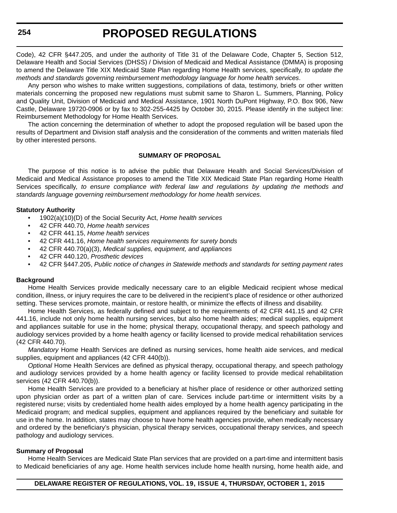Code), 42 CFR §447.205, and under the authority of Title 31 of the Delaware Code, Chapter 5, Section 512, Delaware Health and Social Services (DHSS) / Division of Medicaid and Medical Assistance (DMMA) is proposing to amend the Delaware Title XIX Medicaid State Plan regarding Home Health services, specifically, *to update the methods and standards governing reimbursement methodology language for home health services*.

Any person who wishes to make written suggestions, compilations of data, testimony, briefs or other written materials concerning the proposed new regulations must submit same to Sharon L. Summers, Planning, Policy and Quality Unit, Division of Medicaid and Medical Assistance, 1901 North DuPont Highway, P.O. Box 906, New Castle, Delaware 19720-0906 or by fax to 302-255-4425 by October 30, 2015. Please identify in the subject line: Reimbursement Methodology for Home Health Services.

The action concerning the determination of whether to adopt the proposed regulation will be based upon the results of Department and Division staff analysis and the consideration of the comments and written materials filed by other interested persons.

#### **SUMMARY OF PROPOSAL**

The purpose of this notice is to advise the public that Delaware Health and Social Services/Division of Medicaid and Medical Assistance proposes to amend the Title XIX Medicaid State Plan regarding Home Health Services specifically, *to ensure compliance with federal law and regulations by updating the methods and standards language governing reimbursement methodology for home health services*.

#### **Statutory Authority**

- 1902(a)(10)(D) of the Social Security Act, *Home health services*
- 42 CFR 440.70, *Home health services*
- 42 CFR 441.15, *Home health services*
- 42 CFR 441.16, *Home health services requirements for surety bonds*
- 42 CFR 440.70(a)(3), *Medical supplies, equipment, and appliances*
- 42 CFR 440.120, *Prosthetic devices*
- 42 CFR §447.205, *Public notice of changes in Statewide methods and standards for setting payment rates*

#### **Background**

Home Health Services provide medically necessary care to an eligible Medicaid recipient whose medical condition, illness, or injury requires the care to be delivered in the recipient's place of residence or other authorized setting. These services promote, maintain, or restore health, or minimize the effects of illness and disability.

Home Health Services, as federally defined and subject to the requirements of 42 CFR 441.15 and 42 CFR 441.16, include not only home health nursing services, but also home health aides; medical supplies, equipment and appliances suitable for use in the home; physical therapy, occupational therapy, and speech pathology and audiology services provided by a home health agency or facility licensed to provide medical rehabilitation services (42 CFR 440.70).

*Mandatory* Home Health Services are defined as nursing services, home health aide services, and medical supplies, equipment and appliances (42 CFR 440(b)).

*Optional* Home Health Services are defined as physical therapy, occupational therapy, and speech pathology and audiology services provided by a home health agency or facility licensed to provide medical rehabilitation services (42 CFR 440.70(b)).

Home Health Services are provided to a beneficiary at his/her place of residence or other authorized setting upon physician order as part of a written plan of care. Services include part-time or intermittent visits by a registered nurse; visits by credentialed home health aides employed by a home health agency participating in the Medicaid program; and medical supplies, equipment and appliances required by the beneficiary and suitable for use in the home. In addition, states may choose to have home health agencies provide, when medically necessary and ordered by the beneficiary's physician, physical therapy services, occupational therapy services, and speech pathology and audiology services.

#### **Summary of Proposal**

Home Health Services are Medicaid State Plan services that are provided on a part-time and intermittent basis to Medicaid beneficiaries of any age. Home health services include home health nursing, home health aide, and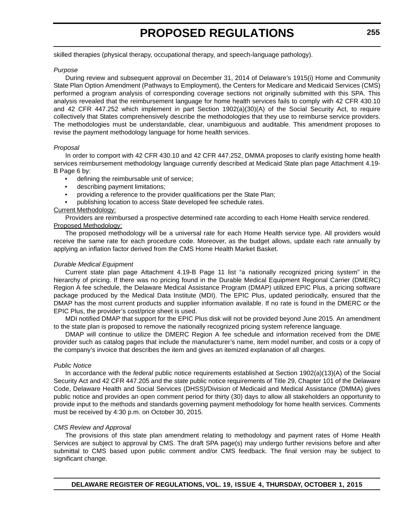skilled therapies (physical therapy, occupational therapy, and speech-language pathology).

#### *Purpose*

During review and subsequent approval on December 31, 2014 of Delaware's 1915(i) Home and Community State Plan Option Amendment (Pathways to Employment), the Centers for Medicare and Medicaid Services (CMS) performed a program analysis of corresponding coverage sections not originally submitted with this SPA. This analysis revealed that the reimbursement language for home health services fails to comply with 42 CFR 430.10 and 42 CFR 447.252 which implement in part Section 1902(a)(30)(A) of the Social Security Act, to require collectively that States comprehensively describe the methodologies that they use to reimburse service providers. The methodologies must be understandable, clear, unambiguous and auditable. This amendment proposes to revise the payment methodology language for home health services.

#### *Proposal*

In order to comport with 42 CFR 430.10 and 42 CFR 447.252, DMMA proposes to clarify existing home health services reimbursement methodology language currently described at Medicaid State plan page Attachment 4.19- B Page 6 by:

- defining the reimbursable unit of service;
- describing payment limitations;
- providing a reference to the provider qualifications per the State Plan;
- publishing location to access State developed fee schedule rates.

### Current Methodology:

Providers are reimbursed a prospective determined rate according to each Home Health service rendered. Proposed Methodology:

The proposed methodology will be a universal rate for each Home Health service type. All providers would receive the same rate for each procedure code. Moreover, as the budget allows, update each rate annually by applying an inflation factor derived from the CMS Home Health Market Basket.

#### *Durable Medical Equipment*

Current state plan page Attachment 4.19-B Page 11 list "a nationally recognized pricing system" in the hierarchy of pricing. If there was no pricing found in the Durable Medical Equipment Regional Carrier (DMERC) Region A fee schedule, the Delaware Medical Assistance Program (DMAP) utilized EPIC Plus, a pricing software package produced by the Medical Data Institute (MDI). The EPIC Plus, updated periodically, ensured that the DMAP has the most current products and supplier information available. If no rate is found in the DMERC or the EPIC Plus, the provider's cost/price sheet is used.

MDI notified DMAP that support for the EPIC Plus disk will not be provided beyond June 2015. An amendment to the state plan is proposed to remove the nationally recognized pricing system reference language.

DMAP will continue to utilize the DMERC Region A fee schedule and information received from the DME provider such as catalog pages that include the manufacturer's name, item model number, and costs or a copy of the company's invoice that describes the item and gives an itemized explanation of all charges.

#### *Public Notice*

In accordance with the *federal* public notice requirements established at Section 1902(a)(13)(A) of the Social Security Act and 42 CFR 447.205 and the *state* public notice requirements of Title 29, Chapter 101 of the Delaware Code, Delaware Health and Social Services (DHSS)/Division of Medicaid and Medical Assistance (DMMA) gives public notice and provides an open comment period for thirty (30) days to allow all stakeholders an opportunity to provide input to the methods and standards governing payment methodology for home health services. Comments must be received by 4:30 p.m. on October 30, 2015.

#### *CMS Review and Approval*

The provisions of this state plan amendment relating to methodology and payment rates of Home Health Services are subject to approval by CMS. The draft SPA page(s) may undergo further revisions before and after submittal to CMS based upon public comment and/or CMS feedback. The final version may be subject to significant change.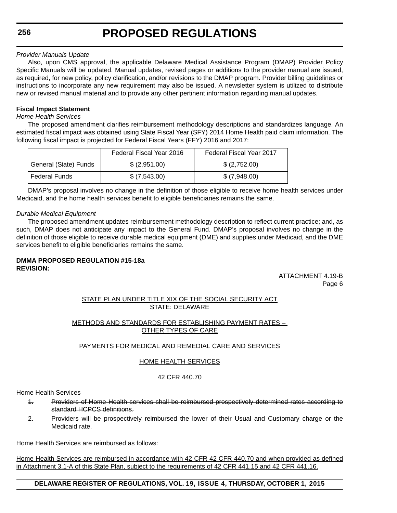**256**

#### *Provider Manuals Update*

Also, upon CMS approval, the applicable Delaware Medical Assistance Program (DMAP) Provider Policy Specific Manuals will be updated. Manual updates, revised pages or additions to the provider manual are issued, as required, for new policy, policy clarification, and/or revisions to the DMAP program. Provider billing guidelines or instructions to incorporate any new requirement may also be issued. A newsletter system is utilized to distribute new or revised manual material and to provide any other pertinent information regarding manual updates.

## **Fiscal Impact Statement**

#### *Home Health Services*

The proposed amendment clarifies reimbursement methodology descriptions and standardizes language. An estimated fiscal impact was obtained using State Fiscal Year (SFY) 2014 Home Health paid claim information. The following fiscal impact is projected for Federal Fiscal Years (FFY) 2016 and 2017:

|                       | Federal Fiscal Year 2016 | Federal Fiscal Year 2017 |
|-----------------------|--------------------------|--------------------------|
| General (State) Funds | \$(2,951.00)             | \$(2,752.00)             |
| <b>Federal Funds</b>  | \$ (7,543.00)            | \$ (7,948.00)            |

DMAP's proposal involves no change in the definition of those eligible to receive home health services under Medicaid, and the home health services benefit to eligible beneficiaries remains the same.

#### *Durable Medical Equipment*

The proposed amendment updates reimbursement methodology description to reflect current practice; and, as such, DMAP does not anticipate any impact to the General Fund. DMAP's proposal involves no change in the definition of those eligible to receive durable medical equipment (DME) and supplies under Medicaid, and the DME services benefit to eligible beneficiaries remains the same.

#### **DMMA PROPOSED REGULATION #15-18a REVISION:**

ATTACHMENT 4.19-B Page 6

#### STATE PLAN UNDER TITLE XIX OF THE SOCIAL SECURITY ACT STATE: DELAWARE

### METHODS AND STANDARDS FOR ESTABLISHING PAYMENT RATES – OTHER TYPES OF CARE

#### PAYMENTS FOR MEDICAL AND REMEDIAL CARE AND SERVICES

#### HOME HEALTH SERVICES

## 42 CFR 440.70

Home Health Services

- 1. Providers of Home Health services shall be reimbursed prospectively determined rates according to standard HCPCS definitions.
- 2. Providers will be prospectively reimbursed the lower of their Usual and Customary charge or the Medicaid rate.

Home Health Services are reimbursed as follows:

Home Health Services are reimbursed in accordance with 42 CFR 42 CFR 440.70 and when provided as defined in Attachment 3.1-A of this State Plan, subject to the requirements of 42 CFR 441.15 and 42 CFR 441.16.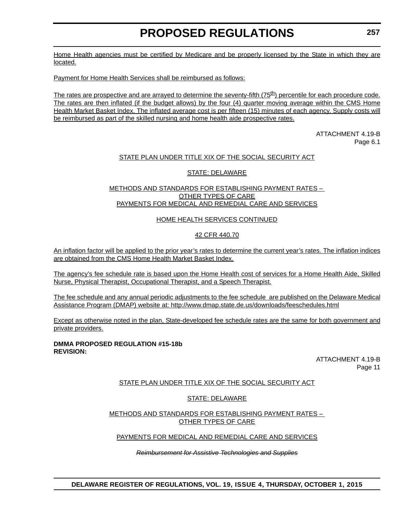Home Health agencies must be certified by Medicare and be properly licensed by the State in which they are located.

Payment for Home Health Services shall be reimbursed as follows:

The rates are prospective and are arrayed to determine the seventy-fifth  $(75<sup>th</sup>)$  percentile for each procedure code. The rates are then inflated (if the budget allows) by the four (4) quarter moving average within the CMS Home Health Market Basket Index. The inflated average cost is per fifteen (15) minutes of each agency. Supply costs will be reimbursed as part of the skilled nursing and home health aide prospective rates.

> ATTACHMENT 4.19-B Page 6.1

## STATE PLAN UNDER TITLE XIX OF THE SOCIAL SECURITY ACT

### STATE: DELAWARE

#### METHODS AND STANDARDS FOR ESTABLISHING PAYMENT RATES – OTHER TYPES OF CARE PAYMENTS FOR MEDICAL AND REMEDIAL CARE AND SERVICES

### HOME HEALTH SERVICES CONTINUED

### 42 CFR 440.70

An inflation factor will be applied to the prior year's rates to determine the current year's rates. The inflation indices are obtained from the CMS Home Health Market Basket Index.

The agency's fee schedule rate is based upon the Home Health cost of services for a Home Health Aide, Skilled Nurse, Physical Therapist, Occupational Therapist, and a Speech Therapist.

The fee schedule and any annual periodic adjustments to the fee schedule are published on the Delaware Medical Assistance Program (DMAP) website at: http://www.dmap.state.de.us/downloads/feeschedules.html

Except as otherwise noted in the plan, State-developed fee schedule rates are the same for both government and private providers.

#### **DMMA PROPOSED REGULATION #15-18b REVISION:**

ATTACHMENT 4.19-B Page 11

## STATE PLAN UNDER TITLE XIX OF THE SOCIAL SECURITY ACT

#### STATE: DELAWARE

METHODS AND STANDARDS FOR ESTABLISHING PAYMENT RATES – OTHER TYPES OF CARE

#### PAYMENTS FOR MEDICAL AND REMEDIAL CARE AND SERVICES

#### *Reimbursement for Assistive Technologies and Supplies*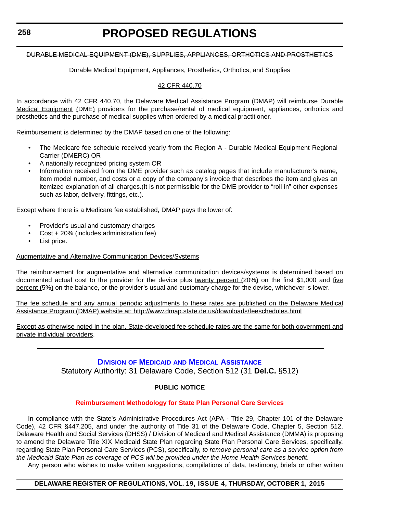#### DURABLE MEDICAL EQUIPMENT (DME), SUPPLIES, APPLIANCES, ORTHOTICS AND PROSTHETICS

#### Durable Medical Equipment, Appliances, Prosthetics, Orthotics, and Supplies

#### 42 CFR 440.70

In accordance with 42 CFR 440.70, the Delaware Medical Assistance Program (DMAP) will reimburse Durable Medical Equipment (DME) providers for the purchase/rental of medical equipment, appliances, orthotics and prosthetics and the purchase of medical supplies when ordered by a medical practitioner.

Reimbursement is determined by the DMAP based on one of the following:

- The Medicare fee schedule received yearly from the Region A Durable Medical Equipment Regional Carrier (DMERC) OR
- A nationally recognized pricing system OR
- Information received from the DME provider such as catalog pages that include manufacturer's name, item model number, and costs or a copy of the company's invoice that describes the item and gives an itemized explanation of all charges.(It is not permissible for the DME provider to "roll in" other expenses such as labor, delivery, fittings, etc.).

Except where there is a Medicare fee established, DMAP pays the lower of:

- Provider's usual and customary charges
- Cost + 20% (includes administration fee)
- List price.

#### Augmentative and Alternative Communication Devices/Systems

The reimbursement for augmentative and alternative communication devices/systems is determined based on documented actual cost to the provider for the device plus twenty percent (20%) on the first \$1,000 and five percent (5%) on the balance, or the provider's usual and customary charge for the devise, whichever is lower.

The fee schedule and any annual periodic adjustments to these rates are published on the Delaware Medical Assistance Program (DMAP) website at: http://www.dmap.state.de.us/downloads/feeschedules.html

Except as otherwise noted in the plan, State-developed fee schedule rates are the same for both government and private individual providers.

## **DIVISION OF MEDICAID [AND MEDICAL ASSISTANCE](http://www.dhss.delaware.gov/dhss/dmma/)**

Statutory Authority: 31 Delaware Code, Section 512 (31 **Del.C.** §512)

#### **PUBLIC NOTICE**

#### **[Reimbursement Methodology for State Plan Personal Care Services](#page-3-0)**

In compliance with the State's Administrative Procedures Act (APA - Title 29, Chapter 101 of the Delaware Code), 42 CFR §447.205, and under the authority of Title 31 of the Delaware Code, Chapter 5, Section 512, Delaware Health and Social Services (DHSS) / Division of Medicaid and Medical Assistance (DMMA) is proposing to amend the Delaware Title XIX Medicaid State Plan regarding State Plan Personal Care Services, specifically, regarding State Plan Personal Care Services (PCS), specifically, *to remove personal care as a service option from the Medicaid State Plan as coverage of PCS will be provided under the Home Health Services benefit*.

Any person who wishes to make written suggestions, compilations of data, testimony, briefs or other written

#### **DELAWARE REGISTER OF REGULATIONS, VOL. 19, ISSUE 4, THURSDAY, OCTOBER 1, 2015**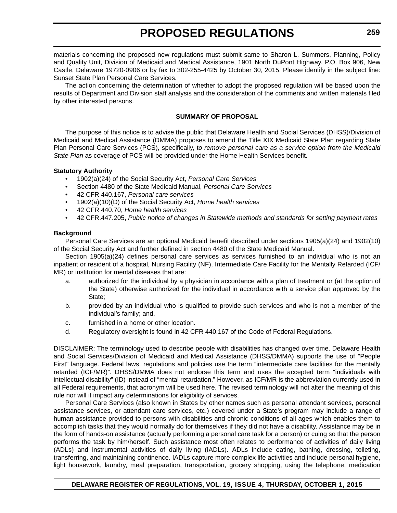materials concerning the proposed new regulations must submit same to Sharon L. Summers, Planning, Policy and Quality Unit, Division of Medicaid and Medical Assistance, 1901 North DuPont Highway, P.O. Box 906, New Castle, Delaware 19720-0906 or by fax to 302-255-4425 by October 30, 2015. Please identify in the subject line: Sunset State Plan Personal Care Services.

The action concerning the determination of whether to adopt the proposed regulation will be based upon the results of Department and Division staff analysis and the consideration of the comments and written materials filed by other interested persons.

#### **SUMMARY OF PROPOSAL**

The purpose of this notice is to advise the public that Delaware Health and Social Services (DHSS)/Division of Medicaid and Medical Assistance (DMMA) proposes to amend the Title XIX Medicaid State Plan regarding State Plan Personal Care Services (PCS), specifically, t*o remove personal care as a service option from the Medicaid State Plan* as coverage of PCS will be provided under the Home Health Services benefit.

#### **Statutory Authority**

- 1902(a)(24) of the Social Security Act, *Personal Care Services*
- Section 4480 of the State Medicaid Manual, *Personal Care Services*
- 42 CFR 440.167, *Personal care services*
- 1902(a)(10)(D) of the Social Security Act, *Home health services*
- 42 CFR 440.70, *Home health services*
- 42 CFR.447.205, *Public notice of changes in Statewide methods and standards for setting payment rates*

#### **Background**

Personal Care Services are an optional Medicaid benefit described under sections 1905(a)(24) and 1902(10) of the Social Security Act and further defined in section 4480 of the State Medicaid Manual.

Section 1905(a)(24) defines personal care services as services furnished to an individual who is not an inpatient or resident of a hospital, Nursing Facility (NF), Intermediate Care Facility for the Mentally Retarded (ICF/ MR) or institution for mental diseases that are:

- a. authorized for the individual by a physician in accordance with a plan of treatment or (at the option of the State) otherwise authorized for the individual in accordance with a service plan approved by the State;
- b. provided by an individual who is qualified to provide such services and who is not a member of the individual's family; and,
- c. furnished in a home or other location.
- d. Regulatory oversight is found in 42 CFR 440.167 of the Code of Federal Regulations.

DISCLAIMER: The terminology used to describe people with disabilities has changed over time. Delaware Health and Social Services/Division of Medicaid and Medical Assistance (DHSS/DMMA) supports the use of "People First" language. Federal laws, regulations and policies use the term "intermediate care facilities for the mentally retarded (ICF/MR)". DHSS/DMMA does not endorse this term and uses the accepted term "individuals with intellectual disability" (ID) instead of "mental retardation." However, as ICF/MR is the abbreviation currently used in all Federal requirements, that acronym will be used here. The revised terminology will not alter the meaning of this rule nor will it impact any determinations for eligibility of services.

Personal Care Services (also known in States by other names such as personal attendant services, personal assistance services, or attendant care services, etc.) covered under a State's program may include a range of human assistance provided to persons with disabilities and chronic conditions of all ages which enables them to accomplish tasks that they would normally do for themselves if they did not have a disability. Assistance may be in the form of hands-on assistance (actually performing a personal care task for a person) or cuing so that the person performs the task by him/herself. Such assistance most often relates to performance of activities of daily living (ADLs) and instrumental activities of daily living (IADLs). ADLs include eating, bathing, dressing, toileting, transferring, and maintaining continence. IADLs capture more complex life activities and include personal hygiene, light housework, laundry, meal preparation, transportation, grocery shopping, using the telephone, medication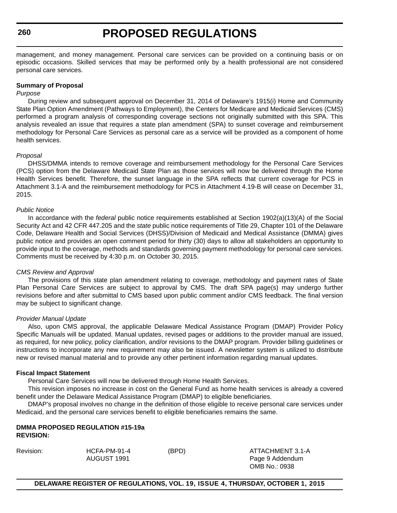**260**

# **PROPOSED REGULATIONS**

management, and money management. Personal care services can be provided on a continuing basis or on episodic occasions. Skilled services that may be performed only by a health professional are not considered personal care services.

#### **Summary of Proposal**

#### *Purpose*

During review and subsequent approval on December 31, 2014 of Delaware's 1915(i) Home and Community State Plan Option Amendment (Pathways to Employment), the Centers for Medicare and Medicaid Services (CMS) performed a program analysis of corresponding coverage sections not originally submitted with this SPA. This analysis revealed an issue that requires a state plan amendment (SPA) to sunset coverage and reimbursement methodology for Personal Care Services as personal care as a service will be provided as a component of home health services.

#### *Proposal*

DHSS/DMMA intends to remove coverage and reimbursement methodology for the Personal Care Services (PCS) option from the Delaware Medicaid State Plan as those services will now be delivered through the Home Health Services benefit. Therefore, the sunset language in the SPA reflects that current coverage for PCS in Attachment 3.1-A and the reimbursement methodology for PCS in Attachment 4.19-B will cease on December 31, 2015.

#### *Public Notice*

In accordance with the *federal* public notice requirements established at Section 1902(a)(13)(A) of the Social Security Act and 42 CFR 447.205 and the *state* public notice requirements of Title 29, Chapter 101 of the Delaware Code, Delaware Health and Social Services (DHSS)/Division of Medicaid and Medical Assistance (DMMA) gives public notice and provides an open comment period for thirty (30) days to allow all stakeholders an opportunity to provide input to the coverage, methods and standards governing payment methodology for personal care services. Comments must be received by 4:30 p.m. on October 30, 2015.

#### *CMS Review and Approval*

The provisions of this state plan amendment relating to coverage, methodology and payment rates of State Plan Personal Care Services are subject to approval by CMS. The draft SPA page(s) may undergo further revisions before and after submittal to CMS based upon public comment and/or CMS feedback. The final version may be subject to significant change.

#### *Provider Manual Update*

Also, upon CMS approval, the applicable Delaware Medical Assistance Program (DMAP) Provider Policy Specific Manuals will be updated. Manual updates, revised pages or additions to the provider manual are issued, as required, for new policy, policy clarification, and/or revisions to the DMAP program. Provider billing guidelines or instructions to incorporate any new requirement may also be issued. A newsletter system is utilized to distribute new or revised manual material and to provide any other pertinent information regarding manual updates.

#### **Fiscal Impact Statement**

Personal Care Services will now be delivered through Home Health Services.

This revision imposes no increase in cost on the General Fund as home health services is already a covered benefit under the Delaware Medical Assistance Program (DMAP) to eligible beneficiaries.

DMAP's proposal involves no change in the definition of those eligible to receive personal care services under Medicaid, and the personal care services benefit to eligible beneficiaries remains the same.

#### **DMMA PROPOSED REGULATION #15-19a REVISION:**

# Revision: HCFA-PM-91-4 (BPD) ATTACHMENT 3.1-A AUGUST 1991 **Page 9 Addendum**

OMB No.: 0938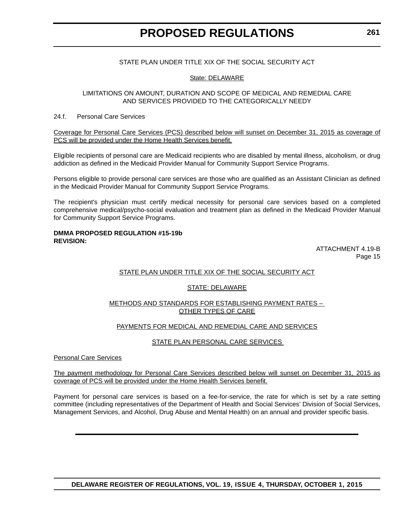#### STATE PLAN UNDER TITLE XIX OF THE SOCIAL SECURITY ACT

#### State: DELAWARE

#### LIMITATIONS ON AMOUNT, DURATION AND SCOPE OF MEDICAL AND REMEDIAL CARE AND SERVICES PROVIDED TO THE CATEGORICALLY NEEDY

#### 24.f. Personal Care Services

Coverage for Personal Care Services (PCS) described below will sunset on December 31, 2015 as coverage of PCS will be provided under the Home Health Services benefit.

Eligible recipients of personal care are Medicaid recipients who are disabled by mental illness, alcoholism, or drug addiction as defined in the Medicaid Provider Manual for Community Support Service Programs.

Persons eligible to provide personal care services are those who are qualified as an Assistant Clinician as defined in the Medicaid Provider Manual for Community Support Service Programs.

The recipient's physician must certify medical necessity for personal care services based on a completed comprehensive medical/psycho-social evaluation and treatment plan as defined in the Medicaid Provider Manual for Community Support Service Programs.

#### **DMMA PROPOSED REGULATION #15-19b REVISION:**

ATTACHMENT 4.19-B Page 15

#### STATE PLAN UNDER TITLE XIX OF THE SOCIAL SECURITY ACT

#### STATE: DELAWARE

#### METHODS AND STANDARDS FOR ESTABLISHING PAYMENT RATES – OTHER TYPES OF CARE

#### PAYMENTS FOR MEDICAL AND REMEDIAL CARE AND SERVICES

#### STATE PLAN PERSONAL CARE SERVICES

Personal Care Services

The payment methodology for Personal Care Services described below will sunset on December 31, 2015 as coverage of PCS will be provided under the Home Health Services benefit.

Payment for personal care services is based on a fee-for-service, the rate for which is set by a rate setting committee (including representatives of the Department of Health and Social Services' Division of Social Services, Management Services, and Alcohol, Drug Abuse and Mental Health) on an annual and provider specific basis.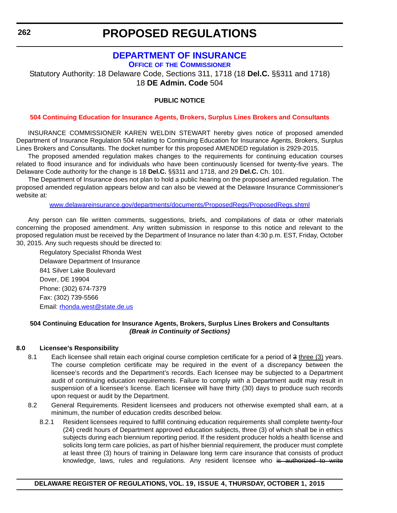# **[DEPARTMENT OF INSURANCE](http://www.delawareinsurance.gov/)**

**OFFICE OF THE COMMISSIONER**

Statutory Authority: 18 Delaware Code, Sections 311, 1718 (18 **Del.C.** §§311 and 1718) 18 **DE Admin. Code** 504

### **PUBLIC NOTICE**

#### **[504 Continuing Education for Insurance Agents, Brokers, Surplus Lines Brokers and Consultants](#page-3-0)**

INSURANCE COMMISSIONER KAREN WELDIN STEWART hereby gives notice of proposed amended Department of Insurance Regulation 504 relating to Continuing Education for Insurance Agents, Brokers, Surplus Lines Brokers and Consultants. The docket number for this proposed AMENDED regulation is 2929-2015.

The proposed amended regulation makes changes to the requirements for continuing education courses related to flood insurance and for individuals who have been continuously licensed for twenty-five years. The Delaware Code authority for the change is 18 **Del.C.** §§311 and 1718, and 29 **Del.C.** Ch. 101.

The Department of Insurance does not plan to hold a public hearing on the proposed amended regulation. The proposed amended regulation appears below and can also be viewed at the Delaware Insurance Commissioner's website at:

w[ww.delawareinsurance.gov/departments/documents/ProposedRegs/ProposedRegs.shtml](http://www.delawareinsurance.gov/departments/documents/ProposedRegs/ProposedRegs.shtml)

Any person can file written comments, suggestions, briefs, and compilations of data or other materials concerning the proposed amendment. Any written submission in response to this notice and relevant to the proposed regulation must be received by the Department of Insurance no later than 4:30 p.m. EST, Friday, October 30, 2015. Any such requests should be directed to:

Regulatory Specialist Rhonda West Delaware Department of Insurance 841 Silver Lake Boulevard Dover, DE 19904 Phone: (302) 674-7379 Fax: (302) 739-5566 Email: [rhonda.west@state.de.us](mailto:rhonda.west@state.de.us)

#### **504 Continuing Education for Insurance Agents, Brokers, Surplus Lines Brokers and Consultants** *(Break in Continuity of Sections)*

#### **8.0 Licensee's Responsibility**

- 8.1 Each licensee shall retain each original course completion certificate for a period of 3 three (3) years. The course completion certificate may be required in the event of a discrepancy between the licensee's records and the Department's records. Each licensee may be subjected to a Department audit of continuing education requirements. Failure to comply with a Department audit may result in suspension of a licensee's license. Each licensee will have thirty (30) days to produce such records upon request or audit by the Department.
- 8.2 General Requirements. Resident licensees and producers not otherwise exempted shall earn, at a minimum, the number of education credits described below.
	- 8.2.1 Resident licensees required to fulfill continuing education requirements shall complete twenty-four (24) credit hours of Department approved education subjects, three (3) of which shall be in ethics subjects during each biennium reporting period. If the resident producer holds a health license and solicits long term care policies, as part of his/her biennial requirement, the producer must complete at least three (3) hours of training in Delaware long term care insurance that consists of product knowledge, laws, rules and regulations. Any resident licensee who is authorized to write

**DELAWARE REGISTER OF REGULATIONS, VOL. 19, ISSUE 4, THURSDAY, OCTOBER 1, 2015**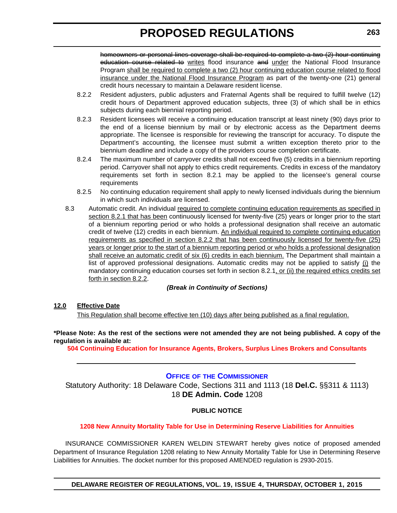homeowners or personal lines coverage shall be required to complete a two (2) hour continuing education course related to writes flood insurance and under the National Flood Insurance Program shall be required to complete a two (2) hour continuing education course related to flood insurance under the National Flood Insurance Program as part of the twenty-one (21) general credit hours necessary to maintain a Delaware resident license.

- 8.2.2 Resident adjusters, public adjusters and Fraternal Agents shall be required to fulfill twelve (12) credit hours of Department approved education subjects, three (3) of which shall be in ethics subjects during each biennial reporting period.
- 8.2.3 Resident licensees will receive a continuing education transcript at least ninety (90) days prior to the end of a license biennium by mail or by electronic access as the Department deems appropriate. The licensee is responsible for reviewing the transcript for accuracy. To dispute the Department's accounting, the licensee must submit a written exception thereto prior to the biennium deadline and include a copy of the providers course completion certificate.
- 8.2.4 The maximum number of carryover credits shall not exceed five (5) credits in a biennium reporting period. Carryover shall not apply to ethics credit requirements. Credits in excess of the mandatory requirements set forth in section 8.2.1 may be applied to the licensee's general course **requirements**
- 8.2.5 No continuing education requirement shall apply to newly licensed individuals during the biennium in which such individuals are licensed.
- 8.3 Automatic credit. An individual required to complete continuing education requirements as specified in section 8.2.1 that has been continuously licensed for twenty-five (25) years or longer prior to the start of a biennium reporting period or who holds a professional designation shall receive an automatic credit of twelve (12) credits in each biennium. An individual required to complete continuing education requirements as specified in section 8.2.2 that has been continuously licensed for twenty-five (25) years or longer prior to the start of a biennium reporting period or who holds a professional designation shall receive an automatic credit of six (6) credits in each biennium. The Department shall maintain a list of approved professional designations. Automatic credits may not be applied to satisfy (i) the mandatory continuing education courses set forth in section 8.2.1, or (ii) the required ethics credits set forth in section 8.2.2.

#### *(Break in Continuity of Sections)*

#### **12.0 Effective Date**

This Regulation shall become effective ten (10) days after being published as a final regulation.

#### **\*Please Note: As the rest of the sections were not amended they are not being published. A copy of the regulation is available at:**

**[504 Continuing Education for Insurance Agents, Brokers, Surplus Lines Brokers and Consultants](http://regulations.delaware.gov/register/october2015/proposed/19 DE Reg 262 10-01-15.htm)**

#### **OFFICE OF [THE COMMISSIONER](http://www.delawareinsurance.gov/)**

Statutory Authority: 18 Delaware Code, Sections 311 and 1113 (18 **Del.C.** §§311 & 1113) 18 **DE Admin. Code** 1208

#### **PUBLIC NOTICE**

#### **[1208 New Annuity Mortality Table for Use in Determining Reserve Liabilities for Annuities](#page-3-0)**

INSURANCE COMMISSIONER KAREN WELDIN STEWART hereby gives notice of proposed amended Department of Insurance Regulation 1208 relating to New Annuity Mortality Table for Use in Determining Reserve Liabilities for Annuities. The docket number for this proposed AMENDED regulation is 2930-2015.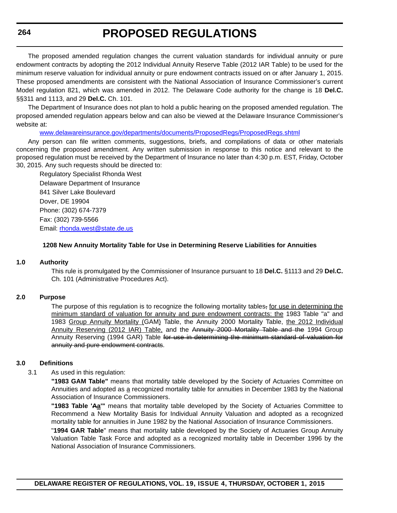**264**

# **PROPOSED REGULATIONS**

The proposed amended regulation changes the current valuation standards for individual annuity or pure endowment contracts by adopting the 2012 Individual Annuity Reserve Table (2012 IAR Table) to be used for the minimum reserve valuation for individual annuity or pure endowment contracts issued on or after January 1, 2015. These proposed amendments are consistent with the National Association of Insurance Commissioner's current Model regulation 821, which was amended in 2012. The Delaware Code authority for the change is 18 **Del.C.** §§311 and 1113, and 29 **Del.C.** Ch. 101.

The Department of Insurance does not plan to hold a public hearing on the proposed amended regulation. The proposed amended regulation appears below and can also be viewed at the Delaware Insurance Commissioner's website at:

[www.delawareinsurance.gov/departments/documents/ProposedRegs/ProposedRegs.shtml](http://www.delawareinsurance.gov/departments/documents/ProposedRegs/ProposedRegs.shtml)

Any person can file written comments, suggestions, briefs, and compilations of data or other materials concerning the proposed amendment. Any written submission in response to this notice and relevant to the proposed regulation must be received by the Department of Insurance no later than 4:30 p.m. EST, Friday, October 30, 2015. Any such requests should be directed to:

Regulatory Specialist Rhonda West Delaware Department of Insurance 841 Silver Lake Boulevard Dover, DE 19904 Phone: (302) 674-7379 Fax: (302) 739-5566 Email: [rhonda.west@state.de.us](mailto:rhonda.west@state.de.us)

#### **1208 New Annuity Mortality Table for Use in Determining Reserve Liabilities for Annuities**

#### **1.0 Authority**

This rule is promulgated by the Commissioner of Insurance pursuant to 18 **Del.C.** §1113 and 29 **Del.C.** Ch. 101 (Administrative Procedures Act).

#### **2.0 Purpose**

The purpose of this regulation is to recognize the following mortality tables, for use in determining the minimum standard of valuation for annuity and pure endowment contracts: the 1983 Table "a" and 1983 Group Annuity Mortality (GAM) Table, the Annuity 2000 Mortality Table, the 2012 Individual Annuity Reserving (2012 IAR) Table, and the Annuity 2000 Mortality Table and the 1994 Group Annuity Reserving (1994 GAR) Table for use in determining the minimum standard of valuation for annuity and pure endowment contracts.

#### **3.0 Definitions**

3.1 As used in this regulation:

**"1983 GAM Table"** means that mortality table developed by the Society of Actuaries Committee on Annuities and adopted as a recognized mortality table for annuities in December 1983 by the National Association of Insurance Commissioners.

**"1983 Table 'Aa'"** means that mortality table developed by the Society of Actuaries Committee to Recommend a New Mortality Basis for Individual Annuity Valuation and adopted as a recognized mortality table for annuities in June 1982 by the National Association of Insurance Commissioners.

"**1994 GAR Table**" means that mortality table developed by the Society of Actuaries Group Annuity Valuation Table Task Force and adopted as a recognized mortality table in December 1996 by the National Association of Insurance Commissioners.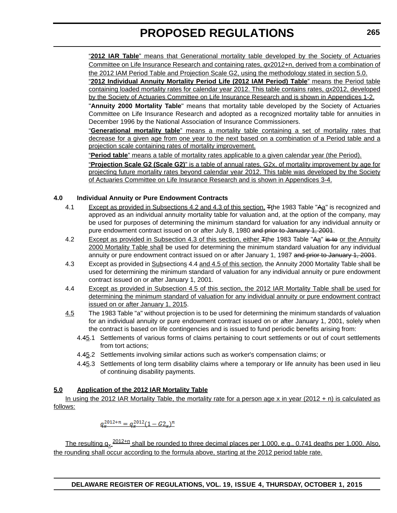"**2012 IAR Table**" means that Generational mortality table developed by the Society of Actuaries Committee on Life Insurance Research and containing rates, *qx*2012+n, derived from a combination of the 2012 IAM Period Table and Projection Scale G2, using the methodology stated in section 5.0.

"**2012 Individual Annuity Mortality Period Life (2012 IAM Period) Table**" means the Period table containing loaded mortality rates for calendar year 2012. This table contains rates, *qx*2012, developed by the Society of Actuaries Committee on Life Insurance Research and is shown in Appendices 1-2.

"**Annuity 2000 Mortality Table**" means that mortality table developed by the Society of Actuaries Committee on Life Insurance Research and adopted as a recognized mortality table for annuities in December 1996 by the National Association of Insurance Commissioners.

"**Generational mortality table**" means a mortality table containing a set of mortality rates that decrease for a given age from one year to the next based on a combination of a Period table and a projection scale containing rates of mortality improvement.

"**Period table**" means a table of mortality rates applicable to a given calendar year (the Period).

"**Projection Scale G2 (Scale G2)**" is a table of annual rates, G2x, of mortality improvement by age for projecting future mortality rates beyond calendar year 2012. This table was developed by the Society of Actuaries Committee on Life Insurance Research and is shown in Appendices 3-4.

### **4.0 Individual Annuity or Pure Endowment Contracts**

- 4.1 Except as provided in Subsections 4.2 and 4.3 of this section, Tthe 1983 Table "Aa" is recognized and approved as an individual annuity mortality table for valuation and, at the option of the company, may be used for purposes of determining the minimum standard for valuation for any individual annuity or pure endowment contract issued on or after July 8, 1980 and prior to January 1, 2001.
- 4.2 Except as provided in Subsection 4.3 of this section, either T<sub>t</sub>he 1983 Table "Aa" is to or the Annuity 2000 Mortality Table shall be used for determining the minimum standard valuation for any individual annuity or pure endowment contract issued on or after January 1, 1987 and prior to January 1, 2001.
- 4.3 Except as provided in Subsections 4.4 and 4.5 of this section, the Annuity 2000 Mortality Table shall be used for determining the minimum standard of valuation for any individual annuity or pure endowment contract issued on or after January 1, 2001.
- 4.4 Except as provided in Subsection 4.5 of this section, the 2012 IAR Mortality Table shall be used for determining the minimum standard of valuation for any individual annuity or pure endowment contract issued on or after January 1, 2015.
- 4.5 The 1983 Table "a" without projection is to be used for determining the minimum standards of valuation for an individual annuity or pure endowment contract issued on or after January 1, 2001, solely when the contract is based on life contingencies and is issued to fund periodic benefits arising from:
	- 4.45.1 Settlements of various forms of claims pertaining to court settlements or out of court settlements from tort actions;
	- 4.45.2 Settlements involving similar actions such as worker's compensation claims; or
	- 4.45.3 Settlements of long term disability claims where a temporary or life annuity has been used in lieu of continuing disability payments.

#### **5.0 Application of the 2012 IAR Mortality Table**

In using the 2012 IAR Mortality Table, the mortality rate for a person age x in year (2012 + n) is calculated as follows:

$$
q_x^{2012+n} = q_x^{2012} (1 - G2_x)^n
$$

The resulting  $q_x \frac{2012+n}{n}$  shall be rounded to three decimal places per 1,000, e.g., 0.741 deaths per 1,000. Also, the rounding shall occur according to the formula above, starting at the 2012 period table rate.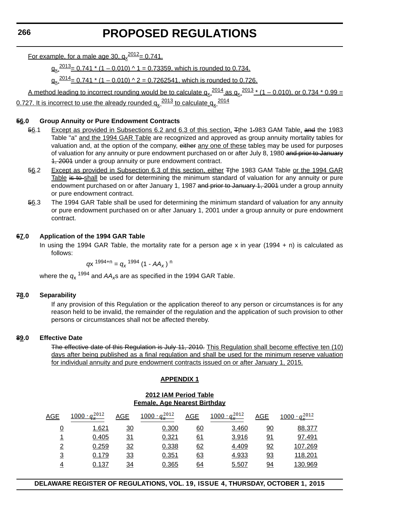<u>For example, for a male age 30,  $q_\text{x}^{2012}$ = 0.741.</u>

 $q_v \frac{2013}{s} = 0.741 * (1 - 0.010) \cdot 1 = 0.73359$ , which is rounded to 0.734.

 $q_x \frac{2014}{2} = 0.741 * (1 - 0.010) \cdot 2 = 0.7262541$ , which is rounded to 0.726.

A method leading to incorrect rounding would be to calculate  $q_x \frac{2014}{a}$  as  $q_x \frac{2013 \times (1 - 0.010)}{a}$ , or 0.734  $*$  0.99 = 0.727. It is incorrect to use the already rounded  $q_x \frac{2013}{20}$  to calculate  $q_y \frac{2014}{20}$ 

#### **56.0 Group Annuity or Pure Endowment Contracts**

- 56.1 Except as provided in Subsections 6.2 and 6.3 of this section, Tthe 1.983 GAM Table, and the 1983 Table "a" and the 1994 GAR Table are recognized and approved as group annuity mortality tables for valuation and, at the option of the company, either any one of these tables may be used for purposes of valuation for any annuity or pure endowment purchased on or after July 8, 1980 and prior to January 1, 2001 under a group annuity or pure endowment contract.
- 56.2 Except as provided in Subsection 6.3 of this section, either <sub>Ti</sub>he 1983 GAM Table or the 1994 GAR Table is to shall be used for determining the minimum standard of valuation for any annuity or pure endowment purchased on or after January 1, 1987 and prior to January 1, 2001 under a group annuity or pure endowment contract.
- 56.3 The 1994 GAR Table shall be used for determining the minimum standard of valuation for any annuity or pure endowment purchased on or after January 1, 2001 under a group annuity or pure endowment contract.

#### **67.0 Application of the 1994 GAR Table**

In using the 1994 GAR Table, the mortality rate for a person age x in year  $(1994 + n)$  is calculated as follows:

*g*x  $1994+n = g<sub>x</sub> 1994 (1 - AA<sub>x</sub>)$ <sup>n</sup>

where the  $q_x$ <sup>1994</sup> and  $AA_x$ s are as specified in the 1994 GAR Table.

#### **78.0 Separability**

If any provision of this Regulation or the application thereof to any person or circumstances is for any reason held to be invalid, the remainder of the regulation and the application of such provision to other persons or circumstances shall not be affected thereby.

#### **89.0 Effective Date**

The effective date of this Regulation is July 11, 2010. This Regulation shall become effective ten (10) days after being published as a final regulation and shall be used for the minimum reserve valuation for individual annuity and pure endowment contracts issued on or after January 1, 2015.

#### **APPENDIX 1**

#### **2012 IAM Period Table Female, Age Nearest Birthday**

| AGE            | $1000 \cdot q_x^{2012}$ | AGE       | $1000 \cdot q_x^{2012}$ | AGE | $\frac{1000 \cdot q_x^{2012}}{x}$ | <b>AGE</b> | $1000 \cdot q_x^{2012}$ |
|----------------|-------------------------|-----------|-------------------------|-----|-----------------------------------|------------|-------------------------|
| 0              | 1.621                   | 30        | 0.300                   | 60  | 3.460                             | <u>90</u>  | 88.377                  |
|                | 0.405                   | <u>31</u> | 0.321                   | 61  | 3.916                             | 91         | 97.491                  |
| $\overline{2}$ | 0.259                   | 32        | 0.338                   | 62  | 4.409                             | 92         | 107.269                 |
| 3              | 0.179                   | 33        | 0.351                   | 63  | 4.933                             | 93         | 118.201                 |
|                | 0.137                   | 34        | 0.365                   | 64  | 5.507                             | 94         | 130.969                 |

**DELAWARE REGISTER OF REGULATIONS, VOL. 19, ISSUE 4, THURSDAY, OCTOBER 1, 2015**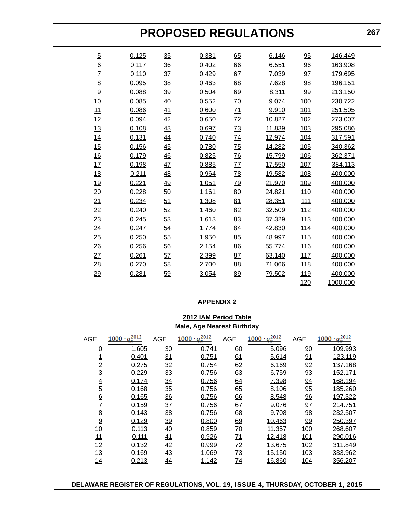| $\overline{5}$ | 0.125 | 35        | 0.381 | 65              | 6.146  | 95         | 146.449  |
|----------------|-------|-----------|-------|-----------------|--------|------------|----------|
| $\overline{6}$ | 0.117 | 36        | 0.402 | 66              | 6.551  | 96         | 163.908  |
|                | 0.110 | 37        | 0.429 | 67              | 7.039  | 97         | 179.695  |
| $rac{7}{8}$    | 0.095 | 38        | 0.463 | 68              | 7.628  | 98         | 196.151  |
| $\overline{9}$ | 0.088 | <u>39</u> | 0.504 | 69              | 8.311  | <u>99</u>  | 213.150  |
| 10             | 0.085 | 40        | 0.552 | 70              | 9.074  | 100        | 230.722  |
| 11             | 0.086 | 41        | 0.600 | 71              | 9.910  | 101        | 251.505  |
| 12             | 0.094 | 42        | 0.650 | 72              | 10.827 | 102        | 273.007  |
| 13             | 0.108 | 43        | 0.697 | $\overline{73}$ | 11.839 | 103        | 295.086  |
| 14             | 0.131 | 44        | 0.740 | $\overline{74}$ | 12.974 | 104        | 317.591  |
| 15             | 0.156 | 45        | 0.780 | 75              | 14.282 | 105        | 340.362  |
| 16             | 0.179 | 46        | 0.825 | 76              | 15.799 | 106        | 362.371  |
| 17             | 0.198 | 47        | 0.885 | 77              | 17.550 | 107        | 384.113  |
| 18             | 0.211 | 48        | 0.964 | <u>78</u>       | 19.582 | 108        | 400.000  |
| 19             | 0.221 | 49        | 1.051 | <u>79</u>       | 21.970 | 109        | 400.000  |
| 20             | 0.228 | 50        | 1.161 | 80              | 24.821 | <u>110</u> | 400.000  |
| 21             | 0.234 | 51        | 1.308 | 81              | 28.351 | 111        | 400.000  |
| 22             | 0.240 | 52        | 1.460 | 82              | 32.509 | 112        | 400.000  |
| 23             | 0.245 | 53        | 1.613 | 83              | 37.329 | 113        | 400.000  |
| 24             | 0.247 | 54        | 1.774 | 84              | 42.830 | <u>114</u> | 400.000  |
| 25             | 0.250 | 55        | 1.950 | 85              | 48.997 | 115        | 400.000  |
| 26             | 0.256 | 56        | 2.154 | 86              | 55.774 | 116        | 400.000  |
| 27             | 0.261 | 57        | 2.399 | 87              | 63.140 | 117        | 400.000  |
| 28             | 0.270 | 58        | 2.700 | 88              | 71.066 | <u>118</u> | 400.000  |
| 29             | 0.281 | 59        | 3.054 | 89              | 79.502 | <u>119</u> | 400.000  |
|                |       |           |       |                 |        | 120        | 1000.000 |

#### **APPENDIX 2**

## **2012 IAM Period Table Male, Age Nearest Birthday**

| <b>AGE</b>      | $\frac{1000 \cdot q_x^{2012}}{x}$ | <b>AGE</b>      | $1000 \cdot q_x^{2012}$ | <b>AGE</b> | $\frac{1000 \cdot q_x^{2012}}{x}$ | <b>AGE</b> | $1000 \cdot q_x^{2012}$ |
|-----------------|-----------------------------------|-----------------|-------------------------|------------|-----------------------------------|------------|-------------------------|
| $\overline{0}$  | 1.605                             | $\overline{30}$ | 0.741                   | 60         | 5.096                             | 90         | 109.993                 |
|                 | 0.401                             | <u>31</u>       | 0.751                   | 61         | 5.614                             | 91         | 123.119                 |
| $\overline{2}$  | 0.275                             | 32              | 0.754                   | 62         | 6.169                             | 92         | 137.168                 |
| 3               | 0.229                             | 33              | 0.756                   | 63         | 6.759                             | 93         | 152.171                 |
| $\overline{4}$  | 0.174                             | <u>34</u>       | 0.756                   | 64         | 7.398                             | 94         | 168.194                 |
| $\overline{5}$  | 0.168                             | 35              | 0.756                   | 65         | 8.106                             | 95         | 185.260                 |
| $\underline{6}$ | 0.165                             | $\frac{36}{5}$  | 0.756                   | 66         | 8.548                             | 96         | 197.322                 |
| $\overline{1}$  | 0.159                             | 37              | 0.756                   | 67         | 9.076                             | 97         | 214.751                 |
| $\overline{8}$  | 0.143                             | 38              | 0.756                   | 68         | 9.708                             | 98         | 232.507                 |
| $\overline{9}$  | 0.129                             | <u>39</u>       | 0.800                   | 69         | 10.463                            | 99         | 250.397                 |
| 10              | 0.113                             | 40              | 0.859                   | <u>70</u>  | 11.357                            | 100        | 268.607                 |
| 11              | 0.111                             | 41              | 0.926                   | <u>71</u>  | 12.418                            | 101        | 290.016                 |
| 12              | 0.132                             | 42              | 0.999                   | <u>72</u>  | 13.675                            | 102        | 311.849                 |
| 13              | 0.169                             | <u>43</u>       | 1.069                   | <u>73</u>  | 15.150                            | 103        | 333.962                 |
| 14              | 0.213                             | <u>44</u>       | 1.142                   | <u>74</u>  | 16.860                            | 104        | 356.207                 |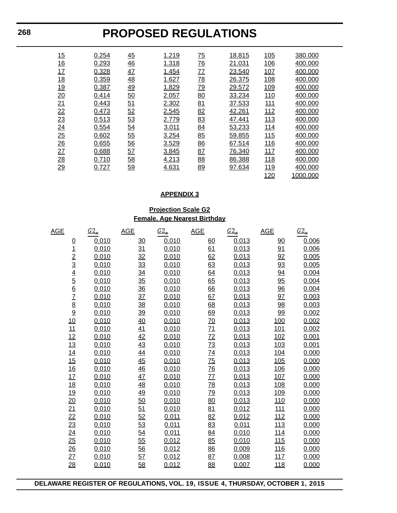| 15              | 0.254 | 45 | 1.219 | $\overline{75}$ | 18.815 | 105        | 380.000  |
|-----------------|-------|----|-------|-----------------|--------|------------|----------|
| <u>16</u>       | 0.293 | 46 | 1.318 | $\overline{76}$ | 21.031 | 106        | 400.000  |
| 17              | 0.328 | 47 | 1.454 | 77              | 23.540 | 107        | 400.000  |
| 18              | 0.359 | 48 | 1.627 | $\overline{78}$ | 26.375 | 108        | 400.000  |
| <u>19</u>       | 0.387 | 49 | 1.829 | <u>79</u>       | 29.572 | 109        | 400.000  |
| 20              | 0.414 | 50 | 2.057 | 80              | 33.234 | 110        | 400.000  |
| 21              | 0.443 | 51 | 2.302 | 81              | 37.533 | <u>111</u> | 400.000  |
| $\overline{22}$ | 0.473 | 52 | 2.545 | 82              | 42.261 | 112        | 400.000  |
| 23              | 0.513 | 53 | 2.779 | 83              | 47.441 | 113        | 400.000  |
| $\overline{24}$ | 0.554 | 54 | 3.011 | 84              | 53.233 | 114        | 400.000  |
| 25              | 0.602 | 55 | 3.254 | 85              | 59.855 | 115        | 400.000  |
| 26              | 0.655 | 56 | 3.529 | 86              | 67.514 | 116        | 400.000  |
| 27              | 0.688 | 57 | 3.845 | 87              | 76.340 | 117        | 400.000  |
| 28              | 0.710 | 58 | 4.213 | 88              | 86.388 | <u>118</u> | 400.000  |
| 29              | 0.727 | 59 | 4.631 | 89              | 97.634 | <u>119</u> | 400.000  |
|                 |       |    |       |                 |        | 120        | 1000.000 |

#### **APPENDIX 3**

## **Projection Scale G2 Female, Age Nearest Birthday**

| <b>AGE</b>                                                                                        | $G2_{\infty}$ | <b>AGE</b>      | $G2_{\infty}$ | <b>AGE</b>       | $G2_{\infty}$ | <b>AGE</b>       | $G2_{\infty}$ |
|---------------------------------------------------------------------------------------------------|---------------|-----------------|---------------|------------------|---------------|------------------|---------------|
| $\overline{0}$                                                                                    | 0.010         | <u>30</u>       | 0.010         | 60               | 0.013         | $\overline{90}$  | 0.006         |
|                                                                                                   | 0.010         | $\overline{31}$ | 0.010         | 61               | 0.013         | <u>91</u>        | 0.006         |
|                                                                                                   | 0.010         | $\frac{32}{5}$  | 0.010         | 62               | 0.013         | 92               | 0.005         |
|                                                                                                   | 0.010         | 33              | 0.010         | 63               | 0.013         | 93               | 0.005         |
| $\frac{1}{2}$ $\frac{2}{3}$ $\frac{4}{4}$ $\frac{5}{6}$ $\frac{6}{7}$ $\frac{7}{8}$ $\frac{8}{9}$ | 0.010         | $\frac{34}{5}$  | 0.010         | 64               | 0.013         | 94               | 0.004         |
|                                                                                                   | 0.010         | $\frac{35}{5}$  | 0.010         | 65               | 0.013         | $\frac{95}{5}$   | 0.004         |
|                                                                                                   | 0.010         | 36              | 0.010         | 66               | 0.013         | 96               | 0.004         |
|                                                                                                   | 0.010         | $\frac{37}{2}$  | 0.010         | 67               | 0.013         | 97               | 0.003         |
|                                                                                                   | 0.010         | 38              | 0.010         | $\underline{68}$ | 0.013         | $\underline{98}$ | 0.003         |
|                                                                                                   | 0.010         | <u>39</u>       | 0.010         | <u>69</u>        | 0.013         | <u>99</u>        | 0.002         |
| 10                                                                                                | 0.010         | $\frac{40}{5}$  | 0.010         | <u>70</u>        | 0.013         | <u>100</u>       | 0.002         |
| 11                                                                                                | 0.010         | 41              | 0.010         | $\overline{71}$  | 0.013         | <u>101</u>       | 0.002         |
| 12                                                                                                | 0.010         | 42              | 0.010         | $\overline{72}$  | 0.013         | 102              | 0.001         |
| 13                                                                                                | 0.010         | 43              | 0.010         | $\overline{73}$  | 0.013         | 103              | 0.001         |
| 14                                                                                                | 0.010         | 44              | 0.010         | <u>74</u>        | 0.013         | <u>104</u>       | 0.000         |
| 15                                                                                                | 0.010         | $\frac{45}{5}$  | 0.010         | $\frac{75}{2}$   | 0.013         | 105              | 0.000         |
| 16                                                                                                | 0.010         | $\frac{46}{5}$  | 0.010         | $\frac{76}{2}$   | 0.013         | <u>106</u>       | 0.000         |
| 17                                                                                                | 0.010         | $\frac{47}{1}$  | 0.010         | $\overline{77}$  | 0.013         | 107              | 0.000         |
| <u>18</u>                                                                                         | 0.010         | $\frac{48}{1}$  | 0.010         | $\frac{78}{2}$   | 0.013         | <u>108</u>       | 0.000         |
| <u>19</u>                                                                                         | 0.010         | <u>49</u>       | 0.010         | <u>79</u>        | 0.013         | <u>109</u>       | 0.000         |
| 20                                                                                                | 0.010         | 50              | 0.010         | 80               | 0.013         | <u>110</u>       | 0.000         |
| 21                                                                                                | 0.010         | 51              | 0.010         | 81               | 0.012         | <u>111</u>       | 0.000         |
| 22                                                                                                | 0.010         | 52              | 0.011         | 82               | 0.012         | 112              | 0.000         |
| 23                                                                                                | 0.010         | 53              | 0.011         | 83               | 0.011         | 113              | 0.000         |
| $\overline{24}$                                                                                   | 0.010         | 54              | 0.011         | 84               | 0.010         | <u>114</u>       | 0.000         |
| 25                                                                                                | 0.010         | 55              | 0.012         | 85               | 0.010         | 115              | 0.000         |
| $\frac{26}{5}$                                                                                    | 0.010         | 56              | 0.012         | 86               | 0.009         | <u>116</u>       | 0.000         |
| 27                                                                                                | 0.010         | 57              | 0.012         | 87               | 0.008         | 117              | 0.000         |
| $\frac{28}{1}$                                                                                    | 0.010         | $\frac{58}{56}$ | 0.012         | 88               | 0.007         | <u>118</u>       | 0.000         |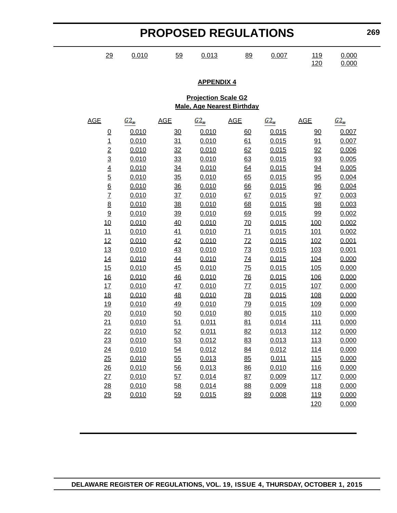| <b>PROPOSED REGULATIONS</b> |                 |          |                |                            |                                   |               | 269               |                |  |
|-----------------------------|-----------------|----------|----------------|----------------------------|-----------------------------------|---------------|-------------------|----------------|--|
|                             | 29              | 0.010    | 59             | 0.013                      | 89                                | 0.007         | 119<br><u>120</u> | 0.000<br>0.000 |  |
|                             |                 |          |                | <b>APPENDIX 4</b>          |                                   |               |                   |                |  |
|                             |                 |          |                | <b>Projection Scale G2</b> |                                   |               |                   |                |  |
|                             |                 |          |                |                            | <b>Male, Age Nearest Birthday</b> |               |                   |                |  |
| <b>AGE</b>                  |                 | $G2_{x}$ | <b>AGE</b>     | $G2_{x}$                   | <b>AGE</b>                        | $G2_{\infty}$ | <b>AGE</b>        | $G2_{\ast}$    |  |
|                             | $\overline{0}$  | 0.010    | $\frac{30}{2}$ | 0.010                      | 60                                | 0.015         | $\overline{90}$   | 0.007          |  |
|                             | $\overline{1}$  | 0.010    | 31             | 0.010                      | 61                                | 0.015         | 91                | 0.007          |  |
|                             | $\overline{2}$  | 0.010    | 32             | 0.010                      | 62                                | 0.015         | 92                | 0.006          |  |
|                             | $\overline{3}$  | 0.010    | $\frac{33}{2}$ | 0.010                      | 63                                | 0.015         | 93                | 0.005          |  |
|                             | $\overline{4}$  | 0.010    | $\frac{34}{5}$ | 0.010                      | 64                                | 0.015         | 94                | 0.005          |  |
|                             | $\overline{5}$  | 0.010    | $\frac{35}{5}$ | 0.010                      | 65                                | 0.015         | 95                | 0.004          |  |
|                             | $\underline{6}$ | 0.010    | $\frac{36}{5}$ | 0.010                      | 66                                | 0.015         | $\frac{96}{9}$    | 0.004          |  |
|                             | $\overline{1}$  | 0.010    | $\frac{37}{2}$ | 0.010                      | 67                                | 0.015         | 97                | 0.003          |  |
|                             | $\underline{8}$ | 0.010    | $\frac{38}{5}$ | 0.010                      | <u>68</u>                         | 0.015         | <u>98</u>         | 0.003          |  |
|                             | 9               | 0.010    | <u>39</u>      | 0.010                      | 69                                | 0.015         | <u>99</u>         | 0.002          |  |
|                             | 10              | 0.010    | 40             | 0.010                      | 70                                | 0.015         | <u>100</u>        | 0.002          |  |
|                             | 11              | 0.010    | 41             | 0.010                      | $\underline{71}$                  | 0.015         | <u>101</u>        | 0.002          |  |
|                             | 12              | 0.010    | 42             | 0.010                      | 72                                | 0.015         | 102               | 0.001          |  |
|                             | 13              | 0.010    | $\frac{43}{5}$ | 0.010                      | 73                                | 0.015         | 103               | 0.001          |  |
|                             | 14              | 0.010    | <u>44</u>      | 0.010                      | <u>74</u>                         | 0.015         | <u>104</u>        | 0.000          |  |
|                             | 15              | 0.010    | $\frac{45}{5}$ | 0.010                      | $\overline{75}$                   | 0.015         | 105               | 0.000          |  |
|                             | 16              | 0.010    | $\frac{46}{5}$ | 0.010                      | $\overline{76}$                   | 0.015         | 106               | 0.000          |  |
|                             | 17              | 0.010    | $\frac{47}{1}$ | 0.010                      | <u>77</u>                         | 0.015         | 107               | 0.000          |  |
|                             | <u>18</u>       | 0.010    | <u>48</u>      | 0.010                      | <u>78</u>                         | 0.015         | <u>108</u>        | 0.000          |  |
|                             | <u>19</u>       | 0.010    | 49             | 0.010                      | <u>79</u>                         | 0.015         | <u>109</u>        | 0.000          |  |
|                             | 20              | 0.010    | 50             | 0.010                      | 80                                | 0.015         | <u>110</u>        | 0.000          |  |
|                             | 21              | 0.010    | 51             | 0.011                      | 81                                | 0.014         | 111               | 0.000          |  |
|                             | 22              | 0.010    | 52             | 0.011                      | 82                                | 0.013         | 112               | 0.000          |  |
|                             | 23              | 0.010    | <u>53</u>      | 0.012                      | 83                                | 0.013         | 113               | 0.000          |  |
|                             | 24              | 0.010    | 54             | 0.012                      | 84                                | 0.012         | <u>114</u>        | 0.000          |  |
|                             | 25              | 0.010    | 55             | 0.013                      | 85                                | 0.011         | 115               | 0.000          |  |
|                             | $\frac{26}{5}$  | 0.010    | 56             | 0.013                      | 86                                | 0.010         | <u>116</u>        | 0.000          |  |
|                             | 27              | 0.010    | 57             | 0.014                      | 87                                | 0.009         | 117               | 0.000          |  |
|                             | 28              | 0.010    | 58             | 0.014                      | 88                                | 0.009         | <u>118</u>        | 0.000          |  |
|                             | 29              | 0.010    | <u>59</u>      | 0.015                      | 89                                | 0.008         | <u>119</u>        | 0.000          |  |
|                             |                 |          |                |                            |                                   |               | 120               | 0.000          |  |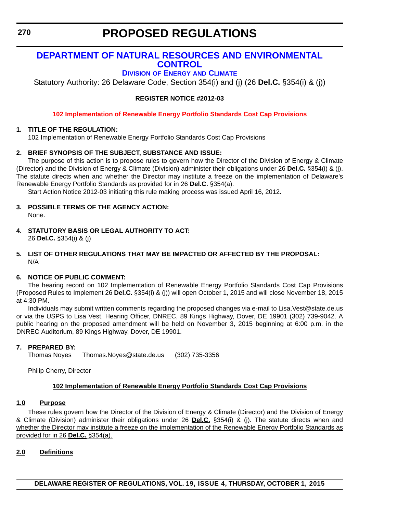# **[DEPARTMENT OF NATURAL RESOURCES AND ENVIRONMENTAL](http://www.dnrec.delaware.gov/energy/Pages/portal.aspx)  CONTROL**

# **DIVISION OF ENERGY AND CLIMATE**

Statutory Authority: 26 Delaware Code, Section 354(i) and (j) (26 **Del.C.** §354(i) & (j))

**REGISTER NOTICE #2012-03**

**[102 Implementation of Renewable Energy Portfolio Standards Cost Cap Provisions](#page-3-0)**

### **1. TITLE OF THE REGULATION:**

102 Implementation of Renewable Energy Portfolio Standards Cost Cap Provisions

## **2. BRIEF SYNOPSIS OF THE SUBJECT, SUBSTANCE AND ISSUE:**

The purpose of this action is to propose rules to govern how the Director of the Division of Energy & Climate (Director) and the Division of Energy & Climate (Division) administer their obligations under 26 **Del.C.** §354(i) & (j). The statute directs when and whether the Director may institute a freeze on the implementation of Delaware's Renewable Energy Portfolio Standards as provided for in 26 **Del.C.** §354(a).

Start Action Notice 2012-03 initiating this rule making process was issued April 16, 2012.

- **3. POSSIBLE TERMS OF THE AGENCY ACTION:** None.
- **4. STATUTORY BASIS OR LEGAL AUTHORITY TO ACT:**  26 **Del.C.** §354(i) & (j)

#### **5. LIST OF OTHER REGULATIONS THAT MAY BE IMPACTED OR AFFECTED BY THE PROPOSAL:** N/A

#### **6. NOTICE OF PUBLIC COMMENT:**

The hearing record on 102 Implementation of Renewable Energy Portfolio Standards Cost Cap Provisions (Proposed Rules to Implement 26 **Del.C.** §354(i) & (j)) will open October 1, 2015 and will close November 18, 2015 at 4:30 PM.

Individuals may submit written comments regarding the proposed changes via e-mail to Lisa.Vest@state.de.us or via the USPS to Lisa Vest, Hearing Officer, DNREC, 89 Kings Highway, Dover, DE 19901 (302) 739-9042. A public hearing on the proposed amendment will be held on November 3, 2015 beginning at 6:00 p.m. in the DNREC Auditorium, 89 Kings Highway, Dover, DE 19901.

#### **7. PREPARED BY:**

Thomas Noyes Thomas.Noyes@state.de.us (302) 735-3356

Philip Cherry, Director

## **102 Implementation of Renewable Energy Portfolio Standards Cost Cap Provisions**

#### **1.0 Purpose**

These rules govern how the Director of the Division of Energy & Climate (Director) and the Division of Energy & Climate (Division) administer their obligations under 26 **Del.C.** §354(i) & (j). The statute directs when and whether the Director may institute a freeze on the implementation of the Renewable Energy Portfolio Standards as provided for in 26 **Del.C.** §354(a).

#### **2.0 Definitions**

**DELAWARE REGISTER OF REGULATIONS, VOL. 19, ISSUE 4, THURSDAY, OCTOBER 1, 2015**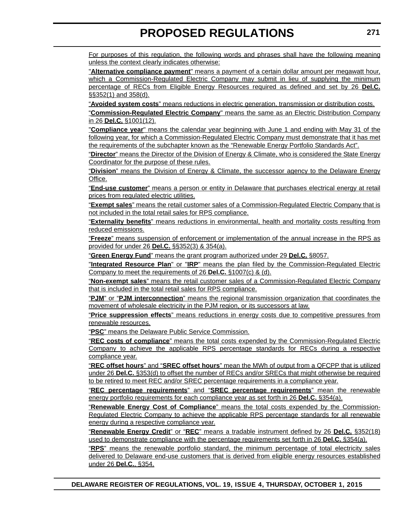For purposes of this regulation, the following words and phrases shall have the following meaning unless the context clearly indicates otherwise:

"**Alternative compliance payment**" means a payment of a certain dollar amount per megawatt hour, which a Commission-Regulated Electric Company may submit in lieu of supplying the minimum percentage of RECs from Eligible Energy Resources required as defined and set by 26 **Del.C.** §§352(1) and 358(d).

"**Avoided system costs**" means reductions in electric generation, transmission or distribution costs.

"**Commission-Regulated Electric Company**" means the same as an Electric Distribution Company in 26 **Del.C.** §1001(12).

"**Compliance year**" means the calendar year beginning with June 1 and ending with May 31 of the following year, for which a Commission-Regulated Electric Company must demonstrate that it has met the requirements of the subchapter known as the "Renewable Energy Portfolio Standards Act".

"**Director**" means the Director of the Division of Energy & Climate, who is considered the State Energy Coordinator for the purpose of these rules.

"**Division**" means the Division of Energy & Climate, the successor agency to the Delaware Energy Office.

"**End-use customer**" means a person or entity in Delaware that purchases electrical energy at retail prices from regulated electric utilities.

"**Exempt sales**" means the retail customer sales of a Commission-Regulated Electric Company that is not included in the total retail sales for RPS compliance.

"**Externality benefits**" means reductions in environmental, health and mortality costs resulting from reduced emissions.

"**Freeze**" means suspension of enforcement or implementation of the annual increase in the RPS as provided for under 26 **Del.C.** §§352(3) & 354(a).

"**Green Energy Fund**" means the grant program authorized under 29 **Del.C.** §8057.

"**Integrated Resource Plan**" or "**IRP**" means the plan filed by the Commission-Regulated Electric Company to meet the requirements of 26 **Del.C.** §1007(c) & (d).

"**Non-exempt sales**" means the retail customer sales of a Commission-Regulated Electric Company that is included in the total retail sales for RPS compliance.

"**PJM**" or "**PJM interconnection**" means the regional transmission organization that coordinates the movement of wholesale electricity in the PJM region, or its successors at law.

"**Price suppression effects**" means reductions in energy costs due to competitive pressures from renewable resources.

"**PSC**" means the Delaware Public Service Commission.

"**REC costs of compliance**" means the total costs expended by the Commission-Regulated Electric Company to achieve the applicable RPS percentage standards for RECs during a respective compliance year.

"**REC offset hours**" and "**SREC offset hours**" mean the MWh of output from a QFCPP that is utilized under 26 **Del.C.** §353(d) to offset the number of RECs and/or SRECs that might otherwise be required to be retired to meet REC and/or SREC percentage requirements in a compliance year.

"**REC percentage requirements**" and "**SREC percentage requirements**" mean the renewable energy portfolio requirements for each compliance year as set forth in 26 **Del.C.** §354(a).

"**Renewable Energy Cost of Compliance**" means the total costs expended by the Commission-Regulated Electric Company to achieve the applicable RPS percentage standards for all renewable energy during a respective compliance year.

"**Renewable Energy Credit**" or "**REC**" means a tradable instrument defined by 26 **Del.C.** §352(18) used to demonstrate compliance with the percentage requirements set forth in 26 **Del.C.** §354(a).

"**RPS**" means the renewable portfolio standard, the minimum percentage of total electricity sales delivered to Delaware end-use customers that is derived from eligible energy resources established under 26 **Del.C.**, §354.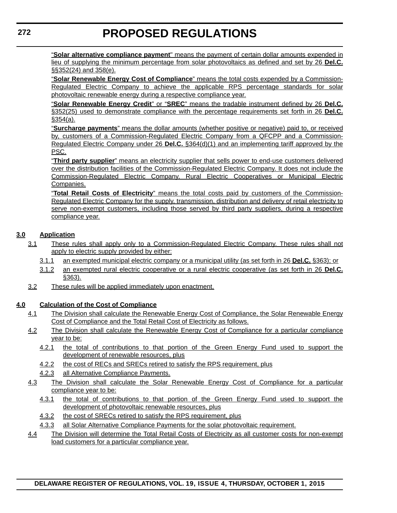"**Solar alternative compliance payment**" means the payment of certain dollar amounts expended in lieu of supplying the minimum percentage from solar photovoltaics as defined and set by 26 **Del.C.** §§352(24) and 358(e).

"**Solar Renewable Energy Cost of Compliance**" means the total costs expended by a Commission-Regulated Electric Company to achieve the applicable RPS percentage standards for solar photovoltaic renewable energy during a respective compliance year.

"**Solar Renewable Energy Credit**" or "**SREC**" means the tradable instrument defined by 26 **Del.C.** §352(25) used to demonstrate compliance with the percentage requirements set forth in 26 **Del.C.** §354(a).

"**Surcharge payments**" means the dollar amounts (whether positive or negative) paid to, or received by, customers of a Commission-Regulated Electric Company from a QFCPP and a Commission-Regulated Electric Company under 26 **Del.C.** §364(d)(1) and an implementing tariff approved by the PSC.

"**Third party supplier**" means an electricity supplier that sells power to end-use customers delivered over the distribution facilities of the Commission-Regulated Electric Company. It does not include the Commission-Regulated Electric Company, Rural Electric Cooperatives or Municipal Electric Companies.

"**Total Retail Costs of Electricity**" means the total costs paid by customers of the Commission-Regulated Electric Company for the supply, transmission, distribution and delivery of retail electricity to serve non-exempt customers, including those served by third party suppliers, during a respective compliance year.

# **3.0 Application**

- 3.1 These rules shall apply only to a Commission-Regulated Electric Company. These rules shall not apply to electric supply provided by either:
	- 3.1.1 an exempted municipal electric company or a municipal utility (as set forth in 26 **Del.C.** §363); or
	- 3.1.2 an exempted rural electric cooperative or a rural electric cooperative (as set forth in 26 **Del.C.** §363).
- 3.2 These rules will be applied immediately upon enactment.

## **4.0 Calculation of the Cost of Compliance**

- 4.1 The Division shall calculate the Renewable Energy Cost of Compliance, the Solar Renewable Energy Cost of Compliance and the Total Retail Cost of Electricity as follows.
- 4.2 The Division shall calculate the Renewable Energy Cost of Compliance for a particular compliance year to be:
	- 4.2.1 the total of contributions to that portion of the Green Energy Fund used to support the development of renewable resources, plus
	- 4.2.2 the cost of RECs and SRECs retired to satisfy the RPS requirement, plus
	- 4.2.3 all Alternative Compliance Payments.
- 4.3 The Division shall calculate the Solar Renewable Energy Cost of Compliance for a particular compliance year to be:
	- 4.3.1 the total of contributions to that portion of the Green Energy Fund used to support the development of photovoltaic renewable resources, plus
	- 4.3.2 the cost of SRECs retired to satisfy the RPS requirement, plus
	- 4.3.3 all Solar Alternative Compliance Payments for the solar photovoltaic requirement.
- 4.4 The Division will determine the Total Retail Costs of Electricity as all customer costs for non-exempt load customers for a particular compliance year.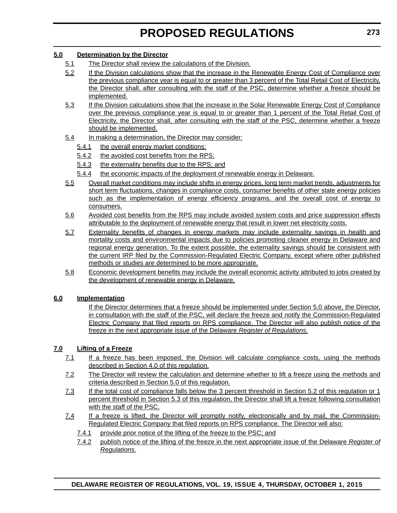### **5.0 Determination by the Director**

- 5.1 The Director shall review the calculations of the Division.
- 5.2 If the Division calculations show that the increase in the Renewable Energy Cost of Compliance over the previous compliance year is equal to or greater than 3 percent of the Total Retail Cost of Electricity, the Director shall, after consulting with the staff of the PSC, determine whether a freeze should be implemented.
- 5.3 If the Division calculations show that the increase in the Solar Renewable Energy Cost of Compliance over the previous compliance year is equal to or greater than 1 percent of the Total Retail Cost of Electricity, the Director shall, after consulting with the staff of the PSC, determine whether a freeze should be implemented.
- 5.4 In making a determination, the Director may consider:
	- 5.4.1 the overall energy market conditions;
	- 5.4.2 the avoided cost benefits from the RPS;
	- 5.4.3 the externality benefits due to the RPS; and
	- 5.4.4 the economic impacts of the deployment of renewable energy in Delaware.
- 5.5 Overall market conditions may include shifts in energy prices, long term market trends, adjustments for short term fluctuations, changes in compliance costs, consumer benefits of other state energy policies such as the implementation of energy efficiency programs, and the overall cost of energy to consumers.
- 5.6 Avoided cost benefits from the RPS may include avoided system costs and price suppression effects attributable to the deployment of renewable energy that result in lower net electricity costs.
- 5.7 Externality benefits of changes in energy markets may include externality savings in health and mortality costs and environmental impacts due to policies promoting cleaner energy in Delaware and regional energy generation. To the extent possible, the externality savings should be consistent with the current IRP filed by the Commission-Regulated Electric Company, except where other published methods or studies are determined to be more appropriate.
- 5.8 Economic development benefits may include the overall economic activity attributed to jobs created by the development of renewable energy in Delaware.

## **6.0 Implementation**

If the Director determines that a freeze should be implemented under Section 5.0 above, the Director, in consultation with the staff of the PSC, will declare the freeze and notify the Commission-Regulated Electric Company that filed reports on RPS compliance. The Director will also publish notice of the freeze in the next appropriate issue of the Delaware *Register of Regulations*.

## **7.0 Lifting of a Freeze**

- 7.1 If a freeze has been imposed, the Division will calculate compliance costs, using the methods described in Section 4.0 of this regulation.
- 7.2 The Director will review the calculation and determine whether to lift a freeze using the methods and criteria described in Section 5.0 of this regulation.
- 7.3 If the total cost of compliance falls below the 3 percent threshold in Section 5.2 of this regulation or 1 percent threshold in Section 5.3 of this regulation, the Director shall lift a freeze following consultation with the staff of the PSC.
- 7.4 If a freeze is lifted, the Director will promptly notify, electronically and by mail, the Commission-Regulated Electric Company that filed reports on RPS compliance. The Director will also:
	- 7.4.1 provide prior notice of the lifting of the freeze to the PSC; and
	- 7.4.2 publish notice of the lifting of the freeze in the next appropriate issue of the Delaware *Register of Regulations*.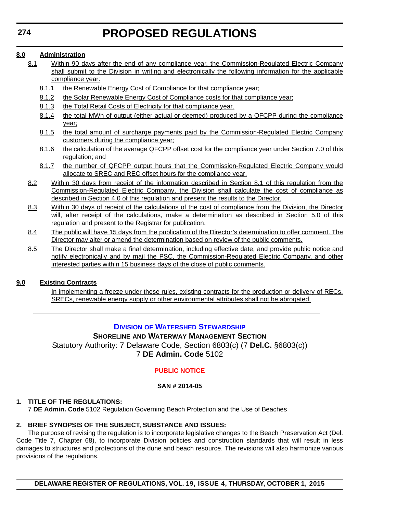## **8.0 Administration**

- 8.1 Within 90 days after the end of any compliance year, the Commission-Regulated Electric Company shall submit to the Division in writing and electronically the following information for the applicable compliance year:
	- 8.1.1 the Renewable Energy Cost of Compliance for that compliance year;
	- 8.1.2 the Solar Renewable Energy Cost of Compliance costs for that compliance year;
	- 8.1.3 the Total Retail Costs of Electricity for that compliance year.
	- 8.1.4 the total MWh of output (either actual or deemed) produced by a QFCPP during the compliance year;
	- 8.1.5 the total amount of surcharge payments paid by the Commission-Regulated Electric Company customers during the compliance year;
	- 8.1.6 the calculation of the average QFCPP offset cost for the compliance year under Section 7.0 of this regulation; and
	- 8.1.7 the number of QFCPP output hours that the Commission-Regulated Electric Company would allocate to SREC and REC offset hours for the compliance year.
- 8.2 Within 30 days from receipt of the information described in Section 8.1 of this regulation from the Commission-Regulated Electric Company, the Division shall calculate the cost of compliance as described in Section 4.0 of this regulation and present the results to the Director.
- 8.3 Within 30 days of receipt of the calculations of the cost of compliance from the Division, the Director will, after receipt of the calculations, make a determination as described in Section 5.0 of this regulation and present to the Registrar for publication.
- 8.4 The public will have 15 days from the publication of the Director's determination to offer comment. The Director may alter or amend the determination based on review of the public comments.
- 8.5 The Director shall make a final determination, including effective date, and provide public notice and notify electronically and by mail the PSC, the Commission-Regulated Electric Company, and other interested parties within 15 business days of the close of public comments.

## **9.0 Existing Contracts**

In implementing a freeze under these rules, existing contracts for the production or delivery of RECs, SRECs, renewable energy supply or other environmental attributes shall not be abrogated.

# **DIVISION [OF WATERSHED STEWARDSHIP](http://www.dnrec.delaware.gov/swc/Pages/portal.aspx)**

#### **SHORELINE AND WATERWAY MANAGEMENT SECTION** Statutory Authority: 7 Delaware Code, Section 6803(c) (7 **Del.C.** §6803(c)) 7 **DE Admin. Code** 5102

# **[PUBLIC NOTICE](#page-3-0)**

## **SAN # 2014-05**

## **1. TITLE OF THE REGULATIONS:**

7 **DE Admin. Code** 5102 Regulation Governing Beach Protection and the Use of Beaches

## **2. BRIEF SYNOPSIS OF THE SUBJECT, SUBSTANCE AND ISSUES:**

The purpose of revising the regulation is to incorporate legislative changes to the Beach Preservation Act (Del. Code Title 7, Chapter 68), to incorporate Division policies and construction standards that will result in less damages to structures and protections of the dune and beach resource. The revisions will also harmonize various provisions of the regulations.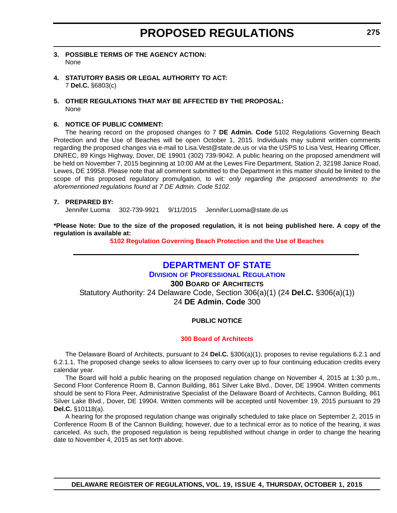- **3. POSSIBLE TERMS OF THE AGENCY ACTION:** None
- **4. STATUTORY BASIS OR LEGAL AUTHORITY TO ACT:** 7 **Del.C.** §6803(c)
- **5. OTHER REGULATIONS THAT MAY BE AFFECTED BY THE PROPOSAL:** None

#### **6. NOTICE OF PUBLIC COMMENT:**

The hearing record on the proposed changes to 7 **DE Admin. Code** 5102 Regulations Governing Beach Protection and the Use of Beaches will be open October 1, 2015. Individuals may submit written comments regarding the proposed changes via e-mail to Lisa.Vest@state.de.us or via the USPS to Lisa Vest, Hearing Officer, DNREC, 89 Kings Highway, Dover, DE 19901 (302) 739-9042. A public hearing on the proposed amendment will be held on November 7, 2015 beginning at 10:00 AM at the Lewes Fire Department, Station 2, 32198 Janice Road, Lewes, DE 19958. Please note that all comment submitted to the Department in this matter should be limited to the scope of this proposed regulatory promulgation, to wit: *only regarding the proposed amendments to the aforementioned regulations found at 7 DE Admin. Code 5102.*

#### **7. PREPARED BY:**

Jennifer Luoma 302-739-9921 9/11/2015 Jennifer.Luoma@state.de.us

**\*Please Note: Due to the size of the proposed regulation, it is not being published here. A copy of the regulation is available at:**

**[5102 Regulation Governing Beach Protection and the Use of Beaches](http://regulations.delaware.gov/register/october2015/proposed/19 DE Reg 274 10-01-15.htm)**

# **[DEPARTMENT OF STATE](http://dpr.delaware.gov/)**

**DIVISION OF PROFESSIONAL REGULATION 300 BOARD OF ARCHITECTS** Statutory Authority: 24 Delaware Code, Section 306(a)(1) (24 **Del.C.** §306(a)(1)) 24 **DE Admin. Code** 300

#### **PUBLIC NOTICE**

#### **[300 Board of Architects](#page-3-0)**

The Delaware Board of Architects, pursuant to 24 **Del.C.** §306(a)(1), proposes to revise regulations 6.2.1 and 6.2.1.1. The proposed change seeks to allow licensees to carry over up to four continuing education credits every calendar year.

The Board will hold a public hearing on the proposed regulation change on November 4, 2015 at 1:30 p.m., Second Floor Conference Room B, Cannon Building, 861 Silver Lake Blvd., Dover, DE 19904. Written comments should be sent to Flora Peer, Administrative Specialist of the Delaware Board of Architects, Cannon Building, 861 Silver Lake Blvd., Dover, DE 19904. Written comments will be accepted until November 19, 2015 pursuant to 29 **Del.C.** §10118(a).

A hearing for the proposed regulation change was originally scheduled to take place on September 2, 2015 in Conference Room B of the Cannon Building; however, due to a technical error as to notice of the hearing, it was canceled. As such, the proposed regulation is being republished without change in order to change the hearing date to November 4, 2015 as set forth above.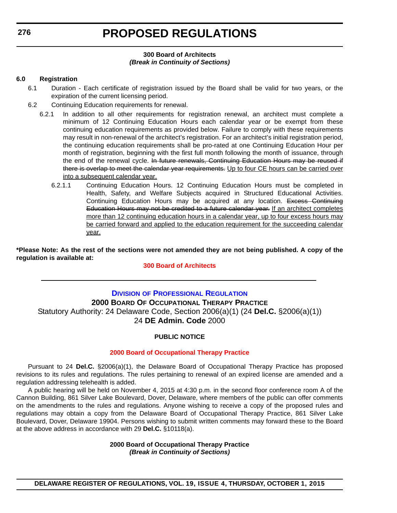#### **300 Board of Architects** *(Break in Continuity of Sections)*

#### **6.0 Registration**

- 6.1 Duration Each certificate of registration issued by the Board shall be valid for two years, or the expiration of the current licensing period.
- 6.2 Continuing Education requirements for renewal.
	- 6.2.1 In addition to all other requirements for registration renewal, an architect must complete a minimum of 12 Continuing Education Hours each calendar year or be exempt from these continuing education requirements as provided below. Failure to comply with these requirements may result in non-renewal of the architect's registration. For an architect's initial registration period, the continuing education requirements shall be pro-rated at one Continuing Education Hour per month of registration, beginning with the first full month following the month of issuance, through the end of the renewal cycle. In future renewals, Continuing Education Hours may be reused if there is overlap to meet the calendar year requirements. Up to four CE hours can be carried over into a subsequent calendar year.
		- 6.2.1.1 Continuing Education Hours. 12 Continuing Education Hours must be completed in Health, Safety, and Welfare Subjects acquired in Structured Educational Activities. Continuing Education Hours may be acquired at any location. Excess Continuing Education Hours may not be credited to a future calendar year. If an architect completes more than 12 continuing education hours in a calendar year, up to four excess hours may be carried forward and applied to the education requirement for the succeeding calendar year.

**\*Please Note: As the rest of the sections were not amended they are not being published. A copy of the regulation is available at:**

#### **[300 Board of Architects](http://regulations.delaware.gov/register/october2015/proposed/19 DE Reg 275 10-01-15.htm)**

# **DIVISION [OF PROFESSIONAL REGULATION](http://dpr.delaware.gov/) 2000 BOARD OF OCCUPATIONAL THERAPY PRACTICE** Statutory Authority: 24 Delaware Code, Section 2006(a)(1) (24 **Del.C.** §2006(a)(1)) 24 **DE Admin. Code** 2000

#### **PUBLIC NOTICE**

#### **[2000 Board of Occupational Therapy Practice](#page-3-0)**

Pursuant to 24 **Del.C.** §2006(a)(1), the Delaware Board of Occupational Therapy Practice has proposed revisions to its rules and regulations. The rules pertaining to renewal of an expired license are amended and a regulation addressing telehealth is added.

A public hearing will be held on November 4, 2015 at 4:30 p.m. in the second floor conference room A of the Cannon Building, 861 Silver Lake Boulevard, Dover, Delaware, where members of the public can offer comments on the amendments to the rules and regulations. Anyone wishing to receive a copy of the proposed rules and regulations may obtain a copy from the Delaware Board of Occupational Therapy Practice, 861 Silver Lake Boulevard, Dover, Delaware 19904. Persons wishing to submit written comments may forward these to the Board at the above address in accordance with 29 **Del.C.** §10118(a).

> **2000 Board of Occupational Therapy Practice** *(Break in Continuity of Sections)*

**DELAWARE REGISTER OF REGULATIONS, VOL. 19, ISSUE 4, THURSDAY, OCTOBER 1, 2015**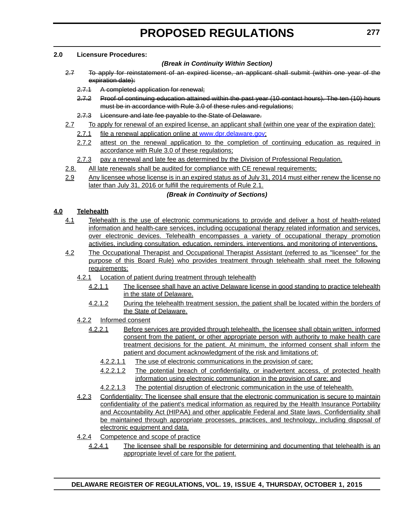#### **2.0 Licensure Procedures:**

#### *(Break in Continuity Within Section)*

- 2.7 To apply for reinstatement of an expired license, an applicant shall submit (within one year of the expiration date):
	- 2.7.1 A completed application for renewal;
	- 2.7.2 Proof of continuing education attained within the past year (10 contact hours). The ten (10) hours must be in accordance with Rule 3.0 of these rules and regulations;
	- 2.7.3 Licensure and late fee payable to the State of Delaware.
- 2.7 To apply for renewal of an expired license, an applicant shall (within one year of the expiration date):
	- 2.7.1 file a renewal application online at [www.dpr.delaware.gov;](http://www.dpr.delaware.gov)
	- 2.7.2 attest on the renewal application to the completion of continuing education as required in accordance with Rule 3.0 of these regulations;
	- 2.7.3 pay a renewal and late fee as determined by the Division of Professional Regulation.
- 2.8. All late renewals shall be audited for compliance with CE renewal requirements;
- 2.9 Any licensee whose license is in an expired status as of July 31, 2014 must either renew the license no later than July 31, 2016 or fulfill the requirements of Rule 2.1.

### *(Break in Continuity of Sections)*

### **4.0 Telehealth**

- 4.1 Telehealth is the use of electronic communications to provide and deliver a host of health-related information and health-care services, including occupational therapy related information and services, over electronic devices. Telehealth encompasses a variety of occupational therapy promotion activities, including consultation, education, reminders, interventions, and monitoring of interventions.
- 4.2 The Occupational Therapist and Occupational Therapist Assistant (referred to as "licensee" for the purpose of this Board Rule) who provides treatment through telehealth shall meet the following requirements:
	- 4.2.1 Location of patient during treatment through telehealth
		- 4.2.1.1 The licensee shall have an active Delaware license in good standing to practice telehealth in the state of Delaware.
		- 4.2.1.2 During the telehealth treatment session, the patient shall be located within the borders of the State of Delaware.
	- 4.2.2 Informed consent
		- 4.2.2.1 Before services are provided through telehealth, the licensee shall obtain written, informed consent from the patient, or other appropriate person with authority to make health care treatment decisions for the patient. At minimum, the informed consent shall inform the patient and document acknowledgment of the risk and limitations of:
			- 4.2.2.1.1 The use of electronic communications in the provision of care;
			- 4.2.2.1.2 The potential breach of confidentiality, or inadvertent access, of protected health information using electronic communication in the provision of care; and
			- 4.2.2.1.3 The potential disruption of electronic communication in the use of telehealth.
	- 4.2.3 Confidentiality: The licensee shall ensure that the electronic communication is secure to maintain confidentiality of the patient's medical information as required by the Health Insurance Portability and Accountability Act (HIPAA) and other applicable Federal and State laws. Confidentiality shall be maintained through appropriate processes, practices, and technology, including disposal of electronic equipment and data.
	- 4.2.4 Competence and scope of practice
		- 4.2.4.1 The licensee shall be responsible for determining and documenting that telehealth is an appropriate level of care for the patient.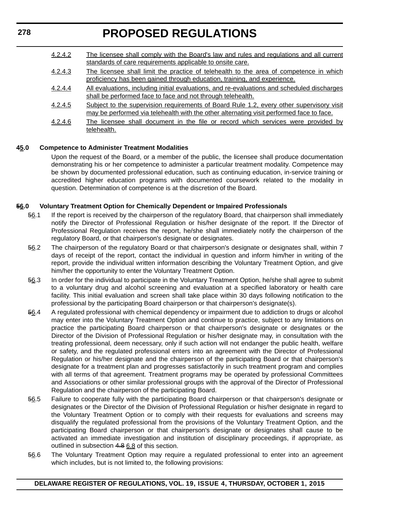| 4.2.4.2 | The licensee shall comply with the Board's law and rules and regulations and all current<br>standards of care requirements applicable to onsite care.                                |
|---------|--------------------------------------------------------------------------------------------------------------------------------------------------------------------------------------|
| 4.2.4.3 | The licensee shall limit the practice of telehealth to the area of competence in which<br>proficiency has been gained through education, training, and experience.                   |
| 4.2.4.4 | All evaluations, including initial evaluations, and re-evaluations and scheduled discharges<br>shall be performed face to face and not through telehealth.                           |
| 4.2.4.5 | Subject to the supervision requirements of Board Rule 1.2, every other supervisory visit<br>may be performed via telehealth with the other alternating visit performed face to face. |
| 4.2.4.6 | The licensee shall document in the file or record which services were provided by<br>telehealth.                                                                                     |

#### **45.0 Competence to Administer Treatment Modalities**

Upon the request of the Board, or a member of the public, the licensee shall produce documentation demonstrating his or her competence to administer a particular treatment modality. Competence may be shown by documented professional education, such as continuing education, in-service training or accredited higher education programs with documented coursework related to the modality in question. Determination of competence is at the discretion of the Board.

#### **56.0 Voluntary Treatment Option for Chemically Dependent or Impaired Professionals**

- 56.1 If the report is received by the chairperson of the regulatory Board, that chairperson shall immediately notify the Director of Professional Regulation or his/her designate of the report. If the Director of Professional Regulation receives the report, he/she shall immediately notify the chairperson of the regulatory Board, or that chairperson's designate or designates.
- 56.2 The chairperson of the regulatory Board or that chairperson's designate or designates shall, within 7 days of receipt of the report, contact the individual in question and inform him/her in writing of the report, provide the individual written information describing the Voluntary Treatment Option, and give him/her the opportunity to enter the Voluntary Treatment Option.
- 56.3 In order for the individual to participate in the Voluntary Treatment Option, he/she shall agree to submit to a voluntary drug and alcohol screening and evaluation at a specified laboratory or health care facility. This initial evaluation and screen shall take place within 30 days following notification to the professional by the participating Board chairperson or that chairperson's designate(s).
- 56.4 A regulated professional with chemical dependency or impairment due to addiction to drugs or alcohol may enter into the Voluntary Treatment Option and continue to practice, subject to any limitations on practice the participating Board chairperson or that chairperson's designate or designates or the Director of the Division of Professional Regulation or his/her designate may, in consultation with the treating professional, deem necessary, only if such action will not endanger the public health, welfare or safety, and the regulated professional enters into an agreement with the Director of Professional Regulation or his/her designate and the chairperson of the participating Board or that chairperson's designate for a treatment plan and progresses satisfactorily in such treatment program and complies with all terms of that agreement. Treatment programs may be operated by professional Committees and Associations or other similar professional groups with the approval of the Director of Professional Regulation and the chairperson of the participating Board.
- 56.5 Failure to cooperate fully with the participating Board chairperson or that chairperson's designate or designates or the Director of the Division of Professional Regulation or his/her designate in regard to the Voluntary Treatment Option or to comply with their requests for evaluations and screens may disqualify the regulated professional from the provisions of the Voluntary Treatment Option, and the participating Board chairperson or that chairperson's designate or designates shall cause to be activated an immediate investigation and institution of disciplinary proceedings, if appropriate, as outlined in subsection 4.8 6.8 of this section.
- 56.6 The Voluntary Treatment Option may require a regulated professional to enter into an agreement which includes, but is not limited to, the following provisions:

**278**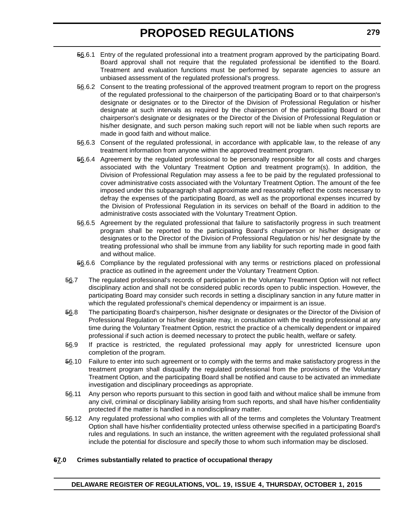- 56.6.1 Entry of the regulated professional into a treatment program approved by the participating Board. Board approval shall not require that the regulated professional be identified to the Board. Treatment and evaluation functions must be performed by separate agencies to assure an unbiased assessment of the regulated professional's progress.
- 56.6.2 Consent to the treating professional of the approved treatment program to report on the progress of the regulated professional to the chairperson of the participating Board or to that chairperson's designate or designates or to the Director of the Division of Professional Regulation or his/her designate at such intervals as required by the chairperson of the participating Board or that chairperson's designate or designates or the Director of the Division of Professional Regulation or his/her designate, and such person making such report will not be liable when such reports are made in good faith and without malice.
- 56.6.3 Consent of the regulated professional, in accordance with applicable law, to the release of any treatment information from anyone within the approved treatment program.
- 56.6.4 Agreement by the regulated professional to be personally responsible for all costs and charges associated with the Voluntary Treatment Option and treatment program(s). In addition, the Division of Professional Regulation may assess a fee to be paid by the regulated professional to cover administrative costs associated with the Voluntary Treatment Option. The amount of the fee imposed under this subparagraph shall approximate and reasonably reflect the costs necessary to defray the expenses of the participating Board, as well as the proportional expenses incurred by the Division of Professional Regulation in its services on behalf of the Board in addition to the administrative costs associated with the Voluntary Treatment Option.
- 56.6.5 Agreement by the regulated professional that failure to satisfactorily progress in such treatment program shall be reported to the participating Board's chairperson or his/her designate or designates or to the Director of the Division of Professional Regulation or his/ her designate by the treating professional who shall be immune from any liability for such reporting made in good faith and without malice.
- 56.6.6 Compliance by the regulated professional with any terms or restrictions placed on professional practice as outlined in the agreement under the Voluntary Treatment Option.
- 56.7 The regulated professional's records of participation in the Voluntary Treatment Option will not reflect disciplinary action and shall not be considered public records open to public inspection. However, the participating Board may consider such records in setting a disciplinary sanction in any future matter in which the regulated professional's chemical dependency or impairment is an issue.
- 56.8 The participating Board's chairperson, his/her designate or designates or the Director of the Division of Professional Regulation or his/her designate may, in consultation with the treating professional at any time during the Voluntary Treatment Option, restrict the practice of a chemically dependent or impaired professional if such action is deemed necessary to protect the public health, welfare or safety.
- 56.9 If practice is restricted, the regulated professional may apply for unrestricted licensure upon completion of the program.
- 56.10 Failure to enter into such agreement or to comply with the terms and make satisfactory progress in the treatment program shall disqualify the regulated professional from the provisions of the Voluntary Treatment Option, and the participating Board shall be notified and cause to be activated an immediate investigation and disciplinary proceedings as appropriate.
- 56.11 Any person who reports pursuant to this section in good faith and without malice shall be immune from any civil, criminal or disciplinary liability arising from such reports, and shall have his/her confidentiality protected if the matter is handled in a nondisciplinary matter.
- 56.12 Any regulated professional who complies with all of the terms and completes the Voluntary Treatment Option shall have his/her confidentiality protected unless otherwise specified in a participating Board's rules and regulations. In such an instance, the written agreement with the regulated professional shall include the potential for disclosure and specify those to whom such information may be disclosed.

#### **67.0 Crimes substantially related to practice of occupational therapy**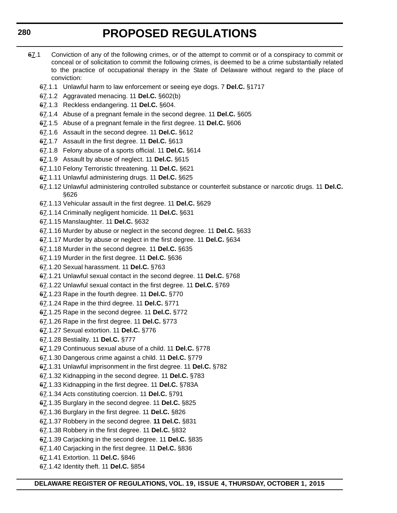- 67.1 Conviction of any of the following crimes, or of the attempt to commit or of a conspiracy to commit or conceal or of solicitation to commit the following crimes, is deemed to be a crime substantially related to the practice of occupational therapy in the State of Delaware without regard to the place of conviction:
	- 67.1.1 Unlawful harm to law enforcement or seeing eye dogs. 7 **Del.C.** §1717
	- 67.1.2 Aggravated menacing. 11 **Del.C.** §602(b)
	- 67.1.3 Reckless endangering. 11 **Del.C.** §604.
	- 67.1.4 Abuse of a pregnant female in the second degree. 11 **Del.C.** §605
	- 67.1.5 Abuse of a pregnant female in the first degree. 11 **Del.C.** §606
	- 67.1.6 Assault in the second degree. 11 **Del.C.** §612
	- 67.1.7 Assault in the first degree. 11 **Del.C.** §613
	- 67.1.8 Felony abuse of a sports official. 11 **Del.C.** §614
	- 67.1.9 Assault by abuse of neglect. 11 **Del.C.** §615
	- 67.1.10 Felony Terroristic threatening. 11 **Del.C.** §621
	- 67.1.11 Unlawful administering drugs. 11 **Del.C.** §625
	- 67.1.12 Unlawful administering controlled substance or counterfeit substance or narcotic drugs. 11 **Del.C.** §626
	- 67.1.13 Vehicular assault in the first degree. 11 **Del.C.** §629
	- 67.1.14 Criminally negligent homicide. 11 **Del.C.** §631
	- 67.1.15 Manslaughter. 11 **Del.C.** §632
	- 67.1.16 Murder by abuse or neglect in the second degree. 11 **Del.C.** §633
	- 67.1.17 Murder by abuse or neglect in the first degree. 11 **Del.C.** §634
	- 67.1.18 Murder in the second degree. 11 **Del.C.** §635
	- 67.1.19 Murder in the first degree. 11 **Del.C.** §636
	- 67.1.20 Sexual harassment. 11 **Del.C.** §763
	- 67.1.21 Unlawful sexual contact in the second degree. 11 **Del.C.** §768
	- 67.1.22 Unlawful sexual contact in the first degree. 11 **Del.C.** §769
	- 67.1.23 Rape in the fourth degree. 11 **Del.C.** §770
	- 67.1.24 Rape in the third degree. 11 **Del.C.** §771
	- 67.1.25 Rape in the second degree. 11 **Del.C.** §772
	- 67.1.26 Rape in the first degree. 11 **Del.C.** §773
	- 67.1.27 Sexual extortion. 11 **Del.C.** §776
	- 67.1.28 Bestiality. 11 **Del.C.** §777
	- 67.1.29 Continuous sexual abuse of a child. 11 **Del.C.** §778
	- 67.1.30 Dangerous crime against a child. 11 **Del.C.** §779
	- 67.1.31 Unlawful imprisonment in the first degree. 11 **Del.C.** §782
	- 67.1.32 Kidnapping in the second degree. 11 **Del.C.** §783
	- 67.1.33 Kidnapping in the first degree. 11 **Del.C.** §783A
	- 67.1.34 Acts constituting coercion. 11 **Del.C.** §791
	- 67.1.35 Burglary in the second degree. 11 **Del.C.** §825
	- 67.1.36 Burglary in the first degree. 11 **Del.C.** §826
	- 67.1.37 Robbery in the second degree. **11 Del.C.** §831
	- 67.1.38 Robbery in the first degree. 11 **Del.C.** §832
	- 67.1.39 Carjacking in the second degree. 11 **Del.C.** §835
	- 67.1.40 Carjacking in the first degree. 11 **Del.C.** §836
	- 67.1.41 Extortion. 11 **Del.C.** §846
	- 67.1.42 Identity theft. 11 **Del.C.** §854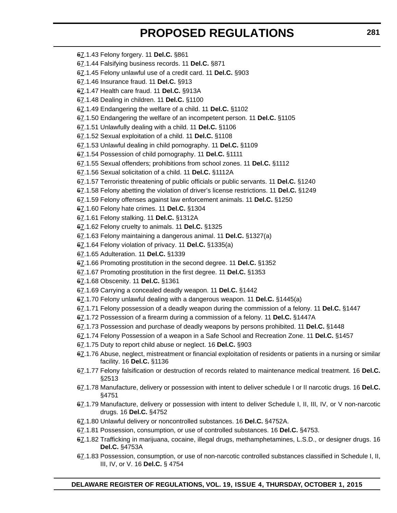- 67.1.43 Felony forgery. 11 **Del.C.** §861
- 67.1.44 Falsifying business records. 11 **Del.C.** §871
- 67.1.45 Felony unlawful use of a credit card. 11 **Del.C.** §903
- 67.1.46 Insurance fraud. 11 **Del.C.** §913
- 67.1.47 Health care fraud. 11 **Del.C.** §913A
- 67.1.48 Dealing in children. 11 **Del.C.** §1100
- 67.1.49 Endangering the welfare of a child. 11 **Del.C.** §1102
- 67.1.50 Endangering the welfare of an incompetent person. 11 **Del.C.** §1105
- 67.1.51 Unlawfully dealing with a child. 11 **Del.C.** §1106
- 67.1.52 Sexual exploitation of a child. 11 **Del.C.** §1108
- 67.1.53 Unlawful dealing in child pornography. 11 **Del.C.** §1109
- 67.1.54 Possession of child pornography. 11 **Del.C.** §1111
- 67.1.55 Sexual offenders; prohibitions from school zones. 11 **Del.C.** §1112
- 67.1.56 Sexual solicitation of a child. 11 **Del.C.** §1112A
- 67.1.57 Terroristic threatening of public officials or public servants. 11 **Del.C.** §1240
- 67.1.58 Felony abetting the violation of driver's license restrictions. 11 **Del.C.** §1249
- 67.1.59 Felony offenses against law enforcement animals. 11 **Del.C.** §1250
- 67.1.60 Felony hate crimes. 11 **Del.C.** §1304
- 67.1.61 Felony stalking. 11 **Del.C.** §1312A
- 67.1.62 Felony cruelty to animals. 11 **Del.C.** §1325
- 67.1.63 Felony maintaining a dangerous animal. 11 **Del.C.** §1327(a)
- 67.1.64 Felony violation of privacy. 11 **Del.C.** §1335(a)
- 67.1.65 Adulteration. 11 **Del.C.** §1339
- 67.1.66 Promoting prostitution in the second degree. 11 **Del.C.** §1352
- 67.1.67 Promoting prostitution in the first degree. 11 **Del.C.** §1353
- 67.1.68 Obscenity. 11 **Del.C.** §1361
- 67.1.69 Carrying a concealed deadly weapon. 11 **Del.C.** §1442
- 67.1.70 Felony unlawful dealing with a dangerous weapon. 11 **Del.C.** §1445(a)
- 67.1.71 Felony possession of a deadly weapon during the commission of a felony. 11 **Del.C.** §1447
- 67.1.72 Possession of a firearm during a commission of a felony. 11 **Del.C.** §1447A
- 67.1.73 Possession and purchase of deadly weapons by persons prohibited. 11 **Del.C.** §1448
- 67.1.74 Felony Possession of a weapon in a Safe School and Recreation Zone. 11 **Del.C.** §1457
- 67.1.75 Duty to report child abuse or neglect. 16 **Del.C.** §903
- 67.1.76 Abuse, neglect, mistreatment or financial exploitation of residents or patients in a nursing or similar facility. 16 **Del.C.** §1136
- 67.1.77 Felony falsification or destruction of records related to maintenance medical treatment. 16 **Del.C.** §2513
- 67.1.78 Manufacture, delivery or possession with intent to deliver schedule I or II narcotic drugs. 16 **Del.C.** §4751
- 67.1.79 Manufacture, delivery or possession with intent to deliver Schedule I, II, III, IV, or V non-narcotic drugs. 16 **Del.C.** §4752
- 67.1.80 Unlawful delivery or noncontrolled substances. 16 **Del.C.** §4752A.
- 67.1.81 Possession, consumption, or use of controlled substances. 16 **Del.C.** §4753.
- 67.1.82 Trafficking in marijuana, cocaine, illegal drugs, methamphetamines, L.S.D., or designer drugs. 16 **Del.C.** §4753A
- 67.1.83 Possession, consumption, or use of non-narcotic controlled substances classified in Schedule I, II, III, IV, or V. 16 **Del.C.** § 4754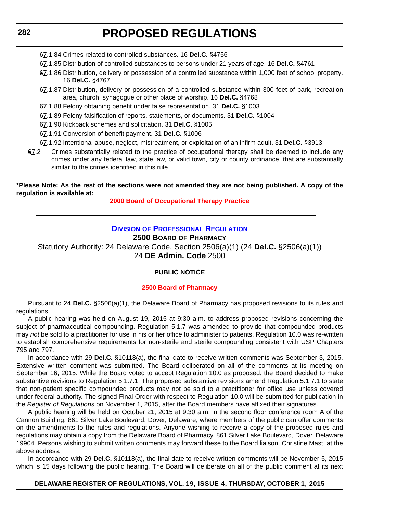## **282**

# **PROPOSED REGULATIONS**

- 67.1.84 Crimes related to controlled substances. 16 **Del.C.** §4756
- 67.1.85 Distribution of controlled substances to persons under 21 years of age. 16 **Del.C.** §4761
- 67.1.86 Distribution, delivery or possession of a controlled substance within 1,000 feet of school property. 16 **Del.C.** §4767
- 67.1.87 Distribution, delivery or possession of a controlled substance within 300 feet of park, recreation area, church, synagogue or other place of worship. 16 **Del.C.** §4768
- 67.1.88 Felony obtaining benefit under false representation. 31 **Del.C.** §1003
- 67.1.89 Felony falsification of reports, statements, or documents. 31 **Del.C.** §1004
- 67.1.90 Kickback schemes and solicitation. 31 **Del.C.** §1005
- 67.1.91 Conversion of benefit payment. 31 **Del.C.** §1006
- 67.1.92 Intentional abuse, neglect, mistreatment, or exploitation of an infirm adult. 31 **Del.C.** §3913
- 67.2 Crimes substantially related to the practice of occupational therapy shall be deemed to include any crimes under any federal law, state law, or valid town, city or county ordinance, that are substantially similar to the crimes identified in this rule.

#### **\*Please Note: As the rest of the sections were not amended they are not being published. A copy of the regulation is available at:**

#### **[2000 Board of Occupational Therapy Practice](http://regulations.delaware.gov/register/october2015/proposed/19 DE Reg 276 10-01-15.htm)**

# **DIVISION [OF PROFESSIONAL REGULATION](http://dpr.delaware.gov/)**

# **2500 BOARD OF PHARMACY**

Statutory Authority: 24 Delaware Code, Section 2506(a)(1) (24 **Del.C.** §2506(a)(1)) 24 **DE Admin. Code** 2500

#### **PUBLIC NOTICE**

#### **[2500 Board of Pharmacy](#page-3-0)**

Pursuant to 24 **Del.C.** §2506(a)(1), the Delaware Board of Pharmacy has proposed revisions to its rules and regulations.

A public hearing was held on August 19, 2015 at 9:30 a.m. to address proposed revisions concerning the subject of pharmaceutical compounding. Regulation 5.1.7 was amended to provide that compounded products may *not* be sold to a practitioner for use in his or her office to administer to patients. Regulation 10.0 was re-written to establish comprehensive requirements for non-sterile and sterile compounding consistent with USP Chapters 795 and 797.

In accordance with 29 **Del.C.** §10118(a), the final date to receive written comments was September 3, 2015. Extensive written comment was submitted. The Board deliberated on all of the comments at its meeting on September 16, 2015. While the Board voted to accept Regulation 10.0 as proposed, the Board decided to make substantive revisions to Regulation 5.1.7.1. The proposed substantive revisions amend Regulation 5.1.7.1 to state that non-patient specific compounded products may not be sold to a practitioner for office use unless covered under federal authority. The signed Final Order with respect to Regulation 10.0 will be submitted for publication in the *Register of Regulations* on November 1, 2015, after the Board members have affixed their signatures.

A public hearing will be held on October 21, 2015 at 9:30 a.m. in the second floor conference room A of the Cannon Building, 861 Silver Lake Boulevard, Dover, Delaware, where members of the public can offer comments on the amendments to the rules and regulations. Anyone wishing to receive a copy of the proposed rules and regulations may obtain a copy from the Delaware Board of Pharmacy, 861 Silver Lake Boulevard, Dover, Delaware 19904. Persons wishing to submit written comments may forward these to the Board liaison, Christine Mast, at the above address.

In accordance with 29 **Del.C.** §10118(a), the final date to receive written comments will be November 5, 2015 which is 15 days following the public hearing. The Board will deliberate on all of the public comment at its next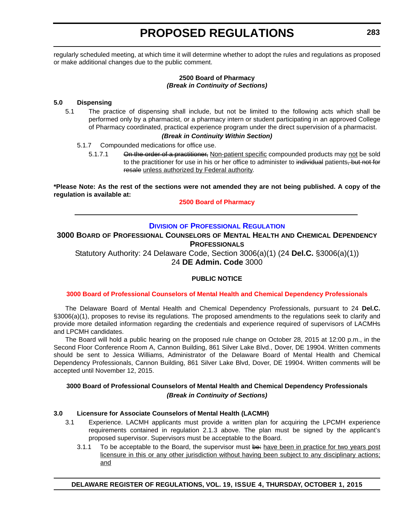regularly scheduled meeting, at which time it will determine whether to adopt the rules and regulations as proposed or make additional changes due to the public comment.

#### **2500 Board of Pharmacy** *(Break in Continuity of Sections)*

#### **5.0 Dispensing**

5.1 The practice of dispensing shall include, but not be limited to the following acts which shall be performed only by a pharmacist, or a pharmacy intern or student participating in an approved College of Pharmacy coordinated, practical experience program under the direct supervision of a pharmacist.

#### *(Break in Continuity Within Section)*

- 5.1.7 Compounded medications for office use.
	- 5.1.7.1 On the order of a practitioner, Non-patient specific compounded products may not be sold to the practitioner for use in his or her office to administer to individual patients, but not for resale unless authorized by Federal authority.

**\*Please Note: As the rest of the sections were not amended they are not being published. A copy of the regulation is available at:**

**[2500 Board of Pharmacy](http://regulations.delaware.gov/register/october2015/proposed/19 DE Reg 282 10-01-15.htm)**

### **DIVISION [OF PROFESSIONAL REGULATION](http://dpr.delaware.gov/)**

## **3000 BOARD OF PROFESSIONAL COUNSELORS OF MENTAL HEALTH AND CHEMICAL DEPENDENCY PROFESSIONALS**

Statutory Authority: 24 Delaware Code, Section 3006(a)(1) (24 **Del.C.** §3006(a)(1)) 24 **DE Admin. Code** 3000

#### **PUBLIC NOTICE**

#### **[3000 Board of Professional Counselors of Mental Health and Chemical Dependency Professionals](#page-3-0)**

The Delaware Board of Mental Health and Chemical Dependency Professionals, pursuant to 24 **Del.C.** §3006(a)(1), proposes to revise its regulations. The proposed amendments to the regulations seek to clarify and provide more detailed information regarding the credentials and experience required of supervisors of LACMHs and LPCMH candidates.

The Board will hold a public hearing on the proposed rule change on October 28, 2015 at 12:00 p.m., in the Second Floor Conference Room A, Cannon Building, 861 Silver Lake Blvd., Dover, DE 19904. Written comments should be sent to Jessica Williams, Administrator of the Delaware Board of Mental Health and Chemical Dependency Professionals, Cannon Building, 861 Silver Lake Blvd, Dover, DE 19904. Written comments will be accepted until November 12, 2015.

#### **3000 Board of Professional Counselors of Mental Health and Chemical Dependency Professionals** *(Break in Continuity of Sections)*

#### **3.0 Licensure for Associate Counselors of Mental Health (LACMH)**

- 3.1 Experience. LACMH applicants must provide a written plan for acquiring the LPCMH experience requirements contained in regulation 2.1.3 above. The plan must be signed by the applicant's proposed supervisor. Supervisors must be acceptable to the Board.
	- 3.1.1 To be acceptable to the Board, the supervisor must be: have been in practice for two years post licensure in this or any other jurisdiction without having been subject to any disciplinary actions; and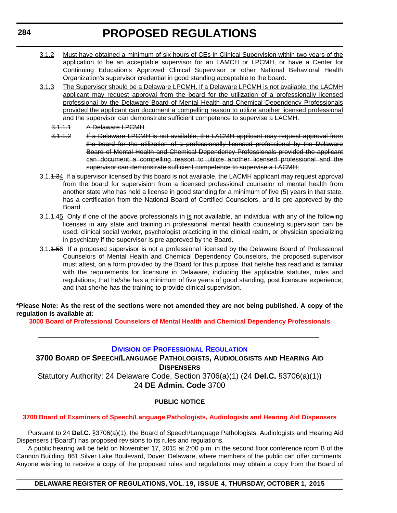- 3.1.2 Must have obtained a minimum of six hours of CEs in Clinical Supervision within two years of the application to be an acceptable supervisor for an LAMCH or LPCMH, or have a Center for Continuing Education's Approved Clinical Supervisor or other National Behavioral Health Organization's supervisor credential in good standing acceptable to the board.
- 3.1.3 The Supervisor should be a Delaware LPCMH. If a Delaware LPCMH is not available, the LACMH applicant may request approval from the board for the utilization of a professionally licensed professional by the Delaware Board of Mental Health and Chemical Dependency Professionals provided the applicant can document a compelling reason to utilize another licensed professional and the supervisor can demonstrate sufficient competence to supervise a LACMH.
	- 3.1.1.1 A Delaware LPCMH
	- 3.1.1.2 If a Delaware LPCMH is not available, the LACMH applicant may request approval from the board for the utilization of a professionally licensed professional by the Delaware Board of Mental Health and Chemical Dependency Professionals provided the applicant can document a compelling reason to utilize another licensed professional and the supervisor can demonstrate sufficient competence to supervise a LACMH;
- 3.1.<del>1.34</del> If a supervisor licensed by this board is not available, the LACMH applicant may request approval from the board for supervision from a licensed professional counselor of mental health from another state who has held a license in good standing for a minimum of five (5) years in that state, has a certification from the National Board of Certified Counselors, and is pre approved by the Board.
- 3.1.4.45 Only if one of the above professionals in is not available, an individual with any of the following licenses in any state and training in professional mental health counseling supervision can be used: clinical social worker, psychologist practicing in the clinical realm, or physician specializing in psychiatry if the supervisor is pre approved by the Board.
- 3.1.1.56 If a proposed supervisor is not a professional licensed by the Delaware Board of Professional Counselors of Mental Health and Chemical Dependency Counselors, the proposed supervisor must attest, on a form provided by the Board for this purpose, that he/she has read and is familiar with the requirements for licensure in Delaware, including the applicable statutes, rules and regulations; that he/she has a minimum of five years of good standing, post licensure experience; and that she/he has the training to provide clinical supervision.

**\*Please Note: As the rest of the sections were not amended they are not being published. A copy of the regulation is available at:**

**[3000 Board of Professional Counselors of Mental Health and Chemical Dependency Professionals](http://regulations.delaware.gov/register/october2015/proposed/19 DE Reg 283 10-01-15.htm)**

## **DIVISION [OF PROFESSIONAL REGULATION](http://dpr.delaware.gov/)**

**3700 BOARD OF SPEECH/LANGUAGE PATHOLOGISTS, AUDIOLOGISTS AND HEARING AID DISPENSERS** Statutory Authority: 24 Delaware Code, Section 3706(a)(1) (24 **Del.C.** §3706(a)(1)) 24 **DE Admin. Code** 3700

#### **PUBLIC NOTICE**

## **[3700 Board of Examiners of Speech/Language Pathologists, Audiologists and Hearing Aid Dispensers](#page-3-0)**

Pursuant to 24 **Del.C.** §3706(a)(1), the Board of Speech/Language Pathologists, Audiologists and Hearing Aid Dispensers ("Board") has proposed revisions to its rules and regulations.

A public hearing will be held on November 17, 2015 at 2:00 p.m. in the second floor conference room B of the Cannon Building, 861 Silver Lake Boulevard, Dover, Delaware, where members of the public can offer comments. Anyone wishing to receive a copy of the proposed rules and regulations may obtain a copy from the Board of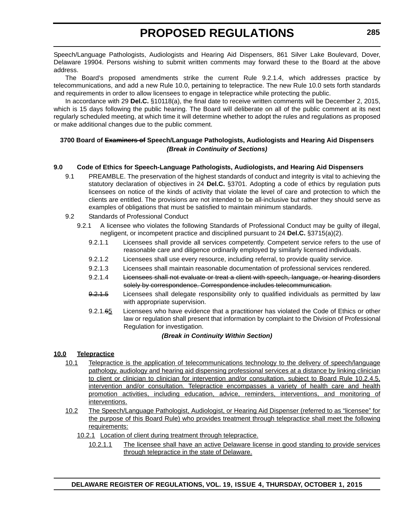Speech/Language Pathologists, Audiologists and Hearing Aid Dispensers, 861 Silver Lake Boulevard, Dover, Delaware 19904. Persons wishing to submit written comments may forward these to the Board at the above address.

The Board's proposed amendments strike the current Rule 9.2.1.4, which addresses practice by telecommunications, and add a new Rule 10.0, pertaining to telepractice. The new Rule 10.0 sets forth standards and requirements in order to allow licensees to engage in telepractice while protecting the public.

In accordance with 29 **Del.C.** §10118(a), the final date to receive written comments will be December 2, 2015, which is 15 days following the public hearing. The Board will deliberate on all of the public comment at its next regularly scheduled meeting, at which time it will determine whether to adopt the rules and regulations as proposed or make additional changes due to the public comment.

## **3700 Board of Examiners of Speech/Language Pathologists, Audiologists and Hearing Aid Dispensers** *(Break in Continuity of Sections)*

## **9.0 Code of Ethics for Speech-Language Pathologists, Audiologists, and Hearing Aid Dispensers**

- 9.1 PREAMBLE. The preservation of the highest standards of conduct and integrity is vital to achieving the statutory declaration of objectives in 24 **Del.C.** §3701. Adopting a code of ethics by regulation puts licensees on notice of the kinds of activity that violate the level of care and protection to which the clients are entitled. The provisions are not intended to be all-inclusive but rather they should serve as examples of obligations that must be satisfied to maintain minimum standards.
- 9.2 Standards of Professional Conduct
	- 9.2.1 A licensee who violates the following Standards of Professional Conduct may be guilty of illegal, negligent, or incompetent practice and disciplined pursuant to 24 **Del.C.** §3715(a)(2).
		- 9.2.1.1 Licensees shall provide all services competently. Competent service refers to the use of reasonable care and diligence ordinarily employed by similarly licensed individuals.
		- 9.2.1.2 Licensees shall use every resource, including referral, to provide quality service.
		- 9.2.1.3 Licensees shall maintain reasonable documentation of professional services rendered.
		- 9.2.1.4 Licensees shall not evaluate or treat a client with speech, language, or hearing disorders solely by correspondence. Correspondence includes telecommunication.
		- 9.2.1.5 Licensees shall delegate responsibility only to qualified individuals as permitted by law with appropriate supervision.
		- 9.2.1.65 Licensees who have evidence that a practitioner has violated the Code of Ethics or other law or regulation shall present that information by complaint to the Division of Professional Regulation for investigation.

#### *(Break in Continuity Within Section)*

#### **10.0 Telepractice**

- 10.1 Telepractice is the application of telecommunications technology to the delivery of speech/language pathology, audiology and hearing aid dispensing professional services at a distance by linking clinician to client or clinician to clinician for intervention and/or consultation, subject to Board Rule 10.2.4.5, intervention and/or consultation. Telepractice encompasses a variety of health care and health promotion activities, including education, advice, reminders, interventions, and monitoring of interventions.
- 10.2 The Speech/Language Pathologist, Audiologist, or Hearing Aid Dispenser (referred to as "licensee" for the purpose of this Board Rule) who provides treatment through telepractice shall meet the following requirements:
	- 10.2.1 Location of client during treatment through telepractice.
		- 10.2.1.1 The licensee shall have an active Delaware license in good standing to provide services through telepractice in the state of Delaware.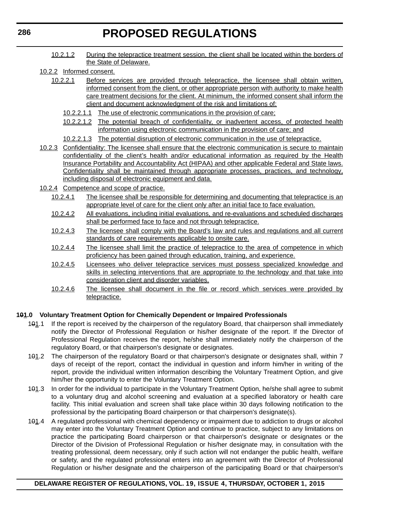- 10.2.1.2 During the telepractice treatment session, the client shall be located within the borders of the State of Delaware.
- 10.2.2 Informed consent.
	- 10.2.2.1 Before services are provided through telepractice, the licensee shall obtain written, informed consent from the client, or other appropriate person with authority to make health care treatment decisions for the client. At minimum, the informed consent shall inform the client and document acknowledgment of the risk and limitations of:
		- 10.2.2.1.1 The use of electronic communications in the provision of care;
		- 10.2.2.1.2 The potential breach of confidentiality, or inadvertent access, of protected health information using electronic communication in the provision of care; and
		- 10.2.2.1.3 The potential disruption of electronic communication in the use of telepractice.
- 10.2.3 Confidentiality: The licensee shall ensure that the electronic communication is secure to maintain confidentiality of the client's health and/or educational information as required by the Health Insurance Portability and Accountability Act (HIPAA) and other applicable Federal and State laws. Confidentiality shall be maintained through appropriate processes, practices, and technology, including disposal of electronic equipment and data.
- 10.2.4 Competence and scope of practice.
	- 10.2.4.1 The licensee shall be responsible for determining and documenting that telepractice is an appropriate level of care for the client only after an initial face to face evaluation.
	- 10.2.4.2 All evaluations, including initial evaluations, and re-evaluations and scheduled discharges shall be performed face to face and not through telepractice.
	- 10.2.4.3 The licensee shall comply with the Board's law and rules and regulations and all current standards of care requirements applicable to onsite care.
	- 10.2.4.4 The licensee shall limit the practice of telepractice to the area of competence in which proficiency has been gained through education, training, and experience.
	- 10.2.4.5 Licensees who deliver telepractice services must possess specialized knowledge and skills in selecting interventions that are appropriate to the technology and that take into consideration client and disorder variables.
	- 10.2.4.6 The licensee shall document in the file or record which services were provided by telepractice.

#### **101.0 Voluntary Treatment Option for Chemically Dependent or Impaired Professionals**

- 101.1 If the report is received by the chairperson of the regulatory Board, that chairperson shall immediately notify the Director of Professional Regulation or his/her designate of the report. If the Director of Professional Regulation receives the report, he/she shall immediately notify the chairperson of the regulatory Board, or that chairperson's designate or designates.
- 101.2 The chairperson of the regulatory Board or that chairperson's designate or designates shall, within 7 days of receipt of the report, contact the individual in question and inform him/her in writing of the report, provide the individual written information describing the Voluntary Treatment Option, and give him/her the opportunity to enter the Voluntary Treatment Option.
- 101.3 In order for the individual to participate in the Voluntary Treatment Option, he/she shall agree to submit to a voluntary drug and alcohol screening and evaluation at a specified laboratory or health care facility. This initial evaluation and screen shall take place within 30 days following notification to the professional by the participating Board chairperson or that chairperson's designate(s).
- 101.4 A regulated professional with chemical dependency or impairment due to addiction to drugs or alcohol may enter into the Voluntary Treatment Option and continue to practice, subject to any limitations on practice the participating Board chairperson or that chairperson's designate or designates or the Director of the Division of Professional Regulation or his/her designate may, in consultation with the treating professional, deem necessary, only if such action will not endanger the public health, welfare or safety, and the regulated professional enters into an agreement with the Director of Professional Regulation or his/her designate and the chairperson of the participating Board or that chairperson's

#### **DELAWARE REGISTER OF REGULATIONS, VOL. 19, ISSUE 4, THURSDAY, OCTOBER 1, 2015**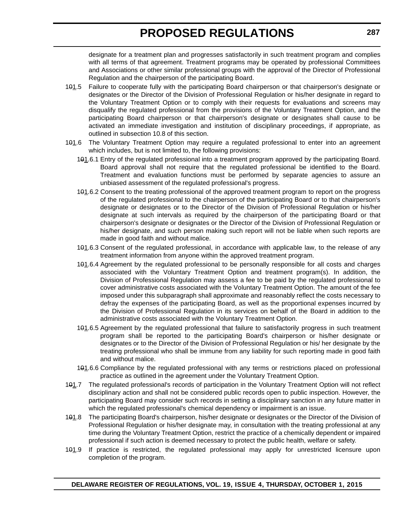designate for a treatment plan and progresses satisfactorily in such treatment program and complies with all terms of that agreement. Treatment programs may be operated by professional Committees and Associations or other similar professional groups with the approval of the Director of Professional Regulation and the chairperson of the participating Board.

- 101.5 Failure to cooperate fully with the participating Board chairperson or that chairperson's designate or designates or the Director of the Division of Professional Regulation or his/her designate in regard to the Voluntary Treatment Option or to comply with their requests for evaluations and screens may disqualify the regulated professional from the provisions of the Voluntary Treatment Option, and the participating Board chairperson or that chairperson's designate or designates shall cause to be activated an immediate investigation and institution of disciplinary proceedings, if appropriate, as outlined in subsection 10.8 of this section.
- 101.6 The Voluntary Treatment Option may require a regulated professional to enter into an agreement which includes, but is not limited to, the following provisions:
	- 101.6.1 Entry of the regulated professional into a treatment program approved by the participating Board. Board approval shall not require that the regulated professional be identified to the Board. Treatment and evaluation functions must be performed by separate agencies to assure an unbiased assessment of the regulated professional's progress.
	- 101.6.2 Consent to the treating professional of the approved treatment program to report on the progress of the regulated professional to the chairperson of the participating Board or to that chairperson's designate or designates or to the Director of the Division of Professional Regulation or his/her designate at such intervals as required by the chairperson of the participating Board or that chairperson's designate or designates or the Director of the Division of Professional Regulation or his/her designate, and such person making such report will not be liable when such reports are made in good faith and without malice.
	- 101.6.3 Consent of the regulated professional, in accordance with applicable law, to the release of any treatment information from anyone within the approved treatment program.
	- 101.6.4 Agreement by the regulated professional to be personally responsible for all costs and charges associated with the Voluntary Treatment Option and treatment program(s). In addition, the Division of Professional Regulation may assess a fee to be paid by the regulated professional to cover administrative costs associated with the Voluntary Treatment Option. The amount of the fee imposed under this subparagraph shall approximate and reasonably reflect the costs necessary to defray the expenses of the participating Board, as well as the proportional expenses incurred by the Division of Professional Regulation in its services on behalf of the Board in addition to the administrative costs associated with the Voluntary Treatment Option.
	- 101.6.5 Agreement by the regulated professional that failure to satisfactorily progress in such treatment program shall be reported to the participating Board's chairperson or his/her designate or designates or to the Director of the Division of Professional Regulation or his/ her designate by the treating professional who shall be immune from any liability for such reporting made in good faith and without malice.
	- 101.6.6 Compliance by the regulated professional with any terms or restrictions placed on professional practice as outlined in the agreement under the Voluntary Treatment Option.
- 101.7 The regulated professional's records of participation in the Voluntary Treatment Option will not reflect disciplinary action and shall not be considered public records open to public inspection. However, the participating Board may consider such records in setting a disciplinary sanction in any future matter in which the regulated professional's chemical dependency or impairment is an issue.
- 101.8 The participating Board's chairperson, his/her designate or designates or the Director of the Division of Professional Regulation or his/her designate may, in consultation with the treating professional at any time during the Voluntary Treatment Option, restrict the practice of a chemically dependent or impaired professional if such action is deemed necessary to protect the public health, welfare or safety.
- 101.9 If practice is restricted, the regulated professional may apply for unrestricted licensure upon completion of the program.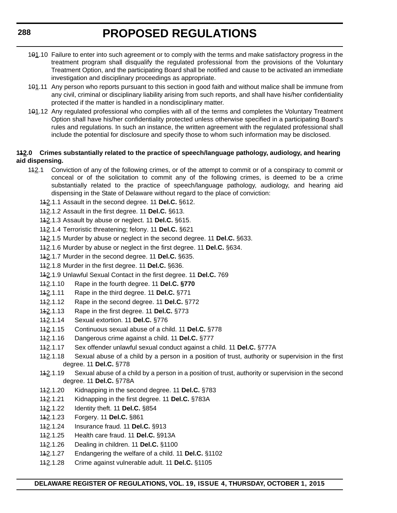- 101.10 Failure to enter into such agreement or to comply with the terms and make satisfactory progress in the treatment program shall disqualify the regulated professional from the provisions of the Voluntary Treatment Option, and the participating Board shall be notified and cause to be activated an immediate investigation and disciplinary proceedings as appropriate.
- 101.11 Any person who reports pursuant to this section in good faith and without malice shall be immune from any civil, criminal or disciplinary liability arising from such reports, and shall have his/her confidentiality protected if the matter is handled in a nondisciplinary matter.
- 101.12 Any regulated professional who complies with all of the terms and completes the Voluntary Treatment Option shall have his/her confidentiality protected unless otherwise specified in a participating Board's rules and regulations. In such an instance, the written agreement with the regulated professional shall include the potential for disclosure and specify those to whom such information may be disclosed.

#### **112.0 Crimes substantially related to the practice of speech/language pathology, audiology, and hearing aid dispensing.**

- 142.1 Conviction of any of the following crimes, or of the attempt to commit or of a conspiracy to commit or conceal or of the solicitation to commit any of the following crimes, is deemed to be a crime substantially related to the practice of speech/language pathology, audiology, and hearing aid dispensing in the State of Delaware without regard to the place of conviction:
	- 112.1.1 Assault in the second degree. 11 **Del.C.** §612.
	- 112.1.2 Assault in the first degree. 11 **Del.C.** §613.
	- 112.1.3 Assault by abuse or neglect. 11 **Del.C.** §615.
	- 112.1.4 Terroristic threatening; felony. 11 **Del.C.** §621
	- 112.1.5 Murder by abuse or neglect in the second degree. 11 **Del.C.** §633.
	- 112.1.6 Murder by abuse or neglect in the first degree. 11 **Del.C.** §634.
	- 112.1.7 Murder in the second degree. 11 **Del.C.** §635.
	- 112.1.8 Murder in the first degree. 11 **Del.C.** §636.
	- 112.1.9 Unlawful Sexual Contact in the first degree. 11 **Del.C.** 769
	- 112.1.10 Rape in the fourth degree. 11 **Del.C. §770**
	- 112.1.11 Rape in the third degree. 11 **Del.C.** §771
	- 112.1.12 Rape in the second degree. 11 **Del.C.** §772
	- 112.1.13 Rape in the first degree. 11 **Del.C.** §773
	- 112.1.14 Sexual extortion. 11 **Del.C.** §776
	- 112.1.15 Continuous sexual abuse of a child. 11 **Del.C.** §778
	- 112.1.16 Dangerous crime against a child. 11 **Del.C.** §777
	- 112.1.17 Sex offender unlawful sexual conduct against a child. 11 **Del.C.** §777A
	- 142.1.18 Sexual abuse of a child by a person in a position of trust, authority or supervision in the first degree. 11 **Del.C.** §778
	- 142.1.19 Sexual abuse of a child by a person in a position of trust, authority or supervision in the second degree. 11 **Del.C.** §778A
	- 112.1.20 Kidnapping in the second degree. 11 **Del.C.** §783
	- 112.1.21 Kidnapping in the first degree. 11 **Del.C.** §783A
	- 112.1.22 Identity theft. 11 **Del.C.** §854
	- 112.1.23 Forgery. 11 **Del.C.** §861
	- 112.1.24 Insurance fraud. 11 **Del.C.** §913
	- 112.1.25 Health care fraud. 11 **Del.C.** §913A
	- 112.1.26 Dealing in children. 11 **Del.C.** §1100
	- 112.1.27 Endangering the welfare of a child. 11 **Del.C.** §1102
	- 112.1.28 Crime against vulnerable adult. 11 **Del.C.** §1105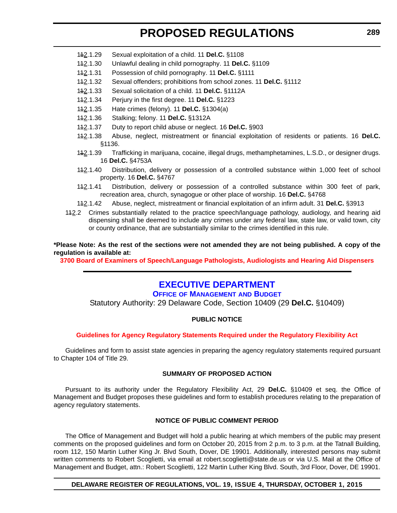- 112.1.29 Sexual exploitation of a child. 11 **Del.C.** §1108
- 112.1.30 Unlawful dealing in child pornography. 11 **Del.C.** §1109
- 112.1.31 Possession of child pornography. 11 **Del.C.** §1111
- 112.1.32 Sexual offenders; prohibitions from school zones. 11 **Del.C.** §1112
- 112.1.33 Sexual solicitation of a child. 11 **Del.C.** §1112A
- 112.1.34 Perjury in the first degree. 11 **Del.C.** §1223
- 112.1.35 Hate crimes (felony). 11 **Del.C.** §1304(a)
- 112.1.36 Stalking; felony. 11 **Del.C.** §1312A
- 112.1.37 Duty to report child abuse or neglect. 16 **Del.C.** §903
- 112.1.38 Abuse, neglect, mistreatment or financial exploitation of residents or patients. 16 **Del.C.** §1136.
- 142.1.39 Trafficking in marijuana, cocaine, illegal drugs, methamphetamines, L.S.D., or designer drugs. 16 **Del.C.** §4753A
- 112.1.40 Distribution, delivery or possession of a controlled substance within 1,000 feet of school property. 16 **Del.C.** §4767
- 112.1.41 Distribution, delivery or possession of a controlled substance within 300 feet of park, recreation area, church, synagogue or other place of worship. 16 **Del.C.** §4768
- 112.1.42 Abuse, neglect, mistreatment or financial exploitation of an infirm adult. 31 **Del.C.** §3913
- 142.2 Crimes substantially related to the practice speech/language pathology, audiology, and hearing aid dispensing shall be deemed to include any crimes under any federal law, state law, or valid town, city or county ordinance, that are substantially similar to the crimes identified in this rule.

**\*Please Note: As the rest of the sections were not amended they are not being published. A copy of the regulation is available at:**

**[3700 Board of Examiners of Speech/Language Pathologists, Audiologists and Hearing Aid Dispensers](http://regulations.delaware.gov/register/october2015/proposed/19 DE Reg 284 10-01-15.htm)**

# **[EXECUTIVE DEPARTMENT](http://omb.delaware.gov/)**

**OFFICE OF MANAGEMENT AND BUDGET**

Statutory Authority: 29 Delaware Code, Section 10409 (29 **Del.C.** §10409)

#### **PUBLIC NOTICE**

#### **[Guidelines for Agency Regulatory Statements Required under the Regulatory Flexibility Act](#page-3-0)**

Guidelines and form to assist state agencies in preparing the agency regulatory statements required pursuant to Chapter 104 of Title 29.

#### **SUMMARY OF PROPOSED ACTION**

Pursuant to its authority under the Regulatory Flexibility Act, 29 **Del.C.** §10409 et seq. the Office of Management and Budget proposes these guidelines and form to establish procedures relating to the preparation of agency regulatory statements.

#### **NOTICE OF PUBLIC COMMENT PERIOD**

The Office of Management and Budget will hold a public hearing at which members of the public may present comments on the proposed guidelines and form on October 20, 2015 from 2 p.m. to 3 p.m. at the Tatnall Building, room 112, 150 Martin Luther King Jr. Blvd South, Dover, DE 19901. Additionally, interested persons may submit written comments to Robert Scoglietti, via email at robert.scoglietti@state.de.us or via U.S. Mail at the Office of Management and Budget, attn.: Robert Scoglietti, 122 Martin Luther King Blvd. South, 3rd Floor, Dover, DE 19901.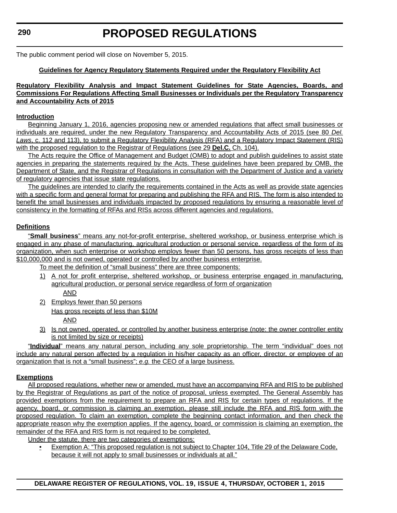The public comment period will close on November 5, 2015.

# **Guidelines for Agency Regulatory Statements Required under the Regulatory Flexibility Act**

### **Regulatory Flexibility Analysis and Impact Statement Guidelines for State Agencies, Boards, and Commissions For Regulations Affecting Small Businesses or Individuals per the Regulatory Transparency and Accountability Acts of 2015**

# **Introduction**

Beginning January 1, 2016, agencies proposing new or amended regulations that affect small businesses or individuals are required, under the new Regulatory Transparency and Accountability Acts of 2015 (see 80 *Del. Laws*, c. 112 and 113), to submit a Regulatory Flexibility Analysis (RFA) and a Regulatory Impact Statement (RIS) with the proposed regulation to the Registrar of Regulations (see 29 **Del.C.** Ch. 104).

The Acts require the Office of Management and Budget (OMB) to adopt and publish guidelines to assist state agencies in preparing the statements required by the Acts. These guidelines have been prepared by OMB, the Department of State, and the Registrar of Regulations in consultation with the Department of Justice and a variety of regulatory agencies that issue state regulations.

The guidelines are intended to clarify the requirements contained in the Acts as well as provide state agencies with a specific form and general format for preparing and publishing the RFA and RIS. The form is also intended to benefit the small businesses and individuals impacted by proposed regulations by ensuring a reasonable level of consistency in the formatting of RFAs and RISs across different agencies and regulations.

# **Definitions**

"**Small business**" means any not-for-profit enterprise, sheltered workshop, or business enterprise which is engaged in any phase of manufacturing, agricultural production or personal service, regardless of the form of its organization, when such enterprise or workshop employs fewer than 50 persons, has gross receipts of less than \$10,000,000 and is not owned, operated or controlled by another business enterprise.

To meet the definition of "small business" there are three components:

- 1) A not for profit enterprise, sheltered workshop, or business enterprise engaged in manufacturing, agricultural production, or personal service regardless of form of organization AND
- 2) Employs fewer than 50 persons Has gross receipts of less than \$10M AND
- 3) Is not owned, operated, or controlled by another business enterprise (note: the owner controller entity is not limited by size or receipts)

"**Individual**" means any natural person, including any sole proprietorship. The term "individual" does not include any natural person affected by a regulation in his/her capacity as an officer, director, or employee of an organization that is not a "small business"; *e.g.* the CEO of a large business.

## **Exemptions**

All proposed regulations, whether new or amended, must have an accompanying RFA and RIS to be published by the Registrar of Regulations as part of the notice of proposal, unless exempted. The General Assembly has provided exemptions from the requirement to prepare an RFA and RIS for certain types of regulations. If the agency, board, or commission is claiming an exemption, please still include the RFA and RIS form with the proposed regulation. To claim an exemption, complete the beginning contact information, and then check the appropriate reason why the exemption applies. If the agency, board, or commission is claiming an exemption, the remainder of the RFA and RIS form is not required to be completed.

Under the statute, there are two categories of exemptions:

• Exemption A: "This proposed regulation is not subject to Chapter 104, Title 29 of the Delaware Code, because it will not apply to small businesses or individuals at all."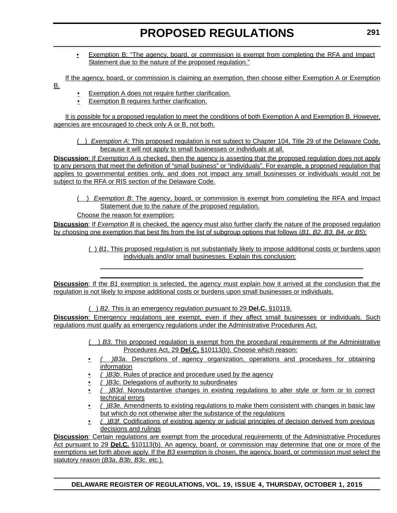• Exemption B: "The agency, board, or commission is exempt from completing the RFA and Impact Statement due to the nature of the proposed regulation."

If the agency, board, or commission is claiming an exemption, then choose either Exemption A or Exemption

- B.
- Exemption A does not require further clarification.
- Exemption B requires further clarification.

It is possible for a proposed regulation to meet the conditions of both Exemption A and Exemption B. However, agencies are encouraged to check only A or B, not both.

( ) *Exemption A*: This proposed regulation is not subject to Chapter 104, Title 29 of the Delaware Code, because it will not apply to small businesses or individuals at all.

**Discussion**: If *Exemption A* is checked, then the agency is asserting that the proposed regulation does not apply to any persons that meet the definition of "small business" or "individuals". For example, a proposed regulation that applies to governmental entities only, and does not impact any small businesses or individuals would not be subject to the RFA or RIS section of the Delaware Code.

( ) *Exemption B*: The agency, board, or commission is exempt from completing the RFA and Impact Statement due to the nature of the proposed regulation.

Choose the reason for exemption:

**Discussion**: If *Exemption B* is checked, the agency must also further clarify the nature of the proposed regulation by choosing one exemption that best fits from the list of subgroup options that follows (*B1, B2, B3, B4, or B5*):

> ( ) *B1*. This proposed regulation is not substantially likely to impose additional costs or burdens upon individuals and/or small businesses. Explain this conclusion:

 $\_$  . The contribution of the contribution of the contribution of the contribution of the contribution of the contribution of  $\mathcal{L}_\text{max}$  $\_$  . The contribution of the contribution of the contribution of the contribution of the contribution of the contribution of  $\mathcal{L}_\text{max}$ 

**Discussion**: If the *B1* exemption is selected, the agency must explain how it arrived at the conclusion that the regulation is not likely to impose additional costs or burdens upon small businesses or individuals.

( ) *B2.* This is an emergency regulation pursuant to 29 **Del.C.** §10119.

**Discussion**: Emergency regulations are exempt, even if they affect small businesses or individuals. Such regulations must qualify as emergency regulations under the Administrative Procedures Act.

> ( ) *B3*. This proposed regulation is exempt from the procedural requirements of the Administrative Procedures Act, 29 **Del.C.** §10113(b). Choose which reason:

- *( )B3a*. Descriptions of agency organization, operations and procedures for obtaining information
- *( )B3b*. Rules of practice and procedure used by the agency
- *( )B3c*. Delegations of authority to subordinates
- *( )B3d*. Nonsubstantive changes in existing regulations to alter style or form or to correct technical errors
- *( )B3e*. Amendments to existing regulations to make them consistent with changes in basic law but which do not otherwise alter the substance of the regulations
- *( )B3f*. Codifications of existing agency or judicial principles of decision derived from previous decisions and rulings

**Discussion**: Certain regulations are exempt from the procedural requirements of the Administrative Procedures Act pursuant to 29 **Del.C.** §10113(b). An agency, board, or commission may determine that one or more of the exemptions set forth above apply. If the *B3* exemption is chosen, the agency, board, or commission must select the statutory reason (*B3a*, *B3b*, *B3c*. etc.).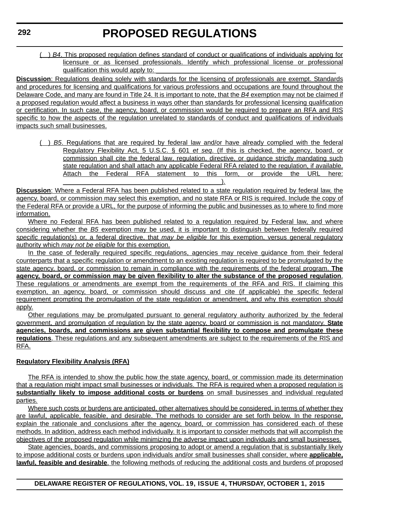( ) *B4*. This proposed regulation defines standard of conduct or qualifications of individuals applying for licensure or as licensed professionals. Identify which professional license or professional qualification this would apply to:

**Discussion**: Regulations dealing solely with standards for the licensing of professionals are exempt. Standards and procedures for licensing and qualifications for various professions and occupations are found throughout the Delaware Code, and many are found in Title 24. It is important to note, that the *B4* exemption may not be claimed if a proposed regulation would affect a business in ways other than standards for professional licensing qualification or certification. In such case, the agency, board, or commission would be required to prepare an RFA and RIS specific to how the aspects of the regulation unrelated to standards of conduct and qualifications of individuals impacts such small businesses.

( ) *B5*. Regulations that are required by federal law and/or have already complied with the federal Regulatory Flexibility Act, 5 U.S.C. § 601 *et seq*. (If this is checked, the agency, board, or commission shall cite the federal law, regulation, directive, or guidance strictly mandating such state regulation and shall attach any applicable Federal RFA related to the regulation, if available. Attach the Federal RFA statement to this form, or provide the URL here: \_\_\_\_\_\_\_\_\_\_\_\_\_\_\_\_\_\_\_\_\_\_\_\_\_\_\_\_\_\_\_\_\_\_\_\_\_\_\_\_\_\_\_\_).

**Discussion**: Where a Federal RFA has been published related to a state regulation required by federal law, the agency, board, or commission may select this exemption, and no state RFA or RIS is required. Include the copy of the Federal RFA or provide a URL, for the purpose of informing the public and businesses as to where to find more information.

Where no Federal RFA has been published related to a regulation required by Federal law, and where considering whether the *B5* exemption may be used, it is important to distinguish between federally required *specific* regulation(s) or, a federal directive, that *may be eligible* for this exemption, versus general regulatory authority which *may not be eligible* for this exemption.

In the case of federally required specific regulations, agencies may receive guidance from their federal counterparts that a specific regulation or amendment to an existing regulation is required to be promulgated by the state agency, board, or commission to remain in compliance with the requirements of the federal program. **The agency, board, or commission may be given flexibility to alter the substance of the proposed regulation**. These regulations or amendments are exempt from the requirements of the RFA and RIS. If claiming this exemption, an agency, board, or commission should discuss and cite (if applicable) the specific federal requirement prompting the promulgation of the state regulation or amendment, and why this exemption should apply.

Other regulations may be promulgated pursuant to general regulatory authority authorized by the federal government, and promulgation of regulation by the state agency, board or commission is not mandatory. **State agencies, boards, and commissions are given substantial flexibility to compose and promulgate these regulations**. These regulations and any subsequent amendments are subject to the requirements of the RIS and RFA.

# **Regulatory Flexibility Analysis (RFA)**

The RFA is intended to show the public how the state agency, board, or commission made its determination that a regulation might impact small businesses or individuals. The RFA is required when a proposed regulation is **substantially likely to impose additional costs or burdens** on small businesses and individual regulated parties.

Where such costs or burdens are anticipated, other alternatives should be considered, in terms of whether they are lawful, applicable, feasible, and desirable. The methods to consider are set forth below. In the response, explain the rationale and conclusions after the agency, board, or commission has considered each of these methods. In addition, address each method individually. It is important to consider methods that will accomplish the objectives of the proposed regulation while minimizing the adverse impact upon individuals and small businesses.

State agencies, boards, and commissions proposing to adopt or amend a regulation that is substantially likely to impose additional costs or burdens upon individuals and/or small businesses shall consider, where **applicable, lawful, feasible and desirable**, the following methods of reducing the additional costs and burdens of proposed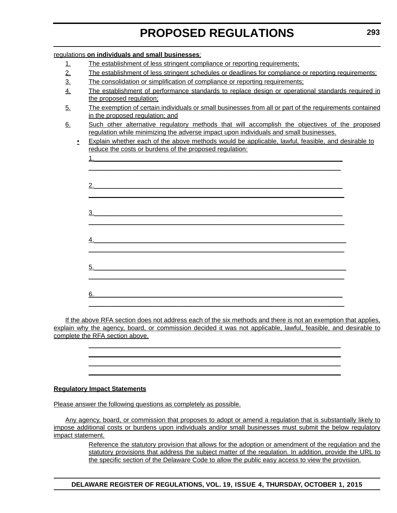| regulations on individuals and small businesses:                                                                                                                                             |                                                                                                   |  |  |
|----------------------------------------------------------------------------------------------------------------------------------------------------------------------------------------------|---------------------------------------------------------------------------------------------------|--|--|
| The establishment of less stringent compliance or reporting requirements;<br><u>1.</u>                                                                                                       |                                                                                                   |  |  |
| 2.<br>The establishment of less stringent schedules or deadlines for compliance or reporting requirements;                                                                                   |                                                                                                   |  |  |
| $\overline{3}$ .<br>The consolidation or simplification of compliance or reporting requirements;                                                                                             |                                                                                                   |  |  |
| $\overline{4}$ .                                                                                                                                                                             | The establishment of performance standards to replace design or operational standards required in |  |  |
| the proposed regulation;                                                                                                                                                                     |                                                                                                   |  |  |
| The exemption of certain individuals or small businesses from all or part of the requirements contained<br>5.<br>in the proposed regulation; and                                             |                                                                                                   |  |  |
| Such other alternative regulatory methods that will accomplish the objectives of the proposed<br>6.<br>regulation while minimizing the adverse impact upon individuals and small businesses. |                                                                                                   |  |  |
| Explain whether each of the above methods would be applicable, lawful, feasible, and desirable to<br>$\bullet$<br>reduce the costs or burdens of the proposed regulation:                    |                                                                                                   |  |  |
|                                                                                                                                                                                              |                                                                                                   |  |  |
|                                                                                                                                                                                              |                                                                                                   |  |  |
|                                                                                                                                                                                              |                                                                                                   |  |  |
| 2.                                                                                                                                                                                           |                                                                                                   |  |  |
|                                                                                                                                                                                              |                                                                                                   |  |  |
|                                                                                                                                                                                              |                                                                                                   |  |  |
| $\overline{3}$ .                                                                                                                                                                             |                                                                                                   |  |  |
|                                                                                                                                                                                              |                                                                                                   |  |  |
|                                                                                                                                                                                              |                                                                                                   |  |  |
|                                                                                                                                                                                              |                                                                                                   |  |  |
|                                                                                                                                                                                              |                                                                                                   |  |  |
| $\overline{5}$ .                                                                                                                                                                             |                                                                                                   |  |  |
|                                                                                                                                                                                              |                                                                                                   |  |  |
|                                                                                                                                                                                              |                                                                                                   |  |  |
| 6.                                                                                                                                                                                           |                                                                                                   |  |  |
|                                                                                                                                                                                              |                                                                                                   |  |  |

If the above RFA section does not address each of the six methods and there is not an exemption that applies, explain why the agency, board, or commission decided it was not applicable, lawful, feasible, and desirable to complete the RFA section above.

> $\mathcal{L}_\mathcal{L} = \mathcal{L}_\mathcal{L} = \mathcal{L}_\mathcal{L} = \mathcal{L}_\mathcal{L} = \mathcal{L}_\mathcal{L} = \mathcal{L}_\mathcal{L} = \mathcal{L}_\mathcal{L} = \mathcal{L}_\mathcal{L} = \mathcal{L}_\mathcal{L} = \mathcal{L}_\mathcal{L} = \mathcal{L}_\mathcal{L} = \mathcal{L}_\mathcal{L} = \mathcal{L}_\mathcal{L} = \mathcal{L}_\mathcal{L} = \mathcal{L}_\mathcal{L} = \mathcal{L}_\mathcal{L} = \mathcal{L}_\mathcal{L}$  $\mathcal{L}_\mathcal{L} = \mathcal{L}_\mathcal{L} = \mathcal{L}_\mathcal{L} = \mathcal{L}_\mathcal{L} = \mathcal{L}_\mathcal{L} = \mathcal{L}_\mathcal{L} = \mathcal{L}_\mathcal{L} = \mathcal{L}_\mathcal{L} = \mathcal{L}_\mathcal{L} = \mathcal{L}_\mathcal{L} = \mathcal{L}_\mathcal{L} = \mathcal{L}_\mathcal{L} = \mathcal{L}_\mathcal{L} = \mathcal{L}_\mathcal{L} = \mathcal{L}_\mathcal{L} = \mathcal{L}_\mathcal{L} = \mathcal{L}_\mathcal{L}$  $\mathcal{L}_\mathcal{L} = \mathcal{L}_\mathcal{L} = \mathcal{L}_\mathcal{L} = \mathcal{L}_\mathcal{L} = \mathcal{L}_\mathcal{L} = \mathcal{L}_\mathcal{L} = \mathcal{L}_\mathcal{L} = \mathcal{L}_\mathcal{L} = \mathcal{L}_\mathcal{L} = \mathcal{L}_\mathcal{L} = \mathcal{L}_\mathcal{L} = \mathcal{L}_\mathcal{L} = \mathcal{L}_\mathcal{L} = \mathcal{L}_\mathcal{L} = \mathcal{L}_\mathcal{L} = \mathcal{L}_\mathcal{L} = \mathcal{L}_\mathcal{L}$  $\mathcal{L}_\mathcal{L} = \mathcal{L}_\mathcal{L} = \mathcal{L}_\mathcal{L} = \mathcal{L}_\mathcal{L} = \mathcal{L}_\mathcal{L} = \mathcal{L}_\mathcal{L} = \mathcal{L}_\mathcal{L} = \mathcal{L}_\mathcal{L} = \mathcal{L}_\mathcal{L} = \mathcal{L}_\mathcal{L} = \mathcal{L}_\mathcal{L} = \mathcal{L}_\mathcal{L} = \mathcal{L}_\mathcal{L} = \mathcal{L}_\mathcal{L} = \mathcal{L}_\mathcal{L} = \mathcal{L}_\mathcal{L} = \mathcal{L}_\mathcal{L}$

## **Regulatory Impact Statements**

Please answer the following questions as completely as possible.

Any agency, board, or commission that proposes to adopt or amend a regulation that is substantially likely to impose additional costs or burdens upon individuals and/or small businesses must submit the below regulatory impact statement.

> Reference the statutory provision that allows for the adoption or amendment of the regulation and the statutory provisions that address the subject matter of the regulation. In addition, provide the URL to the specific section of the Delaware Code to allow the public easy access to view the provision.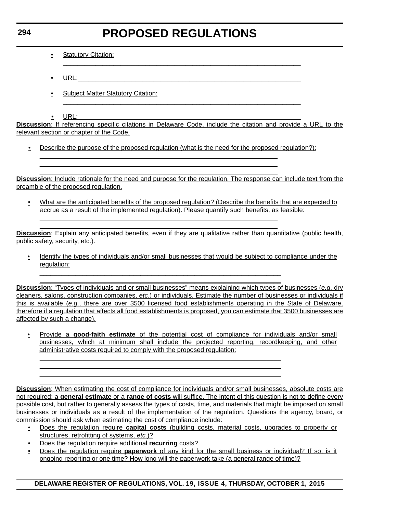$\mathcal{L}_\mathcal{L} = \{ \mathcal{L}_\mathcal{L} = \{ \mathcal{L}_\mathcal{L} = \{ \mathcal{L}_\mathcal{L} = \{ \mathcal{L}_\mathcal{L} = \{ \mathcal{L}_\mathcal{L} = \{ \mathcal{L}_\mathcal{L} = \{ \mathcal{L}_\mathcal{L} = \{ \mathcal{L}_\mathcal{L} = \{ \mathcal{L}_\mathcal{L} = \{ \mathcal{L}_\mathcal{L} = \{ \mathcal{L}_\mathcal{L} = \{ \mathcal{L}_\mathcal{L} = \{ \mathcal{L}_\mathcal{L} = \{ \mathcal{L}_\mathcal{$ 

- Statutory Citation:
- $\bullet$  URL:  $\bullet$  URL:  $\bullet$  URL:  $\bullet$  URL:  $\bullet$  URL:  $\bullet$  URL:  $\bullet$  URL:  $\bullet$  URL:  $\bullet$  URL:  $\bullet$  URL:  $\bullet$  URL:  $\bullet$  URL:  $\bullet$  URL:  $\bullet$  URL:  $\bullet$  URL:  $\bullet$  URL:  $\bullet$  URL:  $\bullet$  URL:  $\bullet$  URL:  $\bullet$  URL:  $\bullet$  URL:  $\bullet$  URL:
- Subject Matter Statutory Citation:
- $\bullet$  URL:  $\qquad \qquad \bullet$  URL:  $\qquad \qquad \bullet$

**Discussion**: If referencing specific citations in Delaware Code, include the citation and provide a URL to the relevant section or chapter of the Code.

 $\mathcal{L}_\mathcal{L} = \{ \mathcal{L}_\mathcal{L} = \{ \mathcal{L}_\mathcal{L} = \{ \mathcal{L}_\mathcal{L} = \{ \mathcal{L}_\mathcal{L} = \{ \mathcal{L}_\mathcal{L} = \{ \mathcal{L}_\mathcal{L} = \{ \mathcal{L}_\mathcal{L} = \{ \mathcal{L}_\mathcal{L} = \{ \mathcal{L}_\mathcal{L} = \{ \mathcal{L}_\mathcal{L} = \{ \mathcal{L}_\mathcal{L} = \{ \mathcal{L}_\mathcal{L} = \{ \mathcal{L}_\mathcal{L} = \{ \mathcal{L}_\mathcal{$ 

• Describe the purpose of the proposed regulation (what is the need for the proposed regulation?):

 $\mathcal{L}_\mathcal{L} = \{ \mathcal{L}_\mathcal{L} = \{ \mathcal{L}_\mathcal{L} = \{ \mathcal{L}_\mathcal{L} = \{ \mathcal{L}_\mathcal{L} = \{ \mathcal{L}_\mathcal{L} = \{ \mathcal{L}_\mathcal{L} = \{ \mathcal{L}_\mathcal{L} = \{ \mathcal{L}_\mathcal{L} = \{ \mathcal{L}_\mathcal{L} = \{ \mathcal{L}_\mathcal{L} = \{ \mathcal{L}_\mathcal{L} = \{ \mathcal{L}_\mathcal{L} = \{ \mathcal{L}_\mathcal{L} = \{ \mathcal{L}_\mathcal{$  $\mathcal{L}_\mathcal{L} = \{ \mathcal{L}_\mathcal{L} = \{ \mathcal{L}_\mathcal{L} = \{ \mathcal{L}_\mathcal{L} = \{ \mathcal{L}_\mathcal{L} = \{ \mathcal{L}_\mathcal{L} = \{ \mathcal{L}_\mathcal{L} = \{ \mathcal{L}_\mathcal{L} = \{ \mathcal{L}_\mathcal{L} = \{ \mathcal{L}_\mathcal{L} = \{ \mathcal{L}_\mathcal{L} = \{ \mathcal{L}_\mathcal{L} = \{ \mathcal{L}_\mathcal{L} = \{ \mathcal{L}_\mathcal{L} = \{ \mathcal{L}_\mathcal{$  $\mathcal{L}_\mathcal{L} = \{ \mathcal{L}_\mathcal{L} = \{ \mathcal{L}_\mathcal{L} = \{ \mathcal{L}_\mathcal{L} = \{ \mathcal{L}_\mathcal{L} = \{ \mathcal{L}_\mathcal{L} = \{ \mathcal{L}_\mathcal{L} = \{ \mathcal{L}_\mathcal{L} = \{ \mathcal{L}_\mathcal{L} = \{ \mathcal{L}_\mathcal{L} = \{ \mathcal{L}_\mathcal{L} = \{ \mathcal{L}_\mathcal{L} = \{ \mathcal{L}_\mathcal{L} = \{ \mathcal{L}_\mathcal{L} = \{ \mathcal{L}_\mathcal{$ 

 $\mathcal{L}_\mathcal{L} = \{ \mathcal{L}_\mathcal{L} = \{ \mathcal{L}_\mathcal{L} = \{ \mathcal{L}_\mathcal{L} = \{ \mathcal{L}_\mathcal{L} = \{ \mathcal{L}_\mathcal{L} = \{ \mathcal{L}_\mathcal{L} = \{ \mathcal{L}_\mathcal{L} = \{ \mathcal{L}_\mathcal{L} = \{ \mathcal{L}_\mathcal{L} = \{ \mathcal{L}_\mathcal{L} = \{ \mathcal{L}_\mathcal{L} = \{ \mathcal{L}_\mathcal{L} = \{ \mathcal{L}_\mathcal{L} = \{ \mathcal{L}_\mathcal{$  $\mathcal{L}_\mathcal{L} = \{ \mathcal{L}_\mathcal{L} = \{ \mathcal{L}_\mathcal{L} = \{ \mathcal{L}_\mathcal{L} = \{ \mathcal{L}_\mathcal{L} = \{ \mathcal{L}_\mathcal{L} = \{ \mathcal{L}_\mathcal{L} = \{ \mathcal{L}_\mathcal{L} = \{ \mathcal{L}_\mathcal{L} = \{ \mathcal{L}_\mathcal{L} = \{ \mathcal{L}_\mathcal{L} = \{ \mathcal{L}_\mathcal{L} = \{ \mathcal{L}_\mathcal{L} = \{ \mathcal{L}_\mathcal{L} = \{ \mathcal{L}_\mathcal{$ 

 $\mathcal{L}_\mathcal{L} = \mathcal{L}_\mathcal{L} = \mathcal{L}_\mathcal{L} = \mathcal{L}_\mathcal{L} = \mathcal{L}_\mathcal{L} = \mathcal{L}_\mathcal{L} = \mathcal{L}_\mathcal{L} = \mathcal{L}_\mathcal{L} = \mathcal{L}_\mathcal{L} = \mathcal{L}_\mathcal{L} = \mathcal{L}_\mathcal{L} = \mathcal{L}_\mathcal{L} = \mathcal{L}_\mathcal{L} = \mathcal{L}_\mathcal{L} = \mathcal{L}_\mathcal{L} = \mathcal{L}_\mathcal{L} = \mathcal{L}_\mathcal{L}$  $\mathcal{L}_\mathcal{L} = \mathcal{L}_\mathcal{L} = \mathcal{L}_\mathcal{L} = \mathcal{L}_\mathcal{L} = \mathcal{L}_\mathcal{L} = \mathcal{L}_\mathcal{L} = \mathcal{L}_\mathcal{L} = \mathcal{L}_\mathcal{L} = \mathcal{L}_\mathcal{L} = \mathcal{L}_\mathcal{L} = \mathcal{L}_\mathcal{L} = \mathcal{L}_\mathcal{L} = \mathcal{L}_\mathcal{L} = \mathcal{L}_\mathcal{L} = \mathcal{L}_\mathcal{L} = \mathcal{L}_\mathcal{L} = \mathcal{L}_\mathcal{L}$ 

 $\mathcal{L}_\mathcal{L} = \mathcal{L}_\mathcal{L} = \mathcal{L}_\mathcal{L} = \mathcal{L}_\mathcal{L} = \mathcal{L}_\mathcal{L} = \mathcal{L}_\mathcal{L} = \mathcal{L}_\mathcal{L} = \mathcal{L}_\mathcal{L} = \mathcal{L}_\mathcal{L} = \mathcal{L}_\mathcal{L} = \mathcal{L}_\mathcal{L} = \mathcal{L}_\mathcal{L} = \mathcal{L}_\mathcal{L} = \mathcal{L}_\mathcal{L} = \mathcal{L}_\mathcal{L} = \mathcal{L}_\mathcal{L} = \mathcal{L}_\mathcal{L}$  $\mathcal{L}_\mathcal{L} = \mathcal{L}_\mathcal{L} = \mathcal{L}_\mathcal{L} = \mathcal{L}_\mathcal{L} = \mathcal{L}_\mathcal{L} = \mathcal{L}_\mathcal{L} = \mathcal{L}_\mathcal{L} = \mathcal{L}_\mathcal{L} = \mathcal{L}_\mathcal{L} = \mathcal{L}_\mathcal{L} = \mathcal{L}_\mathcal{L} = \mathcal{L}_\mathcal{L} = \mathcal{L}_\mathcal{L} = \mathcal{L}_\mathcal{L} = \mathcal{L}_\mathcal{L} = \mathcal{L}_\mathcal{L} = \mathcal{L}_\mathcal{L}$  $\mathcal{L}_\mathcal{L} = \mathcal{L}_\mathcal{L} = \mathcal{L}_\mathcal{L} = \mathcal{L}_\mathcal{L} = \mathcal{L}_\mathcal{L} = \mathcal{L}_\mathcal{L} = \mathcal{L}_\mathcal{L} = \mathcal{L}_\mathcal{L} = \mathcal{L}_\mathcal{L} = \mathcal{L}_\mathcal{L} = \mathcal{L}_\mathcal{L} = \mathcal{L}_\mathcal{L} = \mathcal{L}_\mathcal{L} = \mathcal{L}_\mathcal{L} = \mathcal{L}_\mathcal{L} = \mathcal{L}_\mathcal{L} = \mathcal{L}_\mathcal{L}$  $\mathcal{L}_\mathcal{L} = \mathcal{L}_\mathcal{L} = \mathcal{L}_\mathcal{L} = \mathcal{L}_\mathcal{L} = \mathcal{L}_\mathcal{L} = \mathcal{L}_\mathcal{L} = \mathcal{L}_\mathcal{L} = \mathcal{L}_\mathcal{L} = \mathcal{L}_\mathcal{L} = \mathcal{L}_\mathcal{L} = \mathcal{L}_\mathcal{L} = \mathcal{L}_\mathcal{L} = \mathcal{L}_\mathcal{L} = \mathcal{L}_\mathcal{L} = \mathcal{L}_\mathcal{L} = \mathcal{L}_\mathcal{L} = \mathcal{L}_\mathcal{L}$ 

**Discussion**: Include rationale for the need and purpose for the regulation. The response can include text from the preamble of the proposed regulation.

• What are the anticipated benefits of the proposed regulation? (Describe the benefits that are expected to accrue as a result of the implemented regulation). Please quantify such benefits, as feasible:

**Discussion**: Explain any anticipated benefits, even if they are qualitative rather than quantitative (public health, public safety, security, etc.).

• Identify the types of individuals and/or small businesses that would be subject to compliance under the regulation:

**Discussion**: "Types of individuals and or small businesses" means explaining which types of businesses (*e.g*. dry cleaners, salons, construction companies, *etc*.) or individuals. Estimate the number of businesses or individuals if this is available (*e.g*., there are over 3500 licensed food establishments operating in the State of Delaware, therefore if a regulation that affects all food establishments is proposed, you can estimate that 3500 businesses are affected by such a change).

• Provide a **good-faith estimate** of the potential cost of compliance for individuals and/or small businesses, which at minimum shall include the projected reporting, recordkeeping, and other administrative costs required to comply with the proposed regulation:

**Discussion**: When estimating the cost of compliance for individuals and/or small businesses, absolute costs are not required; a **general estimate** or a **range of costs** will suffice. The intent of this question is not to define every possible cost, but rather to generally assess the types of costs, time, and materials that might be imposed on small businesses or individuals as a result of the implementation of the regulation. Questions the agency, board, or commission should ask when estimating the cost of compliance include:

- Does the regulation require **capital costs** (building costs, material costs, upgrades to property or structures, retrofitting of systems, *etc.*)?
- Does the regulation require additional **recurring** costs?
- Does the regulation require **paperwork** of any kind for the small business or individual? If so, is it ongoing reporting or one time? How long will the paperwork take (a general range of time)?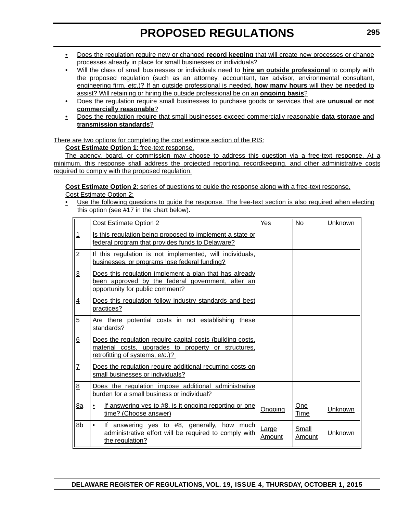- Does the regulation require new or changed **record keeping** that will create new processes or change processes already in place for small businesses or individuals?
- Will the class of small businesses or individuals need to **hire an outside professional** to comply with the proposed regulation (such as an attorney, accountant, tax advisor, environmental consultant, engineering firm, *etc*.)? If an outside professional is needed, **how many hours** will they be needed to assist? Will retaining or hiring the outside professional be on an **ongoing basis**?
- Does the regulation require small businesses to purchase goods or services that are **unusual or not commercially reasonable**?
- Does the regulation require that small businesses exceed commercially reasonable **data storage and transmission standards**?

There are two options for completing the cost estimate section of the RIS:

**Cost Estimate Option 1**: free-text response.

The agency, board, or commission may choose to address this question via a free-text response. At a minimum, this response shall address the projected reporting, recordkeeping, and other administrative costs required to comply with the proposed regulation.

**Cost Estimate Option 2**: series of questions to guide the response along with a free-text response.

Cost Estimate Option 2:

• Use the following questions to quide the response. The free-text section is also required when electing this option (see #17 in the chart below).

|                | <b>Cost Estimate Option 2</b>                                                                                                                        | Yes             | No              | Unknown |
|----------------|------------------------------------------------------------------------------------------------------------------------------------------------------|-----------------|-----------------|---------|
| $\overline{1}$ | Is this regulation being proposed to implement a state or<br>federal program that provides funds to Delaware?                                        |                 |                 |         |
| $\overline{2}$ | If this regulation is not implemented, will individuals,<br>businesses, or programs lose federal funding?                                            |                 |                 |         |
| $\overline{3}$ | Does this regulation implement a plan that has already<br>been approved by the federal government, after an<br>opportunity for public comment?       |                 |                 |         |
| $\overline{4}$ | Does this regulation follow industry standards and best<br>practices?                                                                                |                 |                 |         |
| $\overline{5}$ | Are there potential costs in not establishing these<br>standards?                                                                                    |                 |                 |         |
| 6              | Does the regulation require capital costs (building costs,<br>material costs, upgrades to property or structures,<br>retrofitting of systems, etc.)? |                 |                 |         |
| $\overline{I}$ | Does the regulation require additional recurring costs on<br>small businesses or individuals?                                                        |                 |                 |         |
| 8              | Does the regulation impose additional administrative<br>burden for a small business or individual?                                                   |                 |                 |         |
| 8a             | If answering yes to #8, is it ongoing reporting or one<br>٠<br>time? (Choose answer)                                                                 | Ongoing         | One<br>Time     | Unknown |
| 8 <sub>b</sub> | If answering yes to #8, generally, how much<br>$\bullet$<br>administrative effort will be required to comply with<br>the regulation?                 | Large<br>Amount | Small<br>Amount | Unknown |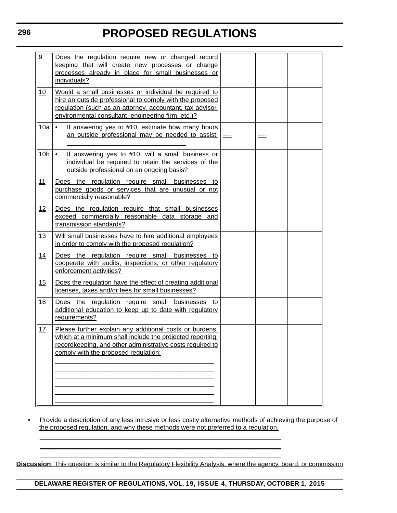| 9               | Does the regulation require new or changed record<br>keeping that will create new processes or change<br>processes already in place for small businesses or<br>individuals?                                                          |  |  |  |  |  |
|-----------------|--------------------------------------------------------------------------------------------------------------------------------------------------------------------------------------------------------------------------------------|--|--|--|--|--|
| 10              | Would a small businesses or individual be required to<br>hire an outside professional to comply with the proposed<br>regulation (such as an attorney, accountant, tax advisor,<br>environmental consultant, engineering firm, etc.)? |  |  |  |  |  |
| <u>10a</u>      | If answering yes to #10, estimate how many hours<br>$\bullet$<br>an outside professional may be needed to assist:                                                                                                                    |  |  |  |  |  |
| 10 <sub>b</sub> | If answering yes to #10, will a small business or<br>$\cdot$<br>individual be required to retain the services of the<br>outside professional on an ongoing basis?                                                                    |  |  |  |  |  |
| 11              | Does the regulation require small businesses to<br>purchase goods or services that are unusual or not<br>commercially reasonable?                                                                                                    |  |  |  |  |  |
| 12              | Does the regulation require that small businesses<br>exceed commercially reasonable data storage and<br>transmission standards?                                                                                                      |  |  |  |  |  |
| 13              | Will small businesses have to hire additional employees<br>in order to comply with the proposed regulation?                                                                                                                          |  |  |  |  |  |
| 14              | Does the regulation require small businesses to<br>cooperate with audits, inspections, or other regulatory<br>enforcement activities?                                                                                                |  |  |  |  |  |
| 15              | Does the regulation have the effect of creating additional<br>licenses, taxes and/or fees for small businesses?                                                                                                                      |  |  |  |  |  |
| 16              | Does the regulation require small businesses to<br>additional education to keep up to date with regulatory<br>requirements?                                                                                                          |  |  |  |  |  |
| 17              | Please further explain any additional costs or burdens.<br>which at a minimum shall include the projected reporting,<br>recordkeeping, and other administrative costs required to<br>comply with the proposed regulation:            |  |  |  |  |  |
|                 |                                                                                                                                                                                                                                      |  |  |  |  |  |

• Provide a description of any less intrusive or less costly alternative methods of achieving the purpose of the proposed regulation, and why these methods were not preferred to a regulation.

 $\mathcal{L}_\mathcal{L} = \mathcal{L}_\mathcal{L} = \mathcal{L}_\mathcal{L} = \mathcal{L}_\mathcal{L} = \mathcal{L}_\mathcal{L} = \mathcal{L}_\mathcal{L} = \mathcal{L}_\mathcal{L} = \mathcal{L}_\mathcal{L} = \mathcal{L}_\mathcal{L} = \mathcal{L}_\mathcal{L} = \mathcal{L}_\mathcal{L} = \mathcal{L}_\mathcal{L} = \mathcal{L}_\mathcal{L} = \mathcal{L}_\mathcal{L} = \mathcal{L}_\mathcal{L} = \mathcal{L}_\mathcal{L} = \mathcal{L}_\mathcal{L}$  $\mathcal{L}_\mathcal{L} = \mathcal{L}_\mathcal{L} = \mathcal{L}_\mathcal{L} = \mathcal{L}_\mathcal{L} = \mathcal{L}_\mathcal{L} = \mathcal{L}_\mathcal{L} = \mathcal{L}_\mathcal{L} = \mathcal{L}_\mathcal{L} = \mathcal{L}_\mathcal{L} = \mathcal{L}_\mathcal{L} = \mathcal{L}_\mathcal{L} = \mathcal{L}_\mathcal{L} = \mathcal{L}_\mathcal{L} = \mathcal{L}_\mathcal{L} = \mathcal{L}_\mathcal{L} = \mathcal{L}_\mathcal{L} = \mathcal{L}_\mathcal{L}$  $\mathcal{L}_\mathcal{L} = \mathcal{L}_\mathcal{L} = \mathcal{L}_\mathcal{L} = \mathcal{L}_\mathcal{L} = \mathcal{L}_\mathcal{L} = \mathcal{L}_\mathcal{L} = \mathcal{L}_\mathcal{L} = \mathcal{L}_\mathcal{L} = \mathcal{L}_\mathcal{L} = \mathcal{L}_\mathcal{L} = \mathcal{L}_\mathcal{L} = \mathcal{L}_\mathcal{L} = \mathcal{L}_\mathcal{L} = \mathcal{L}_\mathcal{L} = \mathcal{L}_\mathcal{L} = \mathcal{L}_\mathcal{L} = \mathcal{L}_\mathcal{L}$ 

**Discussion**: This question is similar to the Regulatory Flexibility Analysis, where the agency, board, or commission

**DELAWARE REGISTER OF REGULATIONS, VOL. 19, ISSUE 4, THURSDAY, OCTOBER 1, 2015**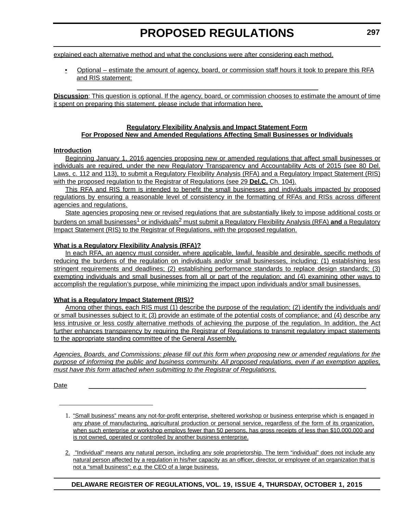explained each alternative method and what the conclusions were after considering each method.

 $\_$  . The contribution of the contribution of the contribution of the contribution of  $\mathcal{L}_\mathcal{A}$ 

• Optional – estimate the amount of agency, board, or commission staff hours it took to prepare this RFA and RIS statement:

**Discussion**: This question is optional. If the agency, board, or commission chooses to estimate the amount of time it spent on preparing this statement, please include that information here.

### **Regulatory Flexibility Analysis and Impact Statement Form For Proposed New and Amended Regulations Affecting Small Businesses or Individuals**

### **Introduction**

Beginning January 1, 2016 agencies proposing new or amended regulations that affect small businesses or individuals are required, under the new Regulatory Transparency and Accountability Acts of 2015 (see 80 Del. Laws, c. 112 and 113), to submit a Regulatory Flexibility Analysis (RFA) and a Regulatory Impact Statement (RIS) with the proposed regulation to the Registrar of Regulations (see 29 **Del.C.** Ch. 104).

This RFA and RIS form is intended to benefit the small businesses and individuals impacted by proposed regulations by ensuring a reasonable level of consistency in the formatting of RFAs and RISs across different agencies and regulations.

State agencies proposing new or revised regulations that are substantially likely to impose additional costs or burdens on small businesses<sup>1</sup> or individuals<sup>2</sup> must submit a Regulatory Flexibility Analysis (RFA) and a Regulatory Impact Statement (RIS) to the Registrar of Regulations, with the proposed regulation.

### **What is a Regulatory Flexibility Analysis (RFA)?**

In each RFA, an agency must consider, where applicable, lawful, feasible and desirable, specific methods of reducing the burdens of the regulation on individuals and/or small businesses, including: (1) establishing less stringent requirements and deadlines; (2) establishing performance standards to replace design standards; (3) exempting individuals and small businesses from all or part of the regulation; and (4) examining other ways to accomplish the regulation's purpose, while minimizing the impact upon individuals and/or small businesses.

## **What is a Regulatory Impact Statement (RIS)?**

Among other things, each RIS must (1) describe the purpose of the regulation; (2) identify the individuals and/ or small businesses subject to it; (3) provide an estimate of the potential costs of compliance; and (4) describe any less intrusive or less costly alternative methods of achieving the purpose of the regulation. In addition, the Act further enhances transparency by requiring the Registrar of Regulations to transmit regulatory impact statements to the appropriate standing committee of the General Assembly.

*Agencies, Boards, and Commissions: please fill out this form when proposing new or amended regulations for the purpose of informing the public and business community. All proposed regulations, even if an exemption applies, must have this form attached when submitting to the Registrar of Regulations.*

Date \_\_\_\_\_\_\_\_\_\_\_\_\_\_\_\_\_\_\_\_\_\_\_\_\_\_\_\_\_\_\_\_\_\_\_\_\_\_\_\_\_\_\_\_\_\_\_\_\_\_\_\_\_\_\_\_\_\_\_\_\_\_\_\_\_\_\_\_\_\_\_\_\_\_\_\_\_

2. "Individual" means any natural person, including any sole proprietorship. The term "individual" does not include any natural person affected by a regulation in his/her capacity as an officer, director, or employee of an organization that is not a "small business"; *e.g.* the CEO of a large business.

<sup>1.</sup> "Small business" means any not-for-profit enterprise, sheltered workshop or business enterprise which is engaged in any phase of manufacturing, agricultural production or personal service, regardless of the form of its organization, when such enterprise or workshop employs fewer than 50 persons, has gross receipts of less than \$10,000,000 and is not owned, operated or controlled by another business enterprise.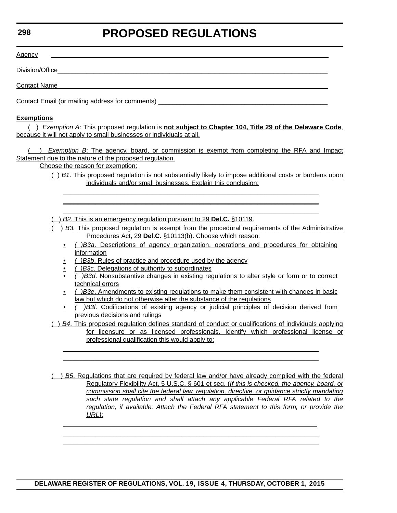### **298**

# **PROPOSED REGULATIONS**

 $\frac{\text{Agenc}}{ }$ 

Division/Office

Contact Name

Contact Email (or mailing address for comments)

### **Exemptions**

( ) *Exemption A*: This proposed regulation is **not subject to Chapter 104, Title 29 of the Delaware Code**, because it will not apply to small businesses or individuals at all.

( ) *Exemption B*: The agency, board, or commission is exempt from completing the RFA and Impact Statement due to the nature of the proposed regulation.

Choose the reason for exemption:

( ) *B1*. This proposed regulation is not substantially likely to impose additional costs or burdens upon individuals and/or small businesses. Explain this conclusion:

 $\mathcal{L}_\mathcal{L} = \mathcal{L}_\mathcal{L} = \mathcal{L}_\mathcal{L} = \mathcal{L}_\mathcal{L} = \mathcal{L}_\mathcal{L} = \mathcal{L}_\mathcal{L} = \mathcal{L}_\mathcal{L} = \mathcal{L}_\mathcal{L} = \mathcal{L}_\mathcal{L} = \mathcal{L}_\mathcal{L} = \mathcal{L}_\mathcal{L} = \mathcal{L}_\mathcal{L} = \mathcal{L}_\mathcal{L} = \mathcal{L}_\mathcal{L} = \mathcal{L}_\mathcal{L} = \mathcal{L}_\mathcal{L} = \mathcal{L}_\mathcal{L}$  $\mathcal{L}_\mathcal{L} = \mathcal{L}_\mathcal{L} = \mathcal{L}_\mathcal{L} = \mathcal{L}_\mathcal{L} = \mathcal{L}_\mathcal{L} = \mathcal{L}_\mathcal{L} = \mathcal{L}_\mathcal{L} = \mathcal{L}_\mathcal{L} = \mathcal{L}_\mathcal{L} = \mathcal{L}_\mathcal{L} = \mathcal{L}_\mathcal{L} = \mathcal{L}_\mathcal{L} = \mathcal{L}_\mathcal{L} = \mathcal{L}_\mathcal{L} = \mathcal{L}_\mathcal{L} = \mathcal{L}_\mathcal{L} = \mathcal{L}_\mathcal{L}$  $\mathcal{L}_\mathcal{L} = \mathcal{L}_\mathcal{L} = \mathcal{L}_\mathcal{L} = \mathcal{L}_\mathcal{L} = \mathcal{L}_\mathcal{L} = \mathcal{L}_\mathcal{L} = \mathcal{L}_\mathcal{L} = \mathcal{L}_\mathcal{L} = \mathcal{L}_\mathcal{L} = \mathcal{L}_\mathcal{L} = \mathcal{L}_\mathcal{L} = \mathcal{L}_\mathcal{L} = \mathcal{L}_\mathcal{L} = \mathcal{L}_\mathcal{L} = \mathcal{L}_\mathcal{L} = \mathcal{L}_\mathcal{L} = \mathcal{L}_\mathcal{L}$ 

( ) *B2.* This is an emergency regulation pursuant to 29 **Del.C.** §10119.

( ) *B3.* This proposed regulation is exempt from the procedural requirements of the Administrative Procedures Act, 29 **Del.C.** §10113(b). Choose which reason:

- *( )B3a*. Descriptions of agency organization, operations and procedures for obtaining information
- *( )B3b*. Rules of practice and procedure used by the agency
- *( )B3c*. Delegations of authority to subordinates
- *( )B3d*. Nonsubstantive changes in existing regulations to alter style or form or to correct technical errors
- *( )B3e*. Amendments to existing regulations to make them consistent with changes in basic law but which do not otherwise alter the substance of the regulations
- *( )B3f*. Codifications of existing agency or judicial principles of decision derived from previous decisions and rulings

( ) *B4*. This proposed regulation defines standard of conduct or qualifications of individuals applying for licensure or as licensed professionals. Identify which professional license or professional qualification this would apply to:

 $\mathcal{L}_\mathcal{L} = \mathcal{L}_\mathcal{L} = \mathcal{L}_\mathcal{L} = \mathcal{L}_\mathcal{L} = \mathcal{L}_\mathcal{L} = \mathcal{L}_\mathcal{L} = \mathcal{L}_\mathcal{L} = \mathcal{L}_\mathcal{L} = \mathcal{L}_\mathcal{L} = \mathcal{L}_\mathcal{L} = \mathcal{L}_\mathcal{L} = \mathcal{L}_\mathcal{L} = \mathcal{L}_\mathcal{L} = \mathcal{L}_\mathcal{L} = \mathcal{L}_\mathcal{L} = \mathcal{L}_\mathcal{L} = \mathcal{L}_\mathcal{L}$  $\mathcal{L}_\mathcal{L} = \mathcal{L}_\mathcal{L} = \mathcal{L}_\mathcal{L} = \mathcal{L}_\mathcal{L} = \mathcal{L}_\mathcal{L} = \mathcal{L}_\mathcal{L} = \mathcal{L}_\mathcal{L} = \mathcal{L}_\mathcal{L} = \mathcal{L}_\mathcal{L} = \mathcal{L}_\mathcal{L} = \mathcal{L}_\mathcal{L} = \mathcal{L}_\mathcal{L} = \mathcal{L}_\mathcal{L} = \mathcal{L}_\mathcal{L} = \mathcal{L}_\mathcal{L} = \mathcal{L}_\mathcal{L} = \mathcal{L}_\mathcal{L}$ 

( ) *B5*. Regulations that are required by federal law and/or have already complied with the federal Regulatory Flexibility Act, 5 U.S.C. § 601 et seq. (*If this is checked, the agency, board, or commission shall cite the federal law, regulation, directive, or guidance strictly mandating such state regulation and shall attach any applicable Federal RFA related to the regulation, if available. Attach the Federal RFA statement to this form, or provide the URL)*:

 $\mathcal{L}_\mathcal{L} = \mathcal{L}_\mathcal{L} = \mathcal{L}_\mathcal{L} = \mathcal{L}_\mathcal{L} = \mathcal{L}_\mathcal{L} = \mathcal{L}_\mathcal{L} = \mathcal{L}_\mathcal{L} = \mathcal{L}_\mathcal{L} = \mathcal{L}_\mathcal{L} = \mathcal{L}_\mathcal{L} = \mathcal{L}_\mathcal{L} = \mathcal{L}_\mathcal{L} = \mathcal{L}_\mathcal{L} = \mathcal{L}_\mathcal{L} = \mathcal{L}_\mathcal{L} = \mathcal{L}_\mathcal{L} = \mathcal{L}_\mathcal{L}$  $\mathcal{L}_\mathcal{L} = \mathcal{L}_\mathcal{L} = \mathcal{L}_\mathcal{L} = \mathcal{L}_\mathcal{L} = \mathcal{L}_\mathcal{L} = \mathcal{L}_\mathcal{L} = \mathcal{L}_\mathcal{L} = \mathcal{L}_\mathcal{L} = \mathcal{L}_\mathcal{L} = \mathcal{L}_\mathcal{L} = \mathcal{L}_\mathcal{L} = \mathcal{L}_\mathcal{L} = \mathcal{L}_\mathcal{L} = \mathcal{L}_\mathcal{L} = \mathcal{L}_\mathcal{L} = \mathcal{L}_\mathcal{L} = \mathcal{L}_\mathcal{L}$  $\mathcal{L}_\mathcal{L} = \mathcal{L}_\mathcal{L} = \mathcal{L}_\mathcal{L} = \mathcal{L}_\mathcal{L} = \mathcal{L}_\mathcal{L} = \mathcal{L}_\mathcal{L} = \mathcal{L}_\mathcal{L} = \mathcal{L}_\mathcal{L} = \mathcal{L}_\mathcal{L} = \mathcal{L}_\mathcal{L} = \mathcal{L}_\mathcal{L} = \mathcal{L}_\mathcal{L} = \mathcal{L}_\mathcal{L} = \mathcal{L}_\mathcal{L} = \mathcal{L}_\mathcal{L} = \mathcal{L}_\mathcal{L} = \mathcal{L}_\mathcal{L}$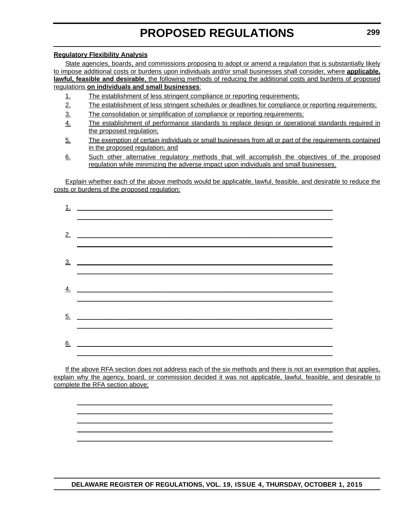### **Regulatory Flexibility Analysis**

State agencies, boards, and commissions proposing to adopt or amend a regulation that is substantially likely to impose additional costs or burdens upon individuals and/or small businesses shall consider, where **applicable, lawful, feasible and desirable**, the following methods of reducing the additional costs and burdens of proposed regulations **on individuals and small businesses**:

- 1. The establishment of less stringent compliance or reporting requirements;
- 2. The establishment of less stringent schedules or deadlines for compliance or reporting requirements;
- 3. The consolidation or simplification of compliance or reporting requirements;
- 4. The establishment of performance standards to replace design or operational standards required in the proposed regulation;
- 5. The exemption of certain individuals or small businesses from all or part of the requirements contained in the proposed regulation; and
- 6. Such other alternative regulatory methods that will accomplish the objectives of the proposed regulation while minimizing the adverse impact upon individuals and small businesses.

Explain whether each of the above methods would be applicable, lawful, feasible, and desirable to reduce the costs or burdens of the proposed regulation:

| 1.                | <u> 1980 - Johann Barn, amerikansk politiker (d. 1980)</u>                                                           |
|-------------------|----------------------------------------------------------------------------------------------------------------------|
|                   |                                                                                                                      |
| 3 <sub>1</sub>    |                                                                                                                      |
| <u>4.</u>         | <u> 1980 - Johann Barn, mars ann an t-Amhain Aonaich an t-Aonaich an t-Aonaich ann an t-Aonaich ann an t-Aonaich</u> |
| $\underline{5}$ . |                                                                                                                      |
| 6.                |                                                                                                                      |

If the above RFA section does not address each of the six methods and there is not an exemption that applies, explain why the agency, board, or commission decided it was not applicable, lawful, feasible, and desirable to complete the RFA section above:

 $\mathcal{L}_\mathcal{L} = \mathcal{L}_\mathcal{L} = \mathcal{L}_\mathcal{L} = \mathcal{L}_\mathcal{L} = \mathcal{L}_\mathcal{L} = \mathcal{L}_\mathcal{L} = \mathcal{L}_\mathcal{L} = \mathcal{L}_\mathcal{L} = \mathcal{L}_\mathcal{L} = \mathcal{L}_\mathcal{L} = \mathcal{L}_\mathcal{L} = \mathcal{L}_\mathcal{L} = \mathcal{L}_\mathcal{L} = \mathcal{L}_\mathcal{L} = \mathcal{L}_\mathcal{L} = \mathcal{L}_\mathcal{L} = \mathcal{L}_\mathcal{L}$  $\mathcal{L}_\mathcal{L} = \mathcal{L}_\mathcal{L} = \mathcal{L}_\mathcal{L} = \mathcal{L}_\mathcal{L} = \mathcal{L}_\mathcal{L} = \mathcal{L}_\mathcal{L} = \mathcal{L}_\mathcal{L} = \mathcal{L}_\mathcal{L} = \mathcal{L}_\mathcal{L} = \mathcal{L}_\mathcal{L} = \mathcal{L}_\mathcal{L} = \mathcal{L}_\mathcal{L} = \mathcal{L}_\mathcal{L} = \mathcal{L}_\mathcal{L} = \mathcal{L}_\mathcal{L} = \mathcal{L}_\mathcal{L} = \mathcal{L}_\mathcal{L}$  $\mathcal{L}_\mathcal{L} = \mathcal{L}_\mathcal{L} = \mathcal{L}_\mathcal{L} = \mathcal{L}_\mathcal{L} = \mathcal{L}_\mathcal{L} = \mathcal{L}_\mathcal{L} = \mathcal{L}_\mathcal{L} = \mathcal{L}_\mathcal{L} = \mathcal{L}_\mathcal{L} = \mathcal{L}_\mathcal{L} = \mathcal{L}_\mathcal{L} = \mathcal{L}_\mathcal{L} = \mathcal{L}_\mathcal{L} = \mathcal{L}_\mathcal{L} = \mathcal{L}_\mathcal{L} = \mathcal{L}_\mathcal{L} = \mathcal{L}_\mathcal{L}$  $\mathcal{L}_\mathcal{L} = \mathcal{L}_\mathcal{L} = \mathcal{L}_\mathcal{L} = \mathcal{L}_\mathcal{L} = \mathcal{L}_\mathcal{L} = \mathcal{L}_\mathcal{L} = \mathcal{L}_\mathcal{L} = \mathcal{L}_\mathcal{L} = \mathcal{L}_\mathcal{L} = \mathcal{L}_\mathcal{L} = \mathcal{L}_\mathcal{L} = \mathcal{L}_\mathcal{L} = \mathcal{L}_\mathcal{L} = \mathcal{L}_\mathcal{L} = \mathcal{L}_\mathcal{L} = \mathcal{L}_\mathcal{L} = \mathcal{L}_\mathcal{L}$  $\mathcal{L}_\mathcal{L} = \mathcal{L}_\mathcal{L} = \mathcal{L}_\mathcal{L} = \mathcal{L}_\mathcal{L} = \mathcal{L}_\mathcal{L} = \mathcal{L}_\mathcal{L} = \mathcal{L}_\mathcal{L} = \mathcal{L}_\mathcal{L} = \mathcal{L}_\mathcal{L} = \mathcal{L}_\mathcal{L} = \mathcal{L}_\mathcal{L} = \mathcal{L}_\mathcal{L} = \mathcal{L}_\mathcal{L} = \mathcal{L}_\mathcal{L} = \mathcal{L}_\mathcal{L} = \mathcal{L}_\mathcal{L} = \mathcal{L}_\mathcal{L}$ 

**DELAWARE REGISTER OF REGULATIONS, VOL. 19, ISSUE 4, THURSDAY, OCTOBER 1, 2015**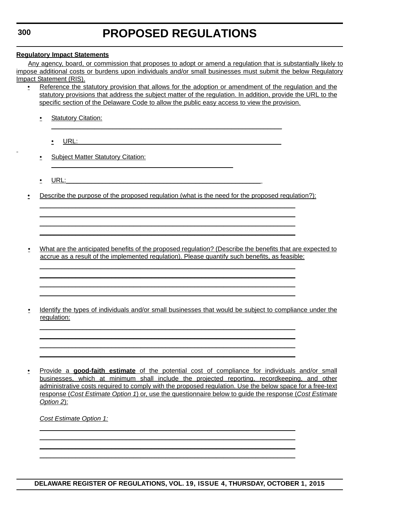### **Regulatory Impact Statements**

Any agency, board, or commission that proposes to adopt or amend a regulation that is substantially likely to impose additional costs or burdens upon individuals and/or small businesses must submit the below Regulatory Impact Statement (RIS).

- Reference the statutory provision that allows for the adoption or amendment of the regulation and the statutory provisions that address the subject matter of the regulation. In addition, provide the URL to the specific section of the Delaware Code to allow the public easy access to view the provision.
	- Statutory Citation:
		- $\cdot$  URL:
	- Subject Matter Statutory Citation:  $\frac{1}{2}$  ,  $\frac{1}{2}$  ,  $\frac{1}{2}$  ,  $\frac{1}{2}$  ,  $\frac{1}{2}$  ,  $\frac{1}{2}$  ,  $\frac{1}{2}$  ,  $\frac{1}{2}$  ,  $\frac{1}{2}$  ,  $\frac{1}{2}$  ,  $\frac{1}{2}$  ,  $\frac{1}{2}$  ,  $\frac{1}{2}$  ,  $\frac{1}{2}$  ,  $\frac{1}{2}$  ,  $\frac{1}{2}$  ,  $\frac{1}{2}$  ,  $\frac{1}{2}$  ,  $\frac{1$
	- URL:  $\qquad \qquad \qquad \qquad \qquad$
- Describe the purpose of the proposed regulation (what is the need for the proposed regulation?):

 $\mathcal{L}_\mathcal{L} = \mathcal{L}_\mathcal{L} = \mathcal{L}_\mathcal{L} = \mathcal{L}_\mathcal{L} = \mathcal{L}_\mathcal{L} = \mathcal{L}_\mathcal{L} = \mathcal{L}_\mathcal{L} = \mathcal{L}_\mathcal{L} = \mathcal{L}_\mathcal{L} = \mathcal{L}_\mathcal{L} = \mathcal{L}_\mathcal{L} = \mathcal{L}_\mathcal{L} = \mathcal{L}_\mathcal{L} = \mathcal{L}_\mathcal{L} = \mathcal{L}_\mathcal{L} = \mathcal{L}_\mathcal{L} = \mathcal{L}_\mathcal{L}$  $\mathcal{L}_\mathcal{L} = \mathcal{L}_\mathcal{L} = \mathcal{L}_\mathcal{L} = \mathcal{L}_\mathcal{L} = \mathcal{L}_\mathcal{L} = \mathcal{L}_\mathcal{L} = \mathcal{L}_\mathcal{L} = \mathcal{L}_\mathcal{L} = \mathcal{L}_\mathcal{L} = \mathcal{L}_\mathcal{L} = \mathcal{L}_\mathcal{L} = \mathcal{L}_\mathcal{L} = \mathcal{L}_\mathcal{L} = \mathcal{L}_\mathcal{L} = \mathcal{L}_\mathcal{L} = \mathcal{L}_\mathcal{L} = \mathcal{L}_\mathcal{L}$  $\mathcal{L}_\mathcal{L} = \mathcal{L}_\mathcal{L} = \mathcal{L}_\mathcal{L} = \mathcal{L}_\mathcal{L} = \mathcal{L}_\mathcal{L} = \mathcal{L}_\mathcal{L} = \mathcal{L}_\mathcal{L} = \mathcal{L}_\mathcal{L} = \mathcal{L}_\mathcal{L} = \mathcal{L}_\mathcal{L} = \mathcal{L}_\mathcal{L} = \mathcal{L}_\mathcal{L} = \mathcal{L}_\mathcal{L} = \mathcal{L}_\mathcal{L} = \mathcal{L}_\mathcal{L} = \mathcal{L}_\mathcal{L} = \mathcal{L}_\mathcal{L}$  $\mathcal{L}_\mathcal{L} = \mathcal{L}_\mathcal{L} = \mathcal{L}_\mathcal{L} = \mathcal{L}_\mathcal{L} = \mathcal{L}_\mathcal{L} = \mathcal{L}_\mathcal{L} = \mathcal{L}_\mathcal{L} = \mathcal{L}_\mathcal{L} = \mathcal{L}_\mathcal{L} = \mathcal{L}_\mathcal{L} = \mathcal{L}_\mathcal{L} = \mathcal{L}_\mathcal{L} = \mathcal{L}_\mathcal{L} = \mathcal{L}_\mathcal{L} = \mathcal{L}_\mathcal{L} = \mathcal{L}_\mathcal{L} = \mathcal{L}_\mathcal{L}$ 

 $\mathcal{L}_\mathcal{L} = \mathcal{L}_\mathcal{L} = \mathcal{L}_\mathcal{L} = \mathcal{L}_\mathcal{L} = \mathcal{L}_\mathcal{L} = \mathcal{L}_\mathcal{L} = \mathcal{L}_\mathcal{L} = \mathcal{L}_\mathcal{L} = \mathcal{L}_\mathcal{L} = \mathcal{L}_\mathcal{L} = \mathcal{L}_\mathcal{L} = \mathcal{L}_\mathcal{L} = \mathcal{L}_\mathcal{L} = \mathcal{L}_\mathcal{L} = \mathcal{L}_\mathcal{L} = \mathcal{L}_\mathcal{L} = \mathcal{L}_\mathcal{L}$  $\mathcal{L}_\mathcal{L} = \mathcal{L}_\mathcal{L} = \mathcal{L}_\mathcal{L} = \mathcal{L}_\mathcal{L} = \mathcal{L}_\mathcal{L} = \mathcal{L}_\mathcal{L} = \mathcal{L}_\mathcal{L} = \mathcal{L}_\mathcal{L} = \mathcal{L}_\mathcal{L} = \mathcal{L}_\mathcal{L} = \mathcal{L}_\mathcal{L} = \mathcal{L}_\mathcal{L} = \mathcal{L}_\mathcal{L} = \mathcal{L}_\mathcal{L} = \mathcal{L}_\mathcal{L} = \mathcal{L}_\mathcal{L} = \mathcal{L}_\mathcal{L}$  $\mathcal{L}_\mathcal{L} = \mathcal{L}_\mathcal{L} = \mathcal{L}_\mathcal{L} = \mathcal{L}_\mathcal{L} = \mathcal{L}_\mathcal{L} = \mathcal{L}_\mathcal{L} = \mathcal{L}_\mathcal{L} = \mathcal{L}_\mathcal{L} = \mathcal{L}_\mathcal{L} = \mathcal{L}_\mathcal{L} = \mathcal{L}_\mathcal{L} = \mathcal{L}_\mathcal{L} = \mathcal{L}_\mathcal{L} = \mathcal{L}_\mathcal{L} = \mathcal{L}_\mathcal{L} = \mathcal{L}_\mathcal{L} = \mathcal{L}_\mathcal{L}$  $\mathcal{L}_\mathcal{L} = \mathcal{L}_\mathcal{L} = \mathcal{L}_\mathcal{L} = \mathcal{L}_\mathcal{L} = \mathcal{L}_\mathcal{L} = \mathcal{L}_\mathcal{L} = \mathcal{L}_\mathcal{L} = \mathcal{L}_\mathcal{L} = \mathcal{L}_\mathcal{L} = \mathcal{L}_\mathcal{L} = \mathcal{L}_\mathcal{L} = \mathcal{L}_\mathcal{L} = \mathcal{L}_\mathcal{L} = \mathcal{L}_\mathcal{L} = \mathcal{L}_\mathcal{L} = \mathcal{L}_\mathcal{L} = \mathcal{L}_\mathcal{L}$ 

 $\mathcal{L}_\mathcal{L} = \mathcal{L}_\mathcal{L} = \mathcal{L}_\mathcal{L} = \mathcal{L}_\mathcal{L} = \mathcal{L}_\mathcal{L} = \mathcal{L}_\mathcal{L} = \mathcal{L}_\mathcal{L} = \mathcal{L}_\mathcal{L} = \mathcal{L}_\mathcal{L} = \mathcal{L}_\mathcal{L} = \mathcal{L}_\mathcal{L} = \mathcal{L}_\mathcal{L} = \mathcal{L}_\mathcal{L} = \mathcal{L}_\mathcal{L} = \mathcal{L}_\mathcal{L} = \mathcal{L}_\mathcal{L} = \mathcal{L}_\mathcal{L}$  $\mathcal{L}_\mathcal{L} = \mathcal{L}_\mathcal{L} = \mathcal{L}_\mathcal{L} = \mathcal{L}_\mathcal{L} = \mathcal{L}_\mathcal{L} = \mathcal{L}_\mathcal{L} = \mathcal{L}_\mathcal{L} = \mathcal{L}_\mathcal{L} = \mathcal{L}_\mathcal{L} = \mathcal{L}_\mathcal{L} = \mathcal{L}_\mathcal{L} = \mathcal{L}_\mathcal{L} = \mathcal{L}_\mathcal{L} = \mathcal{L}_\mathcal{L} = \mathcal{L}_\mathcal{L} = \mathcal{L}_\mathcal{L} = \mathcal{L}_\mathcal{L}$  $\mathcal{L}_\mathcal{L} = \mathcal{L}_\mathcal{L} = \mathcal{L}_\mathcal{L} = \mathcal{L}_\mathcal{L} = \mathcal{L}_\mathcal{L} = \mathcal{L}_\mathcal{L} = \mathcal{L}_\mathcal{L} = \mathcal{L}_\mathcal{L} = \mathcal{L}_\mathcal{L} = \mathcal{L}_\mathcal{L} = \mathcal{L}_\mathcal{L} = \mathcal{L}_\mathcal{L} = \mathcal{L}_\mathcal{L} = \mathcal{L}_\mathcal{L} = \mathcal{L}_\mathcal{L} = \mathcal{L}_\mathcal{L} = \mathcal{L}_\mathcal{L}$  $\mathcal{L}_\mathcal{L} = \mathcal{L}_\mathcal{L} = \mathcal{L}_\mathcal{L} = \mathcal{L}_\mathcal{L} = \mathcal{L}_\mathcal{L} = \mathcal{L}_\mathcal{L} = \mathcal{L}_\mathcal{L} = \mathcal{L}_\mathcal{L} = \mathcal{L}_\mathcal{L} = \mathcal{L}_\mathcal{L} = \mathcal{L}_\mathcal{L} = \mathcal{L}_\mathcal{L} = \mathcal{L}_\mathcal{L} = \mathcal{L}_\mathcal{L} = \mathcal{L}_\mathcal{L} = \mathcal{L}_\mathcal{L} = \mathcal{L}_\mathcal{L}$ 

 $\mathcal{L}_\mathcal{L} = \mathcal{L}_\mathcal{L} = \mathcal{L}_\mathcal{L} = \mathcal{L}_\mathcal{L} = \mathcal{L}_\mathcal{L} = \mathcal{L}_\mathcal{L} = \mathcal{L}_\mathcal{L} = \mathcal{L}_\mathcal{L} = \mathcal{L}_\mathcal{L} = \mathcal{L}_\mathcal{L} = \mathcal{L}_\mathcal{L} = \mathcal{L}_\mathcal{L} = \mathcal{L}_\mathcal{L} = \mathcal{L}_\mathcal{L} = \mathcal{L}_\mathcal{L} = \mathcal{L}_\mathcal{L} = \mathcal{L}_\mathcal{L}$  $\mathcal{L}_\mathcal{L} = \mathcal{L}_\mathcal{L} = \mathcal{L}_\mathcal{L} = \mathcal{L}_\mathcal{L} = \mathcal{L}_\mathcal{L} = \mathcal{L}_\mathcal{L} = \mathcal{L}_\mathcal{L} = \mathcal{L}_\mathcal{L} = \mathcal{L}_\mathcal{L} = \mathcal{L}_\mathcal{L} = \mathcal{L}_\mathcal{L} = \mathcal{L}_\mathcal{L} = \mathcal{L}_\mathcal{L} = \mathcal{L}_\mathcal{L} = \mathcal{L}_\mathcal{L} = \mathcal{L}_\mathcal{L} = \mathcal{L}_\mathcal{L}$  $\mathcal{L}_\mathcal{L} = \mathcal{L}_\mathcal{L} = \mathcal{L}_\mathcal{L} = \mathcal{L}_\mathcal{L} = \mathcal{L}_\mathcal{L} = \mathcal{L}_\mathcal{L} = \mathcal{L}_\mathcal{L} = \mathcal{L}_\mathcal{L} = \mathcal{L}_\mathcal{L} = \mathcal{L}_\mathcal{L} = \mathcal{L}_\mathcal{L} = \mathcal{L}_\mathcal{L} = \mathcal{L}_\mathcal{L} = \mathcal{L}_\mathcal{L} = \mathcal{L}_\mathcal{L} = \mathcal{L}_\mathcal{L} = \mathcal{L}_\mathcal{L}$  $\mathcal{L}_\mathcal{L} = \mathcal{L}_\mathcal{L} = \mathcal{L}_\mathcal{L} = \mathcal{L}_\mathcal{L} = \mathcal{L}_\mathcal{L} = \mathcal{L}_\mathcal{L} = \mathcal{L}_\mathcal{L} = \mathcal{L}_\mathcal{L} = \mathcal{L}_\mathcal{L} = \mathcal{L}_\mathcal{L} = \mathcal{L}_\mathcal{L} = \mathcal{L}_\mathcal{L} = \mathcal{L}_\mathcal{L} = \mathcal{L}_\mathcal{L} = \mathcal{L}_\mathcal{L} = \mathcal{L}_\mathcal{L} = \mathcal{L}_\mathcal{L}$ 

 $\frac{1}{2}$  ,  $\frac{1}{2}$  ,  $\frac{1}{2}$  ,  $\frac{1}{2}$  ,  $\frac{1}{2}$  ,  $\frac{1}{2}$  ,  $\frac{1}{2}$  ,  $\frac{1}{2}$  ,  $\frac{1}{2}$  ,  $\frac{1}{2}$  ,  $\frac{1}{2}$  ,  $\frac{1}{2}$  ,  $\frac{1}{2}$  ,  $\frac{1}{2}$  ,  $\frac{1}{2}$  ,  $\frac{1}{2}$  ,  $\frac{1}{2}$  ,  $\frac{1}{2}$  ,  $\frac{1$ 

- What are the anticipated benefits of the proposed regulation? (Describe the benefits that are expected to accrue as a result of the implemented regulation). Please quantify such benefits, as feasible:
- Identify the types of individuals and/or small businesses that would be subject to compliance under the regulation:

• Provide a **good-faith estimate** of the potential cost of compliance for individuals and/or small businesses, which at minimum shall include the projected reporting, recordkeeping, and other administrative costs required to comply with the proposed regulation. Use the below space for a free-text response (*Cost Estimate Option 1*) or, use the questionnaire below to guide the response (*Cost Estimate Option 2*):

*Cost Estimate Option 1:*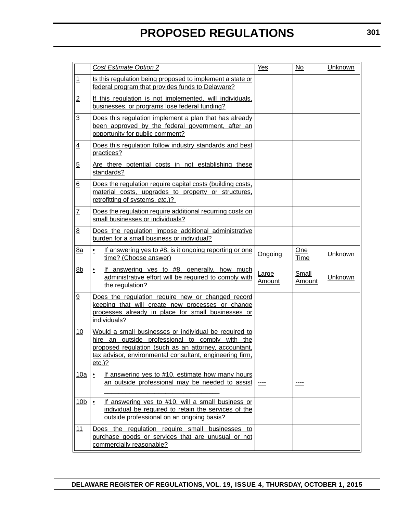|                          | <b>Cost Estimate Option 2</b>                                                                                                                                                                                                              | Yes                    | No                     | Unknown        |  |
|--------------------------|--------------------------------------------------------------------------------------------------------------------------------------------------------------------------------------------------------------------------------------------|------------------------|------------------------|----------------|--|
| $\mathbf{1}$             | Is this regulation being proposed to implement a state or<br>federal program that provides funds to Delaware?                                                                                                                              |                        |                        |                |  |
| $\overline{2}$           | If this regulation is not implemented, will individuals,<br>businesses, or programs lose federal funding?                                                                                                                                  |                        |                        |                |  |
| $\overline{3}$           | Does this regulation implement a plan that has already<br>been approved by the federal government, after an<br>opportunity for public comment?                                                                                             |                        |                        |                |  |
| $\overline{4}$           | Does this regulation follow industry standards and best<br>practices?                                                                                                                                                                      |                        |                        |                |  |
| $\overline{5}$           | Are there potential costs in not establishing these<br>standards?                                                                                                                                                                          |                        |                        |                |  |
| $6\overline{6}$          | Does the regulation require capital costs (building costs,<br>material costs, upgrades to property or structures,<br>retrofitting of systems, etc.)?                                                                                       |                        |                        |                |  |
| $\underline{\mathsf{7}}$ | Does the regulation require additional recurring costs on<br>small businesses or individuals?                                                                                                                                              |                        |                        |                |  |
| 8                        | Does the regulation impose additional administrative<br>burden for a small business or individual?                                                                                                                                         |                        |                        |                |  |
| 8a                       | If answering yes to #8, is it ongoing reporting or one<br>$\cdot$<br>time? (Choose answer)                                                                                                                                                 | Ongoing                | One<br><b>Time</b>     | <b>Unknown</b> |  |
| 8 <sub>b</sub>           | If answering yes to #8, generally, how much<br>$\bullet$<br>administrative effort will be required to comply with<br>the regulation?                                                                                                       | Large<br><u>Amount</u> | Small<br><b>Amount</b> | Unknown        |  |
| $\underline{9}$          | Does the regulation require new or changed record<br>keeping that will create new processes or change<br>processes already in place for small businesses or<br>individuals?                                                                |                        |                        |                |  |
| 10                       | Would a small businesses or individual be required to<br>hire an outside professional to comply with the<br>proposed regulation (such as an attorney, accountant,<br>tax advisor, environmental consultant, engineering firm,<br>$etc.$ )? |                        |                        |                |  |
| 10a                      | If answering yes to #10, estimate how many hours<br>$\cdot$<br>an outside professional may be needed to assist                                                                                                                             |                        |                        |                |  |
| 10 <sub>b</sub>          | If answering yes to #10, will a small business or<br>$\cdot$<br>individual be required to retain the services of the<br>outside professional on an ongoing basis?                                                                          |                        |                        |                |  |
| 11                       | Does the regulation require small businesses to<br>purchase goods or services that are unusual or not<br>commercially reasonable?                                                                                                          |                        |                        |                |  |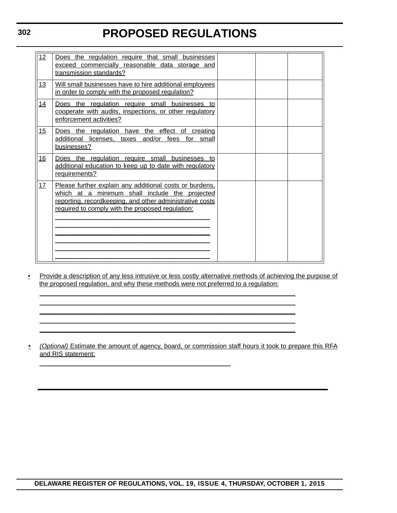| 12        | Does the regulation require that small businesses<br>exceed commercially reasonable data storage and<br>transmission standards?                                                                                           |  |  |
|-----------|---------------------------------------------------------------------------------------------------------------------------------------------------------------------------------------------------------------------------|--|--|
| 13        | Will small businesses have to hire additional employees<br>in order to comply with the proposed regulation?                                                                                                               |  |  |
| 14        | Does the regulation require small businesses to<br>cooperate with audits, inspections, or other regulatory<br>enforcement activities?                                                                                     |  |  |
| 15        | Does the regulation have the effect of creating<br>additional licenses, taxes and/or fees for small<br>businesses?                                                                                                        |  |  |
| 16        | Does the regulation require small businesses to<br>additional education to keep up to date with regulatory<br>requirements?                                                                                               |  |  |
| <u>17</u> | Please further explain any additional costs or burdens.<br>which at a minimum shall include the projected<br>reporting, recordkeeping, and other administrative costs<br>required to comply with the proposed regulation: |  |  |

• Provide a description of any less intrusive or less costly alternative methods of achieving the purpose of the proposed regulation, and why these methods were not preferred to a regulation:

 $\mathcal{L}_\mathcal{L} = \mathcal{L}_\mathcal{L} = \mathcal{L}_\mathcal{L} = \mathcal{L}_\mathcal{L} = \mathcal{L}_\mathcal{L} = \mathcal{L}_\mathcal{L} = \mathcal{L}_\mathcal{L} = \mathcal{L}_\mathcal{L} = \mathcal{L}_\mathcal{L} = \mathcal{L}_\mathcal{L} = \mathcal{L}_\mathcal{L} = \mathcal{L}_\mathcal{L} = \mathcal{L}_\mathcal{L} = \mathcal{L}_\mathcal{L} = \mathcal{L}_\mathcal{L} = \mathcal{L}_\mathcal{L} = \mathcal{L}_\mathcal{L}$  $\mathcal{L}_\mathcal{L} = \mathcal{L}_\mathcal{L} = \mathcal{L}_\mathcal{L} = \mathcal{L}_\mathcal{L} = \mathcal{L}_\mathcal{L} = \mathcal{L}_\mathcal{L} = \mathcal{L}_\mathcal{L} = \mathcal{L}_\mathcal{L} = \mathcal{L}_\mathcal{L} = \mathcal{L}_\mathcal{L} = \mathcal{L}_\mathcal{L} = \mathcal{L}_\mathcal{L} = \mathcal{L}_\mathcal{L} = \mathcal{L}_\mathcal{L} = \mathcal{L}_\mathcal{L} = \mathcal{L}_\mathcal{L} = \mathcal{L}_\mathcal{L}$  $\mathcal{L}_\mathcal{L} = \mathcal{L}_\mathcal{L} = \mathcal{L}_\mathcal{L} = \mathcal{L}_\mathcal{L} = \mathcal{L}_\mathcal{L} = \mathcal{L}_\mathcal{L} = \mathcal{L}_\mathcal{L} = \mathcal{L}_\mathcal{L} = \mathcal{L}_\mathcal{L} = \mathcal{L}_\mathcal{L} = \mathcal{L}_\mathcal{L} = \mathcal{L}_\mathcal{L} = \mathcal{L}_\mathcal{L} = \mathcal{L}_\mathcal{L} = \mathcal{L}_\mathcal{L} = \mathcal{L}_\mathcal{L} = \mathcal{L}_\mathcal{L}$  $\mathcal{L}_\mathcal{L} = \mathcal{L}_\mathcal{L} = \mathcal{L}_\mathcal{L} = \mathcal{L}_\mathcal{L} = \mathcal{L}_\mathcal{L} = \mathcal{L}_\mathcal{L} = \mathcal{L}_\mathcal{L} = \mathcal{L}_\mathcal{L} = \mathcal{L}_\mathcal{L} = \mathcal{L}_\mathcal{L} = \mathcal{L}_\mathcal{L} = \mathcal{L}_\mathcal{L} = \mathcal{L}_\mathcal{L} = \mathcal{L}_\mathcal{L} = \mathcal{L}_\mathcal{L} = \mathcal{L}_\mathcal{L} = \mathcal{L}_\mathcal{L}$  $\mathcal{L}_\mathcal{L} = \mathcal{L}_\mathcal{L} = \mathcal{L}_\mathcal{L} = \mathcal{L}_\mathcal{L} = \mathcal{L}_\mathcal{L} = \mathcal{L}_\mathcal{L} = \mathcal{L}_\mathcal{L} = \mathcal{L}_\mathcal{L} = \mathcal{L}_\mathcal{L} = \mathcal{L}_\mathcal{L} = \mathcal{L}_\mathcal{L} = \mathcal{L}_\mathcal{L} = \mathcal{L}_\mathcal{L} = \mathcal{L}_\mathcal{L} = \mathcal{L}_\mathcal{L} = \mathcal{L}_\mathcal{L} = \mathcal{L}_\mathcal{L}$ 

\_\_\_\_\_\_\_\_\_\_\_\_\_\_\_\_\_\_\_\_\_\_\_\_\_\_\_\_\_\_\_\_\_\_\_\_\_\_\_\_\_\_\_\_\_\_\_\_\_\_\_\_\_

• *(Optional)* Estimate the amount of agency, board, or commission staff hours it took to prepare this RFA and RIS statement: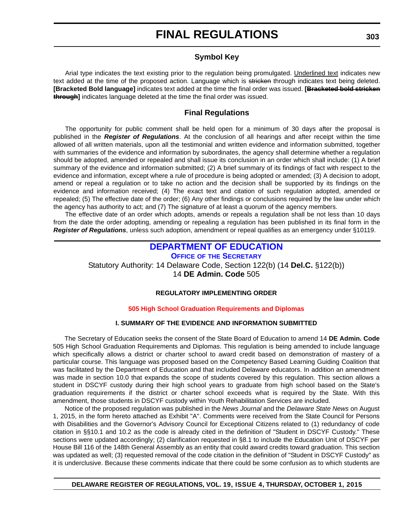# **Symbol Key**

Arial type indicates the text existing prior to the regulation being promulgated. Underlined text indicates new text added at the time of the proposed action. Language which is stricken through indicates text being deleted. **[Bracketed Bold language]** indicates text added at the time the final order was issued. **[Bracketed bold stricken through]** indicates language deleted at the time the final order was issued.

# **Final Regulations**

The opportunity for public comment shall be held open for a minimum of 30 days after the proposal is published in the *Register of Regulations*. At the conclusion of all hearings and after receipt within the time allowed of all written materials, upon all the testimonial and written evidence and information submitted, together with summaries of the evidence and information by subordinates, the agency shall determine whether a regulation should be adopted, amended or repealed and shall issue its conclusion in an order which shall include: (1) A brief summary of the evidence and information submitted; (2) A brief summary of its findings of fact with respect to the evidence and information, except where a rule of procedure is being adopted or amended; (3) A decision to adopt, amend or repeal a regulation or to take no action and the decision shall be supported by its findings on the evidence and information received; (4) The exact text and citation of such regulation adopted, amended or repealed; (5) The effective date of the order; (6) Any other findings or conclusions required by the law under which the agency has authority to act; and (7) The signature of at least a quorum of the agency members.

The effective date of an order which adopts, amends or repeals a regulation shall be not less than 10 days from the date the order adopting, amending or repealing a regulation has been published in its final form in the *Register of Regulations*, unless such adoption, amendment or repeal qualifies as an emergency under §10119.

# **[DEPARTMENT OF EDUCATION](https://pubapps.doe.k12.de.us/EducationalDirectoryPublic/default.aspx)**

**OFFICE OF THE SECRETARY** Statutory Authority: 14 Delaware Code, Section 122(b) (14 **Del.C.** §122(b)) 14 **DE Admin. Code** 505

## **REGULATORY IMPLEMENTING ORDER**

## **[505 High School Graduation Requirements and Diplomas](#page-3-0)**

## **I. SUMMARY OF THE EVIDENCE AND INFORMATION SUBMITTED**

The Secretary of Education seeks the consent of the State Board of Education to amend 14 **DE Admin. Code** 505 High School Graduation Requirements and Diplomas. This regulation is being amended to include language which specifically allows a district or charter school to award credit based on demonstration of mastery of a particular course. This language was proposed based on the Competency Based Learning Guiding Coalition that was facilitated by the Department of Education and that included Delaware educators. In addition an amendment was made in section 10.0 that expands the scope of students covered by this regulation. This section allows a student in DSCYF custody during their high school years to graduate from high school based on the State's graduation requirements if the district or charter school exceeds what is required by the State. With this amendment, those students in DSCYF custody within Youth Rehabilitation Services are included.

Notice of the proposed regulation was published in the *News Journal* and the *Delaware State News* on August 1, 2015, in the form hereto attached as Exhibit "A". Comments were received from the State Council for Persons with Disabilities and the Governor's Advisory Council for Exceptional Citizens related to (1) redundancy of code citation in §§10.1 and 10.2 as the code is already cited in the definition of "Student in DSCYF Custody." These sections were updated accordingly; (2) clarification requested in §8.1 to include the Education Unit of DSCYF per House Bill 116 of the 148th General Assembly as an entity that could award credits toward graduation. This section was updated as well; (3) requested removal of the code citation in the definition of "Student in DSCYF Custody" as it is underclusive. Because these comments indicate that there could be some confusion as to which students are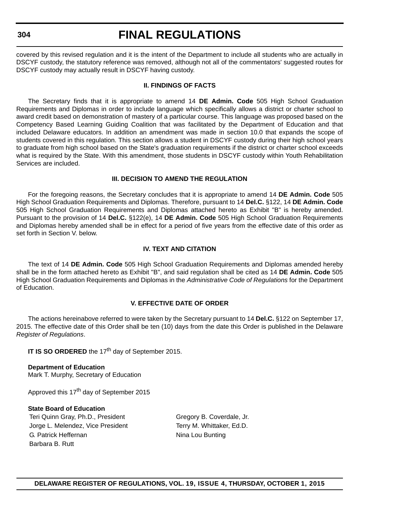#### **304**

# **FINAL REGULATIONS**

covered by this revised regulation and it is the intent of the Department to include all students who are actually in DSCYF custody, the statutory reference was removed, although not all of the commentators' suggested routes for DSCYF custody may actually result in DSCYF having custody.

### **II. FINDINGS OF FACTS**

The Secretary finds that it is appropriate to amend 14 **DE Admin. Code** 505 High School Graduation Requirements and Diplomas in order to include language which specifically allows a district or charter school to award credit based on demonstration of mastery of a particular course. This language was proposed based on the Competency Based Learning Guiding Coalition that was facilitated by the Department of Education and that included Delaware educators. In addition an amendment was made in section 10.0 that expands the scope of students covered in this regulation. This section allows a student in DSCYF custody during their high school years to graduate from high school based on the State's graduation requirements if the district or charter school exceeds what is required by the State. With this amendment, those students in DSCYF custody within Youth Rehabilitation Services are included.

## **III. DECISION TO AMEND THE REGULATION**

For the foregoing reasons, the Secretary concludes that it is appropriate to amend 14 **DE Admin. Code** 505 High School Graduation Requirements and Diplomas. Therefore, pursuant to 14 **Del.C.** §122, 14 **DE Admin. Code** 505 High School Graduation Requirements and Diplomas attached hereto as Exhibit "B" is hereby amended. Pursuant to the provision of 14 **Del.C.** §122(e), 14 **DE Admin. Code** 505 High School Graduation Requirements and Diplomas hereby amended shall be in effect for a period of five years from the effective date of this order as set forth in Section V. below.

### **IV. TEXT AND CITATION**

The text of 14 **DE Admin. Code** 505 High School Graduation Requirements and Diplomas amended hereby shall be in the form attached hereto as Exhibit "B", and said regulation shall be cited as 14 **DE Admin. Code** 505 High School Graduation Requirements and Diplomas in the *Administrative Code of Regulations* for the Department of Education.

# **V. EFFECTIVE DATE OF ORDER**

The actions hereinabove referred to were taken by the Secretary pursuant to 14 **Del.C.** §122 on September 17, 2015. The effective date of this Order shall be ten (10) days from the date this Order is published in the Delaware *Register of Regulations*.

**IT IS SO ORDERED** the 17<sup>th</sup> day of September 2015.

**Department of Education** Mark T. Murphy, Secretary of Education

Approved this 17<sup>th</sup> day of September 2015

#### **State Board of Education**

Teri Quinn Gray, Ph.D., President Gregory B. Coverdale, Jr. Jorge L. Melendez, Vice President Terry M. Whittaker, Ed.D. G. Patrick Heffernan Nina Lou Bunting Barbara B. Rutt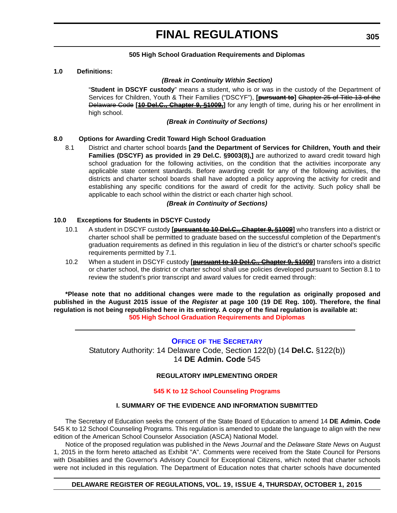### **505 High School Graduation Requirements and Diplomas**

#### **1.0 Definitions:**

#### *(Break in Continuity Within Section)*

"**Student in DSCYF custody**" means a student, who is or was in the custody of the Department of Services for Children, Youth & Their Families ("DSCYF"), **[pursuant to]** Chapter 25 of Title 13 of the Delaware Code **[10 Del.C., Chapter 9, §1009,]** for any length of time, during his or her enrollment in high school.

*(Break in Continuity of Sections)*

#### **8.0 Options for Awarding Credit Toward High School Graduation**

8.1 District and charter school boards **[and the Department of Services for Children, Youth and their Families (DSCYF) as provided in 29 Del.C. §9003(8),]** are authorized to award credit toward high school graduation for the following activities, on the condition that the activities incorporate any applicable state content standards. Before awarding credit for any of the following activities, the districts and charter school boards shall have adopted a policy approving the activity for credit and establishing any specific conditions for the award of credit for the activity. Such policy shall be applicable to each school within the district or each charter high school.

#### *(Break in Continuity of Sections)*

#### **10.0 Exceptions for Students in DSCYF Custody**

- 10.1 A student in DSCYF custody **[pursuant to 10 Del.C., Chapter 9, §1009]** who transfers into a district or charter school shall be permitted to graduate based on the successful completion of the Department's graduation requirements as defined in this regulation in lieu of the district's or charter school's specific requirements permitted by 7.1.
- 10.2 When a student in DSCYF custody **[pursuant to 10 Del.C., Chapter 9, §1009]** transfers into a district or charter school, the district or charter school shall use policies developed pursuant to Section 8.1 to review the student's prior transcript and award values for credit earned through:

**\*Please note that no additional changes were made to the regulation as originally proposed and published in the August 2015 issue of the** *Register* **at page 100 (19 DE Reg. 100). Therefore, the final regulation is not being republished here in its entirety. A copy of the final regulation is available at: [505 High School Graduation Requirements and Diplomas](http://regulations.delaware.gov/register/october2015/final/19 DE Reg 303 10-01-15.htm)**

# **OFFICE OF [THE SECRETARY](https://pubapps.doe.k12.de.us/EducationalDirectoryPublic/default.aspx)**

Statutory Authority: 14 Delaware Code, Section 122(b) (14 **Del.C.** §122(b)) 14 **DE Admin. Code** 545

# **REGULATORY IMPLEMENTING ORDER**

#### **[545 K to 12 School Counseling Programs](#page-4-0)**

### **I. SUMMARY OF THE EVIDENCE AND INFORMATION SUBMITTED**

The Secretary of Education seeks the consent of the State Board of Education to amend 14 **DE Admin. Code** 545 K to 12 School Counseling Programs. This regulation is amended to update the language to align with the new edition of the American School Counselor Association (ASCA) National Model.

Notice of the proposed regulation was published in the *News Journal* and the *Delaware State News* on August 1, 2015 in the form hereto attached as Exhibit "A". Comments were received from the State Council for Persons with Disabilities and the Governor's Advisory Council for Exceptional Citizens, which noted that charter schools were not included in this regulation. The Department of Education notes that charter schools have documented

#### **DELAWARE REGISTER OF REGULATIONS, VOL. 19, ISSUE 4, THURSDAY, OCTOBER 1, 2015**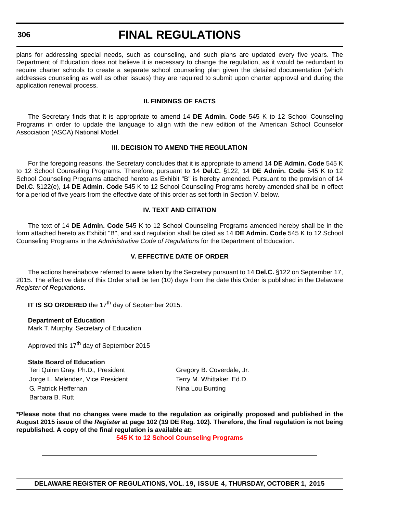#### **306**

# **FINAL REGULATIONS**

plans for addressing special needs, such as counseling, and such plans are updated every five years. The Department of Education does not believe it is necessary to change the regulation, as it would be redundant to require charter schools to create a separate school counseling plan given the detailed documentation (which addresses counseling as well as other issues) they are required to submit upon charter approval and during the application renewal process.

### **II. FINDINGS OF FACTS**

The Secretary finds that it is appropriate to amend 14 **DE Admin. Code** 545 K to 12 School Counseling Programs in order to update the language to align with the new edition of the American School Counselor Association (ASCA) National Model.

### **III. DECISION TO AMEND THE REGULATION**

For the foregoing reasons, the Secretary concludes that it is appropriate to amend 14 **DE Admin. Code** 545 K to 12 School Counseling Programs. Therefore, pursuant to 14 **Del.C.** §122, 14 **DE Admin. Code** 545 K to 12 School Counseling Programs attached hereto as Exhibit "B" is hereby amended. Pursuant to the provision of 14 **Del.C.** §122(e), 14 **DE Admin. Code** 545 K to 12 School Counseling Programs hereby amended shall be in effect for a period of five years from the effective date of this order as set forth in Section V. below.

# **IV. TEXT AND CITATION**

The text of 14 **DE Admin. Code** 545 K to 12 School Counseling Programs amended hereby shall be in the form attached hereto as Exhibit "B", and said regulation shall be cited as 14 **DE Admin. Code** 545 K to 12 School Counseling Programs in the *Administrative Code of Regulations* for the Department of Education.

# **V. EFFECTIVE DATE OF ORDER**

The actions hereinabove referred to were taken by the Secretary pursuant to 14 **Del.C.** §122 on September 17, 2015. The effective date of this Order shall be ten (10) days from the date this Order is published in the Delaware *Register of Regulations*.

**IT IS SO ORDERED** the 17<sup>th</sup> day of September 2015.

**Department of Education** Mark T. Murphy, Secretary of Education

Approved this 17<sup>th</sup> day of September 2015

#### **State Board of Education**

Teri Quinn Gray, Ph.D., President Gregory B. Coverdale, Jr. Jorge L. Melendez, Vice President Terry M. Whittaker, Ed.D. G. Patrick Heffernan Nina Lou Bunting Barbara B. Rutt

**\*Please note that no changes were made to the regulation as originally proposed and published in the August 2015 issue of the** *Register* **at page 102 (19 DE Reg. 102). Therefore, the final regulation is not being republished. A copy of the final regulation is available at:**

**[545 K to 12 School Counseling Programs](http://regulations.delaware.gov/register/october2015/final/19 DE Reg 305 10-01-15.htm)**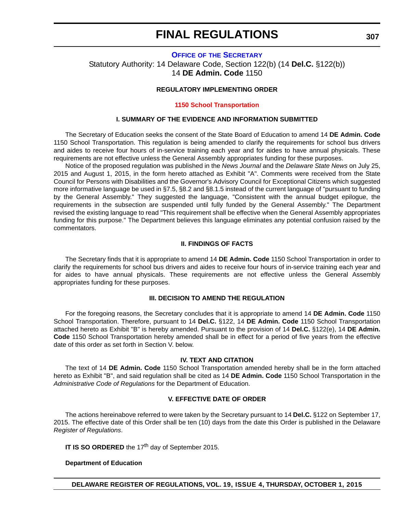# **OFFICE OF [THE SECRETARY](https://pubapps.doe.k12.de.us/EducationalDirectoryPublic/default.aspx)** Statutory Authority: 14 Delaware Code, Section 122(b) (14 **Del.C.** §122(b)) 14 **DE Admin. Code** 1150

### **REGULATORY IMPLEMENTING ORDER**

#### **[1150 School Transportation](#page-4-0)**

#### **I. SUMMARY OF THE EVIDENCE AND INFORMATION SUBMITTED**

The Secretary of Education seeks the consent of the State Board of Education to amend 14 **DE Admin. Code** 1150 School Transportation. This regulation is being amended to clarify the requirements for school bus drivers and aides to receive four hours of in-service training each year and for aides to have annual physicals. These requirements are not effective unless the General Assembly appropriates funding for these purposes.

Notice of the proposed regulation was published in the *News Journal* and the *Delaware State News* on July 25, 2015 and August 1, 2015, in the form hereto attached as Exhibit "A". Comments were received from the State Council for Persons with Disabilities and the Governor's Advisory Council for Exceptional Citizens which suggested more informative language be used in §7.5, §8.2 and §8.1.5 instead of the current language of "pursuant to funding by the General Assembly." They suggested the language, "Consistent with the annual budget epilogue, the requirements in the subsection are suspended until fully funded by the General Assembly." The Department revised the existing language to read "This requirement shall be effective when the General Assembly appropriates funding for this purpose." The Department believes this language eliminates any potential confusion raised by the commentators.

#### **II. FINDINGS OF FACTS**

The Secretary finds that it is appropriate to amend 14 **DE Admin. Code** 1150 School Transportation in order to clarify the requirements for school bus drivers and aides to receive four hours of in-service training each year and for aides to have annual physicals. These requirements are not effective unless the General Assembly appropriates funding for these purposes.

#### **III. DECISION TO AMEND THE REGULATION**

For the foregoing reasons, the Secretary concludes that it is appropriate to amend 14 **DE Admin. Code** 1150 School Transportation. Therefore, pursuant to 14 **Del.C.** §122, 14 **DE Admin. Code** 1150 School Transportation attached hereto as Exhibit "B" is hereby amended. Pursuant to the provision of 14 **Del.C.** §122(e), 14 **DE Admin. Code** 1150 School Transportation hereby amended shall be in effect for a period of five years from the effective date of this order as set forth in Section V. below.

### **IV. TEXT AND CITATION**

The text of 14 **DE Admin. Code** 1150 School Transportation amended hereby shall be in the form attached hereto as Exhibit "B", and said regulation shall be cited as 14 **DE Admin. Code** 1150 School Transportation in the *Administrative Code of Regulations* for the Department of Education.

# **V. EFFECTIVE DATE OF ORDER**

The actions hereinabove referred to were taken by the Secretary pursuant to 14 **Del.C.** §122 on September 17, 2015. The effective date of this Order shall be ten (10) days from the date this Order is published in the Delaware *Register of Regulations*.

**IT IS SO ORDERED** the 17<sup>th</sup> day of September 2015.

#### **Department of Education**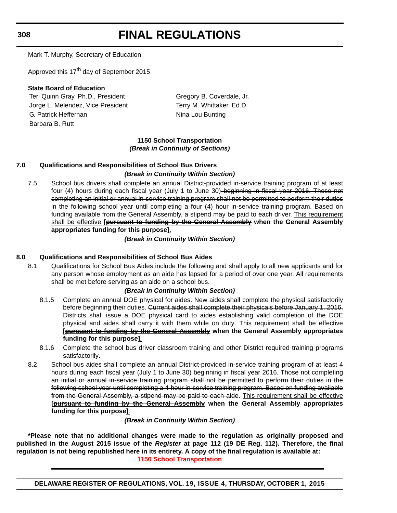**308**

# **FINAL REGULATIONS**

Mark T. Murphy, Secretary of Education

Approved this 17<sup>th</sup> day of September 2015

# **State Board of Education**

Teri Quinn Gray, Ph.D., President Gregory B. Coverdale, Jr. Jorge L. Melendez, Vice President Terry M. Whittaker, Ed.D. G. Patrick Heffernan Nina Lou Bunting Barbara B. Rutt

# **1150 School Transportation** *(Break in Continuity of Sections)*

# **7.0 Qualifications and Responsibilities of School Bus Drivers** *(Break in Continuity Within Section)*

7.5 School bus drivers shall complete an annual District-provided in-service training program of at least four (4) hours during each fiscal year (July 1 to June 30) beginning in fiscal year 2016. Those not completing an initial or annual in-service training program shall not be permitted to perform their duties in the following school year until completing a four (4) hour in-service training program. Based on funding available from the General Assembly, a stipend may be paid to each driver. This requirement shall be effective **[pursuant to funding by the General Assembly when the General Assembly appropriates funding for this purpose]**.

*(Break in Continuity Within Section)*

# **8.0 Qualifications and Responsibilities of School Bus Aides**

8.1 Qualifications for School Bus Aides include the following and shall apply to all new applicants and for any person whose employment as an aide has lapsed for a period of over one year. All requirements shall be met before serving as an aide on a school bus.

# *(Break in Continuity Within Section)*

- 8.1.5 Complete an annual DOE physical for aides. New aides shall complete the physical satisfactorily before beginning their duties. Gurrent aides shall complete their physicals before January 1, 2016. Districts shall issue a DOE physical card to aides establishing valid completion of the DOE physical and aides shall carry it with them while on duty. This requirement shall be effective **[pursuant to funding by the General Assembly when the General Assembly appropriates funding for this purpose]**.
- 8.1.6 Complete the school bus driver classroom training and other District required training programs satisfactorily.
- 8.2 School bus aides shall complete an annual District-provided in-service training program of at least 4 hours during each fiscal year (July 1 to June 30) beginning in fiscal year 2016. Those not completing an initial or annual in-service training program shall not be permitted to perform their duties in the following school year until completing a 4-hour in-service training program. Based on funding available from the General Assembly, a stipend may be paid to each aide. This requirement shall be effective **[pursuant to funding by the General Assembly when the General Assembly appropriates funding for this purpose]**.

*(Break in Continuity Within Section)*

**\*Please note that no additional changes were made to the regulation as originally proposed and published in the August 2015 issue of the** *Register* **at page 112 (19 DE Reg. 112). Therefore, the final regulation is not being republished here in its entirety. A copy of the final regulation is available at: [1150 School Transportation](http://regulations.delaware.gov/register/october2015/final/19 DE Reg 307 10-01-15.htm)**

**DELAWARE REGISTER OF REGULATIONS, VOL. 19, ISSUE 4, THURSDAY, OCTOBER 1, 2015**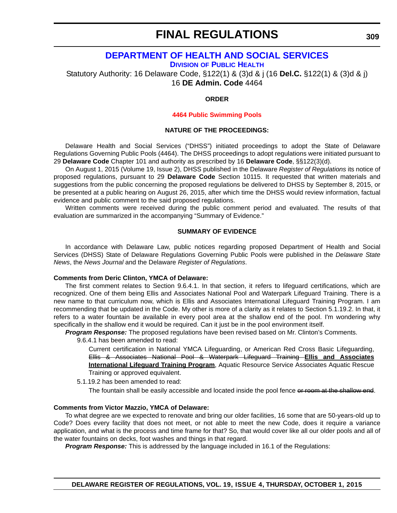# **[DEPARTMENT OF HEALTH AND SOCIAL SERVICES](http://www.dhss.delaware.gov/dhss/dph/index.html)**

**DIVISION OF PUBLIC HEALTH**

Statutory Authority: 16 Delaware Code, §122(1) & (3)d & j (16 **Del.C.** §122(1) & (3)d & j) 16 **DE Admin. Code** 4464

### **ORDER**

#### **[4464 Public Swimming Pools](#page-4-0)**

#### **NATURE OF THE PROCEEDINGS:**

Delaware Health and Social Services ("DHSS") initiated proceedings to adopt the State of Delaware Regulations Governing Public Pools (4464). The DHSS proceedings to adopt regulations were initiated pursuant to 29 **Delaware Code** Chapter 101 and authority as prescribed by 16 **Delaware Code**, §§122(3)(d).

On August 1, 2015 (Volume 19, Issue 2), DHSS published in the Delaware *Register of Regulations* its notice of proposed regulations, pursuant to 29 **Delaware Code** Section 10115. It requested that written materials and suggestions from the public concerning the proposed regulations be delivered to DHSS by September 8, 2015, or be presented at a public hearing on August 26, 2015, after which time the DHSS would review information, factual evidence and public comment to the said proposed regulations.

Written comments were received during the public comment period and evaluated. The results of that evaluation are summarized in the accompanying "Summary of Evidence."

## **SUMMARY OF EVIDENCE**

In accordance with Delaware Law, public notices regarding proposed Department of Health and Social Services (DHSS) State of Delaware Regulations Governing Public Pools were published in the *Delaware State News*, the *News Journal* and the Delaware *Register of Regulations*.

#### **Comments from Deric Clinton, YMCA of Delaware:**

The first comment relates to Section 9.6.4.1. In that section, it refers to lifeguard certifications, which are recognized. One of them being Ellis and Associates National Pool and Waterpark Lifeguard Training. There is a new name to that curriculum now, which is Ellis and Associates International Lifeguard Training Program. I am recommending that be updated in the Code. My other is more of a clarity as it relates to Section 5.1.19.2. In that, it refers to a water fountain be available in every pool area at the shallow end of the pool. I'm wondering why specifically in the shallow end it would be required. Can it just be in the pool environment itself.

*Program Response:* The proposed regulations have been revised based on Mr. Clinton's Comments.

9.6.4.1 has been amended to read:

Current certification in National YMCA Lifeguarding, or American Red Cross Basic Lifeguarding, Ellis & Associates National Pool & Waterpark Lifeguard Training **Ellis and Associates International Lifeguard Training Program**, Aquatic Resource Service Associates Aquatic Rescue Training or approved equivalent.

5.1.19.2 has been amended to read:

The fountain shall be easily accessible and located inside the pool fence or room at the shallow end.

#### **Comments from Victor Mazzio, YMCA of Delaware:**

To what degree are we expected to renovate and bring our older facilities, 16 some that are 50-years-old up to Code? Does every facility that does not meet, or not able to meet the new Code, does it require a variance application, and what is the process and time frame for that? So, that would cover like all our older pools and all of the water fountains on decks, foot washes and things in that regard.

*Program Response:* This is addressed by the language included in 16.1 of the Regulations: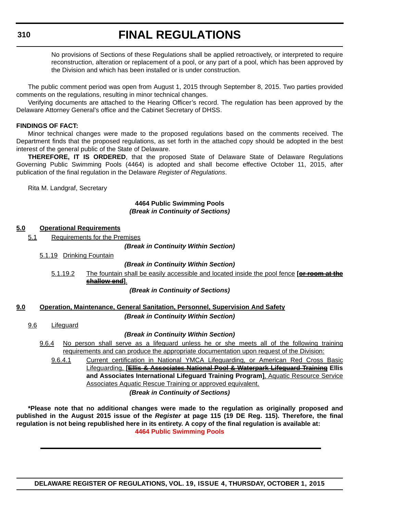# **310**

# **FINAL REGULATIONS**

No provisions of Sections of these Regulations shall be applied retroactively, or interpreted to require reconstruction, alteration or replacement of a pool, or any part of a pool, which has been approved by the Division and which has been installed or is under construction.

The public comment period was open from August 1, 2015 through September 8, 2015. Two parties provided comments on the regulations, resulting in minor technical changes.

Verifying documents are attached to the Hearing Officer's record. The regulation has been approved by the Delaware Attorney General's office and the Cabinet Secretary of DHSS.

### **FINDINGS OF FACT:**

Minor technical changes were made to the proposed regulations based on the comments received. The Department finds that the proposed regulations, as set forth in the attached copy should be adopted in the best interest of the general public of the State of Delaware.

**THEREFORE, IT IS ORDERED**, that the proposed State of Delaware State of Delaware Regulations Governing Public Swimming Pools (4464) is adopted and shall become effective October 11, 2015, after publication of the final regulation in the Delaware *Register of Regulations*.

Rita M. Landgraf, Secretary

### **4464 Public Swimming Pools** *(Break in Continuity of Sections)*

### **5.0 Operational Requirements**

5.1 Requirements for the Premises

*(Break in Continuity Within Section)*

5.1.19 Drinking Fountain

#### *(Break in Continuity Within Section)*

5.1.19.2 The fountain shall be easily accessible and located inside the pool fence **[or room at the shallow end]**.

*(Break in Continuity of Sections)*

## **9.0 Operation, Maintenance, General Sanitation, Personnel, Supervision And Safety**

#### *(Break in Continuity Within Section)*

9.6 Lifeguard

## *(Break in Continuity Within Section)*

9.6.4 No person shall serve as a lifeguard unless he or she meets all of the following training requirements and can produce the appropriate documentation upon request of the Division:

9.6.4.1 Current certification in National YMCA Lifeguarding, or American Red Cross Basic Lifeguarding, **[Ellis & Associates National Pool & Waterpark Lifeguard Training Ellis and Associates International Lifeguard Training Program]**, Aquatic Resource Service Associates Aquatic Rescue Training or approved equivalent.

*(Break in Continuity of Sections)*

**\*Please note that no additional changes were made to the regulation as originally proposed and published in the August 2015 issue of the** *Register* **at page 115 (19 DE Reg. 115). Therefore, the final regulation is not being republished here in its entirety. A copy of the final regulation is available at: [4464 Public Swimming Pools](http://regulations.delaware.gov/register/october2015/final/19 DE Reg 309 10-01-15.htm)**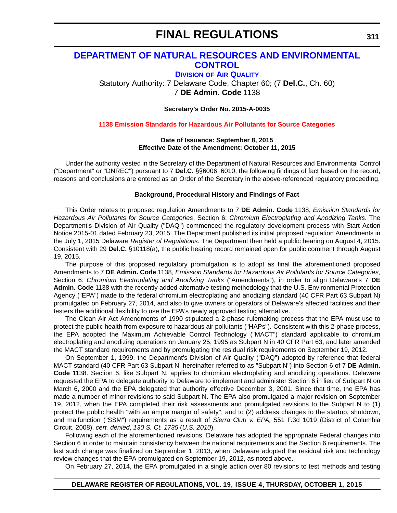# **[DEPARTMENT OF NATURAL RESOURCES AND ENVIRONMENTAL](http://www.dnrec.delaware.gov/Air/Pages/Air-Quality.aspx)  CONTROL**

**DIVISION OF AIR QUALITY**

Statutory Authority: 7 Delaware Code, Chapter 60; (7 **Del.C.**, Ch. 60) 7 **DE Admin. Code** 1138

**Secretary's Order No. 2015-A-0035**

**[1138 Emission Standards for Hazardous Air Pollutants for Source Categories](#page-4-0)**

### **Date of Issuance: September 8, 2015 Effective Date of the Amendment: October 11, 2015**

Under the authority vested in the Secretary of the Department of Natural Resources and Environmental Control ("Department" or "DNREC") pursuant to 7 **Del.C.** §§6006, 6010, the following findings of fact based on the record, reasons and conclusions are entered as an Order of the Secretary in the above-referenced regulatory proceeding.

### **Background, Procedural History and Findings of Fact**

This Order relates to proposed regulation Amendments to 7 **DE Admin. Code** 1138, *Emission Standards for Hazardous Air Pollutants for Source Categories*, Section 6: *Chromium Electroplating and Anodizing Tanks*. The Department's Division of Air Quality ("DAQ") commenced the regulatory development process with Start Action Notice 2015-01 dated February 23, 2015. The Department published its initial proposed regulation Amendments in the July 1, 2015 Delaware *Register of Regulations*. The Department then held a public hearing on August 4, 2015. Consistent with 29 **Del.C.** §10118(a), the public hearing record remained open for public comment through August 19, 2015.

The purpose of this proposed regulatory promulgation is to adopt as final the aforementioned proposed Amendments to 7 **DE Admin. Code** 1138, *Emission Standards for Hazardous Air Pollutants for Source Categories*, Section 6: *Chromium Electroplating and Anodizing Tanks* ("Amendments"), in order to align Delaware's 7 **DE Admin. Code** 1138 with the recently added alternative testing methodology that the U.S. Environmental Protection Agency ("EPA") made to the federal chromium electroplating and anodizing standard (40 CFR Part 63 Subpart N) promulgated on February 27, 2014, and also to give owners or operators of Delaware's affected facilities and their testers the additional flexibility to use the EPA's newly approved testing alternative.

The Clean Air Act Amendments of 1990 stipulated a 2-phase rulemaking process that the EPA must use to protect the public health from exposure to hazardous air pollutants ("HAPs"). Consistent with this 2-phase process, the EPA adopted the Maximum Achievable Control Technology ("MACT") standard applicable to chromium electroplating and anodizing operations on January 25, 1995 as Subpart N in 40 CFR Part 63, and later amended the MACT standard requirements and by promulgating the residual risk requirements on September 19, 2012.

On September 1, 1999, the Department's Division of Air Quality ("DAQ") adopted by reference that federal MACT standard (40 CFR Part 63 Subpart N, hereinafter referred to as "Subpart N") into Section 6 of 7 **DE Admin. Code** 1138. Section 6, like Subpart N, applies to chromium electroplating and anodizing operations. Delaware requested the EPA to delegate authority to Delaware to implement and administer Section 6 in lieu of Subpart N on March 6, 2000 and the EPA delegated that authority effective December 3, 2001. Since that time, the EPA has made a number of minor revisions to said Subpart N. The EPA also promulgated a major revision on September 19, 2012, when the EPA completed their risk assessments and promulgated revisions to the Subpart N to (1) protect the public health "with an ample margin of safety"; and to (2) address changes to the startup, shutdown, and malfunction ("SSM") requirements as a result of *Sierra Club v. EPA,* 551 F.3d 1019 (District of Columbia Circuit, 2008), *cert. denied*, *130 S. Ct. 1735* (*U.S. 2010*).

Following each of the aforementioned revisions, Delaware has adopted the appropriate Federal changes into Section 6 in order to maintain consistency between the national requirements and the Section 6 requirements. The last such change was finalized on September 1, 2013, when Delaware adopted the residual risk and technology review changes that the EPA promulgated on September 19, 2012, as noted above.

On February 27, 2014, the EPA promulgated in a single action over 80 revisions to test methods and testing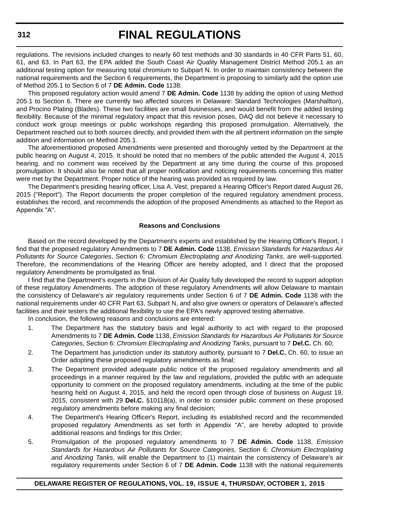regulations. The revisions included changes to nearly 60 test methods and 30 standards in 40 CFR Parts 51, 60, 61, and 63. In Part 63, the EPA added the South Coast Air Quality Management District Method 205.1 as an additional testing option for measuring total chromium to Subpart N. In order to maintain consistency between the national requirements and the Section 6 requirements, the Department is proposing to similarly add the option use of Method 205.1 to Section 6 of 7 **DE Admin. Code** 1138.

This proposed regulatory action would amend 7 **DE Admin. Code** 1138 by adding the option of using Method 205.1 to Section 6. There are currently two affected sources in Delaware: Standard Technologies (Marshallton), and Procino Plating (Blades). These two facilities are small businesses, and would benefit from the added testing flexibility. Because of the minimal regulatory impact that this revision poses, DAQ did not believe it necessary to conduct work group meetings or public workshops regarding this proposed promulgation. Alternatively, the Department reached out to both sources directly, and provided them with the all pertinent information on the simple addition and information on Method 205.1.

The aforementioned proposed Amendments were presented and thoroughly vetted by the Department at the public hearing on August 4, 2015. It should be noted that no members of the public attended the August 4, 2015 hearing, and no comment was received by the Department at any time during the course of this proposed promulgation. It should also be noted that all proper notification and noticing requirements concerning this matter were met by the Department. Proper notice of the hearing was provided as required by law.

The Department's presiding hearing officer, Lisa A. Vest, prepared a Hearing Officer's Report dated August 26, 2015 ("Report"). The Report documents the proper completion of the required regulatory amendment process, establishes the record, and recommends the adoption of the proposed Amendments as attached to the Report as Appendix "A".

#### **Reasons and Conclusions**

Based on the record developed by the Department's experts and established by the Hearing Officer's Report, I find that the proposed regulatory Amendments to 7 **DE Admin. Code** 1138, *Emission Standards for Hazardous Air Pollutants for Source Categories*, Section 6: *Chromium Electroplating and Anodizing Tanks*, are well-supported. Therefore, the recommendations of the Hearing Officer are hereby adopted, and I direct that the proposed regulatory Amendments be promulgated as final.

I find that the Department's experts in the Division of Air Quality fully developed the record to support adoption of these regulatory Amendments. The adoption of these regulatory Amendments will allow Delaware to maintain the consistency of Delaware's air regulatory requirements under Section 6 of 7 **DE Admin. Code** 1138 with the national requirements under 40 CFR Part 63, Subpart N, and also give owners or operators of Delaware's affected facilities and their testers the additional flexibility to use the EPA's newly approved testing alternative.

In conclusion, the following reasons and conclusions are entered:

- 1. The Department has the statutory basis and legal authority to act with regard to the proposed Amendments to 7 **DE Admin. Code** 1138, *Emission Standards for Hazardous Air Pollutants for Source Categories*, Section 6: *Chromium Electroplating and Anodizing Tanks*, pursuant to 7 **Del.C.** Ch. 60;
- 2. The Department has jurisdiction under its statutory authority, pursuant to 7 **Del.C.** Ch. 60, to issue an Order adopting these proposed regulatory amendments as final;
- 3. The Department provided adequate public notice of the proposed regulatory amendments and all proceedings in a manner required by the law and regulations, provided the public with an adequate opportunity to comment on the proposed regulatory amendments, including at the time of the public hearing held on August 4, 2015, and held the record open through close of business on August 19, 2015, consistent with 29 **Del.C.** §10118(a), in order to consider public comment on these proposed regulatory amendments before making any final decision;
- 4. The Department's Hearing Officer's Report, including its established record and the recommended proposed regulatory Amendments as set forth in Appendix "A", are hereby adopted to provide additional reasons and findings for this Order;
- 5. Promulgation of the proposed regulatory amendments to 7 **DE Admin. Code** 1138, *Emission Standards for Hazardous Air Pollutants for Source Categories*, Section 6: *Chromium Electroplating and Anodizing Tanks*, will enable the Department to (1) maintain the consistency of Delaware's air regulatory requirements under Section 6 of 7 **DE Admin. Code** 1138 with the national requirements

# **DELAWARE REGISTER OF REGULATIONS, VOL. 19, ISSUE 4, THURSDAY, OCTOBER 1, 2015**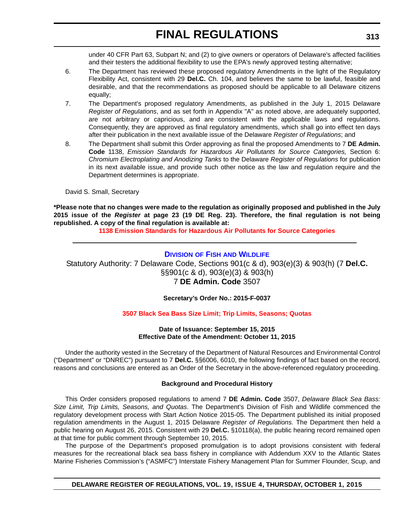under 40 CFR Part 63, Subpart N; and (2) to give owners or operators of Delaware's affected facilities and their testers the additional flexibility to use the EPA's newly approved testing alternative;

- 6. The Department has reviewed these proposed regulatory Amendments in the light of the Regulatory Flexibility Act, consistent with 29 **Del.C.** Ch. 104, and believes the same to be lawful, feasible and desirable, and that the recommendations as proposed should be applicable to all Delaware citizens equally;
- 7. The Department's proposed regulatory Amendments, as published in the July 1, 2015 Delaware *Register of Regulations*, and as set forth in Appendix "A" as noted above, are adequately supported, are not arbitrary or capricious, and are consistent with the applicable laws and regulations. Consequently, they are approved as final regulatory amendments, which shall go into effect ten days after their publication in the next available issue of the Delaware *Register of Regulations*; and
- 8. The Department shall submit this Order approving as final the proposed Amendments to 7 **DE Admin. Code** 1138, *Emission Standards for Hazardous Air Pollutants for Source Categories,* Section 6: *Chromium Electroplating and Anodizing Tanks* to the Delaware *Register of Regulations* for publication in its next available issue, and provide such other notice as the law and regulation require and the Department determines is appropriate.

David S. Small, Secretary

**\*Please note that no changes were made to the regulation as originally proposed and published in the July 2015 issue of the** *Register* **at page 23 (19 DE Reg. 23). Therefore, the final regulation is not being republished. A copy of the final regulation is available at:**

**[1138 Emission Standards for Hazardous Air Pollutants for Source Categories](http://regulations.delaware.gov/register/october2015/final/19 DE Reg 311 10-01-15.htm)**

# **DIVISION OF FISH [AND WILDLIFE](http://www.dnrec.delaware.gov/fw/Pages/DFW-Portal.aspx)**

Statutory Authority: 7 Delaware Code, Sections 901(c & d), 903(e)(3) & 903(h) (7 **Del.C.**  §§901(c & d), 903(e)(3) & 903(h) 7 **DE Admin. Code** 3507

**Secretary's Order No.: 2015-F-0037**

## **[3507 Black Sea Bass Size Limit; Trip Limits, Seasons; Quotas](#page-4-0)**

#### **Date of Issuance: September 15, 2015 Effective Date of the Amendment: October 11, 2015**

Under the authority vested in the Secretary of the Department of Natural Resources and Environmental Control ("Department" or "DNREC") pursuant to 7 **Del.C.** §§6006, 6010, the following findings of fact based on the record, reasons and conclusions are entered as an Order of the Secretary in the above-referenced regulatory proceeding.

#### **Background and Procedural History**

This Order considers proposed regulations to amend 7 **DE Admin. Code** 3507, *Delaware Black Sea Bass: Size Limit, Trip Limits, Seasons, and Quotas*. The Department's Division of Fish and Wildlife commenced the regulatory development process with Start Action Notice 2015-05. The Department published its initial proposed regulation amendments in the August 1, 2015 Delaware *Register of Regulations.* The Department then held a public hearing on August 26, 2015. Consistent with 29 **Del.C.** §10118(a), the public hearing record remained open at that time for public comment through September 10, 2015.

The purpose of the Department's proposed promulgation is to adopt provisions consistent with federal measures for the recreational black sea bass fishery in compliance with Addendum XXV to the Atlantic States Marine Fisheries Commission's ("ASMFC") Interstate Fishery Management Plan for Summer Flounder, Scup, and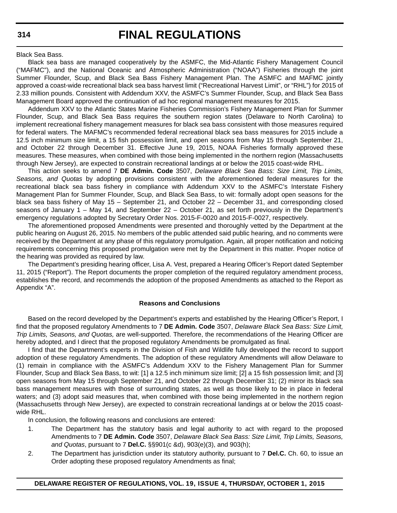Black Sea Bass.

Black sea bass are managed cooperatively by the ASMFC, the Mid-Atlantic Fishery Management Council ("MAFMC"), and the National Oceanic and Atmospheric Administration ("NOAA") Fisheries through the joint Summer Flounder, Scup, and Black Sea Bass Fishery Management Plan. The ASMFC and MAFMC jointly approved a coast-wide recreational black sea bass harvest limit ("Recreational Harvest Limit", or "RHL") for 2015 of 2.33 million pounds. Consistent with Addendum XXV, the ASMFC's Summer Flounder, Scup, and Black Sea Bass Management Board approved the continuation of ad hoc regional management measures for 2015.

Addendum XXV to the Atlantic States Marine Fisheries Commission's Fishery Management Plan for Summer Flounder, Scup, and Black Sea Bass requires the southern region states (Delaware to North Carolina) to implement recreational fishery management measures for black sea bass consistent with those measures required for federal waters. The MAFMC's recommended federal recreational black sea bass measures for 2015 include a 12.5 inch minimum size limit, a 15 fish possession limit, and open seasons from May 15 through September 21, and October 22 through December 31. Effective June 19, 2015, NOAA Fisheries formally approved these measures. These measures, when combined with those being implemented in the northern region (Massachusetts through New Jersey), are expected to constrain recreational landings at or below the 2015 coast-wide RHL.

This action seeks to amend 7 **DE Admin. Code** 3507, *Delaware Black Sea Bass: Size Limit, Trip Limits, Seasons, and Quotas* by adopting provisions consistent with the aforementioned federal measures for the recreational black sea bass fishery in compliance with Addendum XXV to the ASMFC's Interstate Fishery Management Plan for Summer Flounder, Scup, and Black Sea Bass, to wit: formally adopt open seasons for the black sea bass fishery of May 15 – September 21, and October 22 – December 31, and corresponding closed seasons of January 1 – May 14, and September 22 – October 21, as set forth previously in the Department's emergency regulations adopted by Secretary Order Nos. 2015-F-0020 and 2015-F-0027, respectively.

The aforementioned proposed Amendments were presented and thoroughly vetted by the Department at the public hearing on August 26, 2015. No members of the public attended said public hearing, and no comments were received by the Department at any phase of this regulatory promulgation. Again, all proper notification and noticing requirements concerning this proposed promulgation were met by the Department in this matter. Proper notice of the hearing was provided as required by law.

The Department's presiding hearing officer, Lisa A. Vest, prepared a Hearing Officer's Report dated September 11, 2015 ("Report"). The Report documents the proper completion of the required regulatory amendment process, establishes the record, and recommends the adoption of the proposed Amendments as attached to the Report as Appendix "A".

### **Reasons and Conclusions**

Based on the record developed by the Department's experts and established by the Hearing Officer's Report, I find that the proposed regulatory Amendments to 7 **DE Admin. Code** 3507, *Delaware Black Sea Bass: Size Limit, Trip Limits, Seasons, and Quotas,* are well-supported. Therefore, the recommendations of the Hearing Officer are hereby adopted, and I direct that the proposed regulatory Amendments be promulgated as final.

I find that the Department's experts in the Division of Fish and Wildlife fully developed the record to support adoption of these regulatory Amendments. The adoption of these regulatory Amendments will allow Delaware to (1) remain in compliance with the ASMFC's Addendum XXV to the Fishery Management Plan for Summer Flounder, Scup and Black Sea Bass, to wit: [1] a 12.5 inch minimum size limit; [2] a 15 fish possession limit; and [3] open seasons from May 15 through September 21, and October 22 through December 31; (2) mirror its black sea bass management measures with those of surrounding states, as well as those likely to be in place in federal waters; and (3) adopt said measures that, when combined with those being implemented in the northern region (Massachusetts through New Jersey), are expected to constrain recreational landings at or below the 2015 coastwide RHL.

In conclusion, the following reasons and conclusions are entered:

- 1. The Department has the statutory basis and legal authority to act with regard to the proposed Amendments to 7 **DE Admin. Code** 3507, *Delaware Black Sea Bass: Size Limit, Trip Limits, Seasons, and Quotas*, pursuant to 7 **Del.C.** §§901(c &d), 903(e)(3), and 903(h);
- 2. The Department has jurisdiction under its statutory authority, pursuant to 7 **Del.C.** Ch. 60, to issue an Order adopting these proposed regulatory Amendments as final;

# **DELAWARE REGISTER OF REGULATIONS, VOL. 19, ISSUE 4, THURSDAY, OCTOBER 1, 2015**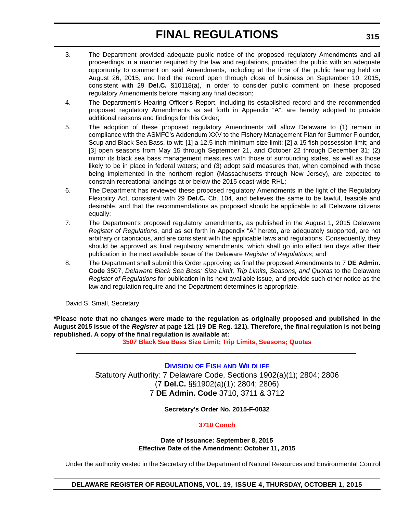- 3. The Department provided adequate public notice of the proposed regulatory Amendments and all proceedings in a manner required by the law and regulations, provided the public with an adequate opportunity to comment on said Amendments, including at the time of the public hearing held on August 26, 2015, and held the record open through close of business on September 10, 2015, consistent with 29 **Del.C.** §10118(a), in order to consider public comment on these proposed regulatory Amendments before making any final decision;
- 4. The Department's Hearing Officer's Report, including its established record and the recommended proposed regulatory Amendments as set forth in Appendix "A", are hereby adopted to provide additional reasons and findings for this Order;
- 5. The adoption of these proposed regulatory Amendments will allow Delaware to (1) remain in compliance with the ASMFC's Addendum XXV to the Fishery Management Plan for Summer Flounder, Scup and Black Sea Bass, to wit: [1] a 12.5 inch minimum size limit; [2] a 15 fish possession limit; and [3] open seasons from May 15 through September 21, and October 22 through December 31; (2) mirror its black sea bass management measures with those of surrounding states, as well as those likely to be in place in federal waters; and (3) adopt said measures that, when combined with those being implemented in the northern region (Massachusetts through New Jersey), are expected to constrain recreational landings at or below the 2015 coast-wide RHL;
- 6. The Department has reviewed these proposed regulatory Amendments in the light of the Regulatory Flexibility Act, consistent with 29 **Del.C.** Ch. 104, and believes the same to be lawful, feasible and desirable, and that the recommendations as proposed should be applicable to all Delaware citizens equally;
- 7. The Department's proposed regulatory amendments, as published in the August 1, 2015 Delaware *Register of Regulations*, and as set forth in Appendix "A" hereto, are adequately supported, are not arbitrary or capricious, and are consistent with the applicable laws and regulations. Consequently, they should be approved as final regulatory amendments, which shall go into effect ten days after their publication in the next available issue of the Delaware *Register of Regulations*; and
- 8. The Department shall submit this Order approving as final the proposed Amendments to 7 **DE Admin. Code** 3507, *Delaware Black Sea Bass: Size Limit, Trip Limits, Seasons, and Quotas* to the Delaware *Register of Regulations* for publication in its next available issue, and provide such other notice as the law and regulation require and the Department determines is appropriate.

David S. Small, Secretary

**\*Please note that no changes were made to the regulation as originally proposed and published in the August 2015 issue of the** *Register* **at page 121 (19 DE Reg. 121). Therefore, the final regulation is not being republished. A copy of the final regulation is available at:**

**[3507 Black Sea Bass Size Limit; Trip Limits, Seasons; Quotas](http://regulations.delaware.gov/register/october2015/final/19 DE Reg 313 10-01-15.htm)**

# **DIVISION OF FISH [AND WILDLIFE](http://www.dnrec.delaware.gov/fw/Pages/DFW-Portal.aspx)** Statutory Authority: 7 Delaware Code, Sections 1902(a)(1); 2804; 2806 (7 **Del.C.** §§1902(a)(1); 2804; 2806) 7 **DE Admin. Code** 3710, 3711 & 3712

## **Secretary's Order No. 2015-F-0032**

# **[3710 Conch](#page-4-0)**

**Date of Issuance: September 8, 2015 Effective Date of the Amendment: October 11, 2015**

Under the authority vested in the Secretary of the Department of Natural Resources and Environmental Control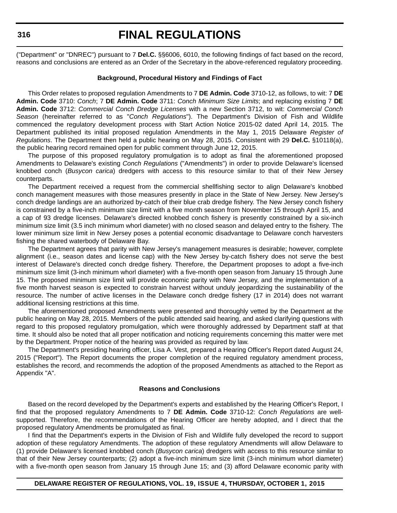#### **316**

# **FINAL REGULATIONS**

("Department" or "DNREC") pursuant to 7 **Del.C.** §§6006, 6010, the following findings of fact based on the record, reasons and conclusions are entered as an Order of the Secretary in the above-referenced regulatory proceeding.

### **Background, Procedural History and Findings of Fact**

This Order relates to proposed regulation Amendments to 7 **DE Admin. Code** 3710-12, as follows, to wit: 7 **DE Admin. Code** 3710: *Conch*; 7 **DE Admin. Code** 3711: *Conch Minimum Size Limits*; and replacing existing 7 **DE Admin. Code** 3712: *Commercial Conch Dredge Licenses* with a new Section 3712, to wit: *Commercial Conch Season* (hereinafter referred to as "*Conch Regulations*"). The Department's Division of Fish and Wildlife commenced the regulatory development process with Start Action Notice 2015-02 dated April 14, 2015. The Department published its initial proposed regulation Amendments in the May 1, 2015 Delaware *Register of Regulations*. The Department then held a public hearing on May 28, 2015. Consistent with 29 **Del.C.** §10118(a), the public hearing record remained open for public comment through June 12, 2015.

The purpose of this proposed regulatory promulgation is to adopt as final the aforementioned proposed Amendments to Delaware's existing *Conch Regulations* ("Amendments") in order to provide Delaware's licensed knobbed conch (*Busycon carica*) dredgers with access to this resource similar to that of their New Jersey counterparts.

The Department received a request from the commercial shellfishing sector to align Delaware's knobbed conch management measures with those measures presently in place in the State of New Jersey. New Jersey's conch dredge landings are an authorized by-catch of their blue crab dredge fishery. The New Jersey conch fishery is constrained by a five-inch minimum size limit with a five month season from November 15 through April 15, and a cap of 93 dredge licenses. Delaware's directed knobbed conch fishery is presently constrained by a six-inch minimum size limit (3.5 inch minimum whorl diameter) with no closed season and delayed entry to the fishery. The lower minimum size limit in New Jersey poses a potential economic disadvantage to Delaware conch harvesters fishing the shared waterbody of Delaware Bay.

The Department agrees that parity with New Jersey's management measures is desirable; however, complete alignment (i.e., season dates and license cap) with the New Jersey by-catch fishery does not serve the best interest of Delaware's directed conch dredge fishery. Therefore, the Department proposes to adopt a five-inch minimum size limit (3-inch minimum whorl diameter) with a five-month open season from January 15 through June 15. The proposed minimum size limit will provide economic parity with New Jersey, and the implementation of a five month harvest season is expected to constrain harvest without unduly jeopardizing the sustainability of the resource. The number of active licenses in the Delaware conch dredge fishery (17 in 2014) does not warrant additional licensing restrictions at this time.

The aforementioned proposed Amendments were presented and thoroughly vetted by the Department at the public hearing on May 28, 2015. Members of the public attended said hearing, and asked clarifying questions with regard to this proposed regulatory promulgation, which were thoroughly addressed by Department staff at that time. It should also be noted that all proper notification and noticing requirements concerning this matter were met by the Department. Proper notice of the hearing was provided as required by law.

The Department's presiding hearing officer, Lisa A. Vest, prepared a Hearing Officer's Report dated August 24, 2015 ("Report"). The Report documents the proper completion of the required regulatory amendment process, establishes the record, and recommends the adoption of the proposed Amendments as attached to the Report as Appendix "A".

#### **Reasons and Conclusions**

Based on the record developed by the Department's experts and established by the Hearing Officer's Report, I find that the proposed regulatory Amendments to 7 **DE Admin. Code** 3710-12: *Conch Regulations* are wellsupported. Therefore, the recommendations of the Hearing Officer are hereby adopted, and I direct that the proposed regulatory Amendments be promulgated as final.

I find that the Department's experts in the Division of Fish and Wildlife fully developed the record to support adoption of these regulatory Amendments. The adoption of these regulatory Amendments will allow Delaware to (1) provide Delaware's licensed knobbed conch (*Busycon carica*) dredgers with access to this resource similar to that of their New Jersey counterparts; (2) adopt a five-inch minimum size limit (3-inch minimum whorl diameter) with a five-month open season from January 15 through June 15; and (3) afford Delaware economic parity with

#### **DELAWARE REGISTER OF REGULATIONS, VOL. 19, ISSUE 4, THURSDAY, OCTOBER 1, 2015**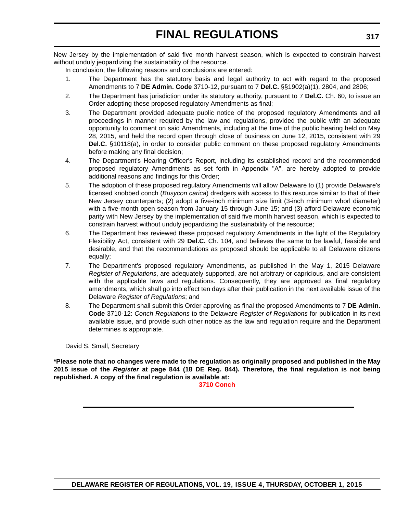New Jersey by the implementation of said five month harvest season, which is expected to constrain harvest without unduly jeopardizing the sustainability of the resource.

In conclusion, the following reasons and conclusions are entered:

- 1. The Department has the statutory basis and legal authority to act with regard to the proposed Amendments to 7 **DE Admin. Code** 3710-12, pursuant to 7 **Del.C.** §§1902(a)(1), 2804, and 2806;
- 2. The Department has jurisdiction under its statutory authority, pursuant to 7 **Del.C.** Ch. 60, to issue an Order adopting these proposed regulatory Amendments as final;
- 3. The Department provided adequate public notice of the proposed regulatory Amendments and all proceedings in manner required by the law and regulations, provided the public with an adequate opportunity to comment on said Amendments, including at the time of the public hearing held on May 28, 2015, and held the record open through close of business on June 12, 2015, consistent with 29 **Del.C.** §10118(a), in order to consider public comment on these proposed regulatory Amendments before making any final decision;
- 4. The Department's Hearing Officer's Report, including its established record and the recommended proposed regulatory Amendments as set forth in Appendix "A", are hereby adopted to provide additional reasons and findings for this Order;
- 5. The adoption of these proposed regulatory Amendments will allow Delaware to (1) provide Delaware's licensed knobbed conch (*Busycon carica*) dredgers with access to this resource similar to that of their New Jersey counterparts; (2) adopt a five-inch minimum size limit (3-inch minimum whorl diameter) with a five-month open season from January 15 through June 15; and (3) afford Delaware economic parity with New Jersey by the implementation of said five month harvest season, which is expected to constrain harvest without unduly jeopardizing the sustainability of the resource;
- 6. The Department has reviewed these proposed regulatory Amendments in the light of the Regulatory Flexibility Act, consistent with 29 **Del.C.** Ch. 104, and believes the same to be lawful, feasible and desirable, and that the recommendations as proposed should be applicable to all Delaware citizens equally;
- 7. The Department's proposed regulatory Amendments, as published in the May 1, 2015 Delaware *Register of Regulations*, are adequately supported, are not arbitrary or capricious, and are consistent with the applicable laws and regulations. Consequently, they are approved as final regulatory amendments, which shall go into effect ten days after their publication in the next available issue of the Delaware *Register of Regulations*; and
- 8. The Department shall submit this Order approving as final the proposed Amendments to 7 **DE Admin. Code** 3710-12: *Conch Regulations* to the Delaware *Register of Regulations* for publication in its next available issue, and provide such other notice as the law and regulation require and the Department determines is appropriate.

David S. Small, Secretary

**\*Please note that no changes were made to the regulation as originally proposed and published in the May 2015 issue of the** *Register* **at page 844 (18 DE Reg. 844). Therefore, the final regulation is not being republished. A copy of the final regulation is available at:**

**[3710 Conch](http://regulations.delaware.gov/register/october2015/final/19 DE Reg 315 10-01-15.htm)**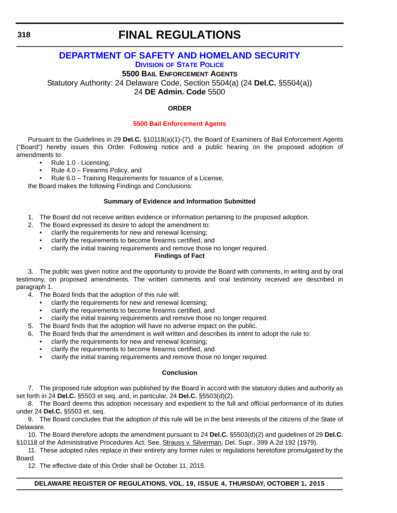# **[DEPARTMENT OF SAFETY AND HOMELAND SECURITY](http://dsp.delaware.gov/) DIVISION OF STATE POLICE**

**5500 BAIL ENFORCEMENT AGENTS**

Statutory Authority: 24 Delaware Code, Section 5504(a) (24 **Del.C.** §5504(a))

24 **DE Admin. Code** 5500

# **ORDER**

# **[5500 Bail Enforcement Agents](#page-4-0)**

Pursuant to the Guidelines in 29 **Del.C.** §10118(a)(1)-(7), the Board of Examiners of Bail Enforcement Agents ("Board") hereby issues this Order. Following notice and a public hearing on the proposed adoption of amendments to:

- Rule 1.0 Licensing;
- Rule 4.0 Firearms Policy, and
- Rule 6.0 Training Requirements for Issuance of a License,

the Board makes the following Findings and Conclusions:

# **Summary of Evidence and Information Submitted**

- 1. The Board did not receive written evidence or information pertaining to the proposed adoption.
- 2. The Board expressed its desire to adopt the amendment to:
	- clarify the requirements for new and renewal licensing;
	- clarify the requirements to become firearms certified, and
	- clarify the initial training requirements and remove those no longer required.

# **Findings of Fact**

3. The public was given notice and the opportunity to provide the Board with comments, in writing and by oral testimony, on proposed amendments. The written comments and oral testimony received are described in paragraph 1.

- 4. The Board finds that the adoption of this rule will:
	- clarify the requirements for new and renewal licensing;
	- clarify the requirements to become firearms certified, and
	- clarify the initial training requirements and remove those no longer required.
- 5. The Board finds that the adoption will have no adverse impact on the public.
- 6. The Board finds that the amendment is well written and describes its intent to adopt the rule to:
	- clarify the requirements for new and renewal licensing;
	- clarify the requirements to become firearms certified, and
	- clarify the initial training requirements and remove those no longer required.

## **Conclusion**

7. The proposed rule adoption was published by the Board in accord with the statutory duties and authority as set forth in 24 **Del.C.** §5503 et seq. and, in particular, 24 **Del.C.** §5503(d)(2).

8. The Board deems this adoption necessary and expedient to the full and official performance of its duties under 24 **Del.C.** §5503 et. seq.

9. The Board concludes that the adoption of this rule will be in the best interests of the citizens of the State of Delaware.

10. The Board therefore adopts the amendment pursuant to 24 **Del.C.** §5503(d)(2) and guidelines of 29 **Del.C.** §10118 of the Administrative Procedures Act. See, Strauss v. Silverman, Del. Supr., 399 A.2d 192 (1979).

11. These adopted rules replace in their entirety any former rules or regulations heretofore promulgated by the Board.

12. The effective date of this Order shall be October 11, 2015.

# **DELAWARE REGISTER OF REGULATIONS, VOL. 19, ISSUE 4, THURSDAY, OCTOBER 1, 2015**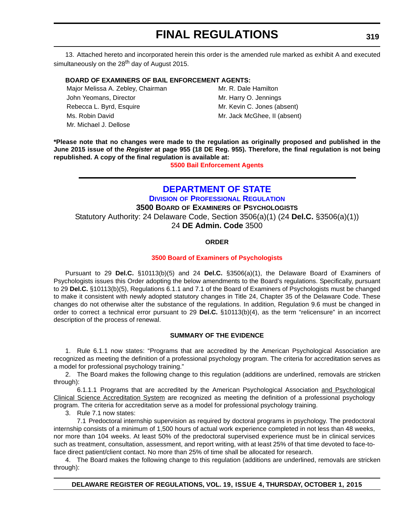13. Attached hereto and incorporated herein this order is the amended rule marked as exhibit A and executed simultaneously on the  $28<sup>th</sup>$  day of August 2015.

### **BOARD OF EXAMINERS OF BAIL ENFORCEMENT AGENTS:**

Major Melissa A. Zebley, Chairman Mr. R. Dale Hamilton John Yeomans, Director Mr. Harry O. Jennings Rebecca L. Byrd, Esquire Mr. Kevin C. Jones (absent) Ms. Robin David Mr. Jack McGhee, II (absent) Mr. Michael J. Dellose

**\*Please note that no changes were made to the regulation as originally proposed and published in the June 2015 issue of the** *Register* **at page 955 (18 DE Reg. 955). Therefore, the final regulation is not being republished. A copy of the final regulation is available at:**

**[5500 Bail Enforcement Agents](http://regulations.delaware.gov/register/october2015/final/19 DE Reg 318 10-01-15.htm)**

# **[DEPARTMENT OF STATE](http://dpr.delaware.gov/) DIVISION OF PROFESSIONAL REGULATION**

**3500 BOARD OF EXAMINERS OF PSYCHOLOGISTS**

Statutory Authority: 24 Delaware Code, Section 3506(a)(1) (24 **Del.C.** §3506(a)(1)) 24 **DE Admin. Code** 3500

### **ORDER**

#### **[3500 Board of Examiners of Psychologists](#page-4-0)**

Pursuant to 29 **Del.C.** §10113(b)(5) and 24 **Del.C.** §3506(a)(1), the Delaware Board of Examiners of Psychologists issues this Order adopting the below amendments to the Board's regulations. Specifically, pursuant to 29 **Del.C.** §10113(b)(5), Regulations 6.1.1 and 7.1 of the Board of Examiners of Psychologists must be changed to make it consistent with newly adopted statutory changes in Title 24, Chapter 35 of the Delaware Code. These changes do not otherwise alter the substance of the regulations. In addition, Regulation 9.6 must be changed in order to correct a technical error pursuant to 29 **Del.C.** §10113(b)(4), as the term "relicensure" in an incorrect description of the process of renewal.

## **SUMMARY OF THE EVIDENCE**

1. Rule 6.1.1 now states: "Programs that are accredited by the American Psychological Association are recognized as meeting the definition of a professional psychology program. The criteria for accreditation serves as a model for professional psychology training."

2. The Board makes the following change to this regulation (additions are underlined, removals are stricken through):

6.1.1.1 Programs that are accredited by the American Psychological Association and Psychological Clinical Science Accreditation System are recognized as meeting the definition of a professional psychology program. The criteria for accreditation serve as a model for professional psychology training.

3. Rule 7.1 now states:

7.1 Predoctoral internship supervision as required by doctoral programs in psychology. The predoctoral internship consists of a minimum of 1,500 hours of actual work experience completed in not less than 48 weeks, nor more than 104 weeks. At least 50% of the predoctoral supervised experience must be in clinical services such as treatment, consultation, assessment, and report writing, with at least 25% of that time devoted to face-toface direct patient/client contact. No more than 25% of time shall be allocated for research.

4. The Board makes the following change to this regulation (additions are underlined, removals are stricken through):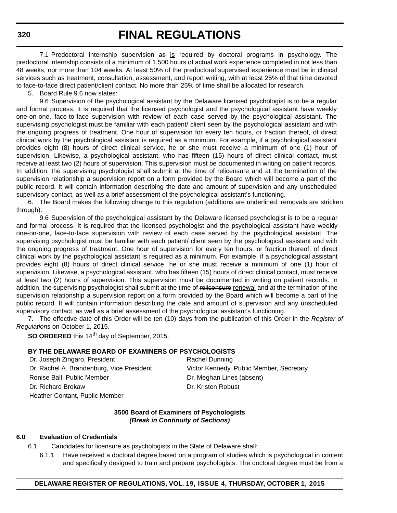7.1 Predoctoral internship supervision as is required by doctoral programs in psychology. The predoctoral internship consists of a minimum of 1,500 hours of actual work experience completed in not less than 48 weeks, nor more than 104 weeks. At least 50% of the predoctoral supervised experience must be in clinical services such as treatment, consultation, assessment, and report writing, with at least 25% of that time devoted to face-to-face direct patient/client contact. No more than 25% of time shall be allocated for research.

5. Board Rule 9.6 now states:

9.6 Supervision of the psychological assistant by the Delaware licensed psychologist is to be a regular and formal process. It is required that the licensed psychologist and the psychological assistant have weekly one-on-one, face-to-face supervision with review of each case served by the psychological assistant. The supervising psychologist must be familiar with each patient/ client seen by the psychological assistant and with the ongoing progress of treatment. One hour of supervision for every ten hours, or fraction thereof, of direct clinical work by the psychological assistant is required as a minimum. For example, if a psychological assistant provides eight (8) hours of direct clinical service, he or she must receive a minimum of one (1) hour of supervision. Likewise, a psychological assistant, who has fifteen (15) hours of direct clinical contact, must receive at least two (2) hours of supervision. This supervision must be documented in writing on patient records. In addition, the supervising psychologist shall submit at the time of relicensure and at the termination of the supervision relationship a supervision report on a form provided by the Board which will become a part of the public record. It will contain information describing the date and amount of supervision and any unscheduled supervisory contact, as well as a brief assessment of the psychological assistant's functioning.

6. The Board makes the following change to this regulation (additions are underlined, removals are stricken through):

9.6 Supervision of the psychological assistant by the Delaware licensed psychologist is to be a regular and formal process. It is required that the licensed psychologist and the psychological assistant have weekly one-on-one, face-to-face supervision with review of each case served by the psychological assistant. The supervising psychologist must be familiar with each patient/ client seen by the psychological assistant and with the ongoing progress of treatment. One hour of supervision for every ten hours, or fraction thereof, of direct clinical work by the psychological assistant is required as a minimum. For example, if a psychological assistant provides eight (8) hours of direct clinical service, he or she must receive a minimum of one (1) hour of supervision. Likewise, a psychological assistant, who has fifteen (15) hours of direct clinical contact, must receive at least two (2) hours of supervision. This supervision must be documented in writing on patient records. In addition, the supervising psychologist shall submit at the time of relicensure renewal and at the termination of the supervision relationship a supervision report on a form provided by the Board which will become a part of the public record. It will contain information describing the date and amount of supervision and any unscheduled supervisory contact, as well as a brief assessment of the psychological assistant's functioning.

7. The effective date of this Order will be ten (10) days from the publication of this Order in the *Register of Regulations* on October 1, 2015.

**SO ORDERED** this 14<sup>th</sup> day of September, 2015.

#### **BY THE DELAWARE BOARD OF EXAMINERS OF PSYCHOLOGISTS**

Dr. Joseph Zingaro, President Rachel Dunning Ronise Ball, Public Member **Dr. Meghan Lines (absent)** Dr. Richard Brokaw Dr. Kristen Robust Heather Contant, Public Member

Dr. Rachel A. Brandenburg, Vice President Victor Kennedy, Public Member, Secretary

#### **3500 Board of Examiners of Psychologists** *(Break in Continuity of Sections)*

#### **6.0 Evaluation of Credentials**

6.1 Candidates for licensure as psychologists in the State of Delaware shall:

6.1.1 Have received a doctoral degree based on a program of studies which is psychological in content and specifically designed to train and prepare psychologists. The doctoral degree must be from a

#### **320**

### **DELAWARE REGISTER OF REGULATIONS, VOL. 19, ISSUE 4, THURSDAY, OCTOBER 1, 2015**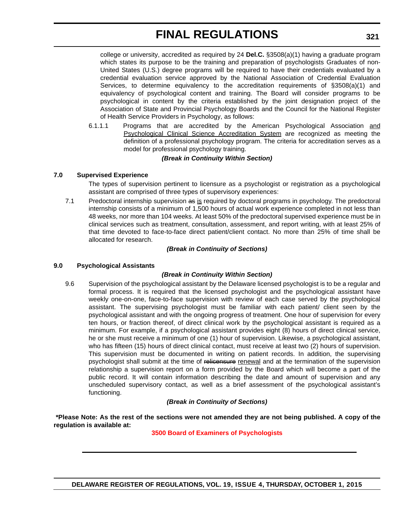college or university, accredited as required by 24 **Del.C.** §3508(a)(1) having a graduate program which states its purpose to be the training and preparation of psychologists Graduates of non-United States (U.S.) degree programs will be required to have their credentials evaluated by a credential evaluation service approved by the National Association of Credential Evaluation Services, to determine equivalency to the accreditation requirements of §3508(a)(1) and equivalency of psychological content and training. The Board will consider programs to be psychological in content by the criteria established by the joint designation project of the Association of State and Provincial Psychology Boards and the Council for the National Register of Health Service Providers in Psychology, as follows:

6.1.1.1 Programs that are accredited by the American Psychological Association and Psychological Clinical Science Accreditation System are recognized as meeting the definition of a professional psychology program. The criteria for accreditation serves as a model for professional psychology training.

## *(Break in Continuity Within Section)*

### **7.0 Supervised Experience**

The types of supervision pertinent to licensure as a psychologist or registration as a psychological assistant are comprised of three types of supervisory experiences:

7.1 Predoctoral internship supervision as is required by doctoral programs in psychology. The predoctoral internship consists of a minimum of 1,500 hours of actual work experience completed in not less than 48 weeks, nor more than 104 weeks. At least 50% of the predoctoral supervised experience must be in clinical services such as treatment, consultation, assessment, and report writing, with at least 25% of that time devoted to face-to-face direct patient/client contact. No more than 25% of time shall be allocated for research.

### *(Break in Continuity of Sections)*

## **9.0 Psychological Assistants**

## *(Break in Continuity Within Section)*

9.6 Supervision of the psychological assistant by the Delaware licensed psychologist is to be a regular and formal process. It is required that the licensed psychologist and the psychological assistant have weekly one-on-one, face-to-face supervision with review of each case served by the psychological assistant. The supervising psychologist must be familiar with each patient/ client seen by the psychological assistant and with the ongoing progress of treatment. One hour of supervision for every ten hours, or fraction thereof, of direct clinical work by the psychological assistant is required as a minimum. For example, if a psychological assistant provides eight (8) hours of direct clinical service, he or she must receive a minimum of one (1) hour of supervision. Likewise, a psychological assistant, who has fifteen (15) hours of direct clinical contact, must receive at least two (2) hours of supervision. This supervision must be documented in writing on patient records. In addition, the supervising psychologist shall submit at the time of relicensure renewal and at the termination of the supervision relationship a supervision report on a form provided by the Board which will become a part of the public record. It will contain information describing the date and amount of supervision and any unscheduled supervisory contact, as well as a brief assessment of the psychological assistant's functioning.

## *(Break in Continuity of Sections)*

 **\*Please Note: As the rest of the sections were not amended they are not being published. A copy of the regulation is available at:**

## **[3500 Board of Examiners of Psychologists](http://regulations.delaware.gov/register/october2015/final/19 DE Reg 319 10-01-15.htm)**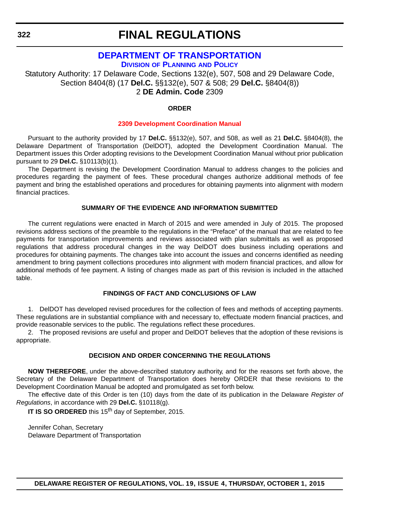# **[DEPARTMENT OF TRANSPORTATION](http://www.deldot.gov/home/divisions/)**

**DIVISION OF PLANNING AND POLICY**

Statutory Authority: 17 Delaware Code, Sections 132(e), 507, 508 and 29 Delaware Code, Section 8404(8) (17 **Del.C.** §§132(e), 507 & 508; 29 **Del.C.** §8404(8)) 2 **DE Admin. Code** 2309

## **ORDER**

### **[2309 Development Coordination Manual](#page-4-0)**

Pursuant to the authority provided by 17 **Del.C.** §§132(e), 507, and 508, as well as 21 **Del.C.** §8404(8), the Delaware Department of Transportation (DelDOT), adopted the Development Coordination Manual. The Department issues this Order adopting revisions to the Development Coordination Manual without prior publication pursuant to 29 **Del.C.** §10113(b)(1).

The Department is revising the Development Coordination Manual to address changes to the policies and procedures regarding the payment of fees. These procedural changes authorize additional methods of fee payment and bring the established operations and procedures for obtaining payments into alignment with modern financial practices.

### **SUMMARY OF THE EVIDENCE AND INFORMATION SUBMITTED**

The current regulations were enacted in March of 2015 and were amended in July of 2015. The proposed revisions address sections of the preamble to the regulations in the "Preface" of the manual that are related to fee payments for transportation improvements and reviews associated with plan submittals as well as proposed regulations that address procedural changes in the way DelDOT does business including operations and procedures for obtaining payments. The changes take into account the issues and concerns identified as needing amendment to bring payment collections procedures into alignment with modern financial practices, and allow for additional methods of fee payment. A listing of changes made as part of this revision is included in the attached table.

# **FINDINGS OF FACT AND CONCLUSIONS OF LAW**

1. DelDOT has developed revised procedures for the collection of fees and methods of accepting payments. These regulations are in substantial compliance with and necessary to, effectuate modern financial practices, and provide reasonable services to the public. The regulations reflect these procedures.

2. The proposed revisions are useful and proper and DelDOT believes that the adoption of these revisions is appropriate.

#### **DECISION AND ORDER CONCERNING THE REGULATIONS**

**NOW THEREFORE**, under the above-described statutory authority, and for the reasons set forth above, the Secretary of the Delaware Department of Transportation does hereby ORDER that these revisions to the Development Coordination Manual be adopted and promulgated as set forth below.

The effective date of this Order is ten (10) days from the date of its publication in the Delaware *Register of Regulations*, in accordance with 29 **Del.C.** §10118(g).

**IT IS SO ORDERED** this 15<sup>th</sup> day of September, 2015.

Jennifer Cohan, Secretary Delaware Department of Transportation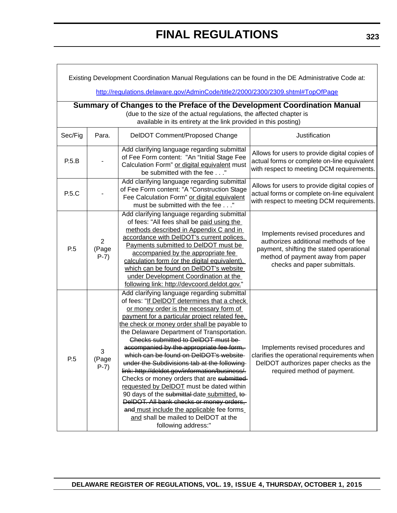| Existing Development Coordination Manual Regulations can be found in the DE Administrative Code at:                                                                                                                |                                   |                                                                                                                                                                                                                                                                                                                                                                                                                                                                                                                                                                                                                                                                                                                                                                                                                      |                                                                                                                                                                                            |  |
|--------------------------------------------------------------------------------------------------------------------------------------------------------------------------------------------------------------------|-----------------------------------|----------------------------------------------------------------------------------------------------------------------------------------------------------------------------------------------------------------------------------------------------------------------------------------------------------------------------------------------------------------------------------------------------------------------------------------------------------------------------------------------------------------------------------------------------------------------------------------------------------------------------------------------------------------------------------------------------------------------------------------------------------------------------------------------------------------------|--------------------------------------------------------------------------------------------------------------------------------------------------------------------------------------------|--|
| http://regulations.delaware.gov/AdminCode/title2/2000/2300/2309.shtml#TopOfPage                                                                                                                                    |                                   |                                                                                                                                                                                                                                                                                                                                                                                                                                                                                                                                                                                                                                                                                                                                                                                                                      |                                                                                                                                                                                            |  |
| Summary of Changes to the Preface of the Development Coordination Manual<br>(due to the size of the actual regulations, the affected chapter is<br>available in its entirety at the link provided in this posting) |                                   |                                                                                                                                                                                                                                                                                                                                                                                                                                                                                                                                                                                                                                                                                                                                                                                                                      |                                                                                                                                                                                            |  |
| Sec/Fig                                                                                                                                                                                                            | Para.                             | DeIDOT Comment/Proposed Change                                                                                                                                                                                                                                                                                                                                                                                                                                                                                                                                                                                                                                                                                                                                                                                       | Justification                                                                                                                                                                              |  |
| P.5.B                                                                                                                                                                                                              |                                   | Add clarifying language regarding submittal<br>of Fee Form content: "An "Initial Stage Fee<br>Calculation Form" or digital equivalent must<br>be submitted with the fee"                                                                                                                                                                                                                                                                                                                                                                                                                                                                                                                                                                                                                                             | Allows for users to provide digital copies of<br>actual forms or complete on-line equivalent<br>with respect to meeting DCM requirements.                                                  |  |
| P.5.C                                                                                                                                                                                                              |                                   | Add clarifying language regarding submittal<br>of Fee Form content: "A "Construction Stage<br>Fee Calculation Form" or digital equivalent<br>must be submitted with the fee"                                                                                                                                                                                                                                                                                                                                                                                                                                                                                                                                                                                                                                         | Allows for users to provide digital copies of<br>actual forms or complete on-line equivalent<br>with respect to meeting DCM requirements.                                                  |  |
| P.5                                                                                                                                                                                                                | $\overline{2}$<br>(Page<br>$P-7)$ | Add clarifying language regarding submittal<br>of fees: "All fees shall be paid using the<br>methods described in Appendix C and in<br>accordance with DelDOT's current polices.<br>Payments submitted to DelDOT must be<br>accompanied by the appropriate fee<br>calculation form (or the digital equivalent),<br>which can be found on DelDOT's website<br>under Development Coordination at the<br>following link: http://devcoord.deldot.gov."                                                                                                                                                                                                                                                                                                                                                                   | Implements revised procedures and<br>authorizes additional methods of fee<br>payment, shifting the stated operational<br>method of payment away from paper<br>checks and paper submittals. |  |
| P.5                                                                                                                                                                                                                | 3<br>(Page<br>$P-7)$              | Add clarifying language regarding submittal<br>of fees: "If DelDOT determines that a check<br>or money order is the necessary form of<br>payment for a particular project related fee.<br>the check or money order shall be payable to<br>the Delaware Department of Transportation.<br>Checks submitted to DeIDOT must be<br>accompanied by the appropriate fee form,<br>which can be found on DelDOT's website-<br>under the Subdivisions tab at the following<br>link: http://deldot.gov/information/business/.<br>Checks or money orders that are submitted-<br>requested by DelDOT must be dated within<br>90 days of the submittal-date submitted, to-<br>DelDOT. All bank checks or money orders,<br>and must include the applicable fee forms<br>and shall be mailed to DelDOT at the<br>following address:" | Implements revised procedures and<br>clarifies the operational requirements when<br>DelDOT authorizes paper checks as the<br>required method of payment.                                   |  |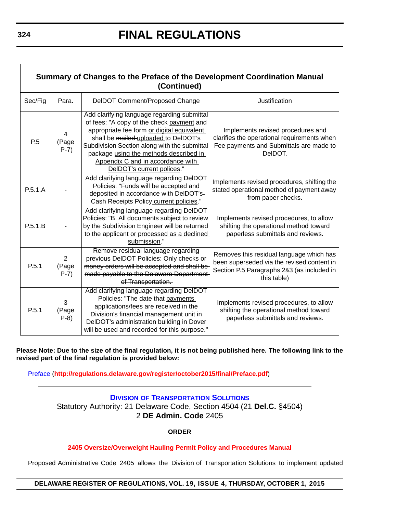| Summary of Changes to the Preface of the Development Coordination Manual<br>(Continued) |                                   |                                                                                                                                                                                                                                                                                                                                             |                                                                                                                                                     |  |
|-----------------------------------------------------------------------------------------|-----------------------------------|---------------------------------------------------------------------------------------------------------------------------------------------------------------------------------------------------------------------------------------------------------------------------------------------------------------------------------------------|-----------------------------------------------------------------------------------------------------------------------------------------------------|--|
| Sec/Fig                                                                                 | Para.                             | DelDOT Comment/Proposed Change                                                                                                                                                                                                                                                                                                              | Justification                                                                                                                                       |  |
| P.5                                                                                     | 4<br>(Page<br>$P-7)$              | Add clarifying language regarding submittal<br>of fees: "A copy of the check-payment and<br>appropriate fee form or digital equivalent<br>shall be mailed-uploaded to DelDOT's<br>Subdivision Section along with the submittal<br>package using the methods described in<br>Appendix C and in accordance with<br>DelDOT's current polices." | Implements revised procedures and<br>clarifies the operational requirements when<br>Fee payments and Submittals are made to<br>DelDOT.              |  |
| P.5.1.A                                                                                 |                                   | Add clarifying language regarding DelDOT<br>Policies: "Funds will be accepted and<br>deposited in accordance with DelDOT's-<br><b>Cash Receipts Policy current policies."</b>                                                                                                                                                               | Implements revised procedures, shifting the<br>stated operational method of payment away<br>from paper checks.                                      |  |
| P.5.1.B                                                                                 |                                   | Add clarifying language regarding DelDOT<br>Policies: "B. All documents subject to review<br>by the Subdivision Engineer will be returned<br>to the applicant or processed as a declined<br>submission."                                                                                                                                    | Implements revised procedures, to allow<br>shifting the operational method toward<br>paperless submittals and reviews.                              |  |
| P.5.1                                                                                   | $\overline{2}$<br>(Page<br>$P-7)$ | Remove residual language regarding<br>previous DeIDOT Policies: Only checks or<br>money orders will be accepted and shall be<br>made payable to the Delaware Department<br>of Transportation.                                                                                                                                               | Removes this residual language which has<br>been superseded via the revised content in<br>Section P.5 Paragraphs 2&3 (as included in<br>this table) |  |
| P.5.1                                                                                   | 3<br>(Page<br>$P-8$               | Add clarifying language regarding DelDOT<br>Policies: "The date that payments<br>applications/fees are received in the<br>Division's financial management unit in<br>DelDOT's administration building in Dover<br>will be used and recorded for this purpose."                                                                              | Implements revised procedures, to allow<br>shifting the operational method toward<br>paperless submittals and reviews.                              |  |

**Please Note: Due to the size of the final regulation, it is not being published here. The following link to the revised part of the final regulation is provided below:**

Preface (**<http://regulations.delaware.gov/register/october2015/final/Preface.pdf>**)

# **DIVISION [OF TRANSPORTATION SOLUTIONS](http://www.deldot.gov/home/divisions/)** Statutory Authority: 21 Delaware Code, Section 4504 (21 **Del.C.** §4504) 2 **DE Admin. Code** 2405

# **ORDER**

# **[2405 Oversize/Overweight Hauling Permit Policy and Procedures Manual](#page-4-0)**

Proposed Administrative Code 2405 allows the Division of Transportation Solutions to implement updated

# **DELAWARE REGISTER OF REGULATIONS, VOL. 19, ISSUE 4, THURSDAY, OCTOBER 1, 2015**

Г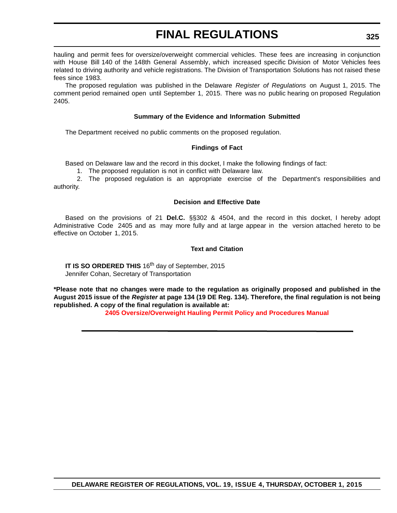hauling and permit fees for oversize/overweight commercial vehicles. These fees are increasing in conjunction with House Bill 140 of the 148th General Assembly, which increased specific Division of Motor Vehicles fees related to driving authority and vehicle registrations. The Division of Transportation Solutions has not raised these fees since 1983.

The proposed regulation was published in the Delaware *Register of Regulations* on August 1, 2015. The comment period remained open until September 1, 2015. There was no public hearing on proposed Regulation 2405.

### **Summary of the Evidence and Information Submitted**

The Department received no public comments on the proposed regulation.

### **Findings of Fact**

Based on Delaware law and the record in this docket, I make the following findings of fact:

1. The proposed regulation is not in conflict with Delaware law.

2. The proposed regulation is an appropriate exercise of the Department's responsibilities and authority.

### **Decision and Effective Date**

Based on the provisions of 21 **Del.C.** §§302 & 4504, and the record in this docket, I hereby adopt Administrative Code 2405 and as may more fully and at large appear in the version attached hereto to be effective on October 1, 2015.

### **Text and Citation**

**IT IS SO ORDERED THIS** 16<sup>th</sup> day of September, 2015 Jennifer Cohan, Secretary of Transportation

**\*Please note that no changes were made to the regulation as originally proposed and published in the August 2015 issue of the** *Register* **at page 134 (19 DE Reg. 134). Therefore, the final regulation is not being republished. A copy of the final regulation is available at:**

**[2405 Oversize/Overweight Hauling Permit Policy and Procedures Manual](http://regulations.delaware.gov/register/october2015/final/19 DE Reg 324 10-01-15.htm)**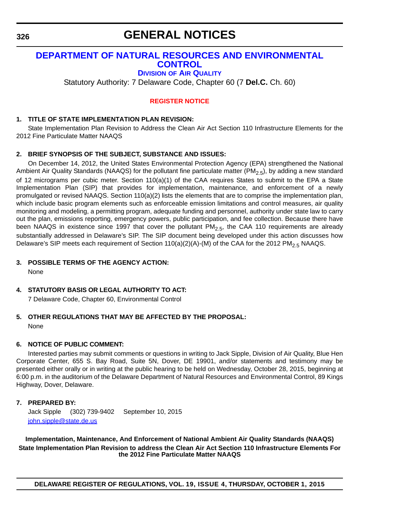# **[DEPARTMENT OF NATURAL RESOURCES AND ENVIRONMENTAL](http://www.dnrec.delaware.gov/Air/Pages/Air-Quality.aspx)  CONTROL**

### **DIVISION OF AIR QUALITY**

Statutory Authority: 7 Delaware Code, Chapter 60 (7 **Del.C.** Ch. 60)

### **[REGISTER NOTICE](#page-4-0)**

### **1. TITLE OF STATE IMPLEMENTATION PLAN REVISION:**

State Implementation Plan Revision to Address the Clean Air Act Section 110 Infrastructure Elements for the 2012 Fine Particulate Matter NAAQS

### **2. BRIEF SYNOPSIS OF THE SUBJECT, SUBSTANCE AND ISSUES:**

On December 14, 2012, the United States Environmental Protection Agency (EPA) strengthened the National Ambient Air Quality Standards (NAAQS) for the pollutant fine particulate matter (PM<sub>2.5</sub>), by adding a new standard of 12 micrograms per cubic meter. Section 110(a)(1) of the CAA requires States to submit to the EPA a State Implementation Plan (SIP) that provides for implementation, maintenance, and enforcement of a newly promulgated or revised NAAQS. Section 110(a)(2) lists the elements that are to comprise the implementation plan, which include basic program elements such as enforceable emission limitations and control measures, air quality monitoring and modeling, a permitting program, adequate funding and personnel, authority under state law to carry out the plan, emissions reporting, emergency powers, public participation, and fee collection. Because there have been NAAQS in existence since 1997 that cover the pollutant  $PM<sub>2.5</sub>$ , the CAA 110 requirements are already substantially addressed in Delaware's SIP. The SIP document being developed under this action discusses how Delaware's SIP meets each requirement of Section  $110(a)(2)(A)$ -(M) of the CAA for the 2012 PM<sub>2.5</sub> NAAQS.

**3. POSSIBLE TERMS OF THE AGENCY ACTION:**

None

### **4. STATUTORY BASIS OR LEGAL AUTHORITY TO ACT:**

7 Delaware Code, Chapter 60, Environmental Control

## **5. OTHER REGULATIONS THAT MAY BE AFFECTED BY THE PROPOSAL:** None

### **6. NOTICE OF PUBLIC COMMENT:**

Interested parties may submit comments or questions in writing to Jack Sipple, Division of Air Quality, Blue Hen Corporate Center, 655 S. Bay Road, Suite 5N, Dover, DE 19901, and/or statements and testimony may be presented either orally or in writing at the public hearing to be held on Wednesday, October 28, 2015, beginning at 6:00 p.m. in the auditorium of the Delaware Department of Natural Resources and Environmental Control, 89 Kings Highway, Dover, Delaware.

### **7. PREPARED BY:**

Jack Sipple (302) 739-9402 September 10, 2015 [john.sipple@state.de.us](mailto:john.sipple@state.de.us)

**Implementation, Maintenance, And Enforcement of National Ambient Air Quality Standards (NAAQS) State Implementation Plan Revision to address the Clean Air Act Section 110 Infrastructure Elements For the 2012 Fine Particulate Matter NAAQS**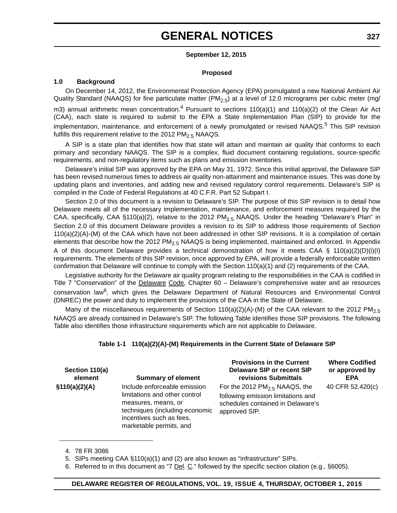#### **September 12, 2015**

#### **Proposed**

#### **1.0 Background**

fulfills this requirement relative to the 2012  $PM<sub>2.5</sub> NAAGS$ .

On December 14, 2012, the Environmental Protection Agency (EPA) promulgated a new National Ambient Air Quality Standard (NAAQS) for fine particulate matter (PM<sub>2.5</sub>) at a level of 12.0 micrograms per cubic meter (mg/ m3) annual arithmetic mean concentration.<sup>4</sup> Pursuant to sections  $110(a)(1)$  and  $110(a)(2)$  of the Clean Air Act (CAA), each state is required to submit to the EPA a State Implementation Plan (SIP) to provide for the implementation, maintenance, and enforcement of a newly promulgated or revised NAAQS.<sup>5</sup> This SIP revision

A SIP is a state plan that identifies how that state will attain and maintain air quality that conforms to each primary and secondary NAAQS. The SIP is a complex, fluid document containing regulations, source-specific requirements, and non-regulatory items such as plans and emission inventories.

Delaware's initial SIP was approved by the EPA on May 31, 1972. Since this initial approval, the Delaware SIP has been revised numerous times to address air quality non-attainment and maintenance issues. This was done by updating plans and inventories, and adding new and revised regulatory control requirements. Delaware's SIP is compiled in the Code of Federal Regulations at 40 C.F.R. Part 52 Subpart I.

Section 2.0 of this document is a revision to Delaware's SIP. The purpose of this SIP revision is to detail how Delaware meets all of the necessary implementation, maintenance, and enforcement measures required by the CAA, specifically, CAA §110(a)(2), relative to the 2012 PM<sub>2.5</sub> NAAQS. Under the heading "Delaware's Plan" in Section 2.0 of this document Delaware provides a revision to its SIP to address those requirements of Section 110(a)(2)(A)-(M) of the CAA which have not been addressed in other SIP revisions. It is a compilation of certain elements that describe how the 2012 PM<sub>2.5</sub> NAAQS is being implemented, maintained and enforced. In Appendix A of this document Delaware provides a technical demonstration of how it meets CAA § 110(a)(2)(D)(i)(I) requirements. The elements of this SIP revision, once approved by EPA, will provide a federally enforceable written confirmation that Delaware will continue to comply with the Section 110(a)(1) and (2) requirements of the CAA.

Legislative authority for the Delaware air quality program relating to the responsibilities in the CAA is codified in Title 7 "Conservation" of the Delaware Code, Chapter 60 - Delaware's comprehensive water and air resources conservation law<sup>6</sup>, which gives the Delaware Department of Natural Resources and Environmental Control (DNREC) the power and duty to implement the provisions of the CAA in the State of Delaware.

Many of the miscellaneous requirements of Section 110(a)(2)(A)-(M) of the CAA relevant to the 2012 PM<sub>2.5</sub> NAAQS are already contained in Delaware's SIP. The following Table identifies those SIP provisions. The following Table also identifies those infrastructure requirements which are not applicable to Delaware.

### **Table 1-1 110(a)(2)(A)-(M) Requirements in the Current State of Delaware SIP**

| Section 110(a)<br>element | <b>Summary of element</b>                                                                                                                                                     | <b>Provisions in the Current</b><br>Delaware SIP or recent SIP<br>revisions Submittals                                      | <b>Where Codified</b><br>or approved by<br><b>EPA</b> |
|---------------------------|-------------------------------------------------------------------------------------------------------------------------------------------------------------------------------|-----------------------------------------------------------------------------------------------------------------------------|-------------------------------------------------------|
| \$110(a)(2)(A)            | Include enforceable emission<br>limitations and other control<br>measures, means, or<br>techniques (including economic<br>incentives such as fees,<br>marketable permits, and | For the 2012 $PM2.5$ NAAQS, the<br>following emission limitations and<br>schedules contained in Delaware's<br>approved SIP. | 40 CFR 52.420(c)                                      |

<sup>4. 78</sup> FR 3086

<sup>5.</sup> SIPs meeting CAA §110(a)(1) and (2) are also known as "infrastructure" SIPs.

<sup>6.</sup> Referred to in this document as "7 Del. C." followed by the specific section citation (e.g., §6005).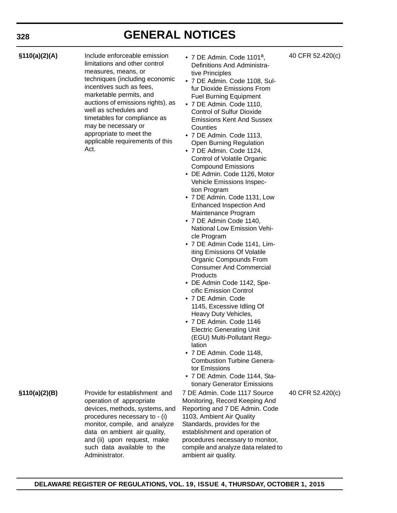**§110(a)(2)(A)** Include enforceable emission limitations and other control measures, means, or techniques (including economic incentives such as fees, marketable permits, and auctions of emissions rights), as well as schedules and timetables for compliance as may be necessary or appropriate to meet the applicable requirements of this Act.

- 7 DE Admin. Code 1101<sup>a</sup>, Definitions And Administrative Principles
- 7 DE Admin. Code 1108, Sulfur Dioxide Emissions From Fuel Burning Equipment
- 7 DE Admin. Code 1110, Control of Sulfur Dioxide Emissions Kent And Sussex **Counties**
- 7 DE Admin. Code 1113, Open Burning Regulation
- 7 DE Admin. Code 1124, Control of Volatile Organic Compound Emissions
- DE Admin. Code 1126, Motor Vehicle Emissions Inspection Program
- 7 DE Admin. Code 1131, Low Enhanced Inspection And Maintenance Program
- 7 DE Admin Code 1140, National Low Emission Vehicle Program
- 7 DE Admin Code 1141, Limiting Emissions Of Volatile Organic Compounds From Consumer And Commercial **Products**
- DE Admin Code 1142, Specific Emission Control
- 7 DE Admin. Code 1145, Excessive Idling Of Heavy Duty Vehicles,
- 7 DE Admin. Code 1146 Electric Generating Unit (EGU) Multi-Pollutant Regulation
- 7 DE Admin. Code 1148, Combustion Turbine Generator Emissions
- 7 DE Admin. Code 1144, Stationary Generator Emissions

7 DE Admin. Code 1117 Source Monitoring, Record Keeping And Reporting and 7 DE Admin. Code 1103, Ambient Air Quality Standards, provides for the establishment and operation of procedures necessary to monitor, compile and analyze data related to ambient air quality.

40 CFR 52.420(c)

**§110(a)(2)(B)** Provide for establishment and operation of appropriate devices, methods, systems, and procedures necessary to - (i) monitor, compile, and analyze data on ambient air quality, and (ii) upon request, make such data available to the Administrator.

### 40 CFR 52.420(c)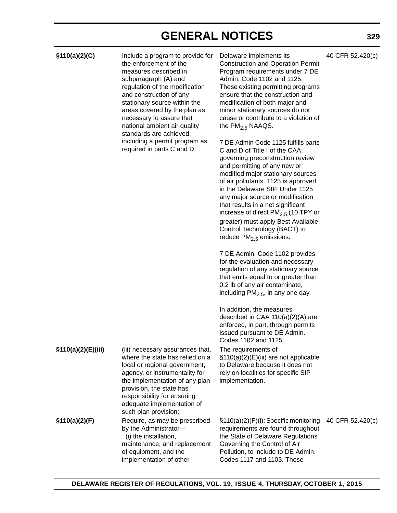**§110(a)(2)(C)** Include a program to provide for the enforcement of the measures described in subparagraph (A) and regulation of the modification and construction of any stationary source within the areas covered by the plan as necessary to assure that national ambient air quality standards are achieved, including a permit program as required in parts C and D;

Delaware implements its Construction and Operation Permit Program requirements under 7 DE Admin. Code 1102 and 1125. These existing permitting programs ensure that the construction and modification of both major and minor stationary sources do not cause or contribute to a violation of the  $PM<sub>2.5</sub>$  NAAQS.

7 DE Admin Code 1125 fulfills parts C and D of Title I of the CAA; governing preconstruction review and permitting of any new or modified major stationary sources of air pollutants. 1125 is approved in the Delaware SIP. Under 1125 any major source or modification that results in a net significant increase of direct  $PM<sub>2.5</sub>$  (10 TPY or greater) must apply Best Available Control Technology (BACT) to reduce  $PM<sub>2.5</sub>$  emissions.

7 DE Admin. Code 1102 provides for the evaluation and necessary regulation of any stationary source that emits equal to or greater than 0.2 lb of any air contaminate, including  $PM<sub>2.5</sub>$ , in any one day.

In addition, the measures described in CAA 110(a)(2)(A) are enforced, in part, through permits issued pursuant to DE Admin. Codes 1102 and 1125. The requirements of §110(a)(2)(E)(iii) are not applicable to Delaware because it does not rely on localities for specific SIP implementation.

|               | adequate implementation of<br>such plan provision;     |
|---------------|--------------------------------------------------------|
| §110(a)(2)(F) | Require, as may be prescribed<br>by the Administrator- |
|               | (i) the installation,                                  |
|               | maintenance, and replacement                           |
|               | of equipment, and the                                  |
|               | implementation of other                                |

**§110(a)(2)(E)(iii)** (iii) necessary assurances that,

where the state has relied on a local or regional government, agency, or instrumentality for the implementation of any plan

provision, the state has responsibility for ensuring

> §110(a)(2)(F)(i): Specific monitoring 40 CFR 52.420(c)requirements are found throughout the State of Delaware Regulations Governing the Control of Air Pollution, to include to DE Admin. Codes 1117 and 1103. These

### **329**

40 CFR 52.420(c)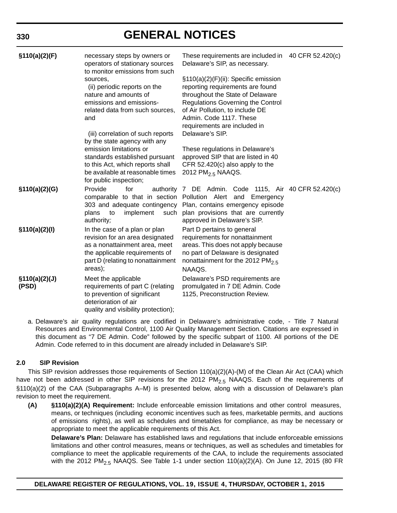| \$110(a)(2)(F)          | necessary steps by owners or<br>operators of stationary sources<br>to monitor emissions from such<br>sources,<br>(ii) periodic reports on the<br>nature and amounts of<br>emissions and emissions- | These requirements are included in 40 CFR 52.420(c)<br>Delaware's SIP, as necessary.<br>§110(a)(2)(F)(ii): Specific emission<br>reporting requirements are found<br>throughout the State of Delaware<br><b>Regulations Governing the Control</b>                |  |
|-------------------------|----------------------------------------------------------------------------------------------------------------------------------------------------------------------------------------------------|-----------------------------------------------------------------------------------------------------------------------------------------------------------------------------------------------------------------------------------------------------------------|--|
|                         | related data from such sources,<br>and<br>(iii) correlation of such reports<br>by the state agency with any                                                                                        | of Air Pollution, to include DE<br>Admin. Code 1117. These<br>requirements are included in<br>Delaware's SIP.                                                                                                                                                   |  |
|                         | emission limitations or<br>standards established pursuant<br>to this Act, which reports shall<br>be available at reasonable times<br>for public inspection;                                        | These regulations in Delaware's<br>approved SIP that are listed in 40<br>CFR 52.420(c) also apply to the<br>2012 PM <sub>2.5</sub> NAAQS.                                                                                                                       |  |
| \$110(a)(2)(G)          | Provide<br>for<br>implement<br>plans<br>to<br>authority;                                                                                                                                           | authority 7 DE Admin. Code 1115, Air 40 CFR 52.420(c)<br>comparable to that in section Pollution Alert and Emergency<br>303 and adequate contingency Plan, contains emergency episode<br>such plan provisions that are currently<br>approved in Delaware's SIP. |  |
| \$110(a)(2)(1)          | In the case of a plan or plan<br>revision for an area designated<br>as a nonattainment area, meet<br>the applicable requirements of<br>part D (relating to nonattainment<br>areas);                | Part D pertains to general<br>requirements for nonattainment<br>areas. This does not apply because<br>no part of Delaware is designated<br>nonattainment for the 2012 PM <sub>2.5</sub><br>NAAQS.                                                               |  |
| \$110(a)(2)(J)<br>(PSD) | Meet the applicable<br>requirements of part C (relating<br>to prevention of significant<br>deterioration of air<br>quality and visibility protection);                                             | Delaware's PSD requirements are<br>promulgated in 7 DE Admin. Code<br>1125, Preconstruction Review.                                                                                                                                                             |  |

a. Delaware's air quality regulations are codified in Delaware's administrative code, - Title 7 Natural Resources and Environmental Control, 1100 Air Quality Management Section. Citations are expressed in this document as "7 DE Admin. Code" followed by the specific subpart of 1100. All portions of the DE Admin. Code referred to in this document are already included in Delaware's SIP.

### **2.0 SIP Revision**

This SIP revision addresses those requirements of Section 110(a)(2)(A)-(M) of the Clean Air Act (CAA) which have not been addressed in other SIP revisions for the 2012  $PM_{2.5}$  NAAQS. Each of the requirements of §110(a)(2) of the CAA (Subparagraphs A–M) is presented below, along with a discussion of Delaware's plan revision to meet the requirement.

**(A) §110(a)(2)(A) Requirement:** Include enforceable emission limitations and other control measures, means, or techniques (including economic incentives such as fees, marketable permits, and auctions of emissions rights), as well as schedules and timetables for compliance, as may be necessary or appropriate to meet the applicable requirements of this Act.

**Delaware's Plan:** Delaware has established laws and regulations that include enforceable emissions limitations and other control measures, means or techniques, as well as schedules and timetables for compliance to meet the applicable requirements of the CAA, to include the requirements associated with the 2012 PM<sub>2.5</sub> NAAQS. See Table 1-1 under section 110(a)(2)(A). On June 12, 2015 (80 FR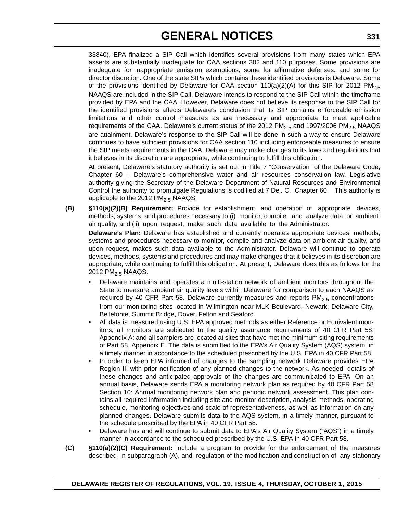33840), EPA finalized a SIP Call which identifies several provisions from many states which EPA asserts are substantially inadequate for CAA sections 302 and 110 purposes. Some provisions are inadequate for inappropriate emission exemptions, some for affirmative defenses, and some for director discretion. One of the state SIPs which contains these identified provisions is Delaware. Some of the provisions identified by Delaware for CAA section 110(a)(2)(A) for this SIP for 2012 PM<sub>2.5</sub> NAAQS are included in the SIP Call. Delaware intends to respond to the SIP Call within the timeframe provided by EPA and the CAA. However, Delaware does not believe its response to the SIP Call for the identified provisions affects Delaware's conclusion that its SIP contains enforceable emission limitations and other control measures as are necessary and appropriate to meet applicable requirements of the CAA. Delaware's current status of the 2012  $PM<sub>2.5</sub>$  and 1997/2006  $PM<sub>2.5</sub>$  NAAQS are attainment. Delaware's response to the SIP Call will be done in such a way to ensure Delaware continues to have sufficient provisions for CAA section 110 including enforceable measures to ensure the SIP meets requirements in the CAA. Delaware may make changes to its laws and regulations that it believes in its discretion are appropriate, while continuing to fulfill this obligation.

At present, Delaware's statutory authority is set out in Title 7 "Conservation" of the Delaware Code, Chapter 60 – Delaware's comprehensive water and air resources conservation law. Legislative authority giving the Secretary of the Delaware Department of Natural Resources and Environmental Control the authority to promulgate Regulations is codified at 7 Del. C., Chapter 60. This authority is applicable to the 2012 PM<sub>2.5</sub> NAAQS.

**(B) §110(a)(2)(B) Requirement:** Provide for establishment and operation of appropriate devices, methods, systems, and procedures necessary to (i) monitor, compile, and analyze data on ambient air quality, and (ii) upon request, make such data available to the Administrator. **Delaware's Plan:** Delaware has established and currently operates appropriate devices, methods,

systems and procedures necessary to monitor, compile and analyze data on ambient air quality, and upon request, makes such data available to the Administrator. Delaware will continue to operate devices, methods, systems and procedures and may make changes that it believes in its discretion are appropriate, while continuing to fulfill this obligation. At present, Delaware does this as follows for the 2012 PM<sub>2.5</sub> NAAQS:

- Delaware maintains and operates a multi-station network of ambient monitors throughout the State to measure ambient air quality levels within Delaware for comparison to each NAAQS as required by 40 CFR Part 58. Delaware currently measures and reports  $PM<sub>2.5</sub>$  concentrations from our monitoring sites located in Wilmington near MLK Boulevard, Newark, Delaware City, Bellefonte, Summit Bridge, Dover, Felton and Seaford
- All data is measured using U.S. EPA approved methods as either Reference or Equivalent monitors; all monitors are subjected to the quality assurance requirements of 40 CFR Part 58; Appendix A; and all samplers are located at sites that have met the minimum siting requirements of Part 58, Appendix E. The data is submitted to the EPA's Air Quality System (AQS) system, in a timely manner in accordance to the scheduled prescribed by the U.S. EPA in 40 CFR Part 58.
- In order to keep EPA informed of changes to the sampling network Delaware provides EPA Region III with prior notification of any planned changes to the network. As needed, details of these changes and anticipated approvals of the changes are communicated to EPA. On an annual basis, Delaware sends EPA a monitoring network plan as required by 40 CFR Part 58 Section 10: Annual monitoring network plan and periodic network assessment. This plan contains all required information including site and monitor description, analysis methods, operating schedule, monitoring objectives and scale of representativeness, as well as information on any planned changes. Delaware submits data to the AQS system, in a timely manner, pursuant to the schedule prescribed by the EPA in 40 CFR Part 58.
- Delaware has and will continue to submit data to EPA's Air Quality System ("AQS") in a timely manner in accordance to the scheduled prescribed by the U.S. EPA in 40 CFR Part 58.
- **(C) §110(a)(2)(C) Requirement:** Include a program to provide for the enforcement of the measures described in subparagraph (A), and regulation of the modification and construction of any stationary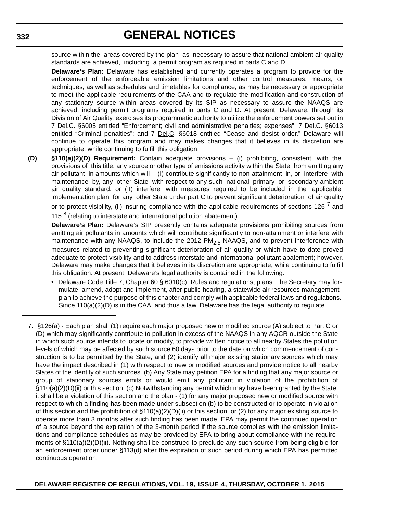source within the areas covered by the plan as necessary to assure that national ambient air quality standards are achieved, including a permit program as required in parts C and D.

**Delaware's Plan:** Delaware has established and currently operates a program to provide for the enforcement of the enforceable emission limitations and other control measures, means, or techniques, as well as schedules and timetables for compliance, as may be necessary or appropriate to meet the applicable requirements of the CAA and to regulate the modification and construction of any stationary source within areas covered by its SIP as necessary to assure the NAAQS are achieved, including permit programs required in parts C and D. At present, Delaware, through its Division of Air Quality, exercises its programmatic authority to utilize the enforcement powers set out in 7 Del.C. §6005 entitled "Enforcement; civil and administrative penalties; expenses"; 7 Del.C. §6013 entitled "Criminal penalties"; and 7 Del.C. §6018 entitled "Cease and desist order." Delaware will continue to operate this program and may makes changes that it believes in its discretion are appropriate, while continuing to fulfill this obligation.

**(D) §110(a)(2)(D) Requirement:** Contain adequate provisions – (i) prohibiting, consistent with the provisions of this title, any source or other type of emissions activity within the State from emitting any air pollutant in amounts which will - (I) contribute significantly to non-attainment in, or interfere with maintenance by, any other State with respect to any such national primary or secondary ambient air quality standard, or (II) interfere with measures required to be included in the applicable implementation plan for any other State under part C to prevent significant deterioration of air quality or to protect visibility, (ii) insuring compliance with the applicable requirements of sections 126  $<sup>7</sup>$  and</sup> 115<sup>8</sup> (relating to interstate and international pollution abatement).

**Delaware's Plan:** Delaware's SIP presently contains adequate provisions prohibiting sources from emitting air pollutants in amounts which will contribute significantly to non-attainment or interfere with maintenance with any NAAQS, to include the 2012  $PM<sub>2.5</sub>$  NAAQS, and to prevent interference with measures related to preventing significant deterioration of air quality or which have to date proved adequate to protect visibility and to address interstate and international pollutant abatement; however, Delaware may make changes that it believes in its discretion are appropriate, while continuing to fulfill this obligation. At present, Delaware's legal authority is contained in the following:

- Delaware Code Title 7, Chapter 60 § 6010(c). Rules and regulations; plans. The Secretary may formulate, amend, adopt and implement, after public hearing, a statewide air resources management plan to achieve the purpose of this chapter and comply with applicable federal laws and regulations. Since 110(a)(2)(D) is in the CAA, and thus a law, Delaware has the legal authority to regulate
- 7. §126(a) Each plan shall (1) require each major proposed new or modified source (A) subject to Part C or (D) which may significantly contribute to pollution in excess of the NAAQS in any AQCR outside the State in which such source intends to locate or modify, to provide written notice to all nearby States the pollution levels of which may be affected by such source 60 days prior to the date on which commencement of construction is to be permitted by the State, and (2) identify all major existing stationary sources which may have the impact described in (1) with respect to new or modified sources and provide notice to all nearby States of the identity of such sources. (b) Any State may petition EPA for a finding that any major source or group of stationary sources emits or would emit any pollutant in violation of the prohibition of §110(a)(2)(D)(ii) or this section. (c) Notwithstanding any permit which may have been granted by the State, it shall be a violation of this section and the plan - (1) for any major proposed new or modified source with respect to which a finding has been made under subsection (b) to be constructed or to operate in violation of this section and the prohibition of  $\S110(a)(2)(D)(ii)$  or this section, or (2) for any major existing source to operate more than 3 months after such finding has been made. EPA may permit the continued operation of a source beyond the expiration of the 3-month period if the source complies with the emission limitations and compliance schedules as may be provided by EPA to bring about compliance with the requirements of §110(a)(2)(D)(ii). Nothing shall be construed to preclude any such source from being eligible for an enforcement order under §113(d) after the expiration of such period during which EPA has permitted continuous operation.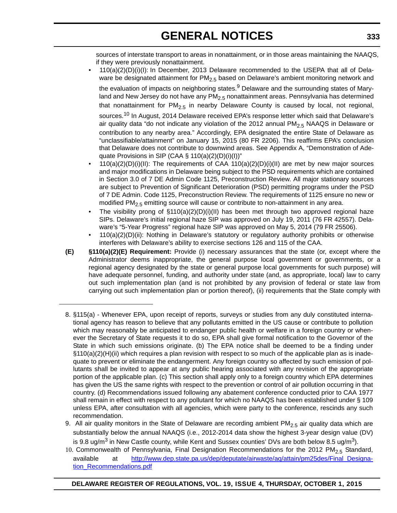sources of interstate transport to areas in nonattainment, or in those areas maintaining the NAAQS, if they were previously nonattainment.

• 110(a)(2)(D)(i)(I): In December, 2013 Delaware recommended to the USEPA that all of Delaware be designated attainment for  $PM<sub>2.5</sub>$  based on Delaware's ambient monitoring network and

the evaluation of impacts on neighboring states.<sup>9</sup> Delaware and the surrounding states of Maryland and New Jersey do not have any  $PM<sub>2.5</sub>$  nonattainment areas. Pennsylvania has determined that nonattainment for  $PM<sub>2.5</sub>$  in nearby Delaware County is caused by local, not regional, sources.<sup>10</sup> In August, 2014 Delaware received EPA's response letter which said that Delaware's air quality data "do not indicate any violation of the 2012 annual  $PM<sub>2.5</sub> NAAGS$  in Delaware or contribution to any nearby area." Accordingly, EPA designated the entire State of Delaware as "unclassifiable/attainment" on January 15, 2015 (80 FR 2206). This reaffirms EPA's conclusion that Delaware does not contribute to downwind areas. See Appendix A, "Demonstration of Adequate Provisions in SIP (CAA § 110(a)(2)(D)(i)(I))"

- 110(a)(2)(D)(i)(II): The requirements of CAA 110(a)(2)(D)(i)(II) are met by new major sources and major modifications in Delaware being subject to the PSD requirements which are contained in Section 3.0 of 7 DE Admin Code 1125, Preconstruction Review. All major stationary sources are subject to Prevention of Significant Deterioration (PSD) permitting programs under the PSD of 7 DE Admin. Code 1125, Preconstruction Review. The requirements of 1125 ensure no new or modified  $PM<sub>2.5</sub>$  emitting source will cause or contribute to non-attainment in any area.
- The visibility prong of  $\S110(a)(2)(D)(i)(II)$  has been met through two approved regional haze SIPs. Delaware's initial regional haze SIP was approved on July 19, 2011 (76 FR 42557). Delaware's "5-Year Progress" regional haze SIP was approved on May 5, 2014 (79 FR 25506).
- 110(a)(2)(D)(ii): Nothing in Delaware's statutory or regulatory authority prohibits or otherwise interferes with Delaware's ability to exercise sections 126 and 115 of the CAA.
- **(E) §110(a)(2)(E) Requirement:** Provide (i) necessary assurances that the state (or, except where the Administrator deems inappropriate, the general purpose local government or governments, or a regional agency designated by the state or general purpose local governments for such purpose) will have adequate personnel, funding, and authority under state (and, as appropriate, local) law to carry out such implementation plan (and is not prohibited by any provision of federal or state law from carrying out such implementation plan or portion thereof), (ii) requirements that the State comply with
- 8. §115(a) Whenever EPA, upon receipt of reports, surveys or studies from any duly constituted international agency has reason to believe that any pollutants emitted in the US cause or contribute to pollution which may reasonably be anticipated to endanger public health or welfare in a foreign country or whenever the Secretary of State requests it to do so, EPA shall give formal notification to the Governor of the State in which such emissions originate. (b) The EPA notice shall be deemed to be a finding under §110(a)(2)(H)(ii) which requires a plan revision with respect to so much of the applicable plan as is inadequate to prevent or eliminate the endangerment. Any foreign country so affected by such emission of pollutants shall be invited to appear at any public hearing associated with any revision of the appropriate portion of the applicable plan. (c) This section shall apply only to a foreign country which EPA determines has given the US the same rights with respect to the prevention or control of air pollution occurring in that country. (d) Recommendations issued following any abatement conference conducted prior to CAA 1977 shall remain in effect with respect to any pollutant for which no NAAQS has been established under § 109 unless EPA, after consultation with all agencies, which were party to the conference, rescinds any such recommendation.
- 9. All air quality monitors in the State of Delaware are recording ambient  $PM<sub>2.5</sub>$  air quality data which are substantially below the annual NAAQS (i.e., 2012-2014 data show the highest 3-year design value (DV) is 9.8 ug/m<sup>3</sup> in New Castle county, while Kent and Sussex counties' DVs are both below 8.5 ug/m<sup>3</sup>).
- 10. Commonwealth of Pennsylvania, Final Designation Recommendations for the 2012 PM<sub>2.5</sub> Standard, available at [http://www.dep.state.pa.us/dep/deputate/airwaste/aq/attain/pm25des/Final\\_Designa](http://www.dep.state.pa.us/dep/deputate/airwaste/aq/attain/pm25des/Final_Designation_Recommendations.pdf)[tion\\_Recommendations.pdf](http://www.dep.state.pa.us/dep/deputate/airwaste/aq/attain/pm25des/Final_Designation_Recommendations.pdf)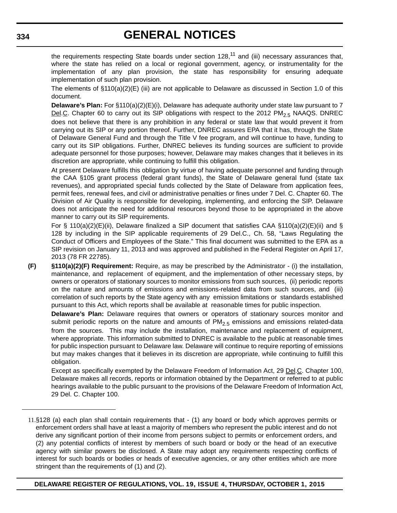the requirements respecting State boards under section  $128$ ,<sup>11</sup> and (iii) necessary assurances that, where the state has relied on a local or regional government, agency, or instrumentality for the implementation of any plan provision, the state has responsibility for ensuring adequate implementation of such plan provision.

The elements of  $\S 110(a)(2)(E)$  (iii) are not applicable to Delaware as discussed in Section 1.0 of this document.

**Delaware's Plan:** For §110(a)(2)(E)(i), Delaware has adequate authority under state law pursuant to 7 Del.C. Chapter 60 to carry out its SIP obligations with respect to the 2012 PM<sub>2.5</sub> NAAQS. DNREC does not believe that there is any prohibition in any federal or state law that would prevent it from carrying out its SIP or any portion thereof. Further, DNREC assures EPA that it has, through the State of Delaware General Fund and through the Title V fee program, and will continue to have, funding to carry out its SIP obligations. Further, DNREC believes its funding sources are sufficient to provide adequate personnel for those purposes; however, Delaware may makes changes that it believes in its discretion are appropriate, while continuing to fulfill this obligation.

At present Delaware fulfills this obligation by virtue of having adequate personnel and funding through the CAA §105 grant process (federal grant funds), the State of Delaware general fund (state tax revenues), and appropriated special funds collected by the State of Delaware from application fees, permit fees, renewal fees, and civil or administrative penalties or fines under 7 Del. C. Chapter 60. The Division of Air Quality is responsible for developing, implementing, and enforcing the SIP. Delaware does not anticipate the need for additional resources beyond those to be appropriated in the above manner to carry out its SIP requirements.

For § 110(a)(2)(E)(ii), Delaware finalized a SIP document that satisfies CAA §110(a)(2)(E)(ii) and § 128 by including in the SIP applicable requirements of 29 Del.C., Ch. 58, "Laws Regulating the Conduct of Officers and Employees of the State." This final document was submitted to the EPA as a SIP revision on January 11, 2013 and was approved and published in the Federal Register on April 17, 2013 (78 FR 22785).

**(F) §110(a)(2)(F) Requirement:** Require, as may be prescribed by the Administrator - (i) the installation, maintenance, and replacement of equipment, and the implementation of other necessary steps, by owners or operators of stationary sources to monitor emissions from such sources, (ii) periodic reports on the nature and amounts of emissions and emissions-related data from such sources, and (iii) correlation of such reports by the State agency with any emission limitations or standards established pursuant to this Act, which reports shall be available at reasonable times for public inspection.

**Delaware's Plan:** Delaware requires that owners or operators of stationary sources monitor and submit periodic reports on the nature and amounts of  $PM<sub>2.5</sub>$  emissions and emissions related-data from the sources. This may include the installation, maintenance and replacement of equipment, where appropriate. This information submitted to DNREC is available to the public at reasonable times for public inspection pursuant to Delaware law. Delaware will continue to require reporting of emissions but may makes changes that it believes in its discretion are appropriate, while continuing to fulfill this obligation.

Except as specifically exempted by the Delaware Freedom of Information Act, 29 Del.C. Chapter 100, Delaware makes all records, reports or information obtained by the Department or referred to at public hearings available to the public pursuant to the provisions of the Delaware Freedom of Information Act, 29 Del. C. Chapter 100.

#### **DELAWARE REGISTER OF REGULATIONS, VOL. 19, ISSUE 4, THURSDAY, OCTOBER 1, 2015**

<sup>11.</sup>§128 (a) each plan shall contain requirements that - (1) any board or body which approves permits or enforcement orders shall have at least a majority of members who represent the public interest and do not derive any significant portion of their income from persons subject to permits or enforcement orders, and (2) any potential conflicts of interest by members of such board or body or the head of an executive agency with similar powers be disclosed. A State may adopt any requirements respecting conflicts of interest for such boards or bodies or heads of executive agencies, or any other entities which are more stringent than the requirements of (1) and (2).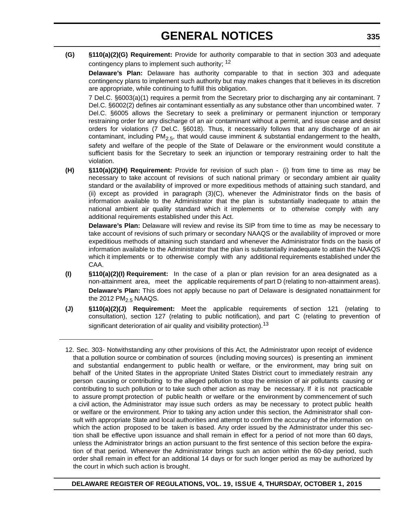**(G) §110(a)(2)(G) Requirement:** Provide for authority comparable to that in section 303 and adequate contingency plans to implement such authority; <sup>12</sup>

**Delaware's Plan:** Delaware has authority comparable to that in section 303 and adequate contingency plans to implement such authority but may makes changes that it believes in its discretion are appropriate, while continuing to fulfill this obligation.

7 Del.C. §6003(a)(1) requires a permit from the Secretary prior to discharging any air contaminant. 7 Del.C. §6002(2) defines air contaminant essentially as any substance other than uncombined water. 7 Del.C. §6005 allows the Secretary to seek a preliminary or permanent injunction or temporary restraining order for any discharge of an air contaminant without a permit, and issue cease and desist orders for violations (7 Del.C. §6018). Thus, it necessarily follows that any discharge of an air contaminant, including  $PM_{2.5}$ , that would cause imminent & substantial endangerment to the health, safety and welfare of the people of the State of Delaware or the environment would constitute a sufficient basis for the Secretary to seek an injunction or temporary restraining order to halt the violation.

**(H) §110(a)(2)(H) Requirement:** Provide for revision of such plan - (i) from time to time as may be necessary to take account of revisions of such national primary or secondary ambient air quality standard or the availability of improved or more expeditious methods of attaining such standard, and (ii) except as provided in paragraph (3)(C), whenever the Administrator finds on the basis of information available to the Administrator that the plan is substantially inadequate to attain the national ambient air quality standard which it implements or to otherwise comply with any additional requirements established under this Act.

**Delaware's Plan:** Delaware will review and revise its SIP from time to time as may be necessary to take account of revisions of such primary or secondary NAAQS or the availability of improved or more expeditious methods of attaining such standard and whenever the Administrator finds on the basis of information available to the Administrator that the plan is substantially inadequate to attain the NAAQS which it implements or to otherwise comply with any additional requirements established under the CAA.

- **(I) §110(a)(2)(I) Requirement:** In the case of a plan or plan revision for an area designated as a non-attainment area, meet the applicable requirements of part D (relating to non-attainment areas). **Delaware's Plan:** This does not apply because no part of Delaware is designated nonattainment for the 2012  $PM<sub>2.5</sub>$  NAAQS.
- **(J) §110(a)(2)(J) Requirement:** Meet the applicable requirements of section 121 (relating to consultation), section 127 (relating to public notification), and part C (relating to prevention of significant deterioration of air quality and visibility protection).<sup>13</sup>

**DELAWARE REGISTER OF REGULATIONS, VOL. 19, ISSUE 4, THURSDAY, OCTOBER 1, 2015**

<sup>12.</sup> Sec. 303- Notwithstanding any other provisions of this Act, the Administrator upon receipt of evidence that a pollution source or combination of sources (including moving sources) is presenting an imminent and substantial endangerment to public health or welfare, or the environment, may bring suit on behalf of the United States in the appropriate United States District court to immediately restrain any person causing or contributing to the alleged pollution to stop the emission of air pollutants causing or contributing to such pollution or to take such other action as may be necessary. If it is not practicable to assure prompt protection of public health or welfare or the environment by commencement of such a civil action, the Administrator may issue such orders as may be necessary to protect public health or welfare or the environment. Prior to taking any action under this section, the Administrator shall consult with appropriate State and local authorities and attempt to confirm the accuracy of the information on which the action proposed to be taken is based. Any order issued by the Administrator under this section shall be effective upon issuance and shall remain in effect for a period of not more than 60 days, unless the Administrator brings an action pursuant to the first sentence of this section before the expiration of that period. Whenever the Administrator brings such an action within the 60-day period, such order shall remain in effect for an additional 14 days or for such longer period as may be authorized by the court in which such action is brought.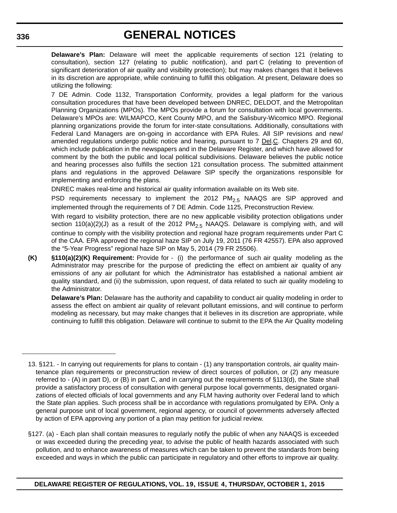**Delaware's Plan:** Delaware will meet the applicable requirements of section 121 (relating to consultation), section 127 (relating to public notification), and part C (relating to prevention of significant deterioration of air quality and visibility protection); but may makes changes that it believes in its discretion are appropriate, while continuing to fulfill this obligation. At present, Delaware does so utilizing the following:

7 DE Admin. Code 1132, Transportation Conformity, provides a legal platform for the various consultation procedures that have been developed between DNREC, DELDOT, and the Metropolitan Planning Organizations (MPOs). The MPOs provide a forum for consultation with local governments. Delaware's MPOs are: WILMAPCO, Kent County MPO, and the Salisbury-Wicomico MPO. Regional planning organizations provide the forum for inter-state consultations. Additionally, consultations with Federal Land Managers are on-going in accordance with EPA Rules. All SIP revisions and new/ amended regulations undergo public notice and hearing, pursuant to  $7 \text{ Del.C.}$  Chapters 29 and 60, which include publication in the newspapers and in the Delaware Register, and which have allowed for comment by the both the public and local political subdivisions. Delaware believes the public notice and hearing processes also fulfills the section 121 consultation process. The submitted attainment plans and regulations in the approved Delaware SIP specify the organizations responsible for implementing and enforcing the plans.

DNREC makes real-time and historical air quality information available on its Web site.

PSD requirements necessary to implement the 2012  $PM_{2.5}$  NAAQS are SIP approved and implemented through the requirements of 7 DE Admin. Code 1125, Preconstruction Review.

With regard to visibility protection, there are no new applicable visibility protection obligations under section 110(a)(2)(J) as a result of the 2012 PM<sub>2.5</sub> NAAQS. Delaware is complying with, and will continue to comply with the visibility protection and regional haze program requirements under Part C of the CAA. EPA approved the regional haze SIP on July 19, 2011 (76 FR 42557). EPA also approved the "5-Year Progress" regional haze SIP on May 5, 2014 (79 FR 25506).

**(K) §110(a)(2)(K) Requirement:** Provide for - (i) the performance of such air quality modeling as the Administrator may prescribe for the purpose of predicting the effect on ambient air quality of any emissions of any air pollutant for which the Administrator has established a national ambient air quality standard, and (ii) the submission, upon request, of data related to such air quality modeling to the Administrator.

**Delaware's Plan:** Delaware has the authority and capability to conduct air quality modeling in order to assess the effect on ambient air quality of relevant pollutant emissions, and will continue to perform modeling as necessary, but may make changes that it believes in its discretion are appropriate, while continuing to fulfill this obligation. Delaware will continue to submit to the EPA the Air Quality modeling

<sup>13. §121. -</sup> In carrying out requirements for plans to contain - (1) any transportation controls, air quality maintenance plan requirements or preconstruction review of direct sources of pollution, or (2) any measure referred to - (A) in part D), or (B) in part C, and in carrying out the requirements of §113(d), the State shall provide a satisfactory process of consultation with general purpose local governments, designated organizations of elected officials of local governments and any FLM having authority over Federal land to which the State plan applies. Such process shall be in accordance with regulations promulgated by EPA. Only a general purpose unit of local government, regional agency, or council of governments adversely affected by action of EPA approving any portion of a plan may petition for judicial review.

<sup>§127. (</sup>a) - Each plan shall contain measures to regularly notify the public of when any NAAQS is exceeded or was exceeded during the preceding year, to advise the public of health hazards associated with such pollution, and to enhance awareness of measures which can be taken to prevent the standards from being exceeded and ways in which the public can participate in regulatory and other efforts to improve air quality.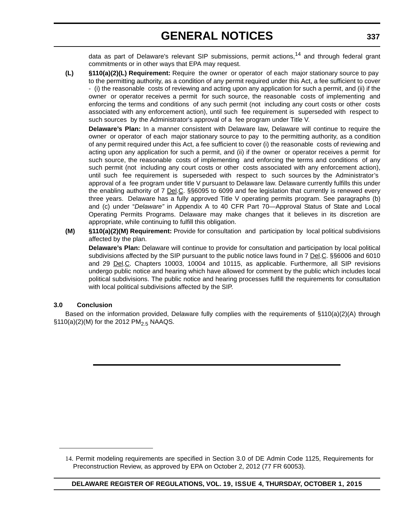data as part of Delaware's relevant SIP submissions, permit actions,<sup>14</sup> and through federal grant commitments or in other ways that EPA may request.

**(L) §110(a)(2)(L) Requirement:** Require the owner or operator of each major stationary source to pay to the permitting authority, as a condition of any permit required under this Act, a fee sufficient to cover - (i) the reasonable costs of reviewing and acting upon any application for such a permit, and (ii) if the owner or operator receives a permit for such source, the reasonable costs of implementing and enforcing the terms and conditions of any such permit (not including any court costs or other costs associated with any enforcement action), until such fee requirement is superseded with respect to such sources by the Administrator's approval of a fee program under Title V.

**Delaware's Plan:** In a manner consistent with Delaware law, Delaware will continue to require the owner or operator of each major stationary source to pay to the permitting authority, as a condition of any permit required under this Act, a fee sufficient to cover (i) the reasonable costs of reviewing and acting upon any application for such a permit, and (ii) if the owner or operator receives a permit for such source, the reasonable costs of implementing and enforcing the terms and conditions of any such permit (not including any court costs or other costs associated with any enforcement action), until such fee requirement is superseded with respect to such sources by the Administrator's approval of a fee program under title V pursuant to Delaware law. Delaware currently fulfills this under the enabling authority of 7 Del.C. §§6095 to 6099 and fee legislation that currently is renewed every three years. Delaware has a fully approved Title V operating permits program. See paragraphs (b) and (c) under "*Delaware"* in Appendix A to 40 CFR Part 70—Approval Status of State and Local Operating Permits Programs. Delaware may make changes that it believes in its discretion are appropriate, while continuing to fulfill this obligation.

**(M) §110(a)(2)(M) Requirement:** Provide for consultation and participation by local political subdivisions affected by the plan.

**Delaware's Plan:** Delaware will continue to provide for consultation and participation by local political subdivisions affected by the SIP pursuant to the public notice laws found in 7 Del.C. §§6006 and 6010 and 29 Del.C. Chapters 10003, 10004 and 10115, as applicable. Furthermore, all SIP revisions undergo public notice and hearing which have allowed for comment by the public which includes local political subdivisions. The public notice and hearing processes fulfill the requirements for consultation with local political subdivisions affected by the SIP.

### **3.0 Conclusion**

Based on the information provided, Delaware fully complies with the requirements of §110(a)(2)(A) through  $$110(a)(2)(M)$  for the 2012 PM<sub>2.5</sub> NAAQS.

<sup>14.</sup> Permit modeling requirements are specified in Section 3.0 of DE Admin Code 1125, Requirements for Preconstruction Review, as approved by EPA on October 2, 2012 (77 FR 60053).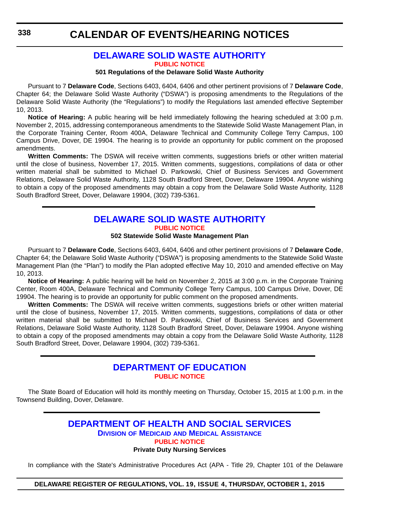# **[DELAWARE SOLID WASTE AUTHORITY](http://dswa.com/)**

**[PUBLIC NOTICE](#page-4-0)**

#### **501 Regulations of the Delaware Solid Waste Authority**

Pursuant to 7 **Delaware Code**, Sections 6403, 6404, 6406 and other pertinent provisions of 7 **Delaware Code**, Chapter 64; the Delaware Solid Waste Authority ("DSWA") is proposing amendments to the Regulations of the Delaware Solid Waste Authority (the "Regulations") to modify the Regulations last amended effective September 10, 2013.

**Notice of Hearing:** A public hearing will be held immediately following the hearing scheduled at 3:00 p.m. November 2, 2015, addressing contemporaneous amendments to the Statewide Solid Waste Management Plan, in the Corporate Training Center, Room 400A, Delaware Technical and Community College Terry Campus, 100 Campus Drive, Dover, DE 19904. The hearing is to provide an opportunity for public comment on the proposed amendments.

**Written Comments:** The DSWA will receive written comments, suggestions briefs or other written material until the close of business, November 17, 2015. Written comments, suggestions, compilations of data or other written material shall be submitted to Michael D. Parkowski, Chief of Business Services and Government Relations, Delaware Solid Waste Authority, 1128 South Bradford Street, Dover, Delaware 19904. Anyone wishing to obtain a copy of the proposed amendments may obtain a copy from the Delaware Solid Waste Authority, 1128 South Bradford Street, Dover, Delaware 19904, (302) 739-5361.

# **[DELAWARE SOLID WASTE AUTHORITY](http://dswa.com/) [PUBLIC NOTICE](#page-4-0)**

**502 Statewide Solid Waste Management Plan**

Pursuant to 7 **Delaware Code**, Sections 6403, 6404, 6406 and other pertinent provisions of 7 **Delaware Code**, Chapter 64; the Delaware Solid Waste Authority ("DSWA") is proposing amendments to the Statewide Solid Waste Management Plan (the "Plan") to modify the Plan adopted effective May 10, 2010 and amended effective on May 10, 2013.

**Notice of Hearing:** A public hearing will be held on November 2, 2015 at 3:00 p.m. in the Corporate Training Center, Room 400A, Delaware Technical and Community College Terry Campus, 100 Campus Drive, Dover, DE 19904. The hearing is to provide an opportunity for public comment on the proposed amendments.

**Written Comments:** The DSWA will receive written comments, suggestions briefs or other written material until the close of business, November 17, 2015. Written comments, suggestions, compilations of data or other written material shall be submitted to Michael D. Parkowski, Chief of Business Services and Government Relations, Delaware Solid Waste Authority, 1128 South Bradford Street, Dover, Delaware 19904. Anyone wishing to obtain a copy of the proposed amendments may obtain a copy from the Delaware Solid Waste Authority, 1128 South Bradford Street, Dover, Delaware 19904, (302) 739-5361.

# **[DEPARTMENT OF EDUCATION](http://www.doe.k12.de.us/site/default.aspx?PageID=1) [PUBLIC NOTICE](#page-4-0)**

The State Board of Education will hold its monthly meeting on Thursday, October 15, 2015 at 1:00 p.m. in the Townsend Building, Dover, Delaware.

### **[DEPARTMENT OF HEALTH AND SOCIAL SERVICES](http://www.dhss.delaware.gov/dhss/dmma/) DIVISION OF MEDICAID AND MEDICAL ASSISTANCE [PUBLIC NOTICE](#page-4-0) Private Duty Nursing Services**

In compliance with the State's Administrative Procedures Act (APA - Title 29, Chapter 101 of the Delaware

### **DELAWARE REGISTER OF REGULATIONS, VOL. 19, ISSUE 4, THURSDAY, OCTOBER 1, 2015**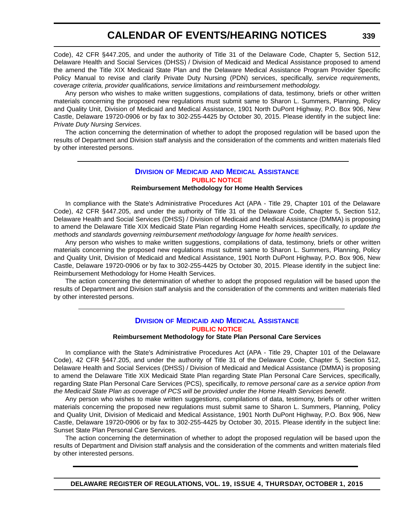Code), 42 CFR §447.205, and under the authority of Title 31 of the Delaware Code, Chapter 5, Section 512, Delaware Health and Social Services (DHSS) / Division of Medicaid and Medical Assistance proposed to amend the amend the Title XIX Medicaid State Plan and the Delaware Medical Assistance Program Provider Specific Policy Manual to revise and clarify Private Duty Nursing (PDN) services, specifically, *service requirements, coverage criteria, provider qualifications, service limitations and reimbursement methodology*.

Any person who wishes to make written suggestions, compilations of data, testimony, briefs or other written materials concerning the proposed new regulations must submit same to Sharon L. Summers, Planning, Policy and Quality Unit, Division of Medicaid and Medical Assistance, 1901 North DuPont Highway, P.O. Box 906, New Castle, Delaware 19720-0906 or by fax to 302-255-4425 by October 30, 2015. Please identify in the subject line: *Private Duty Nursing Services*.

The action concerning the determination of whether to adopt the proposed regulation will be based upon the results of Department and Division staff analysis and the consideration of the comments and written materials filed by other interested persons.

### **DIVISION OF MEDICAID [AND MEDICAL ASSISTANCE](http://www.dhss.delaware.gov/dhss/dmma/) [PUBLIC NOTICE](#page-4-0)**

#### **Reimbursement Methodology for Home Health Services**

In compliance with the State's Administrative Procedures Act (APA - Title 29, Chapter 101 of the Delaware Code), 42 CFR §447.205, and under the authority of Title 31 of the Delaware Code, Chapter 5, Section 512, Delaware Health and Social Services (DHSS) / Division of Medicaid and Medical Assistance (DMMA) is proposing to amend the Delaware Title XIX Medicaid State Plan regarding Home Health services, specifically, *to update the methods and standards governing reimbursement methodology language for home health services*.

Any person who wishes to make written suggestions, compilations of data, testimony, briefs or other written materials concerning the proposed new regulations must submit same to Sharon L. Summers, Planning, Policy and Quality Unit, Division of Medicaid and Medical Assistance, 1901 North DuPont Highway, P.O. Box 906, New Castle, Delaware 19720-0906 or by fax to 302-255-4425 by October 30, 2015. Please identify in the subject line: Reimbursement Methodology for Home Health Services.

The action concerning the determination of whether to adopt the proposed regulation will be based upon the results of Department and Division staff analysis and the consideration of the comments and written materials filed by other interested persons.

# **DIVISION OF MEDICAID [AND MEDICAL ASSISTANCE](http://www.dhss.delaware.gov/dhss/dmma/) [PUBLIC NOTICE](#page-4-0)**

#### **Reimbursement Methodology for State Plan Personal Care Services**

In compliance with the State's Administrative Procedures Act (APA - Title 29, Chapter 101 of the Delaware Code), 42 CFR §447.205, and under the authority of Title 31 of the Delaware Code, Chapter 5, Section 512, Delaware Health and Social Services (DHSS) / Division of Medicaid and Medical Assistance (DMMA) is proposing to amend the Delaware Title XIX Medicaid State Plan regarding State Plan Personal Care Services, specifically, regarding State Plan Personal Care Services (PCS), specifically, *to remove personal care as a service option from the Medicaid State Plan as coverage of PCS will be provided under the Home Health Services benefit*.

Any person who wishes to make written suggestions, compilations of data, testimony, briefs or other written materials concerning the proposed new regulations must submit same to Sharon L. Summers, Planning, Policy and Quality Unit, Division of Medicaid and Medical Assistance, 1901 North DuPont Highway, P.O. Box 906, New Castle, Delaware 19720-0906 or by fax to 302-255-4425 by October 30, 2015. Please identify in the subject line: Sunset State Plan Personal Care Services.

The action concerning the determination of whether to adopt the proposed regulation will be based upon the results of Department and Division staff analysis and the consideration of the comments and written materials filed by other interested persons.

**DELAWARE REGISTER OF REGULATIONS, VOL. 19, ISSUE 4, THURSDAY, OCTOBER 1, 2015**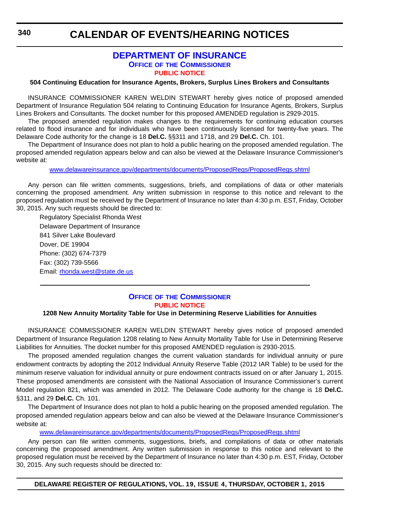# **[DEPARTMENT OF INSURANCE](http://www.delawareinsurance.gov/) OFFICE OF THE COMMISSIONER [PUBLIC NOTICE](#page-4-0)**

#### **504 Continuing Education for Insurance Agents, Brokers, Surplus Lines Brokers and Consultants**

INSURANCE COMMISSIONER KAREN WELDIN STEWART hereby gives notice of proposed amended Department of Insurance Regulation 504 relating to Continuing Education for Insurance Agents, Brokers, Surplus Lines Brokers and Consultants. The docket number for this proposed AMENDED regulation is 2929-2015.

The proposed amended regulation makes changes to the requirements for continuing education courses related to flood insurance and for individuals who have been continuously licensed for twenty-five years. The Delaware Code authority for the change is 18 **Del.C.** §§311 and 1718, and 29 **Del.C.** Ch. 101.

The Department of Insurance does not plan to hold a public hearing on the proposed amended regulation. The proposed amended regulation appears below and can also be viewed at the Delaware Insurance Commissioner's website at:

w[ww.delawareinsurance.gov/departments/documents/ProposedRegs/ProposedRegs.shtml](http://www.delawareinsurance.gov/departments/documents/ProposedRegs/ProposedRegs.shtml)

Any person can file written comments, suggestions, briefs, and compilations of data or other materials concerning the proposed amendment. Any written submission in response to this notice and relevant to the proposed regulation must be received by the Department of Insurance no later than 4:30 p.m. EST, Friday, October 30, 2015. Any such requests should be directed to:

Regulatory Specialist Rhonda West Delaware Department of Insurance 841 Silver Lake Boulevard Dover, DE 19904 Phone: (302) 674-7379 Fax: (302) 739-5566 Email: [rhonda.west@state.de.us](mailto:rhonda.west@state.de.us)

## **OFFICE OF [THE COMMISSIONER](http://www.delawareinsurance.gov/) [PUBLIC NOTICE](#page-4-0)**

#### **1208 New Annuity Mortality Table for Use in Determining Reserve Liabilities for Annuities**

INSURANCE COMMISSIONER KAREN WELDIN STEWART hereby gives notice of proposed amended Department of Insurance Regulation 1208 relating to New Annuity Mortality Table for Use in Determining Reserve Liabilities for Annuities. The docket number for this proposed AMENDED regulation is 2930-2015.

The proposed amended regulation changes the current valuation standards for individual annuity or pure endowment contracts by adopting the 2012 Individual Annuity Reserve Table (2012 IAR Table) to be used for the minimum reserve valuation for individual annuity or pure endowment contracts issued on or after January 1, 2015. These proposed amendments are consistent with the National Association of Insurance Commissioner's current Model regulation 821, which was amended in 2012. The Delaware Code authority for the change is 18 **Del.C.** §311, and 29 **Del.C.** Ch. 101.

The Department of Insurance does not plan to hold a public hearing on the proposed amended regulation. The proposed amended regulation appears below and can also be viewed at the Delaware Insurance Commissioner's website at:

[www.delawareinsurance.gov/departments/documents/ProposedRegs/ProposedRegs.shtml](http://www.delawareinsurance.gov/departments/documents/ProposedRegs/ProposedRegs.shtml)

Any person can file written comments, suggestions, briefs, and compilations of data or other materials concerning the proposed amendment. Any written submission in response to this notice and relevant to the proposed regulation must be received by the Department of Insurance no later than 4:30 p.m. EST, Friday, October 30, 2015. Any such requests should be directed to:

**DELAWARE REGISTER OF REGULATIONS, VOL. 19, ISSUE 4, THURSDAY, OCTOBER 1, 2015**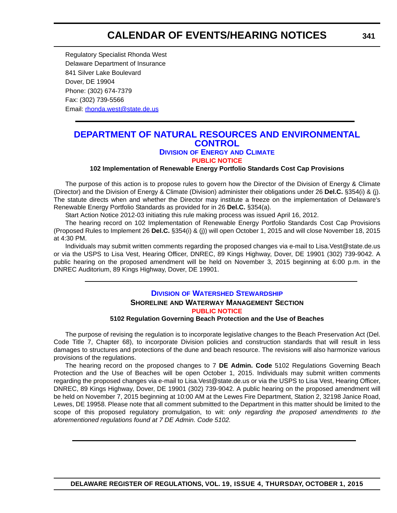Regulatory Specialist Rhonda West Delaware Department of Insurance 841 Silver Lake Boulevard Dover, DE 19904 Phone: (302) 674-7379 Fax: (302) 739-5566 Email[: rhonda.west@state.de.us](mailto:rhonda.west@state.de.us)

# **[DEPARTMENT OF NATURAL RESOURCES AND ENVIRONMENTAL](http://www.dnrec.delaware.gov/energy/Pages/portal.aspx)  CONTROL**

# **DIVISION OF ENERGY AND CLIMATE**

### **[PUBLIC NOTICE](#page-4-0)**

#### **102 Implementation of Renewable Energy Portfolio Standards Cost Cap Provisions**

The purpose of this action is to propose rules to govern how the Director of the Division of Energy & Climate (Director) and the Division of Energy & Climate (Division) administer their obligations under 26 **Del.C.** §354(i) & (j). The statute directs when and whether the Director may institute a freeze on the implementation of Delaware's Renewable Energy Portfolio Standards as provided for in 26 **Del.C.** §354(a).

Start Action Notice 2012-03 initiating this rule making process was issued April 16, 2012.

The hearing record on 102 Implementation of Renewable Energy Portfolio Standards Cost Cap Provisions (Proposed Rules to Implement 26 **Del.C.** §354(i) & (j)) will open October 1, 2015 and will close November 18, 2015 at 4:30 PM.

Individuals may submit written comments regarding the proposed changes via e-mail to Lisa.Vest@state.de.us or via the USPS to Lisa Vest, Hearing Officer, DNREC, 89 Kings Highway, Dover, DE 19901 (302) 739-9042. A public hearing on the proposed amendment will be held on November 3, 2015 beginning at 6:00 p.m. in the DNREC Auditorium, 89 Kings Highway, Dover, DE 19901.

# **DIVISION [OF WATERSHED STEWARDSHIP](http://www.dnrec.delaware.gov/swc/Pages/portal.aspx) SHORELINE AND WATERWAY MANAGEMENT SECTION [PUBLIC NOTICE](#page-4-0)**

#### **5102 Regulation Governing Beach Protection and the Use of Beaches**

The purpose of revising the regulation is to incorporate legislative changes to the Beach Preservation Act (Del. Code Title 7, Chapter 68), to incorporate Division policies and construction standards that will result in less damages to structures and protections of the dune and beach resource. The revisions will also harmonize various provisions of the regulations.

The hearing record on the proposed changes to 7 **DE Admin. Code** 5102 Regulations Governing Beach Protection and the Use of Beaches will be open October 1, 2015. Individuals may submit written comments regarding the proposed changes via e-mail to Lisa.Vest@state.de.us or via the USPS to Lisa Vest, Hearing Officer, DNREC, 89 Kings Highway, Dover, DE 19901 (302) 739-9042. A public hearing on the proposed amendment will be held on November 7, 2015 beginning at 10:00 AM at the Lewes Fire Department, Station 2, 32198 Janice Road, Lewes, DE 19958. Please note that all comment submitted to the Department in this matter should be limited to the scope of this proposed regulatory promulgation, to wit: *only regarding the proposed amendments to the aforementioned regulations found at 7 DE Admin. Code 5102.*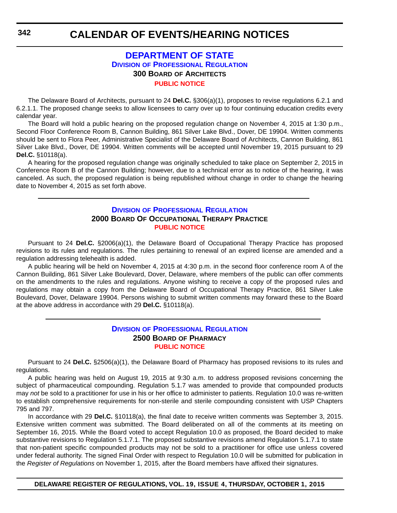# **[DEPARTMENT OF STATE](http://dpr.delaware.gov/) DIVISION OF PROFESSIONAL REGULATION 300 BOARD OF ARCHITECTS [PUBLIC NOTICE](#page-4-0)**

The Delaware Board of Architects, pursuant to 24 **Del.C.** §306(a)(1), proposes to revise regulations 6.2.1 and 6.2.1.1. The proposed change seeks to allow licensees to carry over up to four continuing education credits every calendar year.

The Board will hold a public hearing on the proposed regulation change on November 4, 2015 at 1:30 p.m., Second Floor Conference Room B, Cannon Building, 861 Silver Lake Blvd., Dover, DE 19904. Written comments should be sent to Flora Peer, Administrative Specialist of the Delaware Board of Architects, Cannon Building, 861 Silver Lake Blvd., Dover, DE 19904. Written comments will be accepted until November 19, 2015 pursuant to 29 **Del.C.** §10118(a).

A hearing for the proposed regulation change was originally scheduled to take place on September 2, 2015 in Conference Room B of the Cannon Building; however, due to a technical error as to notice of the hearing, it was canceled. As such, the proposed regulation is being republished without change in order to change the hearing date to November 4, 2015 as set forth above.

### **DIVISION [OF PROFESSIONAL REGULATION](http://dpr.delaware.gov/) 2000 BOARD OF OCCUPATIONAL THERAPY PRACTICE [PUBLIC NOTICE](#page-4-0)**

Pursuant to 24 **Del.C.** §2006(a)(1), the Delaware Board of Occupational Therapy Practice has proposed revisions to its rules and regulations. The rules pertaining to renewal of an expired license are amended and a regulation addressing telehealth is added.

A public hearing will be held on November 4, 2015 at 4:30 p.m. in the second floor conference room A of the Cannon Building, 861 Silver Lake Boulevard, Dover, Delaware, where members of the public can offer comments on the amendments to the rules and regulations. Anyone wishing to receive a copy of the proposed rules and regulations may obtain a copy from the Delaware Board of Occupational Therapy Practice, 861 Silver Lake Boulevard, Dover, Delaware 19904. Persons wishing to submit written comments may forward these to the Board at the above address in accordance with 29 **Del.C.** §10118(a).

### **DIVISION [OF PROFESSIONAL REGULATION](http://dpr.delaware.gov/) 2500 BOARD OF PHARMACY [PUBLIC NOTICE](#page-4-0)**

Pursuant to 24 **Del.C.** §2506(a)(1), the Delaware Board of Pharmacy has proposed revisions to its rules and regulations.

A public hearing was held on August 19, 2015 at 9:30 a.m. to address proposed revisions concerning the subject of pharmaceutical compounding. Regulation 5.1.7 was amended to provide that compounded products may *not* be sold to a practitioner for use in his or her office to administer to patients. Regulation 10.0 was re-written to establish comprehensive requirements for non-sterile and sterile compounding consistent with USP Chapters 795 and 797.

In accordance with 29 **Del.C.** §10118(a), the final date to receive written comments was September 3, 2015. Extensive written comment was submitted. The Board deliberated on all of the comments at its meeting on September 16, 2015. While the Board voted to accept Regulation 10.0 as proposed, the Board decided to make substantive revisions to Regulation 5.1.7.1. The proposed substantive revisions amend Regulation 5.1.7.1 to state that non-patient specific compounded products may not be sold to a practitioner for office use unless covered under federal authority. The signed Final Order with respect to Regulation 10.0 will be submitted for publication in the *Register of Regulations* on November 1, 2015, after the Board members have affixed their signatures.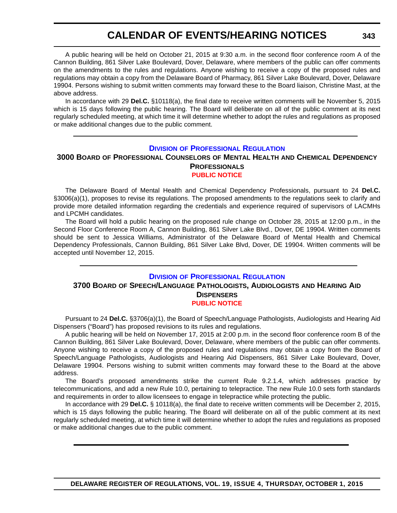A public hearing will be held on October 21, 2015 at 9:30 a.m. in the second floor conference room A of the Cannon Building, 861 Silver Lake Boulevard, Dover, Delaware, where members of the public can offer comments on the amendments to the rules and regulations. Anyone wishing to receive a copy of the proposed rules and regulations may obtain a copy from the Delaware Board of Pharmacy, 861 Silver Lake Boulevard, Dover, Delaware 19904. Persons wishing to submit written comments may forward these to the Board liaison, Christine Mast, at the above address.

In accordance with 29 **Del.C.** §10118(a), the final date to receive written comments will be November 5, 2015 which is 15 days following the public hearing. The Board will deliberate on all of the public comment at its next regularly scheduled meeting, at which time it will determine whether to adopt the rules and regulations as proposed or make additional changes due to the public comment.

#### **DIVISION [OF PROFESSIONAL REGULATION](http://dpr.delaware.gov/)**

### **3000 BOARD OF PROFESSIONAL COUNSELORS OF MENTAL HEALTH AND CHEMICAL DEPENDENCY PROFESSIONALS [PUBLIC NOTICE](#page-4-0)**

The Delaware Board of Mental Health and Chemical Dependency Professionals, pursuant to 24 **Del.C.** §3006(a)(1), proposes to revise its regulations. The proposed amendments to the regulations seek to clarify and provide more detailed information regarding the credentials and experience required of supervisors of LACMHs and LPCMH candidates.

The Board will hold a public hearing on the proposed rule change on October 28, 2015 at 12:00 p.m., in the Second Floor Conference Room A, Cannon Building, 861 Silver Lake Blvd., Dover, DE 19904. Written comments should be sent to Jessica Williams, Administrator of the Delaware Board of Mental Health and Chemical Dependency Professionals, Cannon Building, 861 Silver Lake Blvd, Dover, DE 19904. Written comments will be accepted until November 12, 2015.

### **DIVISION [OF PROFESSIONAL REGULATION](http://dpr.delaware.gov/) 3700 BOARD OF SPEECH/LANGUAGE PATHOLOGISTS, AUDIOLOGISTS AND HEARING AID DISPENSERS [PUBLIC NOTICE](#page-4-0)**

Pursuant to 24 **Del.C.** §3706(a)(1), the Board of Speech/Language Pathologists, Audiologists and Hearing Aid Dispensers ("Board") has proposed revisions to its rules and regulations.

A public hearing will be held on November 17, 2015 at 2:00 p.m. in the second floor conference room B of the Cannon Building, 861 Silver Lake Boulevard, Dover, Delaware, where members of the public can offer comments. Anyone wishing to receive a copy of the proposed rules and regulations may obtain a copy from the Board of Speech/Language Pathologists, Audiologists and Hearing Aid Dispensers, 861 Silver Lake Boulevard, Dover, Delaware 19904. Persons wishing to submit written comments may forward these to the Board at the above address.

The Board's proposed amendments strike the current Rule 9.2.1.4, which addresses practice by telecommunications, and add a new Rule 10.0, pertaining to telepractice. The new Rule 10.0 sets forth standards and requirements in order to allow licensees to engage in telepractice while protecting the public.

In accordance with 29 **Del.C.** § 10118(a), the final date to receive written comments will be December 2, 2015, which is 15 days following the public hearing. The Board will deliberate on all of the public comment at its next regularly scheduled meeting, at which time it will determine whether to adopt the rules and regulations as proposed or make additional changes due to the public comment.